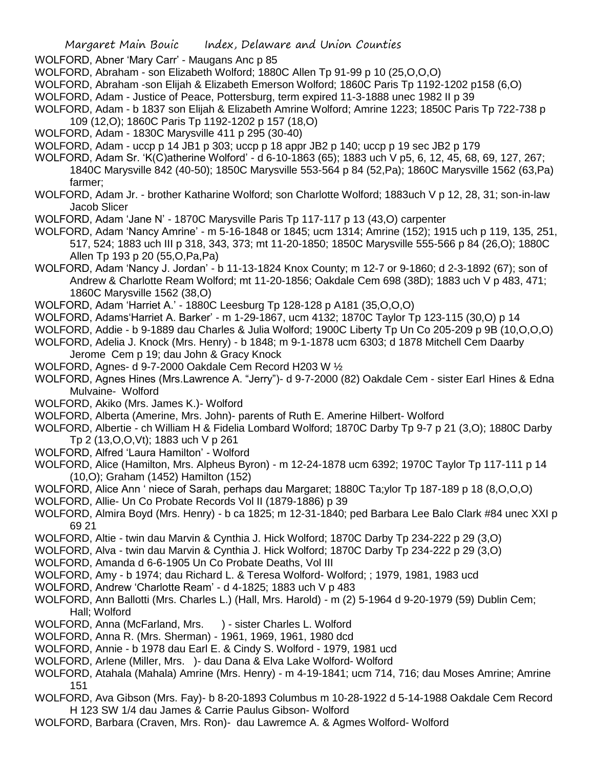WOLFORD, Abner 'Mary Carr' - Maugans Anc p 85

- WOLFORD, Abraham son Elizabeth Wolford; 1880C Allen Tp 91-99 p 10 (25,O,O,O)
- WOLFORD, Abraham -son Elijah & Elizabeth Emerson Wolford; 1860C Paris Tp 1192-1202 p158 (6,O)
- WOLFORD, Adam Justice of Peace, Pottersburg, term expired 11-3-1888 unec 1982 II p 39
- WOLFORD, Adam b 1837 son Elijah & Elizabeth Amrine Wolford; Amrine 1223; 1850C Paris Tp 722-738 p
- 109 (12,O); 1860C Paris Tp 1192-1202 p 157 (18,O)
- WOLFORD, Adam 1830C Marysville 411 p 295 (30-40)
- WOLFORD, Adam uccp p 14 JB1 p 303; uccp p 18 appr JB2 p 140; uccp p 19 sec JB2 p 179
- WOLFORD, Adam Sr. 'K(C)atherine Wolford' d 6-10-1863 (65); 1883 uch V p5, 6, 12, 45, 68, 69, 127, 267; 1840C Marysville 842 (40-50); 1850C Marysville 553-564 p 84 (52,Pa); 1860C Marysville 1562 (63,Pa) farmer;
- WOLFORD, Adam Jr. brother Katharine Wolford; son Charlotte Wolford; 1883uch V p 12, 28, 31; son-in-law Jacob Slicer
- WOLFORD, Adam 'Jane N' 1870C Marysville Paris Tp 117-117 p 13 (43,O) carpenter
- WOLFORD, Adam 'Nancy Amrine' m 5-16-1848 or 1845; ucm 1314; Amrine (152); 1915 uch p 119, 135, 251, 517, 524; 1883 uch III p 318, 343, 373; mt 11-20-1850; 1850C Marysville 555-566 p 84 (26,O); 1880C Allen Tp 193 p 20 (55,O,Pa,Pa)
- WOLFORD, Adam 'Nancy J. Jordan' b 11-13-1824 Knox County; m 12-7 or 9-1860; d 2-3-1892 (67); son of Andrew & Charlotte Ream Wolford; mt 11-20-1856; Oakdale Cem 698 (38D); 1883 uch V p 483, 471; 1860C Marysville 1562 (38,O)
- WOLFORD, Adam 'Harriet A.' 1880C Leesburg Tp 128-128 p A181 (35,O,O,O)
- WOLFORD, Adams'Harriet A. Barker' m 1-29-1867, ucm 4132; 1870C Taylor Tp 123-115 (30,O) p 14
- WOLFORD, Addie b 9-1889 dau Charles & Julia Wolford; 1900C Liberty Tp Un Co 205-209 p 9B (10,O,O,O)
- WOLFORD, Adelia J. Knock (Mrs. Henry) b 1848; m 9-1-1878 ucm 6303; d 1878 Mitchell Cem Daarby
- Jerome Cem p 19; dau John & Gracy Knock
- WOLFORD, Agnes- d 9-7-2000 Oakdale Cem Record H203 W ½
- WOLFORD, Agnes Hines (Mrs.Lawrence A. "Jerry")- d 9-7-2000 (82) Oakdale Cem sister Earl Hines & Edna Mulvaine- Wolford
- WOLFORD, Akiko (Mrs. James K.)- Wolford
- WOLFORD, Alberta (Amerine, Mrs. John)- parents of Ruth E. Amerine Hilbert- Wolford
- WOLFORD, Albertie ch William H & Fidelia Lombard Wolford; 1870C Darby Tp 9-7 p 21 (3,O); 1880C Darby Tp 2 (13,O,O,Vt); 1883 uch V p 261
- WOLFORD, Alfred 'Laura Hamilton' Wolford
- WOLFORD, Alice (Hamilton, Mrs. Alpheus Byron) m 12-24-1878 ucm 6392; 1970C Taylor Tp 117-111 p 14 (10,O); Graham (1452) Hamilton (152)
- WOLFORD, Alice Ann ' niece of Sarah, perhaps dau Margaret; 1880C Ta;ylor Tp 187-189 p 18 (8,O,O,O)
- WOLFORD, Allie- Un Co Probate Records Vol II (1879-1886) p 39
- WOLFORD, Almira Boyd (Mrs. Henry) b ca 1825; m 12-31-1840; ped Barbara Lee Balo Clark #84 unec XXI p 69 21
- WOLFORD, Altie twin dau Marvin & Cynthia J. Hick Wolford; 1870C Darby Tp 234-222 p 29 (3,O)
- WOLFORD, Alva twin dau Marvin & Cynthia J. Hick Wolford; 1870C Darby Tp 234-222 p 29 (3,O)
- WOLFORD, Amanda d 6-6-1905 Un Co Probate Deaths, Vol III
- WOLFORD, Amy b 1974; dau Richard L. & Teresa Wolford- Wolford; ; 1979, 1981, 1983 ucd
- WOLFORD, Andrew 'Charlotte Ream' d 4-1825; 1883 uch V p 483
- WOLFORD, Ann Ballotti (Mrs. Charles L.) (Hall, Mrs. Harold) m (2) 5-1964 d 9-20-1979 (59) Dublin Cem; Hall; Wolford
- WOLFORD, Anna (McFarland, Mrs. ) sister Charles L. Wolford
- WOLFORD, Anna R. (Mrs. Sherman) 1961, 1969, 1961, 1980 dcd
- WOLFORD, Annie b 1978 dau Earl E. & Cindy S. Wolford 1979, 1981 ucd
- WOLFORD, Arlene (Miller, Mrs. )- dau Dana & Elva Lake Wolford- Wolford
- WOLFORD, Atahala (Mahala) Amrine (Mrs. Henry) m 4-19-1841; ucm 714, 716; dau Moses Amrine; Amrine 151
- WOLFORD, Ava Gibson (Mrs. Fay)- b 8-20-1893 Columbus m 10-28-1922 d 5-14-1988 Oakdale Cem Record H 123 SW 1/4 dau James & Carrie Paulus Gibson- Wolford
- WOLFORD, Barbara (Craven, Mrs. Ron)- dau Lawremce A. & Agmes Wolford- Wolford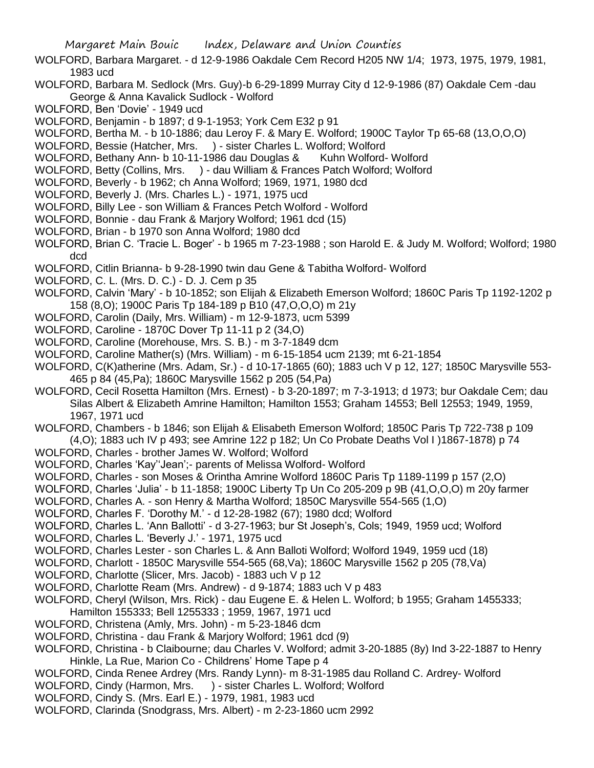- WOLFORD, Barbara Margaret. d 12-9-1986 Oakdale Cem Record H205 NW 1/4; 1973, 1975, 1979, 1981, 1983 ucd
- WOLFORD, Barbara M. Sedlock (Mrs. Guy)-b 6-29-1899 Murray City d 12-9-1986 (87) Oakdale Cem -dau George & Anna Kavalick Sudlock - Wolford
- WOLFORD, Ben 'Dovie' 1949 ucd
- WOLFORD, Benjamin b 1897; d 9-1-1953; York Cem E32 p 91
- WOLFORD, Bertha M. b 10-1886; dau Leroy F. & Mary E. Wolford; 1900C Taylor Tp 65-68 (13,O,O,O)
- WOLFORD, Bessie (Hatcher, Mrs. ) sister Charles L. Wolford; Wolford
- WOLFORD, Bethany Ann- b 10-11-1986 dau Douglas & Kuhn Wolford- Wolford
- WOLFORD, Betty (Collins, Mrs. ) dau William & Frances Patch Wolford; Wolford
- WOLFORD, Beverly b 1962; ch Anna Wolford; 1969, 1971, 1980 dcd
- WOLFORD, Beverly J. (Mrs. Charles L.) 1971, 1975 ucd
- WOLFORD, Billy Lee son William & Frances Petch Wolford Wolford
- WOLFORD, Bonnie dau Frank & Marjory Wolford; 1961 dcd (15)
- WOLFORD, Brian b 1970 son Anna Wolford; 1980 dcd
- WOLFORD, Brian C. 'Tracie L. Boger' b 1965 m 7-23-1988 ; son Harold E. & Judy M. Wolford; Wolford; 1980 dcd
- WOLFORD, Citlin Brianna- b 9-28-1990 twin dau Gene & Tabitha Wolford- Wolford
- WOLFORD, C. L. (Mrs. D. C.) D. J. Cem p 35
- WOLFORD, Calvin 'Mary' b 10-1852; son Elijah & Elizabeth Emerson Wolford; 1860C Paris Tp 1192-1202 p 158 (8,O); 1900C Paris Tp 184-189 p B10 (47,O,O,O) m 21y
- WOLFORD, Carolin (Daily, Mrs. William) m 12-9-1873, ucm 5399
- WOLFORD, Caroline 1870C Dover Tp 11-11 p 2 (34,O)
- WOLFORD, Caroline (Morehouse, Mrs. S. B.) m 3-7-1849 dcm
- WOLFORD, Caroline Mather(s) (Mrs. William) m 6-15-1854 ucm 2139; mt 6-21-1854
- WOLFORD, C(K)atherine (Mrs. Adam, Sr.) d 10-17-1865 (60); 1883 uch V p 12, 127; 1850C Marysville 553- 465 p 84 (45,Pa); 1860C Marysville 1562 p 205 (54,Pa)
- WOLFORD, Cecil Rosetta Hamilton (Mrs. Ernest) b 3-20-1897; m 7-3-1913; d 1973; bur Oakdale Cem; dau Silas Albert & Elizabeth Amrine Hamilton; Hamilton 1553; Graham 14553; Bell 12553; 1949, 1959, 1967, 1971 ucd
- WOLFORD, Chambers b 1846; son Elijah & Elisabeth Emerson Wolford; 1850C Paris Tp 722-738 p 109 (4,O); 1883 uch IV p 493; see Amrine 122 p 182; Un Co Probate Deaths Vol I )1867-1878) p 74
- WOLFORD, Charles brother James W. Wolford; Wolford
- WOLFORD, Charles 'Kay''Jean';- parents of Melissa Wolford- Wolford
- WOLFORD, Charles son Moses & Orintha Amrine Wolford 1860C Paris Tp 1189-1199 p 157 (2,O)
- WOLFORD, Charles 'Julia' b 11-1858; 1900C Liberty Tp Un Co 205-209 p 9B (41,O,O,O) m 20y farmer
- WOLFORD, Charles A. son Henry & Martha Wolford; 1850C Marysville 554-565 (1,O)
- WOLFORD, Charles F. 'Dorothy M.' d 12-28-1982 (67); 1980 dcd; Wolford
- WOLFORD, Charles L. 'Ann Ballotti' d 3-27-1963; bur St Joseph's, Cols; 1949, 1959 ucd; Wolford
- WOLFORD, Charles L. 'Beverly J.' 1971, 1975 ucd
- WOLFORD, Charles Lester son Charles L. & Ann Balloti Wolford; Wolford 1949, 1959 ucd (18)
- WOLFORD, Charlott 1850C Marysville 554-565 (68,Va); 1860C Marysville 1562 p 205 (78,Va)
- WOLFORD, Charlotte (Slicer, Mrs. Jacob) 1883 uch V p 12
- WOLFORD, Charlotte Ream (Mrs. Andrew) d 9-1874; 1883 uch V p 483
- WOLFORD, Cheryl (Wilson, Mrs. Rick) dau Eugene E. & Helen L. Wolford; b 1955; Graham 1455333; Hamilton 155333; Bell 1255333 ; 1959, 1967, 1971 ucd
- WOLFORD, Christena (Amly, Mrs. John) m 5-23-1846 dcm
- 
- WOLFORD, Christina dau Frank & Marjory Wolford; 1961 dcd (9)
- WOLFORD, Christina b Claibourne; dau Charles V. Wolford; admit 3-20-1885 (8y) Ind 3-22-1887 to Henry Hinkle, La Rue, Marion Co - Childrens' Home Tape p 4
- WOLFORD, Cinda Renee Ardrey (Mrs. Randy Lynn)- m 8-31-1985 dau Rolland C. Ardrey- Wolford
- WOLFORD, Cindy (Harmon, Mrs. ) sister Charles L. Wolford: Wolford
- WOLFORD, Cindy S. (Mrs. Earl E.) 1979, 1981, 1983 ucd
- WOLFORD, Clarinda (Snodgrass, Mrs. Albert) m 2-23-1860 ucm 2992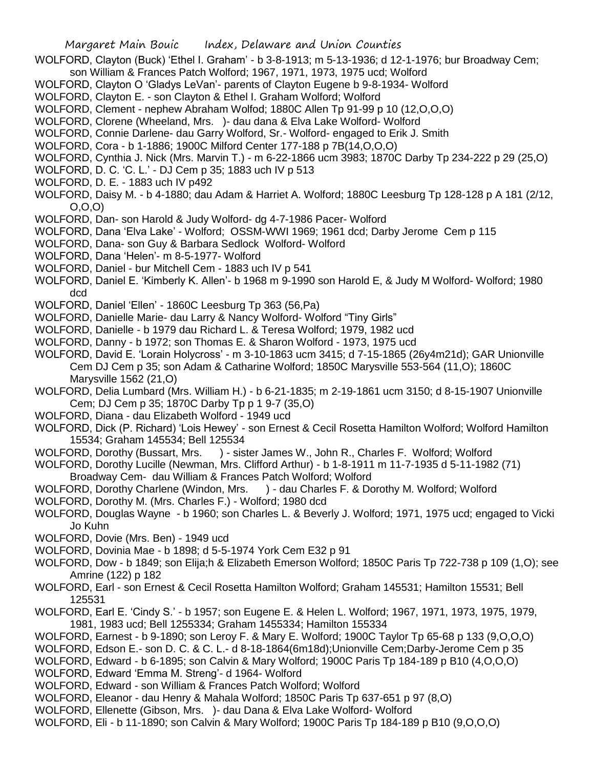- WOLFORD, Clayton (Buck) 'Ethel I. Graham' b 3-8-1913; m 5-13-1936; d 12-1-1976; bur Broadway Cem;
- son William & Frances Patch Wolford; 1967, 1971, 1973, 1975 ucd; Wolford
- WOLFORD, Clayton O 'Gladys LeVan'- parents of Clayton Eugene b 9-8-1934- Wolford
- WOLFORD, Clayton E. son Clayton & Ethel I. Graham Wolford; Wolford
- WOLFORD, Clement nephew Abraham Wolfod; 1880C Allen Tp 91-99 p 10 (12,O,O,O)
- WOLFORD, Clorene (Wheeland, Mrs. )- dau dana & Elva Lake Wolford- Wolford
- WOLFORD, Connie Darlene- dau Garry Wolford, Sr.- Wolford- engaged to Erik J. Smith
- WOLFORD, Cora b 1-1886; 1900C Milford Center 177-188 p 7B(14,O,O,O)
- WOLFORD, Cynthia J. Nick (Mrs. Marvin T.) m 6-22-1866 ucm 3983; 1870C Darby Tp 234-222 p 29 (25,O)
- WOLFORD, D. C. 'C. L.' DJ Cem p 35; 1883 uch IV p 513
- WOLFORD, D. E. 1883 uch IV p492
- WOLFORD, Daisy M. b 4-1880; dau Adam & Harriet A. Wolford; 1880C Leesburg Tp 128-128 p A 181 (2/12, O,O,O)
- WOLFORD, Dan- son Harold & Judy Wolford- dg 4-7-1986 Pacer- Wolford
- WOLFORD, Dana 'Elva Lake' Wolford; OSSM-WWI 1969; 1961 dcd; Darby Jerome Cem p 115
- WOLFORD, Dana- son Guy & Barbara Sedlock Wolford- Wolford
- WOLFORD, Dana 'Helen'- m 8-5-1977- Wolford
- WOLFORD, Daniel bur Mitchell Cem 1883 uch IV p 541
- WOLFORD, Daniel E. 'Kimberly K. Allen'- b 1968 m 9-1990 son Harold E, & Judy M Wolford- Wolford; 1980 dcd
- WOLFORD, Daniel 'Ellen' 1860C Leesburg Tp 363 (56,Pa)
- WOLFORD, Danielle Marie- dau Larry & Nancy Wolford- Wolford "Tiny Girls"
- WOLFORD, Danielle b 1979 dau Richard L. & Teresa Wolford; 1979, 1982 ucd
- WOLFORD, Danny b 1972; son Thomas E. & Sharon Wolford 1973, 1975 ucd
- WOLFORD, David E. 'Lorain Holycross' m 3-10-1863 ucm 3415; d 7-15-1865 (26y4m21d); GAR Unionville Cem DJ Cem p 35; son Adam & Catharine Wolford; 1850C Marysville 553-564 (11,O); 1860C Marysville 1562 (21,O)
- WOLFORD, Delia Lumbard (Mrs. William H.) b 6-21-1835; m 2-19-1861 ucm 3150; d 8-15-1907 Unionville Cem; DJ Cem p 35; 1870C Darby Tp p 1 9-7 (35,O)
- WOLFORD, Diana dau Elizabeth Wolford 1949 ucd
- WOLFORD, Dick (P. Richard) 'Lois Hewey' son Ernest & Cecil Rosetta Hamilton Wolford; Wolford Hamilton 15534; Graham 145534; Bell 125534
- WOLFORD, Dorothy (Bussart, Mrs. ) sister James W., John R., Charles F. Wolford; Wolford
- WOLFORD, Dorothy Lucille (Newman, Mrs. Clifford Arthur) b 1-8-1911 m 11-7-1935 d 5-11-1982 (71)
- Broadway Cem- dau William & Frances Patch Wolford; Wolford
- WOLFORD, Dorothy Charlene (Windon, Mrs. ) dau Charles F. & Dorothy M. Wolford; Wolford
- WOLFORD, Dorothy M. (Mrs. Charles F.) Wolford; 1980 dcd
- WOLFORD, Douglas Wayne b 1960; son Charles L. & Beverly J. Wolford; 1971, 1975 ucd; engaged to Vicki Jo Kuhn
- WOLFORD, Dovie (Mrs. Ben) 1949 ucd
- WOLFORD, Dovinia Mae b 1898; d 5-5-1974 York Cem E32 p 91
- WOLFORD, Dow b 1849; son Elija;h & Elizabeth Emerson Wolford; 1850C Paris Tp 722-738 p 109 (1,O); see Amrine (122) p 182
- WOLFORD, Earl son Ernest & Cecil Rosetta Hamilton Wolford; Graham 145531; Hamilton 15531; Bell 125531
- WOLFORD, Earl E. 'Cindy S.' b 1957; son Eugene E. & Helen L. Wolford; 1967, 1971, 1973, 1975, 1979, 1981, 1983 ucd; Bell 1255334; Graham 1455334; Hamilton 155334
- WOLFORD, Earnest b 9-1890; son Leroy F. & Mary E. Wolford; 1900C Taylor Tp 65-68 p 133 (9,O,O,O)
- WOLFORD, Edson E.- son D. C. & C. L.- d 8-18-1864(6m18d);Unionville Cem;Darby-Jerome Cem p 35
- WOLFORD, Edward b 6-1895; son Calvin & Mary Wolford; 1900C Paris Tp 184-189 p B10 (4,O,O,O) WOLFORD, Edward 'Emma M. Streng'- d 1964- Wolford
- WOLFORD, Edward son William & Frances Patch Wolford; Wolford
- WOLFORD, Eleanor dau Henry & Mahala Wolford; 1850C Paris Tp 637-651 p 97 (8,O)
- WOLFORD, Ellenette (Gibson, Mrs. )- dau Dana & Elva Lake Wolford- Wolford
- WOLFORD, Eli b 11-1890; son Calvin & Mary Wolford; 1900C Paris Tp 184-189 p B10 (9,O,O,O)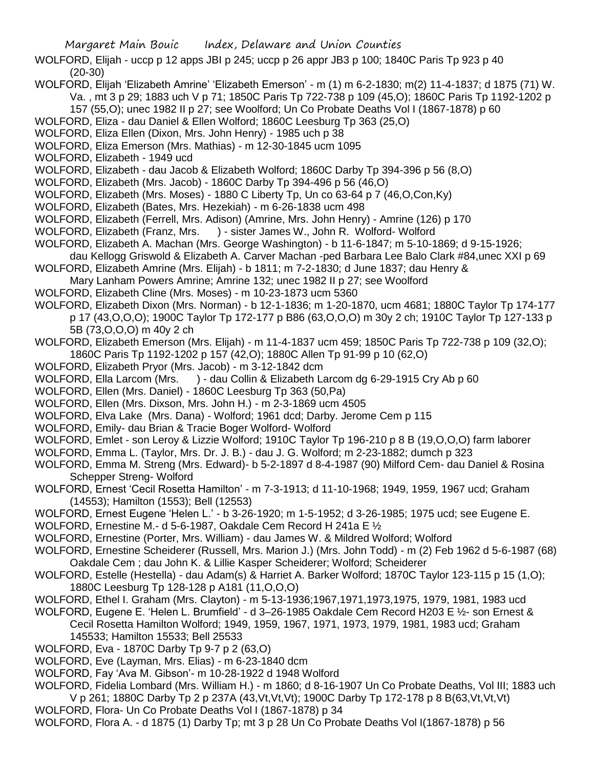- WOLFORD, Elijah uccp p 12 apps JBI p 245; uccp p 26 appr JB3 p 100; 1840C Paris Tp 923 p 40 (20-30)
- WOLFORD, Elijah 'Elizabeth Amrine' 'Elizabeth Emerson' m (1) m 6-2-1830; m(2) 11-4-1837; d 1875 (71) W. Va. , mt 3 p 29; 1883 uch V p 71; 1850C Paris Tp 722-738 p 109 (45,O); 1860C Paris Tp 1192-1202 p 157 (55,O); unec 1982 II p 27; see Woolford; Un Co Probate Deaths Vol I (1867-1878) p 60
- WOLFORD, Eliza dau Daniel & Ellen Wolford; 1860C Leesburg Tp 363 (25,O)
- WOLFORD, Eliza Ellen (Dixon, Mrs. John Henry) 1985 uch p 38
- WOLFORD, Eliza Emerson (Mrs. Mathias) m 12-30-1845 ucm 1095
- WOLFORD, Elizabeth 1949 ucd
- WOLFORD, Elizabeth dau Jacob & Elizabeth Wolford; 1860C Darby Tp 394-396 p 56 (8,O)
- WOLFORD, Elizabeth (Mrs. Jacob) 1860C Darby Tp 394-496 p 56 (46,O)
- WOLFORD, Elizabeth (Mrs. Moses) 1880 C Liberty Tp, Un co 63-64 p 7 (46,O,Con,Ky)
- WOLFORD, Elizabeth (Bates, Mrs. Hezekiah) m 6-26-1838 ucm 498
- WOLFORD, Elizabeth (Ferrell, Mrs. Adison) (Amrine, Mrs. John Henry) Amrine (126) p 170
- WOLFORD, Elizabeth (Franz, Mrs. ) sister James W., John R. Wolford- Wolford
- WOLFORD, Elizabeth A. Machan (Mrs. George Washington) b 11-6-1847; m 5-10-1869; d 9-15-1926;
- dau Kellogg Griswold & Elizabeth A. Carver Machan -ped Barbara Lee Balo Clark #84,unec XXI p 69
- WOLFORD, Elizabeth Amrine (Mrs. Elijah) b 1811; m 7-2-1830; d June 1837; dau Henry &
- Mary Lanham Powers Amrine; Amrine 132; unec 1982 II p 27; see Woolford
- WOLFORD, Elizabeth Cline (Mrs. Moses) m 10-23-1873 ucm 5360
- WOLFORD, Elizabeth Dixon (Mrs. Norman) b 12-1-1836; m 1-20-1870, ucm 4681; 1880C Taylor Tp 174-177 p 17 (43,O,O,O); 1900C Taylor Tp 172-177 p B86 (63,O,O,O) m 30y 2 ch; 1910C Taylor Tp 127-133 p 5B (73,O,O,O) m 40y 2 ch
- WOLFORD, Elizabeth Emerson (Mrs. Elijah) m 11-4-1837 ucm 459; 1850C Paris Tp 722-738 p 109 (32,O); 1860C Paris Tp 1192-1202 p 157 (42,O); 1880C Allen Tp 91-99 p 10 (62,O)
- WOLFORD, Elizabeth Pryor (Mrs. Jacob) m 3-12-1842 dcm
- WOLFORD, Ella Larcom (Mrs. ) dau Collin & Elizabeth Larcom dg 6-29-1915 Cry Ab p 60
- WOLFORD, Ellen (Mrs. Daniel) 1860C Leesburg Tp 363 (50,Pa)
- WOLFORD, Ellen (Mrs. Dixson, Mrs. John H.) m 2-3-1869 ucm 4505
- WOLFORD, Elva Lake (Mrs. Dana) Wolford; 1961 dcd; Darby. Jerome Cem p 115
- WOLFORD, Emily- dau Brian & Tracie Boger Wolford- Wolford
- WOLFORD, Emlet son Leroy & Lizzie Wolford; 1910C Taylor Tp 196-210 p 8 B (19,O,O,O) farm laborer
- WOLFORD, Emma L. (Taylor, Mrs. Dr. J. B.) dau J. G. Wolford; m 2-23-1882; dumch p 323
- WOLFORD, Emma M. Streng (Mrs. Edward)- b 5-2-1897 d 8-4-1987 (90) Milford Cem- dau Daniel & Rosina Schepper Streng- Wolford
- WOLFORD, Ernest 'Cecil Rosetta Hamilton' m 7-3-1913; d 11-10-1968; 1949, 1959, 1967 ucd; Graham (14553); Hamilton (1553); Bell (12553)
- WOLFORD, Ernest Eugene 'Helen L.' b 3-26-1920; m 1-5-1952; d 3-26-1985; 1975 ucd; see Eugene E.
- WOLFORD, Ernestine M.- d 5-6-1987, Oakdale Cem Record H 241a E ½
- WOLFORD, Ernestine (Porter, Mrs. William) dau James W. & Mildred Wolford; Wolford
- WOLFORD, Ernestine Scheiderer (Russell, Mrs. Marion J.) (Mrs. John Todd) m (2) Feb 1962 d 5-6-1987 (68) Oakdale Cem ; dau John K. & Lillie Kasper Scheiderer; Wolford; Scheiderer
- WOLFORD, Estelle (Hestella) dau Adam(s) & Harriet A. Barker Wolford; 1870C Taylor 123-115 p 15 (1,O); 1880C Leesburg Tp 128-128 p A181 (11,O,O,O)
- WOLFORD, Ethel I. Graham (Mrs. Clayton) m 5-13-1936;1967,1971,1973,1975, 1979, 1981, 1983 ucd
- WOLFORD, Eugene E. 'Helen L. Brumfield' d 3–26-1985 Oakdale Cem Record H203 E ½- son Ernest & Cecil Rosetta Hamilton Wolford; 1949, 1959, 1967, 1971, 1973, 1979, 1981, 1983 ucd; Graham 145533; Hamilton 15533; Bell 25533
- WOLFORD, Eva 1870C Darby Tp 9-7 p 2 (63,O)
- WOLFORD, Eve (Layman, Mrs. Elias) m 6-23-1840 dcm
- WOLFORD, Fay 'Ava M. Gibson'- m 10-28-1922 d 1948 Wolford

WOLFORD, Fidelia Lombard (Mrs. William H.) - m 1860; d 8-16-1907 Un Co Probate Deaths, Vol III; 1883 uch V p 261; 1880C Darby Tp 2 p 237A (43,Vt,Vt,Vt); 1900C Darby Tp 172-178 p 8 B(63,Vt,Vt,Vt) WOLFORD, Flora- Un Co Probate Deaths Vol I (1867-1878) p 34

WOLFORD, Flora A. - d 1875 (1) Darby Tp; mt 3 p 28 Un Co Probate Deaths Vol I(1867-1878) p 56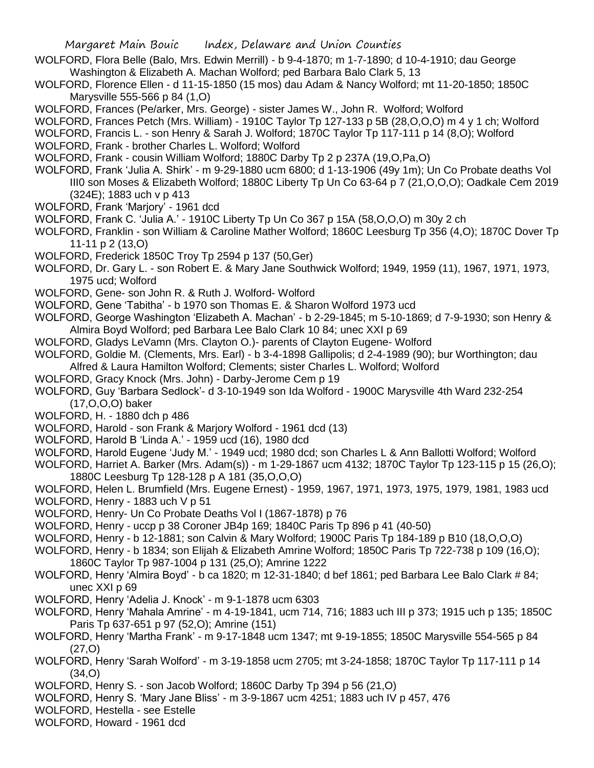- WOLFORD, Flora Belle (Balo, Mrs. Edwin Merrill) b 9-4-1870; m 1-7-1890; d 10-4-1910; dau George Washington & Elizabeth A. Machan Wolford; ped Barbara Balo Clark 5, 13
- WOLFORD, Florence Ellen d 11-15-1850 (15 mos) dau Adam & Nancy Wolford; mt 11-20-1850; 1850C Marysville 555-566 p 84 (1,O)
- WOLFORD, Frances (Pe/arker, Mrs. George) sister James W., John R. Wolford; Wolford
- WOLFORD, Frances Petch (Mrs. William) 1910C Taylor Tp 127-133 p 5B (28, O, O, O) m 4 y 1 ch; Wolford
- WOLFORD, Francis L. son Henry & Sarah J. Wolford; 1870C Taylor Tp 117-111 p 14 (8,O); Wolford
- WOLFORD, Frank brother Charles L. Wolford; Wolford
- WOLFORD, Frank cousin William Wolford; 1880C Darby Tp 2 p 237A (19,O,Pa,O)
- WOLFORD, Frank 'Julia A. Shirk' m 9-29-1880 ucm 6800; d 1-13-1906 (49y 1m); Un Co Probate deaths Vol III0 son Moses & Elizabeth Wolford; 1880C Liberty Tp Un Co 63-64 p 7 (21,O,O,O); Oadkale Cem 2019 (324E); 1883 uch v p 413
- WOLFORD, Frank 'Marjory' 1961 dcd
- WOLFORD, Frank C. 'Julia A.' 1910C Liberty Tp Un Co 367 p 15A (58,O,O,O) m 30y 2 ch
- WOLFORD, Franklin son William & Caroline Mather Wolford; 1860C Leesburg Tp 356 (4,O); 1870C Dover Tp 11-11 p 2 (13,O)
- WOLFORD, Frederick 1850C Troy Tp 2594 p 137 (50,Ger)
- WOLFORD, Dr. Gary L. son Robert E. & Mary Jane Southwick Wolford; 1949, 1959 (11), 1967, 1971, 1973, 1975 ucd; Wolford
- WOLFORD, Gene- son John R. & Ruth J. Wolford- Wolford
- WOLFORD, Gene 'Tabitha' b 1970 son Thomas E. & Sharon Wolford 1973 ucd
- WOLFORD, George Washington 'Elizabeth A. Machan' b 2-29-1845; m 5-10-1869; d 7-9-1930; son Henry & Almira Boyd Wolford; ped Barbara Lee Balo Clark 10 84; unec XXI p 69
- WOLFORD, Gladys LeVamn (Mrs. Clayton O.)- parents of Clayton Eugene- Wolford
- WOLFORD, Goldie M. (Clements, Mrs. Earl) b 3-4-1898 Gallipolis; d 2-4-1989 (90); bur Worthington; dau Alfred & Laura Hamilton Wolford; Clements; sister Charles L. Wolford; Wolford
- WOLFORD, Gracy Knock (Mrs. John) Darby-Jerome Cem p 19
- WOLFORD, Guy 'Barbara Sedlock'- d 3-10-1949 son Ida Wolford 1900C Marysville 4th Ward 232-254 (17,O,O,O) baker
- WOLFORD, H. 1880 dch p 486
- WOLFORD, Harold son Frank & Marjory Wolford 1961 dcd (13)
- WOLFORD, Harold B 'Linda A.' 1959 ucd (16), 1980 dcd
- WOLFORD, Harold Eugene 'Judy M.' 1949 ucd; 1980 dcd; son Charles L & Ann Ballotti Wolford; Wolford
- WOLFORD, Harriet A. Barker (Mrs. Adam(s)) m 1-29-1867 ucm 4132; 1870C Taylor Tp 123-115 p 15 (26,O); 1880C Leesburg Tp 128-128 p A 181 (35,O,O,O)
- WOLFORD, Helen L. Brumfield (Mrs. Eugene Ernest) 1959, 1967, 1971, 1973, 1975, 1979, 1981, 1983 ucd WOLFORD, Henry - 1883 uch V p 51
- WOLFORD, Henry- Un Co Probate Deaths Vol I (1867-1878) p 76
- WOLFORD, Henry uccp p 38 Coroner JB4p 169; 1840C Paris Tp 896 p 41 (40-50)
- WOLFORD, Henry b 12-1881; son Calvin & Mary Wolford; 1900C Paris Tp 184-189 p B10 (18,O,O,O)
- WOLFORD, Henry b 1834; son Elijah & Elizabeth Amrine Wolford; 1850C Paris Tp 722-738 p 109 (16,O); 1860C Taylor Tp 987-1004 p 131 (25,O); Amrine 1222
- WOLFORD, Henry 'Almira Boyd' b ca 1820; m 12-31-1840; d bef 1861; ped Barbara Lee Balo Clark # 84; unec XXI p 69
- WOLFORD, Henry 'Adelia J. Knock' m 9-1-1878 ucm 6303
- WOLFORD, Henry 'Mahala Amrine' m 4-19-1841, ucm 714, 716; 1883 uch III p 373; 1915 uch p 135; 1850C Paris Tp 637-651 p 97 (52,O); Amrine (151)
- WOLFORD, Henry 'Martha Frank' m 9-17-1848 ucm 1347; mt 9-19-1855; 1850C Marysville 554-565 p 84 (27,O)
- WOLFORD, Henry 'Sarah Wolford' m 3-19-1858 ucm 2705; mt 3-24-1858; 1870C Taylor Tp 117-111 p 14 (34,O)
- WOLFORD, Henry S. son Jacob Wolford; 1860C Darby Tp 394 p 56 (21,O)
- WOLFORD, Henry S. 'Mary Jane Bliss' m 3-9-1867 ucm 4251; 1883 uch IV p 457, 476
- WOLFORD, Hestella see Estelle
- WOLFORD, Howard 1961 dcd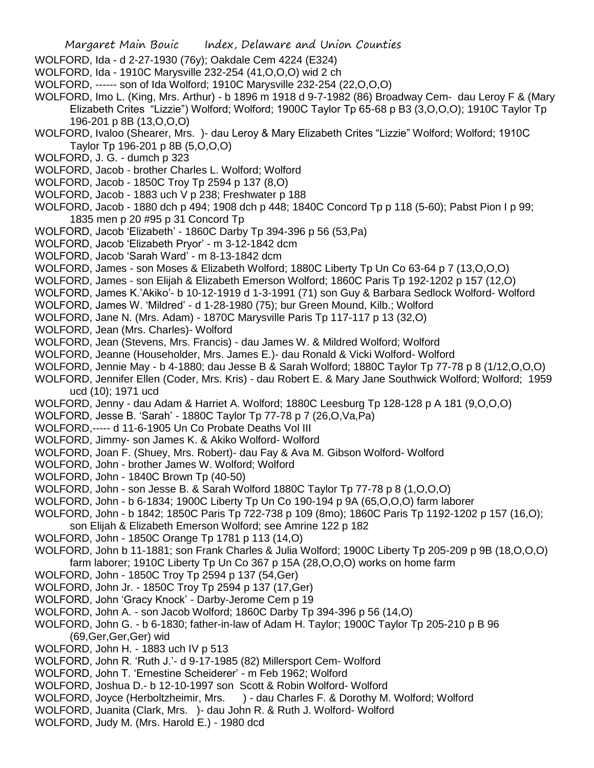- WOLFORD, Ida d 2-27-1930 (76y); Oakdale Cem 4224 (E324)
- WOLFORD, Ida 1910C Marysville 232-254 (41,O,O,O) wid 2 ch
- WOLFORD, ------ son of Ida Wolford; 1910C Marysville 232-254 (22,O,O,O)
- WOLFORD, Imo L. (King, Mrs. Arthur) b 1896 m 1918 d 9-7-1982 (86) Broadway Cem- dau Leroy F & (Mary Elizabeth Crites "Lizzie") Wolford; Wolford; 1900C Taylor Tp 65-68 p B3 (3,O,O,O); 1910C Taylor Tp 196-201 p 8B (13,O,O,O)
- WOLFORD, Ivaloo (Shearer, Mrs. )- dau Leroy & Mary Elizabeth Crites "Lizzie" Wolford; Wolford; 1910C Taylor Tp 196-201 p 8B (5,O,O,O)
- WOLFORD, J. G. dumch p 323
- WOLFORD, Jacob brother Charles L. Wolford; Wolford
- WOLFORD, Jacob 1850C Troy Tp 2594 p 137 (8,O)
- WOLFORD, Jacob 1883 uch V p 238; Freshwater p 188
- WOLFORD, Jacob 1880 dch p 494; 1908 dch p 448; 1840C Concord Tp p 118 (5-60); Pabst Pion I p 99; 1835 men p 20 #95 p 31 Concord Tp
- WOLFORD, Jacob 'Elizabeth' 1860C Darby Tp 394-396 p 56 (53,Pa)
- WOLFORD, Jacob 'Elizabeth Pryor' m 3-12-1842 dcm
- WOLFORD, Jacob 'Sarah Ward' m 8-13-1842 dcm
- WOLFORD, James son Moses & Elizabeth Wolford; 1880C Liberty Tp Un Co 63-64 p 7 (13,O,O,O)
- WOLFORD, James son Elijah & Elizabeth Emerson Wolford; 1860C Paris Tp 192-1202 p 157 (12,O)
- WOLFORD, James K.'Akiko'- b 10-12-1919 d 1-3-1991 (71) son Guy & Barbara Sedlock Wolford- Wolford
- WOLFORD, James W. 'Mildred' d 1-28-1980 (75); bur Green Mound, Kilb.; Wolford
- WOLFORD, Jane N. (Mrs. Adam) 1870C Marysville Paris Tp 117-117 p 13 (32,O)
- WOLFORD, Jean (Mrs. Charles)- Wolford
- WOLFORD, Jean (Stevens, Mrs. Francis) dau James W. & Mildred Wolford; Wolford
- WOLFORD, Jeanne (Householder, Mrs. James E.)- dau Ronald & Vicki Wolford- Wolford
- WOLFORD, Jennie May b 4-1880; dau Jesse B & Sarah Wolford; 1880C Taylor Tp 77-78 p 8 (1/12,O,O,O)
- WOLFORD, Jennifer Ellen (Coder, Mrs. Kris) dau Robert E. & Mary Jane Southwick Wolford; Wolford; 1959 ucd (10); 1971 ucd
- WOLFORD, Jenny dau Adam & Harriet A. Wolford; 1880C Leesburg Tp 128-128 p A 181 (9,O,O,O)
- WOLFORD, Jesse B. 'Sarah' 1880C Taylor Tp 77-78 p 7 (26,O,Va,Pa)
- WOLFORD,----- d 11-6-1905 Un Co Probate Deaths Vol III
- WOLFORD, Jimmy- son James K. & Akiko Wolford- Wolford
- WOLFORD, Joan F. (Shuey, Mrs. Robert)- dau Fay & Ava M. Gibson Wolford- Wolford
- WOLFORD, John brother James W. Wolford; Wolford
- WOLFORD, John 1840C Brown Tp (40-50)
- WOLFORD, John son Jesse B. & Sarah Wolford 1880C Taylor Tp 77-78 p 8 (1,O,O,O)
- WOLFORD, John b 6-1834; 1900C Liberty Tp Un Co 190-194 p 9A (65,O,O,O) farm laborer
- WOLFORD, John b 1842; 1850C Paris Tp 722-738 p 109 (8mo); 1860C Paris Tp 1192-1202 p 157 (16,O);
- son Elijah & Elizabeth Emerson Wolford; see Amrine 122 p 182
- WOLFORD, John 1850C Orange Tp 1781 p 113 (14,O)
- WOLFORD, John b 11-1881; son Frank Charles & Julia Wolford; 1900C Liberty Tp 205-209 p 9B (18,O,O,O) farm laborer; 1910C Liberty Tp Un Co 367 p 15A (28,O,O,O) works on home farm
- WOLFORD, John 1850C Troy Tp 2594 p 137 (54,Ger)
- WOLFORD, John Jr. 1850C Troy Tp 2594 p 137 (17,Ger)
- WOLFORD, John 'Gracy Knock' Darby-Jerome Cem p 19
- WOLFORD, John A. son Jacob Wolford; 1860C Darby Tp 394-396 p 56 (14,O)
- WOLFORD, John G. b 6-1830; father-in-law of Adam H. Taylor; 1900C Taylor Tp 205-210 p B 96 (69,Ger,Ger,Ger) wid
- WOLFORD, John H. 1883 uch IV p 513
- WOLFORD, John R. 'Ruth J.'- d 9-17-1985 (82) Millersport Cem- Wolford
- WOLFORD, John T. 'Ernestine Scheiderer' m Feb 1962; Wolford
- WOLFORD, Joshua D.- b 12-10-1997 son Scott & Robin Wolford- Wolford
- WOLFORD, Joyce (Herboltzheimir, Mrs. ) dau Charles F. & Dorothy M. Wolford; Wolford
- WOLFORD, Juanita (Clark, Mrs. )- dau John R. & Ruth J. Wolford- Wolford
- WOLFORD, Judy M. (Mrs. Harold E.) 1980 dcd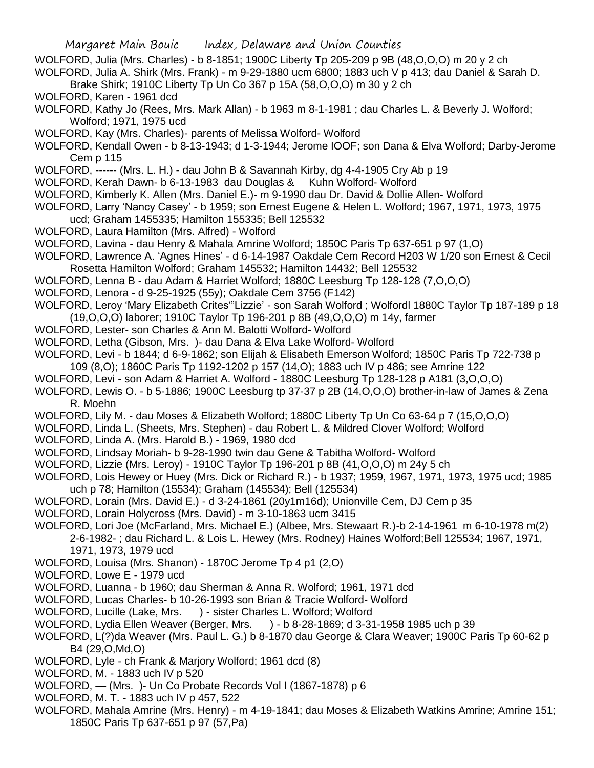- Margaret Main Bouic Index, Delaware and Union Counties WOLFORD, Julia (Mrs. Charles) - b 8-1851; 1900C Liberty Tp 205-209 p 9B (48,O,O,O) m 20 y 2 ch WOLFORD, Julia A. Shirk (Mrs. Frank) - m 9-29-1880 ucm 6800; 1883 uch V p 413; dau Daniel & Sarah D. Brake Shirk; 1910C Liberty Tp Un Co 367 p 15A (58,O,O,O) m 30 y 2 ch WOLFORD, Karen - 1961 dcd WOLFORD, Kathy Jo (Rees, Mrs. Mark Allan) - b 1963 m 8-1-1981 ; dau Charles L. & Beverly J. Wolford; Wolford; 1971, 1975 ucd WOLFORD, Kay (Mrs. Charles)- parents of Melissa Wolford- Wolford WOLFORD, Kendall Owen - b 8-13-1943; d 1-3-1944; Jerome IOOF; son Dana & Elva Wolford; Darby-Jerome Cem p 115 WOLFORD, ------ (Mrs. L. H.) - dau John B & Savannah Kirby, dg 4-4-1905 Cry Ab p 19 WOLFORD, Kerah Dawn- b 6-13-1983 dau Douglas & Kuhn Wolford- Wolford WOLFORD, Kimberly K. Allen (Mrs. Daniel E.)- m 9-1990 dau Dr. David & Dollie Allen- Wolford WOLFORD, Larry 'Nancy Casey' - b 1959; son Ernest Eugene & Helen L. Wolford; 1967, 1971, 1973, 1975 ucd; Graham 1455335; Hamilton 155335; Bell 125532 WOLFORD, Laura Hamilton (Mrs. Alfred) - Wolford WOLFORD, Lavina - dau Henry & Mahala Amrine Wolford; 1850C Paris Tp 637-651 p 97 (1,O) WOLFORD, Lawrence A. 'Agnes Hines' - d 6-14-1987 Oakdale Cem Record H203 W 1/20 son Ernest & Cecil Rosetta Hamilton Wolford; Graham 145532; Hamilton 14432; Bell 125532 WOLFORD, Lenna B - dau Adam & Harriet Wolford; 1880C Leesburg Tp 128-128 (7,O,O,O) WOLFORD, Lenora - d 9-25-1925 (55y); Oakdale Cem 3756 (F142) WOLFORD, Leroy 'Mary Elizabeth Crites'"Lizzie' - son Sarah Wolford ; Wolfordl 1880C Taylor Tp 187-189 p 18 (19,O,O,O) laborer; 1910C Taylor Tp 196-201 p 8B (49,O,O,O) m 14y, farmer WOLFORD, Lester- son Charles & Ann M. Balotti Wolford- Wolford WOLFORD, Letha (Gibson, Mrs. )- dau Dana & Elva Lake Wolford- Wolford WOLFORD, Levi - b 1844; d 6-9-1862; son Elijah & Elisabeth Emerson Wolford; 1850C Paris Tp 722-738 p 109 (8,O); 1860C Paris Tp 1192-1202 p 157 (14,O); 1883 uch IV p 486; see Amrine 122 WOLFORD, Levi - son Adam & Harriet A. Wolford - 1880C Leesburg Tp 128-128 p A181 (3,O,O,O) WOLFORD, Lewis O. - b 5-1886; 1900C Leesburg tp 37-37 p 2B (14,O,O,O) brother-in-law of James & Zena R. Moehn WOLFORD, Lily M. - dau Moses & Elizabeth Wolford; 1880C Liberty Tp Un Co 63-64 p 7 (15,O,O,O) WOLFORD, Linda L. (Sheets, Mrs. Stephen) - dau Robert L. & Mildred Clover Wolford; Wolford WOLFORD, Linda A. (Mrs. Harold B.) - 1969, 1980 dcd WOLFORD, Lindsay Moriah- b 9-28-1990 twin dau Gene & Tabitha Wolford- Wolford WOLFORD, Lizzie (Mrs. Leroy) - 1910C Taylor Tp 196-201 p 8B (41,O,O,O) m 24y 5 ch WOLFORD, Lois Hewey or Huey (Mrs. Dick or Richard R.) - b 1937; 1959, 1967, 1971, 1973, 1975 ucd; 1985 uch p 78; Hamilton (15534); Graham (145534); Bell (125534) WOLFORD, Lorain (Mrs. David E.) - d 3-24-1861 (20y1m16d); Unionville Cem, DJ Cem p 35 WOLFORD, Lorain Holycross (Mrs. David) - m 3-10-1863 ucm 3415 WOLFORD, Lori Joe (McFarland, Mrs. Michael E.) (Albee, Mrs. Stewaart R.)-b 2-14-1961 m 6-10-1978 m(2) 2-6-1982- ; dau Richard L. & Lois L. Hewey (Mrs. Rodney) Haines Wolford;Bell 125534; 1967, 1971, 1971, 1973, 1979 ucd WOLFORD, Louisa (Mrs. Shanon) - 1870C Jerome Tp 4 p1 (2,O) WOLFORD, Lowe E - 1979 ucd WOLFORD, Luanna - b 1960; dau Sherman & Anna R. Wolford; 1961, 1971 dcd WOLFORD, Lucas Charles- b 10-26-1993 son Brian & Tracie Wolford- Wolford WOLFORD, Lucille (Lake, Mrs. ) - sister Charles L. Wolford; Wolford WOLFORD, Lydia Ellen Weaver (Berger, Mrs. ) - b 8-28-1869; d 3-31-1958 1985 uch p 39 WOLFORD, L(?)da Weaver (Mrs. Paul L. G.) b 8-1870 dau George & Clara Weaver; 1900C Paris Tp 60-62 p B4 (29,O,Md,O) WOLFORD, Lyle - ch Frank & Marjory Wolford; 1961 dcd (8) WOLFORD, M. - 1883 uch IV p 520
	- WOLFORD, (Mrs. )- Un Co Probate Records Vol I (1867-1878) p 6
	- WOLFORD, M. T. 1883 uch IV p 457, 522
	- WOLFORD, Mahala Amrine (Mrs. Henry) m 4-19-1841; dau Moses & Elizabeth Watkins Amrine; Amrine 151; 1850C Paris Tp 637-651 p 97 (57,Pa)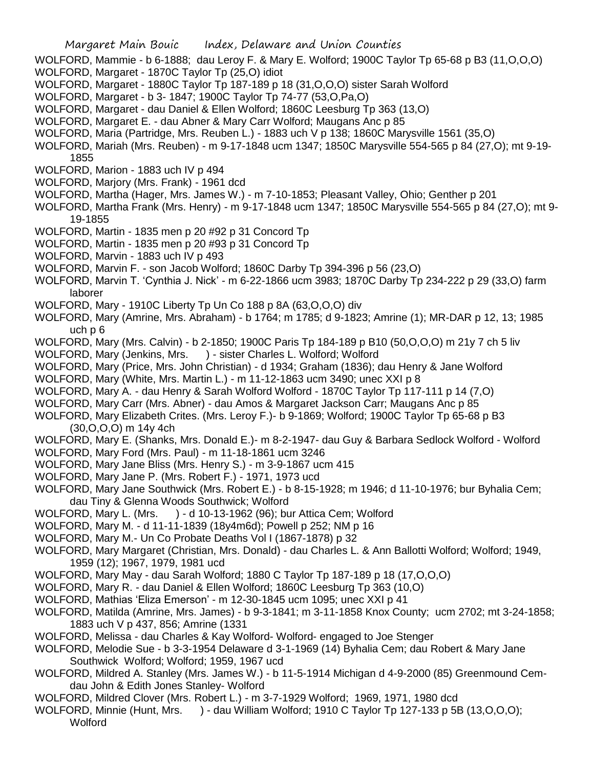- WOLFORD, Mammie b 6-1888; dau Leroy F. & Mary E. Wolford; 1900C Taylor Tp 65-68 p B3 (11,O,O,O)
- WOLFORD, Margaret 1870C Taylor Tp (25,O) idiot
- WOLFORD, Margaret 1880C Taylor Tp 187-189 p 18 (31,O,O,O) sister Sarah Wolford
- WOLFORD, Margaret b 3- 1847; 1900C Taylor Tp 74-77 (53,O,Pa,O)
- WOLFORD, Margaret dau Daniel & Ellen Wolford; 1860C Leesburg Tp 363 (13,O)
- WOLFORD, Margaret E. dau Abner & Mary Carr Wolford; Maugans Anc p 85
- WOLFORD, Maria (Partridge, Mrs. Reuben L.) 1883 uch V p 138; 1860C Marysville 1561 (35,O)
- WOLFORD, Mariah (Mrs. Reuben) m 9-17-1848 ucm 1347; 1850C Marysville 554-565 p 84 (27,O); mt 9-19- 1855
- WOLFORD, Marion 1883 uch IV p 494
- WOLFORD, Marjory (Mrs. Frank) 1961 dcd
- WOLFORD, Martha (Hager, Mrs. James W.) m 7-10-1853; Pleasant Valley, Ohio; Genther p 201
- WOLFORD, Martha Frank (Mrs. Henry) m 9-17-1848 ucm 1347; 1850C Marysville 554-565 p 84 (27,O); mt 9- 19-1855
- WOLFORD, Martin 1835 men p 20 #92 p 31 Concord Tp
- WOLFORD, Martin 1835 men p 20 #93 p 31 Concord Tp
- WOLFORD, Marvin 1883 uch IV p 493
- WOLFORD, Marvin F. son Jacob Wolford; 1860C Darby Tp 394-396 p 56 (23,O)
- WOLFORD, Marvin T. 'Cynthia J. Nick' m 6-22-1866 ucm 3983; 1870C Darby Tp 234-222 p 29 (33,O) farm laborer
- WOLFORD, Mary 1910C Liberty Tp Un Co 188 p 8A (63,O,O,O) div
- WOLFORD, Mary (Amrine, Mrs. Abraham) b 1764; m 1785; d 9-1823; Amrine (1); MR-DAR p 12, 13; 1985 uch p 6
- WOLFORD, Mary (Mrs. Calvin) b 2-1850; 1900C Paris Tp 184-189 p B10 (50,O,O,O) m 21y 7 ch 5 liv
- WOLFORD, Mary (Jenkins, Mrs. ) sister Charles L. Wolford; Wolford
- WOLFORD, Mary (Price, Mrs. John Christian) d 1934; Graham (1836); dau Henry & Jane Wolford
- WOLFORD, Mary (White, Mrs. Martin L.) m 11-12-1863 ucm 3490; unec XXI p 8
- WOLFORD, Mary A. dau Henry & Sarah Wolford Wolford 1870C Taylor Tp 117-111 p 14 (7,O)
- WOLFORD, Mary Carr (Mrs. Abner) dau Amos & Margaret Jackson Carr; Maugans Anc p 85
- WOLFORD, Mary Elizabeth Crites. (Mrs. Leroy F.)- b 9-1869; Wolford; 1900C Taylor Tp 65-68 p B3 (30,O,O,O) m 14y 4ch
- WOLFORD, Mary E. (Shanks, Mrs. Donald E.)- m 8-2-1947- dau Guy & Barbara Sedlock Wolford Wolford
- WOLFORD, Mary Ford (Mrs. Paul) m 11-18-1861 ucm 3246
- WOLFORD, Mary Jane Bliss (Mrs. Henry S.) m 3-9-1867 ucm 415
- WOLFORD, Mary Jane P. (Mrs. Robert F.) 1971, 1973 ucd
- WOLFORD, Mary Jane Southwick (Mrs. Robert E.) b 8-15-1928; m 1946; d 11-10-1976; bur Byhalia Cem; dau Tiny & Glenna Woods Southwick; Wolford
- WOLFORD, Mary L. (Mrs. ) d 10-13-1962 (96); bur Attica Cem; Wolford
- WOLFORD, Mary M. d 11-11-1839 (18y4m6d); Powell p 252; NM p 16
- WOLFORD, Mary M.- Un Co Probate Deaths Vol I (1867-1878) p 32
- WOLFORD, Mary Margaret (Christian, Mrs. Donald) dau Charles L. & Ann Ballotti Wolford; Wolford; 1949, 1959 (12); 1967, 1979, 1981 ucd
- WOLFORD, Mary May dau Sarah Wolford; 1880 C Taylor Tp 187-189 p 18 (17,O,O,O)
- WOLFORD, Mary R. dau Daniel & Ellen Wolford; 1860C Leesburg Tp 363 (10,O)
- WOLFORD, Mathias 'Eliza Emerson' m 12-30-1845 ucm 1095; unec XXI p 41
- WOLFORD, Matilda (Amrine, Mrs. James) b 9-3-1841; m 3-11-1858 Knox County; ucm 2702; mt 3-24-1858; 1883 uch V p 437, 856; Amrine (1331
- WOLFORD, Melissa dau Charles & Kay Wolford- Wolford- engaged to Joe Stenger
- WOLFORD, Melodie Sue b 3-3-1954 Delaware d 3-1-1969 (14) Byhalia Cem; dau Robert & Mary Jane Southwick Wolford; Wolford; 1959, 1967 ucd
- WOLFORD, Mildred A. Stanley (Mrs. James W.) b 11-5-1914 Michigan d 4-9-2000 (85) Greenmound Cemdau John & Edith Jones Stanley- Wolford
- WOLFORD, Mildred Clover (Mrs. Robert L.) m 3-7-1929 Wolford; 1969, 1971, 1980 dcd
- WOLFORD, Minnie (Hunt, Mrs. ) dau William Wolford; 1910 C Taylor Tp 127-133 p 5B (13, O, O, O); **Wolford**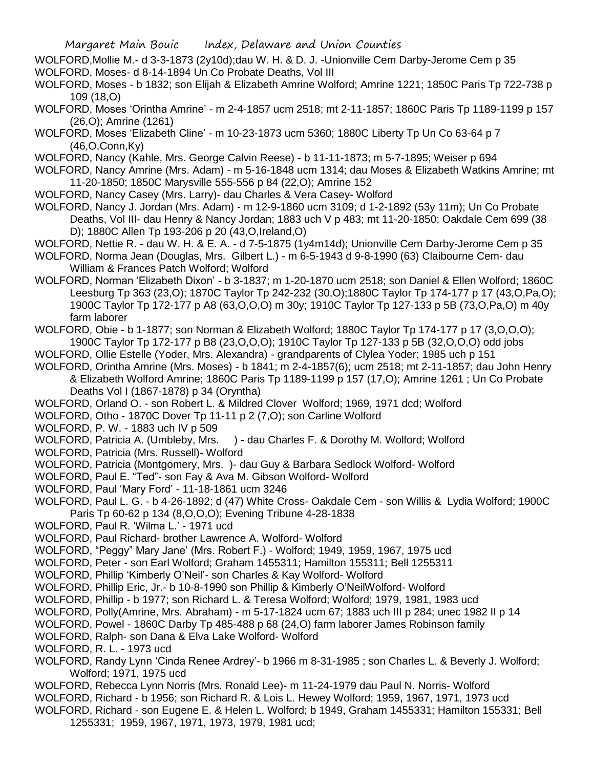- WOLFORD,Mollie M.- d 3-3-1873 (2y10d);dau W. H. & D. J. -Unionville Cem Darby-Jerome Cem p 35
- WOLFORD, Moses- d 8-14-1894 Un Co Probate Deaths, Vol III
- WOLFORD, Moses b 1832; son Elijah & Elizabeth Amrine Wolford; Amrine 1221; 1850C Paris Tp 722-738 p 109 (18,O)
- WOLFORD, Moses 'Orintha Amrine' m 2-4-1857 ucm 2518; mt 2-11-1857; 1860C Paris Tp 1189-1199 p 157 (26,O); Amrine (1261)
- WOLFORD, Moses 'Elizabeth Cline' m 10-23-1873 ucm 5360; 1880C Liberty Tp Un Co 63-64 p 7 (46,O,Conn,Ky)
- WOLFORD, Nancy (Kahle, Mrs. George Calvin Reese) b 11-11-1873; m 5-7-1895; Weiser p 694
- WOLFORD, Nancy Amrine (Mrs. Adam) m 5-16-1848 ucm 1314; dau Moses & Elizabeth Watkins Amrine; mt 11-20-1850; 1850C Marysville 555-556 p 84 (22,O); Amrine 152
- WOLFORD, Nancy Casey (Mrs. Larry)- dau Charles & Vera Casey- Wolford
- WOLFORD, Nancy J. Jordan (Mrs. Adam) m 12-9-1860 ucm 3109; d 1-2-1892 (53y 11m); Un Co Probate Deaths, Vol III- dau Henry & Nancy Jordan; 1883 uch V p 483; mt 11-20-1850; Oakdale Cem 699 (38 D); 1880C Allen Tp 193-206 p 20 (43,O,Ireland,O)
- WOLFORD, Nettie R. dau W. H. & E. A. d 7-5-1875 (1y4m14d); Unionville Cem Darby-Jerome Cem p 35
- WOLFORD, Norma Jean (Douglas, Mrs. Gilbert L.) m 6-5-1943 d 9-8-1990 (63) Claibourne Cem- dau William & Frances Patch Wolford; Wolford
- WOLFORD, Norman 'Elizabeth Dixon' b 3-1837; m 1-20-1870 ucm 2518; son Daniel & Ellen Wolford; 1860C Leesburg Tp 363 (23,O); 1870C Taylor Tp 242-232 (30,O);1880C Taylor Tp 174-177 p 17 (43,O,Pa,O); 1900C Taylor Tp 172-177 p A8 (63,O,O,O) m 30y; 1910C Taylor Tp 127-133 p 5B (73,O,Pa,O) m 40y farm laborer
- WOLFORD, Obie b 1-1877; son Norman & Elizabeth Wolford; 1880C Taylor Tp 174-177 p 17 (3,O,O,O); 1900C Taylor Tp 172-177 p B8 (23,O,O,O); 1910C Taylor Tp 127-133 p 5B (32,O,O,O) odd jobs
- WOLFORD, Ollie Estelle (Yoder, Mrs. Alexandra) grandparents of Clylea Yoder; 1985 uch p 151
- WOLFORD, Orintha Amrine (Mrs. Moses) b 1841; m 2-4-1857(6); ucm 2518; mt 2-11-1857; dau John Henry & Elizabeth Wolford Amrine; 1860C Paris Tp 1189-1199 p 157 (17,O); Amrine 1261 ; Un Co Probate Deaths Vol I (1867-1878) p 34 (Oryntha)
- WOLFORD, Orland O. son Robert L. & Mildred Clover Wolford; 1969, 1971 dcd; Wolford
- WOLFORD, Otho 1870C Dover Tp 11-11 p 2 (7,O); son Carline Wolford
- WOLFORD, P. W. 1883 uch IV p 509
- WOLFORD, Patricia A. (Umbleby, Mrs. ) dau Charles F. & Dorothy M. Wolford; Wolford
- WOLFORD, Patricia (Mrs. Russell)- Wolford
- WOLFORD, Patricia (Montgomery, Mrs. )- dau Guy & Barbara Sedlock Wolford- Wolford
- WOLFORD, Paul E. "Ted"- son Fay & Ava M. Gibson Wolford- Wolford
- WOLFORD, Paul 'Mary Ford' 11-18-1861 ucm 3246
- WOLFORD, Paul L. G. b 4-26-1892; d (47) White Cross- Oakdale Cem son Willis & Lydia Wolford; 1900C Paris Tp 60-62 p 134 (8,O,O,O); Evening Tribune 4-28-1838
- WOLFORD, Paul R. 'Wilma L.' 1971 ucd
- WOLFORD, Paul Richard- brother Lawrence A. Wolford- Wolford
- WOLFORD, "Peggy" Mary Jane' (Mrs. Robert F.) Wolford; 1949, 1959, 1967, 1975 ucd
- WOLFORD, Peter son Earl Wolford; Graham 1455311; Hamilton 155311; Bell 1255311
- WOLFORD, Phillip 'Kimberly O'Neil'- son Charles & Kay Wolford- Wolford
- WOLFORD, Phillip Eric, Jr.- b 10-8-1990 son Phillip & Kimberly O'NeilWolford- Wolford
- WOLFORD, Phillip b 1977; son Richard L. & Teresa Wolford; Wolford; 1979, 1981, 1983 ucd
- WOLFORD, Polly(Amrine, Mrs. Abraham) m 5-17-1824 ucm 67; 1883 uch III p 284; unec 1982 II p 14
- WOLFORD, Powel 1860C Darby Tp 485-488 p 68 (24,O) farm laborer James Robinson family
- WOLFORD, Ralph- son Dana & Elva Lake Wolford- Wolford
- WOLFORD, R. L. 1973 ucd
- WOLFORD, Randy Lynn 'Cinda Renee Ardrey'- b 1966 m 8-31-1985 ; son Charles L. & Beverly J. Wolford; Wolford; 1971, 1975 ucd
- WOLFORD, Rebecca Lynn Norris (Mrs. Ronald Lee)- m 11-24-1979 dau Paul N. Norris- Wolford
- WOLFORD, Richard b 1956; son Richard R. & Lois L. Hewey Wolford; 1959, 1967, 1971, 1973 ucd
- WOLFORD, Richard son Eugene E. & Helen L. Wolford; b 1949, Graham 1455331; Hamilton 155331; Bell 1255331; 1959, 1967, 1971, 1973, 1979, 1981 ucd;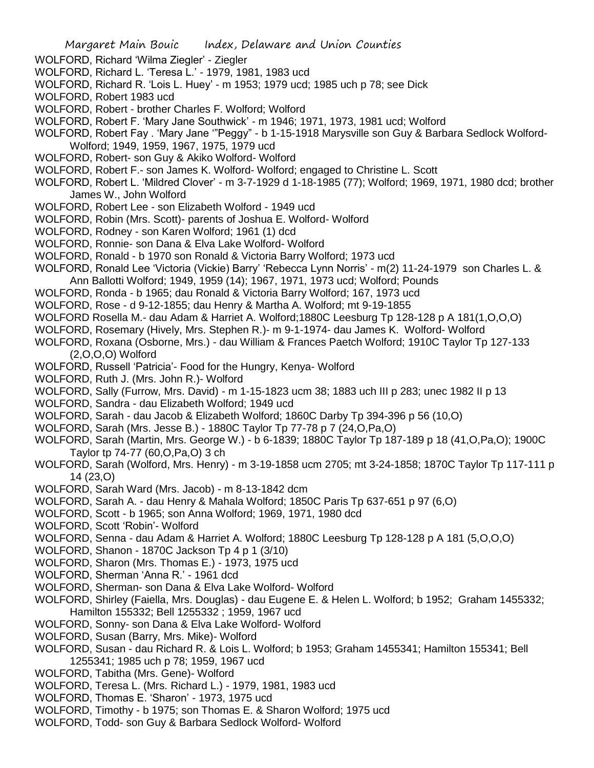- WOLFORD, Richard 'Wilma Ziegler' Ziegler
- WOLFORD, Richard L. 'Teresa L.' 1979, 1981, 1983 ucd
- WOLFORD, Richard R. 'Lois L. Huey' m 1953; 1979 ucd; 1985 uch p 78; see Dick
- WOLFORD, Robert 1983 ucd
- WOLFORD, Robert brother Charles F. Wolford; Wolford
- WOLFORD, Robert F. 'Mary Jane Southwick' m 1946; 1971, 1973, 1981 ucd; Wolford
- WOLFORD, Robert Fay . 'Mary Jane '"Peggy" b 1-15-1918 Marysville son Guy & Barbara Sedlock Wolford-Wolford; 1949, 1959, 1967, 1975, 1979 ucd
- WOLFORD, Robert- son Guy & Akiko Wolford- Wolford
- WOLFORD, Robert F.- son James K. Wolford- Wolford; engaged to Christine L. Scott
- WOLFORD, Robert L. 'Mildred Clover' m 3-7-1929 d 1-18-1985 (77); Wolford; 1969, 1971, 1980 dcd; brother James W., John Wolford
- WOLFORD, Robert Lee son Elizabeth Wolford 1949 ucd
- WOLFORD, Robin (Mrs. Scott)- parents of Joshua E. Wolford- Wolford
- WOLFORD, Rodney son Karen Wolford; 1961 (1) dcd
- WOLFORD, Ronnie- son Dana & Elva Lake Wolford- Wolford
- WOLFORD, Ronald b 1970 son Ronald & Victoria Barry Wolford; 1973 ucd
- WOLFORD, Ronald Lee 'Victoria (Vickie) Barry' 'Rebecca Lynn Norris' m(2) 11-24-1979 son Charles L. & Ann Ballotti Wolford; 1949, 1959 (14); 1967, 1971, 1973 ucd; Wolford; Pounds
- WOLFORD, Ronda b 1965; dau Ronald & Victoria Barry Wolford; 167, 1973 ucd
- WOLFORD, Rose d 9-12-1855; dau Henry & Martha A. Wolford; mt 9-19-1855
- WOLFORD Rosella M.- dau Adam & Harriet A. Wolford;1880C Leesburg Tp 128-128 p A 181(1,O,O,O)
- WOLFORD, Rosemary (Hively, Mrs. Stephen R.)- m 9-1-1974- dau James K. Wolford- Wolford
- WOLFORD, Roxana (Osborne, Mrs.) dau William & Frances Paetch Wolford; 1910C Taylor Tp 127-133 (2,O,O,O) Wolford
- WOLFORD, Russell 'Patricia'- Food for the Hungry, Kenya- Wolford
- WOLFORD, Ruth J. (Mrs. John R.)- Wolford
- WOLFORD, Sally (Furrow, Mrs. David) m 1-15-1823 ucm 38; 1883 uch III p 283; unec 1982 II p 13
- WOLFORD, Sandra dau Elizabeth Wolford; 1949 ucd
- WOLFORD, Sarah dau Jacob & Elizabeth Wolford; 1860C Darby Tp 394-396 p 56 (10,O)
- WOLFORD, Sarah (Mrs. Jesse B.) 1880C Taylor Tp 77-78 p 7 (24,O,Pa,O)
- WOLFORD, Sarah (Martin, Mrs. George W.) b 6-1839; 1880C Taylor Tp 187-189 p 18 (41,O,Pa,O); 1900C Taylor tp 74-77 (60,O,Pa,O) 3 ch
- WOLFORD, Sarah (Wolford, Mrs. Henry) m 3-19-1858 ucm 2705; mt 3-24-1858; 1870C Taylor Tp 117-111 p 14 (23,O)
- WOLFORD, Sarah Ward (Mrs. Jacob) m 8-13-1842 dcm
- WOLFORD, Sarah A. dau Henry & Mahala Wolford; 1850C Paris Tp 637-651 p 97 (6,O)
- WOLFORD, Scott b 1965; son Anna Wolford; 1969, 1971, 1980 dcd
- WOLFORD, Scott 'Robin'- Wolford
- WOLFORD, Senna dau Adam & Harriet A. Wolford; 1880C Leesburg Tp 128-128 p A 181 (5,O,O,O)
- WOLFORD, Shanon 1870C Jackson Tp 4 p 1 (3/10)
- WOLFORD, Sharon (Mrs. Thomas E.) 1973, 1975 ucd
- WOLFORD, Sherman 'Anna R.' 1961 dcd
- WOLFORD, Sherman- son Dana & Elva Lake Wolford- Wolford
- WOLFORD, Shirley (Faiella, Mrs. Douglas) dau Eugene E. & Helen L. Wolford; b 1952; Graham 1455332; Hamilton 155332; Bell 1255332 ; 1959, 1967 ucd
- WOLFORD, Sonny- son Dana & Elva Lake Wolford- Wolford
- WOLFORD, Susan (Barry, Mrs. Mike)- Wolford
- WOLFORD, Susan dau Richard R. & Lois L. Wolford; b 1953; Graham 1455341; Hamilton 155341; Bell 1255341; 1985 uch p 78; 1959, 1967 ucd
- WOLFORD, Tabitha (Mrs. Gene)- Wolford
- WOLFORD, Teresa L. (Mrs. Richard L.) 1979, 1981, 1983 ucd
- WOLFORD, Thomas E. 'Sharon' 1973, 1975 ucd
- WOLFORD, Timothy b 1975; son Thomas E. & Sharon Wolford; 1975 ucd
- WOLFORD, Todd- son Guy & Barbara Sedlock Wolford- Wolford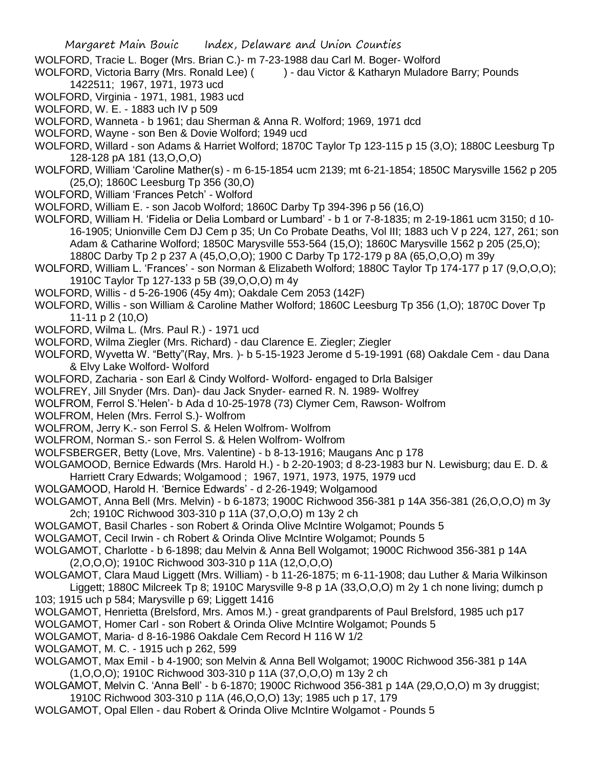- WOLFORD, Tracie L. Boger (Mrs. Brian C.)- m 7-23-1988 dau Carl M. Boger- Wolford
- WOLFORD, Victoria Barry (Mrs. Ronald Lee) ( ) dau Victor & Katharyn Muladore Barry; Pounds 1422511; 1967, 1971, 1973 ucd
- WOLFORD, Virginia 1971, 1981, 1983 ucd
- WOLFORD, W. E. 1883 uch IV p 509
- WOLFORD, Wanneta b 1961; dau Sherman & Anna R. Wolford; 1969, 1971 dcd
- WOLFORD, Wayne son Ben & Dovie Wolford; 1949 ucd
- WOLFORD, Willard son Adams & Harriet Wolford; 1870C Taylor Tp 123-115 p 15 (3,O); 1880C Leesburg Tp 128-128 pA 181 (13,O,O,O)
- WOLFORD, William 'Caroline Mather(s) m 6-15-1854 ucm 2139; mt 6-21-1854; 1850C Marysville 1562 p 205 (25,O); 1860C Leesburg Tp 356 (30,O)
- WOLFORD, William 'Frances Petch' Wolford
- WOLFORD, William E. son Jacob Wolford; 1860C Darby Tp 394-396 p 56 (16,O)
- WOLFORD, William H. 'Fidelia or Delia Lombard or Lumbard' b 1 or 7-8-1835; m 2-19-1861 ucm 3150; d 10- 16-1905; Unionville Cem DJ Cem p 35; Un Co Probate Deaths, Vol III; 1883 uch V p 224, 127, 261; son Adam & Catharine Wolford; 1850C Marysville 553-564 (15,O); 1860C Marysville 1562 p 205 (25,O); 1880C Darby Tp 2 p 237 A (45,O,O,O); 1900 C Darby Tp 172-179 p 8A (65,O,O,O) m 39y
- WOLFORD, William L. 'Frances' son Norman & Elizabeth Wolford; 1880C Taylor Tp 174-177 p 17 (9,O,O,O); 1910C Taylor Tp 127-133 p 5B (39,O,O,O) m 4y
- WOLFORD, Willis d 5-26-1906 (45y 4m); Oakdale Cem 2053 (142F)
- WOLFORD, Willis son William & Caroline Mather Wolford; 1860C Leesburg Tp 356 (1,O); 1870C Dover Tp 11-11 p 2 (10,O)
- WOLFORD, Wilma L. (Mrs. Paul R.) 1971 ucd
- WOLFORD, Wilma Ziegler (Mrs. Richard) dau Clarence E. Ziegler; Ziegler
- WOLFORD, Wyvetta W. "Betty"(Ray, Mrs. )- b 5-15-1923 Jerome d 5-19-1991 (68) Oakdale Cem dau Dana & Elvy Lake Wolford- Wolford
- WOLFORD, Zacharia son Earl & Cindy Wolford- Wolford- engaged to Drla Balsiger
- WOLFREY, Jill Snyder (Mrs. Dan)- dau Jack Snyder- earned R. N. 1989- Wolfrey
- WOLFROM, Ferrol S.'Helen'- b Ada d 10-25-1978 (73) Clymer Cem, Rawson- Wolfrom
- WOLFROM, Helen (Mrs. Ferrol S.)- Wolfrom
- WOLFROM, Jerry K.- son Ferrol S. & Helen Wolfrom- Wolfrom
- WOLFROM, Norman S.- son Ferrol S. & Helen Wolfrom- Wolfrom
- WOLFSBERGER, Betty (Love, Mrs. Valentine) b 8-13-1916; Maugans Anc p 178
- WOLGAMOOD, Bernice Edwards (Mrs. Harold H.) b 2-20-1903; d 8-23-1983 bur N. Lewisburg; dau E. D. & Harriett Crary Edwards; Wolgamood ; 1967, 1971, 1973, 1975, 1979 ucd
- WOLGAMOOD, Harold H. 'Bernice Edwards' d 2-26-1949; Wolgamood
- WOLGAMOT, Anna Bell (Mrs. Melvin) b 6-1873; 1900C Richwood 356-381 p 14A 356-381 (26,O,O,O) m 3y 2ch; 1910C Richwood 303-310 p 11A (37,O,O,O) m 13y 2 ch
- WOLGAMOT, Basil Charles son Robert & Orinda Olive McIntire Wolgamot; Pounds 5
- WOLGAMOT, Cecil Irwin ch Robert & Orinda Olive McIntire Wolgamot; Pounds 5
- WOLGAMOT, Charlotte b 6-1898; dau Melvin & Anna Bell Wolgamot; 1900C Richwood 356-381 p 14A (2,O,O,O); 1910C Richwood 303-310 p 11A (12,O,O,O)
- WOLGAMOT, Clara Maud Liggett (Mrs. William) b 11-26-1875; m 6-11-1908; dau Luther & Maria Wilkinson Liggett; 1880C Milcreek Tp 8; 1910C Marysville 9-8 p 1A (33,O,O,O) m 2y 1 ch none living; dumch p 103; 1915 uch p 584; Marysville p 69; Liggett 1416
- WOLGAMOT, Henrietta (Brelsford, Mrs. Amos M.) great grandparents of Paul Brelsford, 1985 uch p17
- WOLGAMOT, Homer Carl son Robert & Orinda Olive McIntire Wolgamot; Pounds 5
- WOLGAMOT, Maria- d 8-16-1986 Oakdale Cem Record H 116 W 1/2
- WOLGAMOT, M. C. 1915 uch p 262, 599
- WOLGAMOT, Max Emil b 4-1900; son Melvin & Anna Bell Wolgamot; 1900C Richwood 356-381 p 14A (1,O,O,O); 1910C Richwood 303-310 p 11A (37,O,O,O) m 13y 2 ch
- WOLGAMOT, Melvin C. 'Anna Bell' b 6-1870; 1900C Richwood 356-381 p 14A (29,O,O,O) m 3y druggist; 1910C Richwood 303-310 p 11A (46,O,O,O) 13y; 1985 uch p 17, 179
- WOLGAMOT, Opal Ellen dau Robert & Orinda Olive McIntire Wolgamot Pounds 5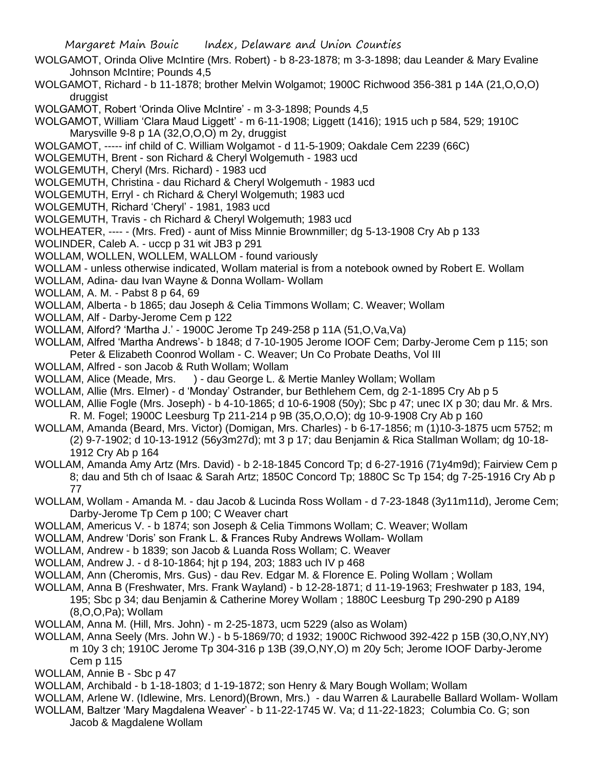- WOLGAMOT, Orinda Olive McIntire (Mrs. Robert) b 8-23-1878; m 3-3-1898; dau Leander & Mary Evaline Johnson McIntire; Pounds 4,5
- WOLGAMOT, Richard b 11-1878; brother Melvin Wolgamot; 1900C Richwood 356-381 p 14A (21,O,O,O) druggist
- WOLGAMOT, Robert 'Orinda Olive McIntire' m 3-3-1898; Pounds 4,5
- WOLGAMOT, William 'Clara Maud Liggett' m 6-11-1908; Liggett (1416); 1915 uch p 584, 529; 1910C Marysville 9-8 p 1A (32,O,O,O) m 2y, druggist
- WOLGAMOT, ----- inf child of C. William Wolgamot d 11-5-1909; Oakdale Cem 2239 (66C)
- WOLGEMUTH, Brent son Richard & Cheryl Wolgemuth 1983 ucd
- WOLGEMUTH, Cheryl (Mrs. Richard) 1983 ucd
- WOLGEMUTH, Christina dau Richard & Cheryl Wolgemuth 1983 ucd
- WOLGEMUTH, Erryl ch Richard & Cheryl Wolgemuth; 1983 ucd
- WOLGEMUTH, Richard 'Cheryl' 1981, 1983 ucd
- WOLGEMUTH, Travis ch Richard & Cheryl Wolgemuth; 1983 ucd
- WOLHEATER, ---- (Mrs. Fred) aunt of Miss Minnie Brownmiller; dg 5-13-1908 Cry Ab p 133
- WOLINDER, Caleb A. uccp p 31 wit JB3 p 291
- WOLLAM, WOLLEN, WOLLEM, WALLOM found variously
- WOLLAM unless otherwise indicated, Wollam material is from a notebook owned by Robert E. Wollam
- WOLLAM, Adina- dau Ivan Wayne & Donna Wollam- Wollam
- WOLLAM, A. M. Pabst 8 p 64, 69
- WOLLAM, Alberta b 1865; dau Joseph & Celia Timmons Wollam; C. Weaver; Wollam
- WOLLAM, Alf Darby-Jerome Cem p 122
- WOLLAM, Alford? 'Martha J.' 1900C Jerome Tp 249-258 p 11A (51,O,Va,Va)
- WOLLAM, Alfred 'Martha Andrews'- b 1848; d 7-10-1905 Jerome IOOF Cem; Darby-Jerome Cem p 115; son Peter & Elizabeth Coonrod Wollam - C. Weaver; Un Co Probate Deaths, Vol III
- WOLLAM, Alfred son Jacob & Ruth Wollam; Wollam
- WOLLAM, Alice (Meade, Mrs. ) dau George L. & Mertie Manley Wollam; Wollam
- WOLLAM, Allie (Mrs. Elmer) d 'Monday' Ostrander, bur Bethlehem Cem, dg 2-1-1895 Cry Ab p 5
- WOLLAM, Allie Fogle (Mrs. Joseph) b 4-10-1865; d 10-6-1908 (50y); Sbc p 47; unec IX p 30; dau Mr. & Mrs. R. M. Fogel; 1900C Leesburg Tp 211-214 p 9B (35,O,O,O); dg 10-9-1908 Cry Ab p 160
- WOLLAM, Amanda (Beard, Mrs. Victor) (Domigan, Mrs. Charles) b 6-17-1856; m (1)10-3-1875 ucm 5752; m (2) 9-7-1902; d 10-13-1912 (56y3m27d); mt 3 p 17; dau Benjamin & Rica Stallman Wollam; dg 10-18- 1912 Cry Ab p 164
- WOLLAM, Amanda Amy Artz (Mrs. David) b 2-18-1845 Concord Tp; d 6-27-1916 (71y4m9d); Fairview Cem p 8; dau and 5th ch of Isaac & Sarah Artz; 1850C Concord Tp; 1880C Sc Tp 154; dg 7-25-1916 Cry Ab p 77
- WOLLAM, Wollam Amanda M. dau Jacob & Lucinda Ross Wollam d 7-23-1848 (3y11m11d), Jerome Cem; Darby-Jerome Tp Cem p 100; C Weaver chart
- WOLLAM, Americus V. b 1874; son Joseph & Celia Timmons Wollam; C. Weaver; Wollam
- WOLLAM, Andrew 'Doris' son Frank L. & Frances Ruby Andrews Wollam- Wollam
- WOLLAM, Andrew b 1839; son Jacob & Luanda Ross Wollam; C. Weaver
- WOLLAM, Andrew J. d 8-10-1864; hjt p 194, 203; 1883 uch IV p 468
- WOLLAM, Ann (Cheromis, Mrs. Gus) dau Rev. Edgar M. & Florence E. Poling Wollam ; Wollam
- WOLLAM, Anna B (Freshwater, Mrs. Frank Wayland) b 12-28-1871; d 11-19-1963; Freshwater p 183, 194, 195; Sbc p 34; dau Benjamin & Catherine Morey Wollam ; 1880C Leesburg Tp 290-290 p A189 (8,O,O,Pa); Wollam
- WOLLAM, Anna M. (Hill, Mrs. John) m 2-25-1873, ucm 5229 (also as Wolam)
- WOLLAM, Anna Seely (Mrs. John W.) b 5-1869/70; d 1932; 1900C Richwood 392-422 p 15B (30,O,NY,NY) m 10y 3 ch; 1910C Jerome Tp 304-316 p 13B (39,O,NY,O) m 20y 5ch; Jerome IOOF Darby-Jerome Cem p 115
- WOLLAM, Annie B Sbc p 47
- WOLLAM, Archibald b 1-18-1803; d 1-19-1872; son Henry & Mary Bough Wollam; Wollam
- WOLLAM, Arlene W. (Idlewine, Mrs. Lenord)(Brown, Mrs.) dau Warren & Laurabelle Ballard Wollam- Wollam WOLLAM, Baltzer 'Mary Magdalena Weaver' - b 11-22-1745 W. Va; d 11-22-1823; Columbia Co. G; son
	- Jacob & Magdalene Wollam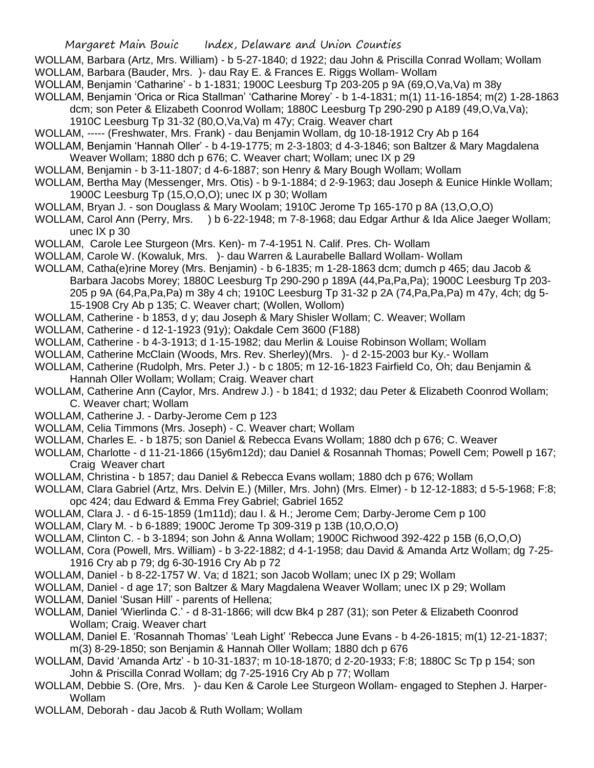WOLLAM, Barbara (Artz, Mrs. William) - b 5-27-1840; d 1922; dau John & Priscilla Conrad Wollam; Wollam WOLLAM, Barbara (Bauder, Mrs. )- dau Ray E. & Frances E. Riggs Wollam- Wollam

- WOLLAM, Benjamin 'Catharine' b 1-1831; 1900C Leesburg Tp 203-205 p 9A (69,O,Va,Va) m 38y
- WOLLAM, Benjamin 'Orica or Rica Stallman' 'Catharine Morey' b 1-4-1831; m(1) 11-16-1854; m(2) 1-28-1863 dcm; son Peter & Elizabeth Coonrod Wollam; 1880C Leesburg Tp 290-290 p A189 (49,O,Va,Va);
	- 1910C Leesburg Tp 31-32 (80,O,Va,Va) m 47y; Craig. Weaver chart
- WOLLAM, ----- (Freshwater, Mrs. Frank) dau Benjamin Wollam, dg 10-18-1912 Cry Ab p 164
- WOLLAM, Benjamin 'Hannah Oller' b 4-19-1775; m 2-3-1803; d 4-3-1846; son Baltzer & Mary Magdalena Weaver Wollam; 1880 dch p 676; C. Weaver chart; Wollam; unec IX p 29
- WOLLAM, Benjamin b 3-11-1807; d 4-6-1887; son Henry & Mary Bough Wollam; Wollam
- WOLLAM, Bertha May (Messenger, Mrs. Otis) b 9-1-1884; d 2-9-1963; dau Joseph & Eunice Hinkle Wollam; 1900C Leesburg Tp (15,O,O,O); unec IX p 30; Wollam
- WOLLAM, Bryan J. son Douglass & Mary Woolam; 1910C Jerome Tp 165-170 p 8A (13,O,O,O)
- WOLLAM, Carol Ann (Perry, Mrs. ) b 6-22-1948; m 7-8-1968; dau Edgar Arthur & Ida Alice Jaeger Wollam; unec IX p 30
- WOLLAM, Carole Lee Sturgeon (Mrs. Ken)- m 7-4-1951 N. Calif. Pres. Ch- Wollam
- WOLLAM, Carole W. (Kowaluk, Mrs. )- dau Warren & Laurabelle Ballard Wollam- Wollam
- WOLLAM, Catha(e)rine Morey (Mrs. Benjamin) b 6-1835; m 1-28-1863 dcm; dumch p 465; dau Jacob & Barbara Jacobs Morey; 1880C Leesburg Tp 290-290 p 189A (44,Pa,Pa,Pa); 1900C Leesburg Tp 203- 205 p 9A (64,Pa,Pa,Pa) m 38y 4 ch; 1910C Leesburg Tp 31-32 p 2A (74,Pa,Pa,Pa) m 47y, 4ch; dg 5- 15-1908 Cry Ab p 135; C. Weaver chart; (Wollen, Wollom)
- WOLLAM, Catherine b 1853, d y; dau Joseph & Mary Shisler Wollam; C. Weaver; Wollam
- WOLLAM, Catherine d 12-1-1923 (91y); Oakdale Cem 3600 (F188)
- WOLLAM, Catherine b 4-3-1913; d 1-15-1982; dau Merlin & Louise Robinson Wollam; Wollam
- WOLLAM, Catherine McClain (Woods, Mrs. Rev. Sherley)(Mrs. )- d 2-15-2003 bur Ky.- Wollam
- WOLLAM, Catherine (Rudolph, Mrs. Peter J.) b c 1805; m 12-16-1823 Fairfield Co, Oh; dau Benjamin & Hannah Oller Wollam; Wollam; Craig. Weaver chart
- WOLLAM, Catherine Ann (Caylor, Mrs. Andrew J.) b 1841; d 1932; dau Peter & Elizabeth Coonrod Wollam; C. Weaver chart; Wollam
- WOLLAM, Catherine J. Darby-Jerome Cem p 123
- WOLLAM, Celia Timmons (Mrs. Joseph) C. Weaver chart; Wollam
- WOLLAM, Charles E. b 1875; son Daniel & Rebecca Evans Wollam; 1880 dch p 676; C. Weaver
- WOLLAM, Charlotte d 11-21-1866 (15y6m12d); dau Daniel & Rosannah Thomas; Powell Cem; Powell p 167; Craig Weaver chart
- WOLLAM, Christina b 1857; dau Daniel & Rebecca Evans wollam; 1880 dch p 676; Wollam
- WOLLAM, Clara Gabriel (Artz, Mrs. Delvin E.) (Miller, Mrs. John) (Mrs. Elmer) b 12-12-1883; d 5-5-1968; F:8; opc 424; dau Edward & Emma Frey Gabriel; Gabriel 1652
- WOLLAM, Clara J. d 6-15-1859 (1m11d); dau I. & H.; Jerome Cem; Darby-Jerome Cem p 100
- WOLLAM, Clary M. b 6-1889; 1900C Jerome Tp 309-319 p 13B (10,O,O,O)
- WOLLAM, Clinton C. b 3-1894; son John & Anna Wollam; 1900C Richwood 392-422 p 15B (6,O,O,O)
- WOLLAM, Cora (Powell, Mrs. William) b 3-22-1882; d 4-1-1958; dau David & Amanda Artz Wollam; dg 7-25- 1916 Cry ab p 79; dg 6-30-1916 Cry Ab p 72
- WOLLAM, Daniel b 8-22-1757 W. Va; d 1821; son Jacob Wollam; unec IX p 29; Wollam
- WOLLAM, Daniel d age 17; son Baltzer & Mary Magdalena Weaver Wollam; unec IX p 29; Wollam
- WOLLAM, Daniel 'Susan Hill' parents of Hellena;
- WOLLAM, Daniel 'Wierlinda C.' d 8-31-1866; will dcw Bk4 p 287 (31); son Peter & Elizabeth Coonrod Wollam; Craig. Weaver chart
- WOLLAM, Daniel E. 'Rosannah Thomas' 'Leah Light' 'Rebecca June Evans b 4-26-1815; m(1) 12-21-1837; m(3) 8-29-1850; son Benjamin & Hannah Oller Wollam; 1880 dch p 676
- WOLLAM, David 'Amanda Artz' b 10-31-1837; m 10-18-1870; d 2-20-1933; F:8; 1880C Sc Tp p 154; son John & Priscilla Conrad Wollam; dg 7-25-1916 Cry Ab p 77; Wollam
- WOLLAM, Debbie S. (Ore, Mrs. )- dau Ken & Carole Lee Sturgeon Wollam- engaged to Stephen J. Harper-Wollam
- WOLLAM, Deborah dau Jacob & Ruth Wollam; Wollam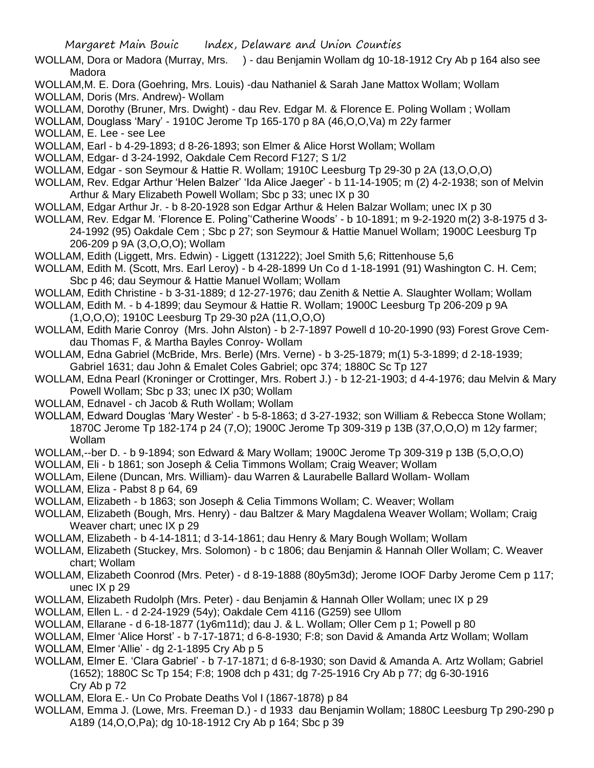- WOLLAM, Dora or Madora (Murray, Mrs. ) dau Benjamin Wollam dg 10-18-1912 Cry Ab p 164 also see Madora
- WOLLAM,M. E. Dora (Goehring, Mrs. Louis) -dau Nathaniel & Sarah Jane Mattox Wollam; Wollam
- WOLLAM, Doris (Mrs. Andrew)- Wollam
- WOLLAM, Dorothy (Bruner, Mrs. Dwight) dau Rev. Edgar M. & Florence E. Poling Wollam ; Wollam

WOLLAM, Douglass 'Mary' - 1910C Jerome Tp 165-170 p 8A (46,O,O,Va) m 22y farmer

WOLLAM, E. Lee - see Lee

WOLLAM, Earl - b 4-29-1893; d 8-26-1893; son Elmer & Alice Horst Wollam; Wollam

WOLLAM, Edgar- d 3-24-1992, Oakdale Cem Record F127; S 1/2

- WOLLAM, Edgar son Seymour & Hattie R. Wollam; 1910C Leesburg Tp 29-30 p 2A (13,O,O,O)
- WOLLAM, Rev. Edgar Arthur 'Helen Balzer' 'Ida Alice Jaeger' b 11-14-1905; m (2) 4-2-1938; son of Melvin Arthur & Mary Elizabeth Powell Wollam; Sbc p 33; unec IX p 30
- WOLLAM, Edgar Arthur Jr. b 8-20-1928 son Edgar Arthur & Helen Balzar Wollam; unec IX p 30
- WOLLAM, Rev. Edgar M. 'Florence E. Poling''Catherine Woods' b 10-1891; m 9-2-1920 m(2) 3-8-1975 d 3- 24-1992 (95) Oakdale Cem ; Sbc p 27; son Seymour & Hattie Manuel Wollam; 1900C Leesburg Tp 206-209 p 9A (3,O,O,O); Wollam
- WOLLAM, Edith (Liggett, Mrs. Edwin) Liggett (131222); Joel Smith 5,6; Rittenhouse 5,6
- WOLLAM, Edith M. (Scott, Mrs. Earl Leroy) b 4-28-1899 Un Co d 1-18-1991 (91) Washington C. H. Cem; Sbc p 46; dau Seymour & Hattie Manuel Wollam; Wollam
- WOLLAM, Edith Christine b 3-31-1889; d 12-27-1976; dau Zenith & Nettie A. Slaughter Wollam; Wollam

WOLLAM, Edith M. - b 4-1899; dau Seymour & Hattie R. Wollam; 1900C Leesburg Tp 206-209 p 9A (1,O,O,O); 1910C Leesburg Tp 29-30 p2A (11,O,O,O)

- WOLLAM, Edith Marie Conroy (Mrs. John Alston) b 2-7-1897 Powell d 10-20-1990 (93) Forest Grove Cemdau Thomas F, & Martha Bayles Conroy- Wollam
- WOLLAM, Edna Gabriel (McBride, Mrs. Berle) (Mrs. Verne) b 3-25-1879; m(1) 5-3-1899; d 2-18-1939; Gabriel 1631; dau John & Emalet Coles Gabriel; opc 374; 1880C Sc Tp 127
- WOLLAM, Edna Pearl (Kroninger or Crottinger, Mrs. Robert J.) b 12-21-1903; d 4-4-1976; dau Melvin & Mary Powell Wollam; Sbc p 33; unec IX p30; Wollam
- WOLLAM, Ednavel ch Jacob & Ruth Wollam; Wollam
- WOLLAM, Edward Douglas 'Mary Wester' b 5-8-1863; d 3-27-1932; son William & Rebecca Stone Wollam; 1870C Jerome Tp 182-174 p 24 (7,O); 1900C Jerome Tp 309-319 p 13B (37,O,O,O) m 12y farmer; Wollam
- WOLLAM,--ber D. b 9-1894; son Edward & Mary Wollam; 1900C Jerome Tp 309-319 p 13B (5,O,O,O)
- WOLLAM, Eli b 1861; son Joseph & Celia Timmons Wollam; Craig Weaver; Wollam
- WOLLAm, Eilene (Duncan, Mrs. William)- dau Warren & Laurabelle Ballard Wollam- Wollam
- WOLLAM, Eliza Pabst 8 p 64, 69
- WOLLAM, Elizabeth b 1863; son Joseph & Celia Timmons Wollam; C. Weaver; Wollam
- WOLLAM, Elizabeth (Bough, Mrs. Henry) dau Baltzer & Mary Magdalena Weaver Wollam; Wollam; Craig Weaver chart; unec IX p 29
- WOLLAM, Elizabeth b 4-14-1811; d 3-14-1861; dau Henry & Mary Bough Wollam; Wollam
- WOLLAM, Elizabeth (Stuckey, Mrs. Solomon) b c 1806; dau Benjamin & Hannah Oller Wollam; C. Weaver chart; Wollam
- WOLLAM, Elizabeth Coonrod (Mrs. Peter) d 8-19-1888 (80y5m3d); Jerome IOOF Darby Jerome Cem p 117; unec IX p 29
- WOLLAM, Elizabeth Rudolph (Mrs. Peter) dau Benjamin & Hannah Oller Wollam; unec IX p 29
- WOLLAM, Ellen L. d 2-24-1929 (54y); Oakdale Cem 4116 (G259) see Ullom
- WOLLAM, Ellarane d 6-18-1877 (1y6m11d); dau J. & L. Wollam; Oller Cem p 1; Powell p 80
- WOLLAM, Elmer 'Alice Horst' b 7-17-1871; d 6-8-1930; F:8; son David & Amanda Artz Wollam; Wollam
- WOLLAM, Elmer 'Allie' dg 2-1-1895 Cry Ab p 5
- WOLLAM, Elmer E. 'Clara Gabriel' b 7-17-1871; d 6-8-1930; son David & Amanda A. Artz Wollam; Gabriel (1652); 1880C Sc Tp 154; F:8; 1908 dch p 431; dg 7-25-1916 Cry Ab p 77; dg 6-30-1916 Cry Ab p 72
- WOLLAM, Elora E.- Un Co Probate Deaths Vol I (1867-1878) p 84
- WOLLAM, Emma J. (Lowe, Mrs. Freeman D.) d 1933 dau Benjamin Wollam; 1880C Leesburg Tp 290-290 p A189 (14,O,O,Pa); dg 10-18-1912 Cry Ab p 164; Sbc p 39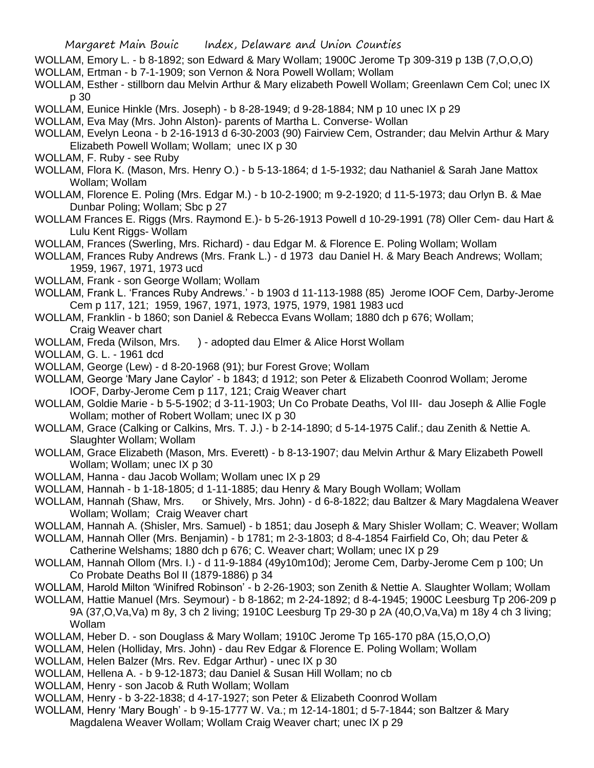- WOLLAM, Emory L. b 8-1892; son Edward & Mary Wollam; 1900C Jerome Tp 309-319 p 13B (7,O,O,O)
- WOLLAM, Ertman b 7-1-1909; son Vernon & Nora Powell Wollam; Wollam
- WOLLAM, Esther stillborn dau Melvin Arthur & Mary elizabeth Powell Wollam; Greenlawn Cem Col; unec IX p 30
- WOLLAM, Eunice Hinkle (Mrs. Joseph) b 8-28-1949; d 9-28-1884; NM p 10 unec IX p 29
- WOLLAM, Eva May (Mrs. John Alston)- parents of Martha L. Converse- Wollan
- WOLLAM, Evelyn Leona b 2-16-1913 d 6-30-2003 (90) Fairview Cem, Ostrander; dau Melvin Arthur & Mary Elizabeth Powell Wollam; Wollam; unec IX p 30
- WOLLAM, F. Ruby see Ruby
- WOLLAM, Flora K. (Mason, Mrs. Henry O.) b 5-13-1864; d 1-5-1932; dau Nathaniel & Sarah Jane Mattox Wollam; Wollam
- WOLLAM, Florence E. Poling (Mrs. Edgar M.) b 10-2-1900; m 9-2-1920; d 11-5-1973; dau Orlyn B. & Mae Dunbar Poling; Wollam; Sbc p 27
- WOLLAM Frances E. Riggs (Mrs. Raymond E.)- b 5-26-1913 Powell d 10-29-1991 (78) Oller Cem- dau Hart & Lulu Kent Riggs- Wollam
- WOLLAM, Frances (Swerling, Mrs. Richard) dau Edgar M. & Florence E. Poling Wollam; Wollam
- WOLLAM, Frances Ruby Andrews (Mrs. Frank L.) d 1973 dau Daniel H. & Mary Beach Andrews; Wollam; 1959, 1967, 1971, 1973 ucd
- WOLLAM, Frank son George Wollam; Wollam
- WOLLAM, Frank L. 'Frances Ruby Andrews.' b 1903 d 11-113-1988 (85) Jerome IOOF Cem, Darby-Jerome Cem p 117, 121; 1959, 1967, 1971, 1973, 1975, 1979, 1981 1983 ucd
- WOLLAM, Franklin b 1860; son Daniel & Rebecca Evans Wollam; 1880 dch p 676; Wollam; Craig Weaver chart
- WOLLAM, Freda (Wilson, Mrs. ) adopted dau Elmer & Alice Horst Wollam
- WOLLAM, G. L. 1961 dcd
- WOLLAM, George (Lew) d 8-20-1968 (91); bur Forest Grove; Wollam
- WOLLAM, George 'Mary Jane Caylor' b 1843; d 1912; son Peter & Elizabeth Coonrod Wollam; Jerome IOOF, Darby-Jerome Cem p 117, 121; Craig Weaver chart
- WOLLAM, Goldie Marie b 5-5-1902; d 3-11-1903; Un Co Probate Deaths, Vol III- dau Joseph & Allie Fogle Wollam; mother of Robert Wollam; unec IX p 30
- WOLLAM, Grace (Calking or Calkins, Mrs. T. J.) b 2-14-1890; d 5-14-1975 Calif.; dau Zenith & Nettie A. Slaughter Wollam; Wollam
- WOLLAM, Grace Elizabeth (Mason, Mrs. Everett) b 8-13-1907; dau Melvin Arthur & Mary Elizabeth Powell Wollam; Wollam; unec IX p 30
- WOLLAM, Hanna dau Jacob Wollam; Wollam unec IX p 29
- WOLLAM, Hannah b 1-18-1805; d 1-11-1885; dau Henry & Mary Bough Wollam; Wollam
- WOLLAM, Hannah (Shaw, Mrs. or Shively, Mrs. John) d 6-8-1822; dau Baltzer & Mary Magdalena Weaver Wollam; Wollam; Craig Weaver chart
- WOLLAM, Hannah A. (Shisler, Mrs. Samuel) b 1851; dau Joseph & Mary Shisler Wollam; C. Weaver; Wollam
- WOLLAM, Hannah Oller (Mrs. Benjamin) b 1781; m 2-3-1803; d 8-4-1854 Fairfield Co, Oh; dau Peter & Catherine Welshams; 1880 dch p 676; C. Weaver chart; Wollam; unec IX p 29
- WOLLAM, Hannah Ollom (Mrs. I.) d 11-9-1884 (49y10m10d); Jerome Cem, Darby-Jerome Cem p 100; Un Co Probate Deaths Bol II (1879-1886) p 34
- WOLLAM, Harold Milton 'Winifred Robinson' b 2-26-1903; son Zenith & Nettie A. Slaughter Wollam; Wollam
- WOLLAM, Hattie Manuel (Mrs. Seymour) b 8-1862; m 2-24-1892; d 8-4-1945; 1900C Leesburg Tp 206-209 p 9A (37,O,Va,Va) m 8y, 3 ch 2 living; 1910C Leesburg Tp 29-30 p 2A (40,O,Va,Va) m 18y 4 ch 3 living; Wollam
- WOLLAM, Heber D. son Douglass & Mary Wollam; 1910C Jerome Tp 165-170 p8A (15,O,O,O)
- WOLLAM, Helen (Holliday, Mrs. John) dau Rev Edgar & Florence E. Poling Wollam; Wollam
- WOLLAM, Helen Balzer (Mrs. Rev. Edgar Arthur) unec IX p 30
- WOLLAM, Hellena A. b 9-12-1873; dau Daniel & Susan Hill Wollam; no cb
- WOLLAM, Henry son Jacob & Ruth Wollam; Wollam
- WOLLAM, Henry b 3-22-1838; d 4-17-1927; son Peter & Elizabeth Coonrod Wollam
- WOLLAM, Henry 'Mary Bough' b 9-15-1777 W. Va.; m 12-14-1801; d 5-7-1844; son Baltzer & Mary Magdalena Weaver Wollam; Wollam Craig Weaver chart; unec IX p 29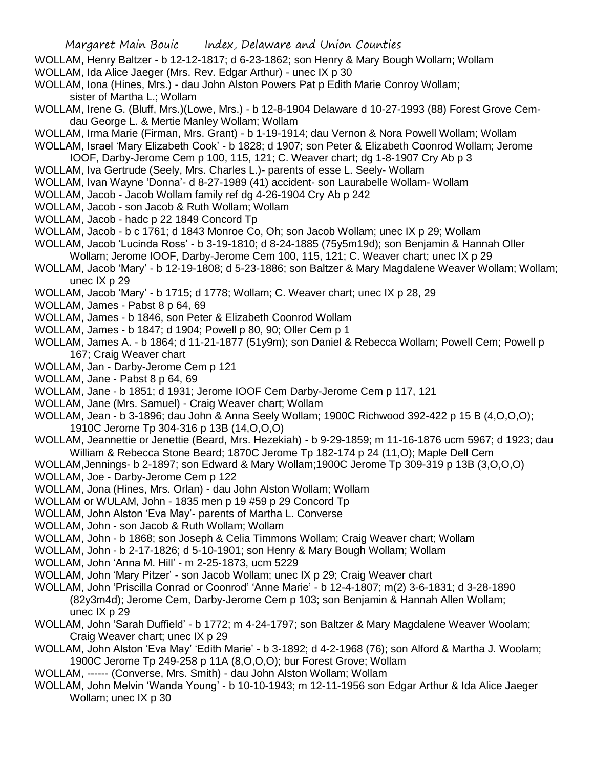- WOLLAM, Henry Baltzer b 12-12-1817; d 6-23-1862; son Henry & Mary Bough Wollam; Wollam
- WOLLAM, Ida Alice Jaeger (Mrs. Rev. Edgar Arthur) unec IX p 30
- WOLLAM, Iona (Hines, Mrs.) dau John Alston Powers Pat p Edith Marie Conroy Wollam; sister of Martha L.; Wollam
- WOLLAM, Irene G. (Bluff, Mrs.)(Lowe, Mrs.) b 12-8-1904 Delaware d 10-27-1993 (88) Forest Grove Cemdau George L. & Mertie Manley Wollam; Wollam
- WOLLAM, Irma Marie (Firman, Mrs. Grant) b 1-19-1914; dau Vernon & Nora Powell Wollam; Wollam
- WOLLAM, Israel 'Mary Elizabeth Cook' b 1828; d 1907; son Peter & Elizabeth Coonrod Wollam; Jerome IOOF, Darby-Jerome Cem p 100, 115, 121; C. Weaver chart; dg 1-8-1907 Cry Ab p 3
- WOLLAM, Iva Gertrude (Seely, Mrs. Charles L.)- parents of esse L. Seely- Wollam
- WOLLAM, Ivan Wayne 'Donna'- d 8-27-1989 (41) accident- son Laurabelle Wollam- Wollam
- WOLLAM, Jacob Jacob Wollam family ref dg 4-26-1904 Cry Ab p 242
- WOLLAM, Jacob son Jacob & Ruth Wollam; Wollam
- WOLLAM, Jacob hadc p 22 1849 Concord Tp
- WOLLAM, Jacob b c 1761; d 1843 Monroe Co, Oh; son Jacob Wollam; unec IX p 29; Wollam
- WOLLAM, Jacob 'Lucinda Ross' b 3-19-1810; d 8-24-1885 (75y5m19d); son Benjamin & Hannah Oller Wollam; Jerome IOOF, Darby-Jerome Cem 100, 115, 121; C. Weaver chart; unec IX p 29
- WOLLAM, Jacob 'Mary' b 12-19-1808; d 5-23-1886; son Baltzer & Mary Magdalene Weaver Wollam; Wollam; unec IX p 29
- WOLLAM, Jacob 'Mary' b 1715; d 1778; Wollam; C. Weaver chart; unec IX p 28, 29
- WOLLAM, James Pabst 8 p 64, 69
- WOLLAM, James b 1846, son Peter & Elizabeth Coonrod Wollam
- WOLLAM, James b 1847; d 1904; Powell p 80, 90; Oller Cem p 1
- WOLLAM, James A. b 1864; d 11-21-1877 (51y9m); son Daniel & Rebecca Wollam; Powell Cem; Powell p 167; Craig Weaver chart
- WOLLAM, Jan Darby-Jerome Cem p 121
- WOLLAM, Jane Pabst 8 p 64, 69
- WOLLAM, Jane b 1851; d 1931; Jerome IOOF Cem Darby-Jerome Cem p 117, 121
- WOLLAM, Jane (Mrs. Samuel) Craig Weaver chart; Wollam
- WOLLAM, Jean b 3-1896; dau John & Anna Seely Wollam; 1900C Richwood 392-422 p 15 B (4,O,O,O); 1910C Jerome Tp 304-316 p 13B (14,O,O,O)
- WOLLAM, Jeannettie or Jenettie (Beard, Mrs. Hezekiah) b 9-29-1859; m 11-16-1876 ucm 5967; d 1923; dau William & Rebecca Stone Beard; 1870C Jerome Tp 182-174 p 24 (11,O); Maple Dell Cem
- WOLLAM,Jennings- b 2-1897; son Edward & Mary Wollam;1900C Jerome Tp 309-319 p 13B (3,O,O,O)
- WOLLAM, Joe Darby-Jerome Cem p 122
- WOLLAM, Jona (Hines, Mrs. Orlan) dau John Alston Wollam; Wollam
- WOLLAM or WULAM, John 1835 men p 19 #59 p 29 Concord Tp
- WOLLAM, John Alston 'Eva May'- parents of Martha L. Converse
- WOLLAM, John son Jacob & Ruth Wollam; Wollam
- WOLLAM, John b 1868; son Joseph & Celia Timmons Wollam; Craig Weaver chart; Wollam
- WOLLAM, John b 2-17-1826; d 5-10-1901; son Henry & Mary Bough Wollam; Wollam
- WOLLAM, John 'Anna M. Hill' m 2-25-1873, ucm 5229
- WOLLAM, John 'Mary Pitzer' son Jacob Wollam; unec IX p 29; Craig Weaver chart
- WOLLAM, John 'Priscilla Conrad or Coonrod' 'Anne Marie' b 12-4-1807; m(2) 3-6-1831; d 3-28-1890 (82y3m4d); Jerome Cem, Darby-Jerome Cem p 103; son Benjamin & Hannah Allen Wollam; unec IX p 29
- WOLLAM, John 'Sarah Duffield' b 1772; m 4-24-1797; son Baltzer & Mary Magdalene Weaver Woolam; Craig Weaver chart; unec IX p 29
- WOLLAM, John Alston 'Eva May' 'Edith Marie' b 3-1892; d 4-2-1968 (76); son Alford & Martha J. Woolam; 1900C Jerome Tp 249-258 p 11A (8,O,O,O); bur Forest Grove; Wollam
- WOLLAM, ------ (Converse, Mrs. Smith) dau John Alston Wollam; Wollam
- WOLLAM, John Melvin 'Wanda Young' b 10-10-1943; m 12-11-1956 son Edgar Arthur & Ida Alice Jaeger Wollam; unec IX p 30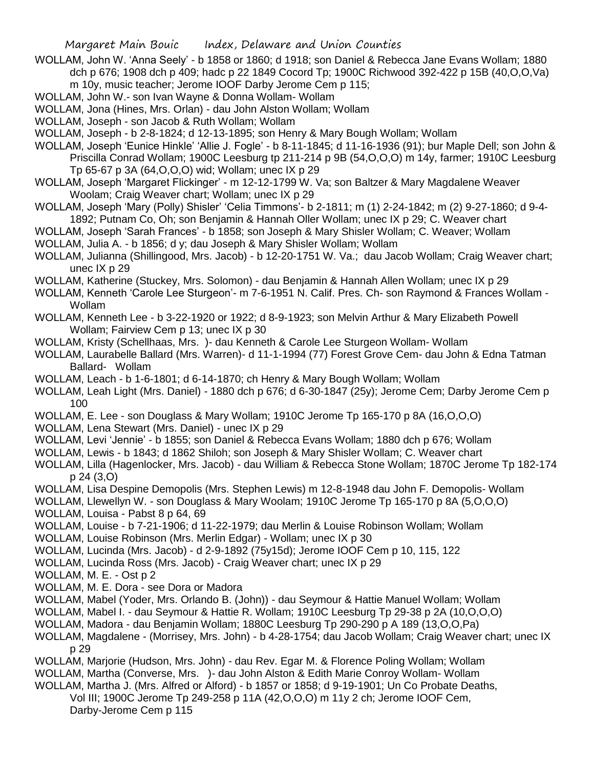- WOLLAM, John W. 'Anna Seely' b 1858 or 1860; d 1918; son Daniel & Rebecca Jane Evans Wollam; 1880 dch p 676; 1908 dch p 409; hadc p 22 1849 Cocord Tp; 1900C Richwood 392-422 p 15B (40,O,O,Va) m 10y, music teacher; Jerome IOOF Darby Jerome Cem p 115;
- WOLLAM, John W.- son Ivan Wayne & Donna Wollam- Wollam
- WOLLAM, Jona (Hines, Mrs. Orlan) dau John Alston Wollam; Wollam
- WOLLAM, Joseph son Jacob & Ruth Wollam; Wollam
- WOLLAM, Joseph b 2-8-1824; d 12-13-1895; son Henry & Mary Bough Wollam; Wollam
- WOLLAM, Joseph 'Eunice Hinkle' 'Allie J. Fogle' b 8-11-1845; d 11-16-1936 (91); bur Maple Dell; son John & Priscilla Conrad Wollam; 1900C Leesburg tp 211-214 p 9B (54,O,O,O) m 14y, farmer; 1910C Leesburg Tp 65-67 p 3A (64,O,O,O) wid; Wollam; unec IX p 29
- WOLLAM, Joseph 'Margaret Flickinger' m 12-12-1799 W. Va; son Baltzer & Mary Magdalene Weaver Woolam; Craig Weaver chart; Wollam; unec IX p 29
- WOLLAM, Joseph 'Mary (Polly) Shisler' 'Celia Timmons'- b 2-1811; m (1) 2-24-1842; m (2) 9-27-1860; d 9-4- 1892; Putnam Co, Oh; son Benjamin & Hannah Oller Wollam; unec IX p 29; C. Weaver chart
- WOLLAM, Joseph 'Sarah Frances' b 1858; son Joseph & Mary Shisler Wollam; C. Weaver; Wollam WOLLAM, Julia A. - b 1856; d y; dau Joseph & Mary Shisler Wollam; Wollam
- WOLLAM, Julianna (Shillingood, Mrs. Jacob) b 12-20-1751 W. Va.; dau Jacob Wollam; Craig Weaver chart; unec IX p 29
- WOLLAM, Katherine (Stuckey, Mrs. Solomon) dau Benjamin & Hannah Allen Wollam; unec IX p 29
- WOLLAM, Kenneth 'Carole Lee Sturgeon'- m 7-6-1951 N. Calif. Pres. Ch- son Raymond & Frances Wollam Wollam
- WOLLAM, Kenneth Lee b 3-22-1920 or 1922; d 8-9-1923; son Melvin Arthur & Mary Elizabeth Powell Wollam; Fairview Cem p 13; unec IX p 30
- WOLLAM, Kristy (Schellhaas, Mrs. )- dau Kenneth & Carole Lee Sturgeon Wollam- Wollam
- WOLLAM, Laurabelle Ballard (Mrs. Warren)- d 11-1-1994 (77) Forest Grove Cem- dau John & Edna Tatman Ballard- Wollam
- WOLLAM, Leach b 1-6-1801; d 6-14-1870; ch Henry & Mary Bough Wollam; Wollam
- WOLLAM, Leah Light (Mrs. Daniel) 1880 dch p 676; d 6-30-1847 (25y); Jerome Cem; Darby Jerome Cem p 100
- WOLLAM, E. Lee son Douglass & Mary Wollam; 1910C Jerome Tp 165-170 p 8A (16,O,O,O)
- WOLLAM, Lena Stewart (Mrs. Daniel) unec IX p 29
- WOLLAM, Levi 'Jennie' b 1855; son Daniel & Rebecca Evans Wollam; 1880 dch p 676; Wollam
- WOLLAM, Lewis b 1843; d 1862 Shiloh; son Joseph & Mary Shisler Wollam; C. Weaver chart
- WOLLAM, Lilla (Hagenlocker, Mrs. Jacob) dau William & Rebecca Stone Wollam; 1870C Jerome Tp 182-174 p 24 (3,O)
- WOLLAM, Lisa Despine Demopolis (Mrs. Stephen Lewis) m 12-8-1948 dau John F. Demopolis- Wollam
- WOLLAM, Llewellyn W. son Douglass & Mary Woolam; 1910C Jerome Tp 165-170 p 8A (5,O,O,O)
- WOLLAM, Louisa Pabst 8 p 64, 69
- WOLLAM, Louise b 7-21-1906; d 11-22-1979; dau Merlin & Louise Robinson Wollam; Wollam
- WOLLAM, Louise Robinson (Mrs. Merlin Edgar) Wollam; unec IX p 30
- WOLLAM, Lucinda (Mrs. Jacob) d 2-9-1892 (75y15d); Jerome IOOF Cem p 10, 115, 122
- WOLLAM, Lucinda Ross (Mrs. Jacob) Craig Weaver chart; unec IX p 29
- WOLLAM, M. E. Ost p 2
- WOLLAM, M. E. Dora see Dora or Madora
- WOLLAM, Mabel (Yoder, Mrs. Orlando B. (John)) dau Seymour & Hattie Manuel Wollam; Wollam
- WOLLAM, Mabel I. dau Seymour & Hattie R. Wollam; 1910C Leesburg Tp 29-38 p 2A (10,O,O,O)
- WOLLAM, Madora dau Benjamin Wollam; 1880C Leesburg Tp 290-290 p A 189 (13,O,O,Pa)
- WOLLAM, Magdalene (Morrisey, Mrs. John) b 4-28-1754; dau Jacob Wollam; Craig Weaver chart; unec IX p 29
- WOLLAM, Marjorie (Hudson, Mrs. John) dau Rev. Egar M. & Florence Poling Wollam; Wollam WOLLAM, Martha (Converse, Mrs. )- dau John Alston & Edith Marie Conroy Wollam- Wollam
- WOLLAM, Martha J. (Mrs. Alfred or Alford) b 1857 or 1858; d 9-19-1901; Un Co Probate Deaths,
	- Vol III; 1900C Jerome Tp 249-258 p 11A (42,O,O,O) m 11y 2 ch; Jerome IOOF Cem, Darby-Jerome Cem p 115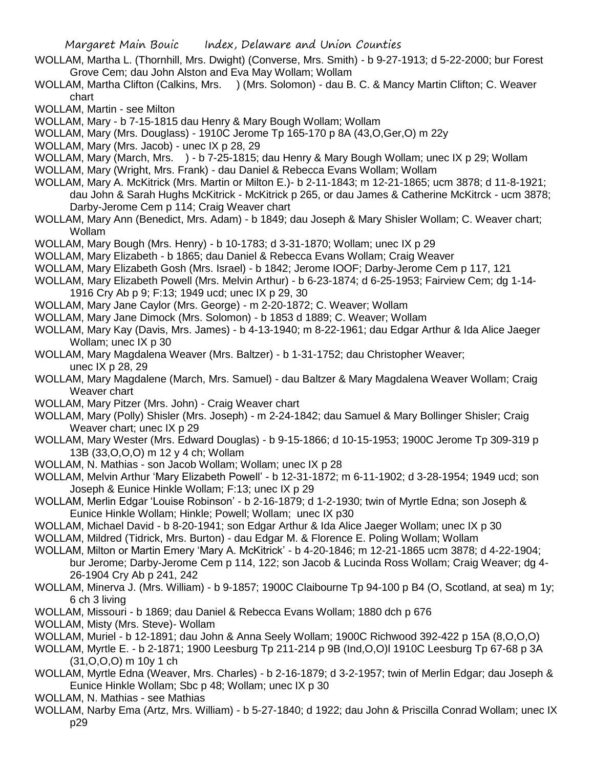- WOLLAM, Martha L. (Thornhill, Mrs. Dwight) (Converse, Mrs. Smith) b 9-27-1913; d 5-22-2000; bur Forest Grove Cem; dau John Alston and Eva May Wollam; Wollam
- WOLLAM, Martha Clifton (Calkins, Mrs. ) (Mrs. Solomon) dau B. C. & Mancy Martin Clifton; C. Weaver chart

WOLLAM, Martin - see Milton

- WOLLAM, Mary b 7-15-1815 dau Henry & Mary Bough Wollam; Wollam
- WOLLAM, Mary (Mrs. Douglass) 1910C Jerome Tp 165-170 p 8A (43,O,Ger,O) m 22y
- WOLLAM, Mary (Mrs. Jacob) unec IX p 28, 29
- WOLLAM, Mary (March, Mrs. ) b 7-25-1815; dau Henry & Mary Bough Wollam; unec IX p 29; Wollam
- WOLLAM, Mary (Wright, Mrs. Frank) dau Daniel & Rebecca Evans Wollam; Wollam
- WOLLAM, Mary A. McKitrick (Mrs. Martin or Milton E.)- b 2-11-1843; m 12-21-1865; ucm 3878; d 11-8-1921; dau John & Sarah Hughs McKitrick - McKitrick p 265, or dau James & Catherine McKitrck - ucm 3878; Darby-Jerome Cem p 114; Craig Weaver chart
- WOLLAM, Mary Ann (Benedict, Mrs. Adam) b 1849; dau Joseph & Mary Shisler Wollam; C. Weaver chart; Wollam

WOLLAM, Mary Bough (Mrs. Henry) - b 10-1783; d 3-31-1870; Wollam; unec IX p 29

- WOLLAM, Mary Elizabeth b 1865; dau Daniel & Rebecca Evans Wollam; Craig Weaver
- WOLLAM, Mary Elizabeth Gosh (Mrs. Israel) b 1842; Jerome IOOF; Darby-Jerome Cem p 117, 121
- WOLLAM, Mary Elizabeth Powell (Mrs. Melvin Arthur) b 6-23-1874; d 6-25-1953; Fairview Cem; dg 1-14- 1916 Cry Ab p 9; F:13; 1949 ucd; unec IX p 29, 30
- WOLLAM, Mary Jane Caylor (Mrs. George) m 2-20-1872; C. Weaver; Wollam
- WOLLAM, Mary Jane Dimock (Mrs. Solomon) b 1853 d 1889; C. Weaver; Wollam
- WOLLAM, Mary Kay (Davis, Mrs. James) b 4-13-1940; m 8-22-1961; dau Edgar Arthur & Ida Alice Jaeger Wollam; unec IX p 30
- WOLLAM, Mary Magdalena Weaver (Mrs. Baltzer) b 1-31-1752; dau Christopher Weaver; unec IX p 28, 29
- WOLLAM, Mary Magdalene (March, Mrs. Samuel) dau Baltzer & Mary Magdalena Weaver Wollam; Craig Weaver chart
- WOLLAM, Mary Pitzer (Mrs. John) Craig Weaver chart
- WOLLAM, Mary (Polly) Shisler (Mrs. Joseph) m 2-24-1842; dau Samuel & Mary Bollinger Shisler; Craig Weaver chart; unec IX p 29
- WOLLAM, Mary Wester (Mrs. Edward Douglas) b 9-15-1866; d 10-15-1953; 1900C Jerome Tp 309-319 p 13B (33,O,O,O) m 12 y 4 ch; Wollam
- WOLLAM, N. Mathias son Jacob Wollam; Wollam; unec IX p 28
- WOLLAM, Melvin Arthur 'Mary Elizabeth Powell' b 12-31-1872; m 6-11-1902; d 3-28-1954; 1949 ucd; son Joseph & Eunice Hinkle Wollam; F:13; unec IX p 29
- WOLLAM, Merlin Edgar 'Louise Robinson' b 2-16-1879; d 1-2-1930; twin of Myrtle Edna; son Joseph & Eunice Hinkle Wollam; Hinkle; Powell; Wollam; unec IX p30
- WOLLAM, Michael David b 8-20-1941; son Edgar Arthur & Ida Alice Jaeger Wollam; unec IX p 30
- WOLLAM, Mildred (Tidrick, Mrs. Burton) dau Edgar M. & Florence E. Poling Wollam; Wollam
- WOLLAM, Milton or Martin Emery 'Mary A. McKitrick' b 4-20-1846; m 12-21-1865 ucm 3878; d 4-22-1904; bur Jerome; Darby-Jerome Cem p 114, 122; son Jacob & Lucinda Ross Wollam; Craig Weaver; dg 4- 26-1904 Cry Ab p 241, 242
- WOLLAM, Minerva J. (Mrs. William) b 9-1857; 1900C Claibourne Tp 94-100 p B4 (O, Scotland, at sea) m 1y; 6 ch 3 living
- WOLLAM, Missouri b 1869; dau Daniel & Rebecca Evans Wollam; 1880 dch p 676
- WOLLAM, Misty (Mrs. Steve)- Wollam
- WOLLAM, Muriel b 12-1891; dau John & Anna Seely Wollam; 1900C Richwood 392-422 p 15A (8,O,O,O)
- WOLLAM, Myrtle E. b 2-1871; 1900 Leesburg Tp 211-214 p 9B (Ind,O,O)l 1910C Leesburg Tp 67-68 p 3A (31,O,O,O) m 10y 1 ch
- WOLLAM, Myrtle Edna (Weaver, Mrs. Charles) b 2-16-1879; d 3-2-1957; twin of Merlin Edgar; dau Joseph & Eunice Hinkle Wollam; Sbc p 48; Wollam; unec IX p 30
- WOLLAM, N. Mathias see Mathias
- WOLLAM, Narby Ema (Artz, Mrs. William) b 5-27-1840; d 1922; dau John & Priscilla Conrad Wollam; unec IX p29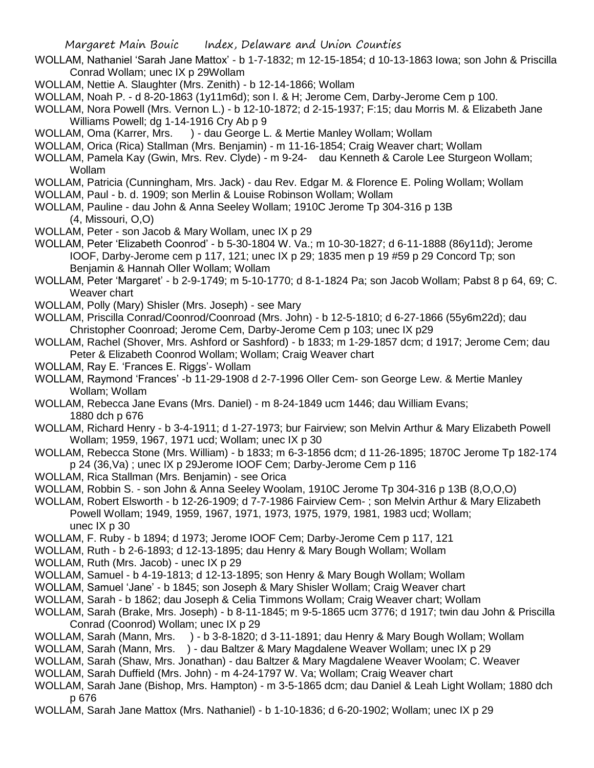- WOLLAM, Nathaniel 'Sarah Jane Mattox' b 1-7-1832; m 12-15-1854; d 10-13-1863 Iowa; son John & Priscilla Conrad Wollam; unec IX p 29Wollam
- WOLLAM, Nettie A. Slaughter (Mrs. Zenith) b 12-14-1866; Wollam
- WOLLAM, Noah P. d 8-20-1863 (1y11m6d); son I. & H; Jerome Cem, Darby-Jerome Cem p 100.
- WOLLAM, Nora Powell (Mrs. Vernon L.) b 12-10-1872; d 2-15-1937; F:15; dau Morris M. & Elizabeth Jane Williams Powell; dg 1-14-1916 Cry Ab p 9
- WOLLAM, Oma (Karrer, Mrs. ) dau George L. & Mertie Manley Wollam; Wollam
- WOLLAM, Orica (Rica) Stallman (Mrs. Benjamin) m 11-16-1854; Craig Weaver chart; Wollam
- WOLLAM, Pamela Kay (Gwin, Mrs. Rev. Clyde) m 9-24- dau Kenneth & Carole Lee Sturgeon Wollam; Wollam
- WOLLAM, Patricia (Cunningham, Mrs. Jack) dau Rev. Edgar M. & Florence E. Poling Wollam; Wollam
- WOLLAM, Paul b. d. 1909; son Merlin & Louise Robinson Wollam; Wollam
- WOLLAM, Pauline dau John & Anna Seeley Wollam; 1910C Jerome Tp 304-316 p 13B (4, Missouri, O,O)
- WOLLAM, Peter son Jacob & Mary Wollam, unec IX p 29
- WOLLAM, Peter 'Elizabeth Coonrod' b 5-30-1804 W. Va.; m 10-30-1827; d 6-11-1888 (86y11d); Jerome IOOF, Darby-Jerome cem p 117, 121; unec IX p 29; 1835 men p 19 #59 p 29 Concord Tp; son Benjamin & Hannah Oller Wollam; Wollam
- WOLLAM, Peter 'Margaret' b 2-9-1749; m 5-10-1770; d 8-1-1824 Pa; son Jacob Wollam; Pabst 8 p 64, 69; C. Weaver chart
- WOLLAM, Polly (Mary) Shisler (Mrs. Joseph) see Mary
- WOLLAM, Priscilla Conrad/Coonrod/Coonroad (Mrs. John) b 12-5-1810; d 6-27-1866 (55y6m22d); dau Christopher Coonroad; Jerome Cem, Darby-Jerome Cem p 103; unec IX p29
- WOLLAM, Rachel (Shover, Mrs. Ashford or Sashford) b 1833; m 1-29-1857 dcm; d 1917; Jerome Cem; dau Peter & Elizabeth Coonrod Wollam; Wollam; Craig Weaver chart
- WOLLAM, Ray E. 'Frances E. Riggs'- Wollam
- WOLLAM, Raymond 'Frances' -b 11-29-1908 d 2-7-1996 Oller Cem- son George Lew. & Mertie Manley Wollam; Wollam
- WOLLAM, Rebecca Jane Evans (Mrs. Daniel) m 8-24-1849 ucm 1446; dau William Evans; 1880 dch p 676
- WOLLAM, Richard Henry b 3-4-1911; d 1-27-1973; bur Fairview; son Melvin Arthur & Mary Elizabeth Powell Wollam; 1959, 1967, 1971 ucd; Wollam; unec IX p 30
- WOLLAM, Rebecca Stone (Mrs. William) b 1833; m 6-3-1856 dcm; d 11-26-1895; 1870C Jerome Tp 182-174 p 24 (36,Va) ; unec IX p 29Jerome IOOF Cem; Darby-Jerome Cem p 116
- WOLLAM, Rica Stallman (Mrs. Benjamin) see Orica
- WOLLAM, Robbin S. son John & Anna Seeley Woolam, 1910C Jerome Tp 304-316 p 13B (8,O,O,O)
- WOLLAM, Robert Elsworth b 12-26-1909; d 7-7-1986 Fairview Cem- ; son Melvin Arthur & Mary Elizabeth Powell Wollam; 1949, 1959, 1967, 1971, 1973, 1975, 1979, 1981, 1983 ucd; Wollam; unec IX p 30
- WOLLAM, F. Ruby b 1894; d 1973; Jerome IOOF Cem; Darby-Jerome Cem p 117, 121
- WOLLAM, Ruth b 2-6-1893; d 12-13-1895; dau Henry & Mary Bough Wollam; Wollam
- WOLLAM, Ruth (Mrs. Jacob) unec IX p 29
- WOLLAM, Samuel b 4-19-1813; d 12-13-1895; son Henry & Mary Bough Wollam; Wollam
- WOLLAM, Samuel 'Jane' b 1845; son Joseph & Mary Shisler Wollam; Craig Weaver chart
- WOLLAM, Sarah b 1862; dau Joseph & Celia Timmons Wollam; Craig Weaver chart; Wollam
- WOLLAM, Sarah (Brake, Mrs. Joseph) b 8-11-1845; m 9-5-1865 ucm 3776; d 1917; twin dau John & Priscilla Conrad (Coonrod) Wollam; unec IX p 29
- WOLLAM, Sarah (Mann, Mrs. ) b 3-8-1820; d 3-11-1891; dau Henry & Mary Bough Wollam; Wollam
- WOLLAM, Sarah (Mann, Mrs. ) dau Baltzer & Mary Magdalene Weaver Wollam; unec IX p 29
- WOLLAM, Sarah (Shaw, Mrs. Jonathan) dau Baltzer & Mary Magdalene Weaver Woolam; C. Weaver
- WOLLAM, Sarah Duffield (Mrs. John) m 4-24-1797 W. Va; Wollam; Craig Weaver chart
- WOLLAM, Sarah Jane (Bishop, Mrs. Hampton) m 3-5-1865 dcm; dau Daniel & Leah Light Wollam; 1880 dch p 676
- WOLLAM, Sarah Jane Mattox (Mrs. Nathaniel) b 1-10-1836; d 6-20-1902; Wollam; unec IX p 29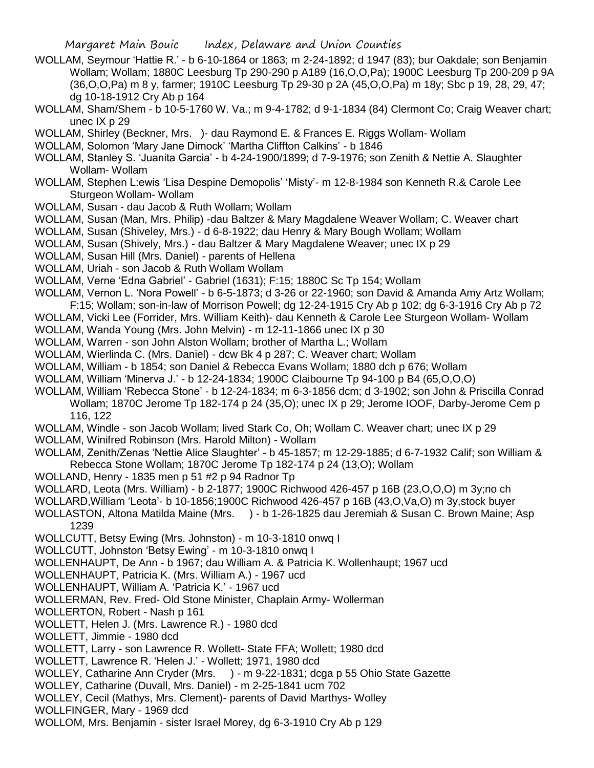- WOLLAM, Seymour 'Hattie R.' b 6-10-1864 or 1863; m 2-24-1892; d 1947 (83); bur Oakdale; son Benjamin Wollam; Wollam; 1880C Leesburg Tp 290-290 p A189 (16,O,O,Pa); 1900C Leesburg Tp 200-209 p 9A (36,O,O,Pa) m 8 y, farmer; 1910C Leesburg Tp 29-30 p 2A (45,O,O,Pa) m 18y; Sbc p 19, 28, 29, 47; dg 10-18-1912 Cry Ab p 164
- WOLLAM, Sham/Shem b 10-5-1760 W. Va.; m 9-4-1782; d 9-1-1834 (84) Clermont Co; Craig Weaver chart; unec IX p 29
- WOLLAM, Shirley (Beckner, Mrs. )- dau Raymond E. & Frances E. Riggs Wollam- Wollam
- WOLLAM, Solomon 'Mary Jane Dimock' 'Martha Cliffton Calkins' b 1846
- WOLLAM, Stanley S. 'Juanita Garcia' b 4-24-1900/1899; d 7-9-1976; son Zenith & Nettie A. Slaughter Wollam- Wollam
- WOLLAM, Stephen L:ewis 'Lisa Despine Demopolis' 'Misty'- m 12-8-1984 son Kenneth R.& Carole Lee Sturgeon Wollam- Wollam
- WOLLAM, Susan dau Jacob & Ruth Wollam; Wollam
- WOLLAM, Susan (Man, Mrs. Philip) -dau Baltzer & Mary Magdalene Weaver Wollam; C. Weaver chart
- WOLLAM, Susan (Shiveley, Mrs.) d 6-8-1922; dau Henry & Mary Bough Wollam; Wollam
- WOLLAM, Susan (Shively, Mrs.) dau Baltzer & Mary Magdalene Weaver; unec IX p 29
- WOLLAM, Susan Hill (Mrs. Daniel) parents of Hellena
- WOLLAM, Uriah son Jacob & Ruth Wollam Wollam
- WOLLAM, Verne 'Edna Gabriel' Gabriel (1631); F:15; 1880C Sc Tp 154; Wollam
- WOLLAM, Vernon L. 'Nora Powell' b 6-5-1873; d 3-26 or 22-1960; son David & Amanda Amy Artz Wollam; F:15; Wollam; son-in-law of Morrison Powell; dg 12-24-1915 Cry Ab p 102; dg 6-3-1916 Cry Ab p 72
- WOLLAM, Vicki Lee (Forrider, Mrs. William Keith)- dau Kenneth & Carole Lee Sturgeon Wollam- Wollam
- WOLLAM, Wanda Young (Mrs. John Melvin) m 12-11-1866 unec IX p 30
- WOLLAM, Warren son John Alston Wollam; brother of Martha L.; Wollam
- WOLLAM, Wierlinda C. (Mrs. Daniel) dcw Bk 4 p 287; C. Weaver chart; Wollam
- WOLLAM, William b 1854; son Daniel & Rebecca Evans Wollam; 1880 dch p 676; Wollam
- WOLLAM, William 'Minerva J.' b 12-24-1834; 1900C Claibourne Tp 94-100 p B4 (65,O,O,O)
- WOLLAM, William 'Rebecca Stone' b 12-24-1834; m 6-3-1856 dcm; d 3-1902; son John & Priscilla Conrad Wollam; 1870C Jerome Tp 182-174 p 24 (35,O); unec IX p 29; Jerome IOOF, Darby-Jerome Cem p 116, 122
- WOLLAM, Windle son Jacob Wollam; lived Stark Co, Oh; Wollam C. Weaver chart; unec IX p 29
- WOLLAM, Winifred Robinson (Mrs. Harold Milton) Wollam
- WOLLAM, Zenith/Zenas 'Nettie Alice Slaughter' b 45-1857; m 12-29-1885; d 6-7-1932 Calif; son William & Rebecca Stone Wollam; 1870C Jerome Tp 182-174 p 24 (13,O); Wollam
- WOLLAND, Henry 1835 men p 51 #2 p 94 Radnor Tp
- WOLLARD, Leota (Mrs. William) b 2-1877; 1900C Richwood 426-457 p 16B (23,O,O,O) m 3y;no ch
- WOLLARD,William 'Leota'- b 10-1856;1900C Richwood 426-457 p 16B (43,O,Va,O) m 3y,stock buyer
- WOLLASTON, Altona Matilda Maine (Mrs. ) b 1-26-1825 dau Jeremiah & Susan C. Brown Maine; Asp 1239
- WOLLCUTT, Betsy Ewing (Mrs. Johnston) m 10-3-1810 onwq I
- WOLLCUTT, Johnston 'Betsy Ewing' m 10-3-1810 onwq I
- WOLLENHAUPT, De Ann b 1967; dau William A. & Patricia K. Wollenhaupt; 1967 ucd
- WOLLENHAUPT, Patricia K. (Mrs. William A.) 1967 ucd
- WOLLENHAUPT, William A. 'Patricia K.' 1967 ucd
- WOLLERMAN, Rev. Fred- Old Stone Minister, Chaplain Army- Wollerman
- WOLLERTON, Robert Nash p 161
- WOLLETT, Helen J. (Mrs. Lawrence R.) 1980 dcd
- WOLLETT, Jimmie 1980 dcd
- WOLLETT, Larry son Lawrence R. Wollett- State FFA; Wollett; 1980 dcd
- WOLLETT, Lawrence R. 'Helen J.' Wollett; 1971, 1980 dcd
- WOLLEY, Catharine Ann Cryder (Mrs. ) m 9-22-1831; dcga p 55 Ohio State Gazette
- WOLLEY, Catharine (Duvall, Mrs. Daniel) m 2-25-1841 ucm 702
- WOLLEY, Cecil (Mathys, Mrs. Clement)- parents of David Marthys- Wolley
- WOLLFINGER, Mary 1969 dcd
- WOLLOM, Mrs. Benjamin sister Israel Morey, dg 6-3-1910 Cry Ab p 129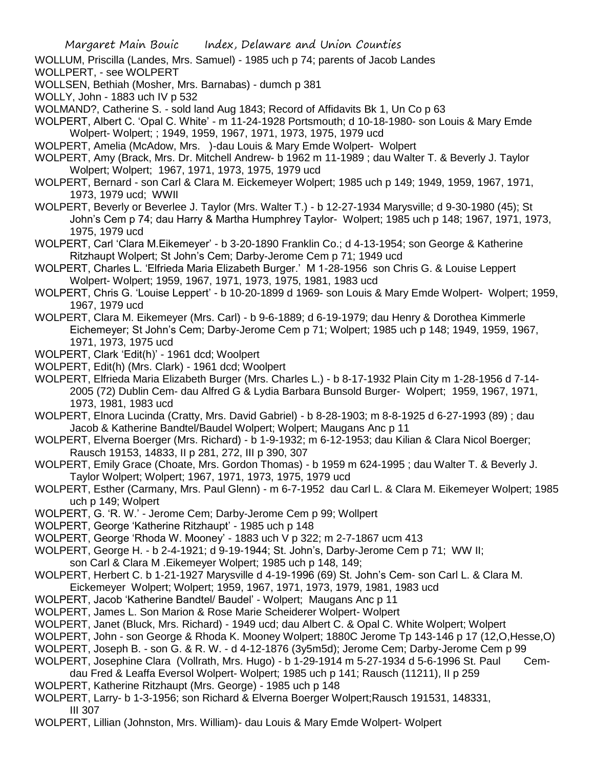WOLLUM, Priscilla (Landes, Mrs. Samuel) - 1985 uch p 74; parents of Jacob Landes

- WOLLPERT, see WOLPERT
- WOLLSEN, Bethiah (Mosher, Mrs. Barnabas) dumch p 381
- WOLLY, John 1883 uch IV p 532

WOLMAND?, Catherine S. - sold land Aug 1843; Record of Affidavits Bk 1, Un Co p 63

- WOLPERT, Albert C. 'Opal C. White' m 11-24-1928 Portsmouth; d 10-18-1980- son Louis & Mary Emde Wolpert- Wolpert; ; 1949, 1959, 1967, 1971, 1973, 1975, 1979 ucd
- WOLPERT, Amelia (McAdow, Mrs. )-dau Louis & Mary Emde Wolpert- Wolpert
- WOLPERT, Amy (Brack, Mrs. Dr. Mitchell Andrew- b 1962 m 11-1989 ; dau Walter T. & Beverly J. Taylor Wolpert; Wolpert; 1967, 1971, 1973, 1975, 1979 ucd
- WOLPERT, Bernard son Carl & Clara M. Eickemeyer Wolpert; 1985 uch p 149; 1949, 1959, 1967, 1971, 1973, 1979 ucd; WWII
- WOLPERT, Beverly or Beverlee J. Taylor (Mrs. Walter T.) b 12-27-1934 Marysville; d 9-30-1980 (45); St John's Cem p 74; dau Harry & Martha Humphrey Taylor- Wolpert; 1985 uch p 148; 1967, 1971, 1973, 1975, 1979 ucd
- WOLPERT, Carl 'Clara M.Eikemeyer' b 3-20-1890 Franklin Co.; d 4-13-1954; son George & Katherine Ritzhaupt Wolpert; St John's Cem; Darby-Jerome Cem p 71; 1949 ucd
- WOLPERT, Charles L. 'Elfrieda Maria Elizabeth Burger.' M 1-28-1956 son Chris G. & Louise Leppert Wolpert- Wolpert; 1959, 1967, 1971, 1973, 1975, 1981, 1983 ucd
- WOLPERT, Chris G. 'Louise Leppert' b 10-20-1899 d 1969- son Louis & Mary Emde Wolpert- Wolpert; 1959, 1967, 1979 ucd
- WOLPERT, Clara M. Eikemeyer (Mrs. Carl) b 9-6-1889; d 6-19-1979; dau Henry & Dorothea Kimmerle Eichemeyer; St John's Cem; Darby-Jerome Cem p 71; Wolpert; 1985 uch p 148; 1949, 1959, 1967, 1971, 1973, 1975 ucd
- WOLPERT, Clark 'Edit(h)' 1961 dcd; Woolpert
- WOLPERT, Edit(h) (Mrs. Clark) 1961 dcd; Woolpert
- WOLPERT, Elfrieda Maria Elizabeth Burger (Mrs. Charles L.) b 8-17-1932 Plain City m 1-28-1956 d 7-14- 2005 (72) Dublin Cem- dau Alfred G & Lydia Barbara Bunsold Burger- Wolpert; 1959, 1967, 1971, 1973, 1981, 1983 ucd
- WOLPERT, Elnora Lucinda (Cratty, Mrs. David Gabriel) b 8-28-1903; m 8-8-1925 d 6-27-1993 (89) ; dau Jacob & Katherine Bandtel/Baudel Wolpert; Wolpert; Maugans Anc p 11
- WOLPERT, Elverna Boerger (Mrs. Richard) b 1-9-1932; m 6-12-1953; dau Kilian & Clara Nicol Boerger; Rausch 19153, 14833, II p 281, 272, III p 390, 307
- WOLPERT, Emily Grace (Choate, Mrs. Gordon Thomas) b 1959 m 624-1995 ; dau Walter T. & Beverly J. Taylor Wolpert; Wolpert; 1967, 1971, 1973, 1975, 1979 ucd
- WOLPERT, Esther (Carmany, Mrs. Paul Glenn) m 6-7-1952 dau Carl L. & Clara M. Eikemeyer Wolpert; 1985 uch p 149; Wolpert
- WOLPERT, G. 'R. W.' Jerome Cem; Darby-Jerome Cem p 99; Wollpert
- WOLPERT, George 'Katherine Ritzhaupt' 1985 uch p 148
- WOLPERT, George 'Rhoda W. Mooney' 1883 uch V p 322; m 2-7-1867 ucm 413
- WOLPERT, George H. b 2-4-1921; d 9-19-1944; St. John's, Darby-Jerome Cem p 71; WW II;
- son Carl & Clara M .Eikemeyer Wolpert; 1985 uch p 148, 149;
- WOLPERT, Herbert C. b 1-21-1927 Marysville d 4-19-1996 (69) St. John's Cem- son Carl L. & Clara M. Eickemeyer Wolpert; Wolpert; 1959, 1967, 1971, 1973, 1979, 1981, 1983 ucd
- WOLPERT, Jacob 'Katherine Bandtel/ Baudel' Wolpert; Maugans Anc p 11
- WOLPERT, James L. Son Marion & Rose Marie Scheiderer Wolpert- Wolpert
- WOLPERT, Janet (Bluck, Mrs. Richard) 1949 ucd; dau Albert C. & Opal C. White Wolpert; Wolpert
- WOLPERT, John son George & Rhoda K. Mooney Wolpert; 1880C Jerome Tp 143-146 p 17 (12,O,Hesse,O)
- WOLPERT, Joseph B. son G. & R. W. d 4-12-1876 (3y5m5d); Jerome Cem; Darby-Jerome Cem p 99
- WOLPERT, Josephine Clara (Vollrath, Mrs. Hugo) b 1-29-1914 m 5-27-1934 d 5-6-1996 St. Paul Cemdau Fred & Leaffa Eversol Wolpert- Wolpert; 1985 uch p 141; Rausch (11211), II p 259
- WOLPERT, Katherine Ritzhaupt (Mrs. George) 1985 uch p 148
- WOLPERT, Larry- b 1-3-1956; son Richard & Elverna Boerger Wolpert;Rausch 191531, 148331,

III 307

WOLPERT, Lillian (Johnston, Mrs. William)- dau Louis & Mary Emde Wolpert- Wolpert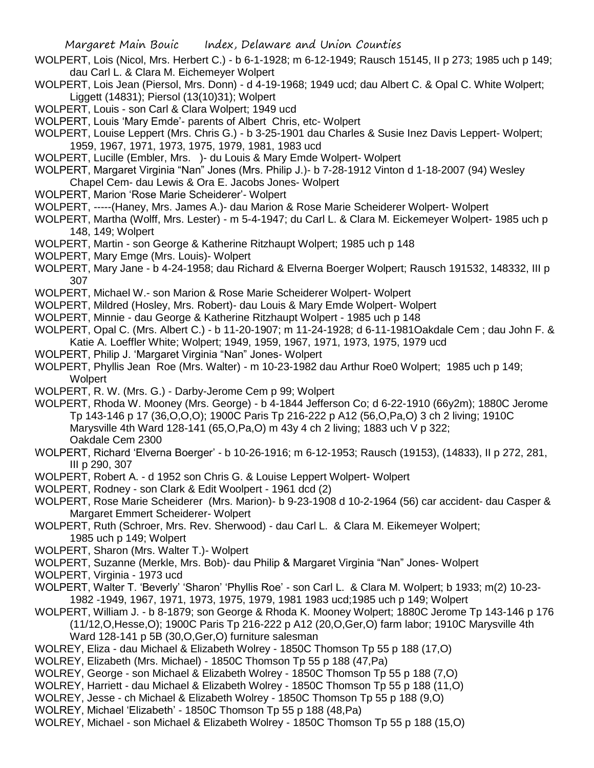- WOLPERT, Lois (Nicol, Mrs. Herbert C.) b 6-1-1928; m 6-12-1949; Rausch 15145, II p 273; 1985 uch p 149; dau Carl L. & Clara M. Eichemeyer Wolpert
- WOLPERT, Lois Jean (Piersol, Mrs. Donn) d 4-19-1968; 1949 ucd; dau Albert C. & Opal C. White Wolpert; Liggett (14831); Piersol (13(10)31); Wolpert

WOLPERT, Louis - son Carl & Clara Wolpert; 1949 ucd

WOLPERT, Louis 'Mary Emde'- parents of Albert Chris, etc- Wolpert

WOLPERT, Louise Leppert (Mrs. Chris G.) - b 3-25-1901 dau Charles & Susie Inez Davis Leppert- Wolpert; 1959, 1967, 1971, 1973, 1975, 1979, 1981, 1983 ucd

WOLPERT, Lucille (Embler, Mrs. )- du Louis & Mary Emde Wolpert- Wolpert

WOLPERT, Margaret Virginia "Nan" Jones (Mrs. Philip J.)- b 7-28-1912 Vinton d 1-18-2007 (94) Wesley Chapel Cem- dau Lewis & Ora E. Jacobs Jones- Wolpert

WOLPERT, Marion 'Rose Marie Scheiderer'- Wolpert

WOLPERT, -----(Haney, Mrs. James A.)- dau Marion & Rose Marie Scheiderer Wolpert- Wolpert

WOLPERT, Martha (Wolff, Mrs. Lester) - m 5-4-1947; du Carl L. & Clara M. Eickemeyer Wolpert- 1985 uch p 148, 149; Wolpert

- WOLPERT, Martin son George & Katherine Ritzhaupt Wolpert; 1985 uch p 148
- WOLPERT, Mary Emge (Mrs. Louis)- Wolpert
- WOLPERT, Mary Jane b 4-24-1958; dau Richard & Elverna Boerger Wolpert; Rausch 191532, 148332, III p 307

WOLPERT, Michael W.- son Marion & Rose Marie Scheiderer Wolpert- Wolpert

- WOLPERT, Mildred (Hosley, Mrs. Robert)- dau Louis & Mary Emde Wolpert- Wolpert
- WOLPERT, Minnie dau George & Katherine Ritzhaupt Wolpert 1985 uch p 148

WOLPERT, Opal C. (Mrs. Albert C.) - b 11-20-1907; m 11-24-1928; d 6-11-1981Oakdale Cem ; dau John F. & Katie A. Loeffler White; Wolpert; 1949, 1959, 1967, 1971, 1973, 1975, 1979 ucd

WOLPERT, Philip J. 'Margaret Virginia "Nan" Jones- Wolpert

WOLPERT, Phyllis Jean Roe (Mrs. Walter) - m 10-23-1982 dau Arthur Roe0 Wolpert; 1985 uch p 149; **Wolpert** 

- WOLPERT, R. W. (Mrs. G.) Darby-Jerome Cem p 99; Wolpert
- WOLPERT, Rhoda W. Mooney (Mrs. George) b 4-1844 Jefferson Co; d 6-22-1910 (66y2m); 1880C Jerome Tp 143-146 p 17 (36,O,O,O); 1900C Paris Tp 216-222 p A12 (56,O,Pa,O) 3 ch 2 living; 1910C Marysville 4th Ward 128-141 (65,O,Pa,O) m 43y 4 ch 2 living; 1883 uch V p 322; Oakdale Cem 2300
- WOLPERT, Richard 'Elverna Boerger' b 10-26-1916; m 6-12-1953; Rausch (19153), (14833), II p 272, 281, III p 290, 307
- WOLPERT, Robert A. d 1952 son Chris G. & Louise Leppert Wolpert- Wolpert
- WOLPERT, Rodney son Clark & Edit Woolpert 1961 dcd (2)
- WOLPERT, Rose Marie Scheiderer (Mrs. Marion)- b 9-23-1908 d 10-2-1964 (56) car accident- dau Casper & Margaret Emmert Scheiderer- Wolpert
- WOLPERT, Ruth (Schroer, Mrs. Rev. Sherwood) dau Carl L. & Clara M. Eikemeyer Wolpert; 1985 uch p 149; Wolpert
- WOLPERT, Sharon (Mrs. Walter T.)- Wolpert
- WOLPERT, Suzanne (Merkle, Mrs. Bob)- dau Philip & Margaret Virginia "Nan" Jones- Wolpert

WOLPERT, Virginia - 1973 ucd

- WOLPERT, Walter T. 'Beverly' 'Sharon' 'Phyllis Roe' son Carl L. & Clara M. Wolpert; b 1933; m(2) 10-23- 1982 -1949, 1967, 1971, 1973, 1975, 1979, 1981 1983 ucd;1985 uch p 149; Wolpert
- WOLPERT, William J. b 8-1879; son George & Rhoda K. Mooney Wolpert; 1880C Jerome Tp 143-146 p 176 (11/12,O,Hesse,O); 1900C Paris Tp 216-222 p A12 (20,O,Ger,O) farm labor; 1910C Marysville 4th Ward 128-141 p 5B (30,O,Ger,O) furniture salesman
- WOLREY, Eliza dau Michael & Elizabeth Wolrey 1850C Thomson Tp 55 p 188 (17,O)
- WOLREY, Elizabeth (Mrs. Michael) 1850C Thomson Tp 55 p 188 (47,Pa)
- WOLREY, George son Michael & Elizabeth Wolrey 1850C Thomson Tp 55 p 188 (7,O)
- WOLREY, Harriett dau Michael & Elizabeth Wolrey 1850C Thomson Tp 55 p 188 (11,O)
- WOLREY, Jesse ch Michael & Elizabeth Wolrey 1850C Thomson Tp 55 p 188 (9,O)
- WOLREY, Michael 'Elizabeth' 1850C Thomson Tp 55 p 188 (48,Pa)
- WOLREY, Michael son Michael & Elizabeth Wolrey 1850C Thomson Tp 55 p 188 (15,O)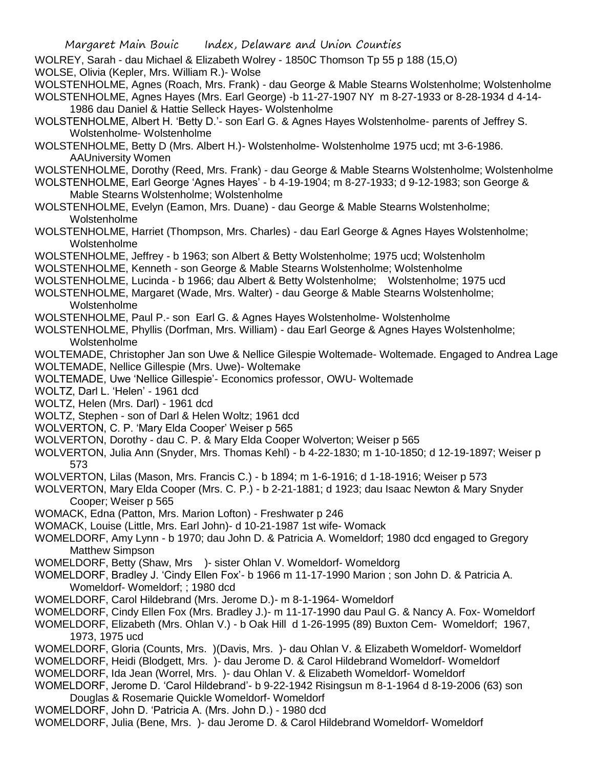- WOLREY, Sarah dau Michael & Elizabeth Wolrey 1850C Thomson Tp 55 p 188 (15,O)
- WOLSE, Olivia (Kepler, Mrs. William R.)- Wolse
- WOLSTENHOLME, Agnes (Roach, Mrs. Frank) dau George & Mable Stearns Wolstenholme; Wolstenholme WOLSTENHOLME, Agnes Hayes (Mrs. Earl George) -b 11-27-1907 NY m 8-27-1933 or 8-28-1934 d 4-14- 1986 dau Daniel & Hattie Selleck Hayes- Wolstenholme
- WOLSTENHOLME, Albert H. 'Betty D.'- son Earl G. & Agnes Hayes Wolstenholme- parents of Jeffrey S. Wolstenholme- Wolstenholme
- WOLSTENHOLME, Betty D (Mrs. Albert H.)- Wolstenholme- Wolstenholme 1975 ucd; mt 3-6-1986. AAUniversity Women
- WOLSTENHOLME, Dorothy (Reed, Mrs. Frank) dau George & Mable Stearns Wolstenholme; Wolstenholme
- WOLSTENHOLME, Earl George 'Agnes Hayes' b 4-19-1904; m 8-27-1933; d 9-12-1983; son George & Mable Stearns Wolstenholme; Wolstenholme
- WOLSTENHOLME, Evelyn (Eamon, Mrs. Duane) dau George & Mable Stearns Wolstenholme; Wolstenholme
- WOLSTENHOLME, Harriet (Thompson, Mrs. Charles) dau Earl George & Agnes Hayes Wolstenholme; Wolstenholme
- WOLSTENHOLME, Jeffrey b 1963; son Albert & Betty Wolstenholme; 1975 ucd; Wolstenholm
- WOLSTENHOLME, Kenneth son George & Mable Stearns Wolstenholme; Wolstenholme
- WOLSTENHOLME, Lucinda b 1966; dau Albert & Betty Wolstenholme; Wolstenholme; 1975 ucd
- WOLSTENHOLME, Margaret (Wade, Mrs. Walter) dau George & Mable Stearns Wolstenholme; Wolstenholme
- WOLSTENHOLME, Paul P.- son Earl G. & Agnes Hayes Wolstenholme- Wolstenholme
- WOLSTENHOLME, Phyllis (Dorfman, Mrs. William) dau Earl George & Agnes Hayes Wolstenholme; Wolstenholme
- WOLTEMADE, Christopher Jan son Uwe & Nellice Gilespie Woltemade- Woltemade. Engaged to Andrea Lage
- WOLTEMADE, Nellice Gillespie (Mrs. Uwe)- Woltemake
- WOLTEMADE, Uwe 'Nellice Gillespie'- Economics professor, OWU- Woltemade
- WOLTZ, Darl L. 'Helen' 1961 dcd
- WOLTZ, Helen (Mrs. Darl) 1961 dcd
- WOLTZ, Stephen son of Darl & Helen Woltz; 1961 dcd
- WOLVERTON, C. P. 'Mary Elda Cooper' Weiser p 565
- WOLVERTON, Dorothy dau C. P. & Mary Elda Cooper Wolverton; Weiser p 565
- WOLVERTON, Julia Ann (Snyder, Mrs. Thomas Kehl) b 4-22-1830; m 1-10-1850; d 12-19-1897; Weiser p 573
- WOLVERTON, Lilas (Mason, Mrs. Francis C.) b 1894; m 1-6-1916; d 1-18-1916; Weiser p 573
- WOLVERTON, Mary Elda Cooper (Mrs. C. P.) b 2-21-1881; d 1923; dau Isaac Newton & Mary Snyder Cooper; Weiser p 565
- WOMACK, Edna (Patton, Mrs. Marion Lofton) Freshwater p 246
- WOMACK, Louise (Little, Mrs. Earl John)- d 10-21-1987 1st wife- Womack
- WOMELDORF, Amy Lynn b 1970; dau John D. & Patricia A. Womeldorf; 1980 dcd engaged to Gregory Matthew Simpson
- WOMELDORF, Betty (Shaw, Mrs )- sister Ohlan V. Womeldorf- Womeldorg
- WOMELDORF, Bradley J. 'Cindy Ellen Fox'- b 1966 m 11-17-1990 Marion ; son John D. & Patricia A. Womeldorf- Womeldorf; ; 1980 dcd
- WOMELDORF, Carol Hildebrand (Mrs. Jerome D.)- m 8-1-1964- Womeldorf
- WOMELDORF, Cindy Ellen Fox (Mrs. Bradley J.)- m 11-17-1990 dau Paul G. & Nancy A. Fox- Womeldorf
- WOMELDORF, Elizabeth (Mrs. Ohlan V.) b Oak Hill d 1-26-1995 (89) Buxton Cem- Womeldorf; 1967, 1973, 1975 ucd
- WOMELDORF, Gloria (Counts, Mrs. )(Davis, Mrs. )- dau Ohlan V. & Elizabeth Womeldorf- Womeldorf
- WOMELDORF, Heidi (Blodgett, Mrs. )- dau Jerome D. & Carol Hildebrand Womeldorf- Womeldorf
- WOMELDORF, Ida Jean (Worrel, Mrs. )- dau Ohlan V. & Elizabeth Womeldorf- Womeldorf
- WOMELDORF, Jerome D. 'Carol Hildebrand'- b 9-22-1942 Risingsun m 8-1-1964 d 8-19-2006 (63) son Douglas & Rosemarie Quickle Womeldorf- Womeldorf
- WOMELDORF, John D. 'Patricia A. (Mrs. John D.) 1980 dcd
- WOMELDORF, Julia (Bene, Mrs. )- dau Jerome D. & Carol Hildebrand Womeldorf- Womeldorf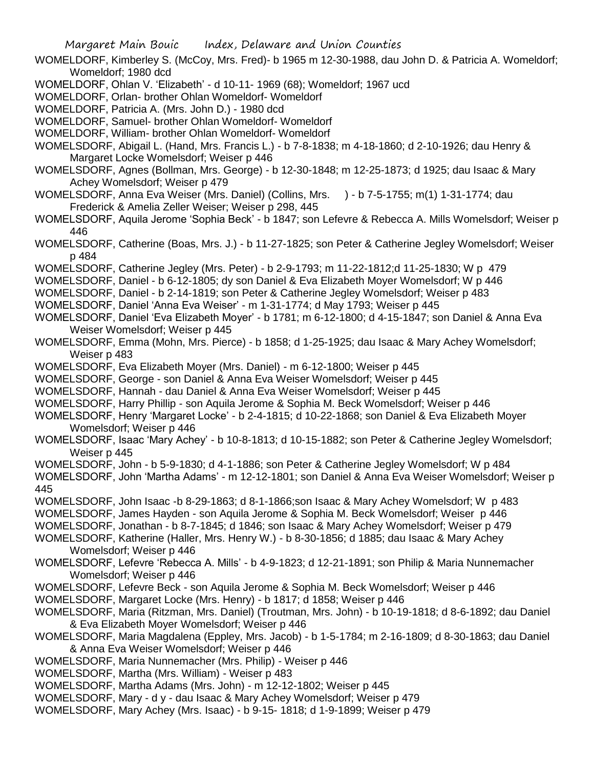WOMELDORF, Kimberley S. (McCoy, Mrs. Fred)- b 1965 m 12-30-1988, dau John D. & Patricia A. Womeldorf; Womeldorf; 1980 dcd

WOMELDORF, Ohlan V. 'Elizabeth' - d 10-11- 1969 (68); Womeldorf; 1967 ucd

WOMELDORF, Orlan- brother Ohlan Womeldorf- Womeldorf

WOMELDORF, Patricia A. (Mrs. John D.) - 1980 dcd

WOMELDORF, Samuel- brother Ohlan Womeldorf- Womeldorf

WOMELDORF, William- brother Ohlan Womeldorf- Womeldorf

WOMELSDORF, Abigail L. (Hand, Mrs. Francis L.) - b 7-8-1838; m 4-18-1860; d 2-10-1926; dau Henry & Margaret Locke Womelsdorf; Weiser p 446

- WOMELSDORF, Agnes (Bollman, Mrs. George) b 12-30-1848; m 12-25-1873; d 1925; dau Isaac & Mary Achey Womelsdorf; Weiser p 479
- WOMELSDORF, Anna Eva Weiser (Mrs. Daniel) (Collins, Mrs. ) b 7-5-1755; m(1) 1-31-1774; dau Frederick & Amelia Zeller Weiser; Weiser p 298, 445

WOMELSDORF, Aquila Jerome 'Sophia Beck' - b 1847; son Lefevre & Rebecca A. Mills Womelsdorf; Weiser p 446

WOMELSDORF, Catherine (Boas, Mrs. J.) - b 11-27-1825; son Peter & Catherine Jegley Womelsdorf; Weiser p 484

- WOMELSDORF, Catherine Jegley (Mrs. Peter) b 2-9-1793; m 11-22-1812;d 11-25-1830; W p 479
- WOMELSDORF, Daniel b 6-12-1805; dy son Daniel & Eva Elizabeth Moyer Womelsdorf; W p 446
- WOMELSDORF, Daniel b 2-14-1819; son Peter & Catherine Jegley Womelsdorf; Weiser p 483
- WOMELSDORF, Daniel 'Anna Eva Weiser' m 1-31-1774; d May 1793; Weiser p 445
- WOMELSDORF, Daniel 'Eva Elizabeth Moyer' b 1781; m 6-12-1800; d 4-15-1847; son Daniel & Anna Eva Weiser Womelsdorf; Weiser p 445
- WOMELSDORF, Emma (Mohn, Mrs. Pierce) b 1858; d 1-25-1925; dau Isaac & Mary Achey Womelsdorf; Weiser p 483
- WOMELSDORF, Eva Elizabeth Moyer (Mrs. Daniel) m 6-12-1800; Weiser p 445
- WOMELSDORF, George son Daniel & Anna Eva Weiser Womelsdorf; Weiser p 445
- WOMELSDORF, Hannah dau Daniel & Anna Eva Weiser Womelsdorf; Weiser p 445
- WOMELSDORF, Harry Phillip son Aquila Jerome & Sophia M. Beck Womelsdorf; Weiser p 446
- WOMELSDORF, Henry 'Margaret Locke' b 2-4-1815; d 10-22-1868; son Daniel & Eva Elizabeth Moyer Womelsdorf; Weiser p 446
- WOMELSDORF, Isaac 'Mary Achey' b 10-8-1813; d 10-15-1882; son Peter & Catherine Jegley Womelsdorf; Weiser p 445
- WOMELSDORF, John b 5-9-1830; d 4-1-1886; son Peter & Catherine Jegley Womelsdorf; W p 484

WOMELSDORF, John 'Martha Adams' - m 12-12-1801; son Daniel & Anna Eva Weiser Womelsdorf; Weiser p 445

- WOMELSDORF, John Isaac -b 8-29-1863; d 8-1-1866;son Isaac & Mary Achey Womelsdorf; W p 483
- WOMELSDORF, James Hayden son Aquila Jerome & Sophia M. Beck Womelsdorf; Weiser p 446
- WOMELSDORF, Jonathan b 8-7-1845; d 1846; son Isaac & Mary Achey Womelsdorf; Weiser p 479

WOMELSDORF, Katherine (Haller, Mrs. Henry W.) - b 8-30-1856; d 1885; dau Isaac & Mary Achey Womelsdorf; Weiser p 446

- WOMELSDORF, Lefevre 'Rebecca A. Mills' b 4-9-1823; d 12-21-1891; son Philip & Maria Nunnemacher Womelsdorf; Weiser p 446
- WOMELSDORF, Lefevre Beck son Aquila Jerome & Sophia M. Beck Womelsdorf; Weiser p 446
- WOMELSDORF, Margaret Locke (Mrs. Henry) b 1817; d 1858; Weiser p 446
- WOMELSDORF, Maria (Ritzman, Mrs. Daniel) (Troutman, Mrs. John) b 10-19-1818; d 8-6-1892; dau Daniel & Eva Elizabeth Moyer Womelsdorf; Weiser p 446
- WOMELSDORF, Maria Magdalena (Eppley, Mrs. Jacob) b 1-5-1784; m 2-16-1809; d 8-30-1863; dau Daniel & Anna Eva Weiser Womelsdorf; Weiser p 446
- WOMELSDORF, Maria Nunnemacher (Mrs. Philip) Weiser p 446
- WOMELSDORF, Martha (Mrs. William) Weiser p 483
- WOMELSDORF, Martha Adams (Mrs. John) m 12-12-1802; Weiser p 445
- WOMELSDORF, Mary d y dau Isaac & Mary Achey Womelsdorf; Weiser p 479
- WOMELSDORF, Mary Achey (Mrs. Isaac) b 9-15- 1818; d 1-9-1899; Weiser p 479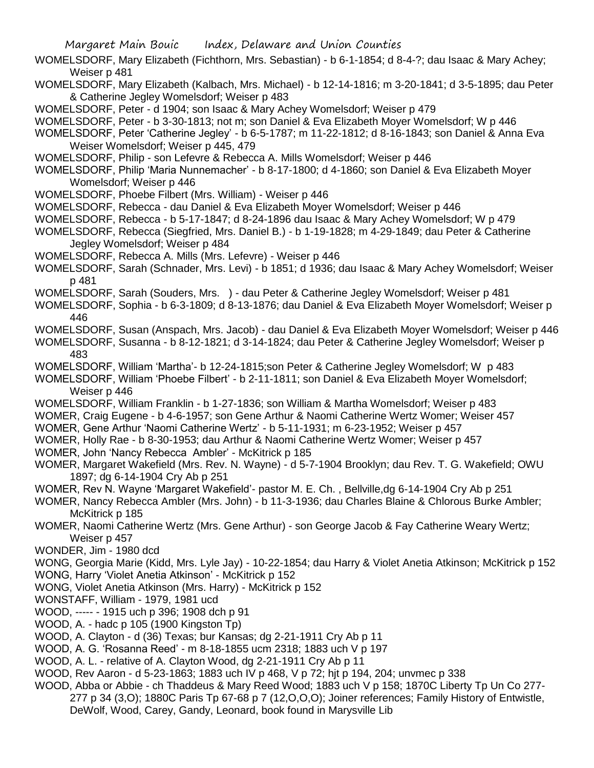- WOMELSDORF, Mary Elizabeth (Fichthorn, Mrs. Sebastian) b 6-1-1854; d 8-4-?; dau Isaac & Mary Achey; Weiser p 481
- WOMELSDORF, Mary Elizabeth (Kalbach, Mrs. Michael) b 12-14-1816; m 3-20-1841; d 3-5-1895; dau Peter & Catherine Jegley Womelsdorf; Weiser p 483

WOMELSDORF, Peter - d 1904; son Isaac & Mary Achey Womelsdorf; Weiser p 479

WOMELSDORF, Peter - b 3-30-1813; not m; son Daniel & Eva Elizabeth Moyer Womelsdorf; W p 446

- WOMELSDORF, Peter 'Catherine Jegley' b 6-5-1787; m 11-22-1812; d 8-16-1843; son Daniel & Anna Eva Weiser Womelsdorf; Weiser p 445, 479
- WOMELSDORF, Philip son Lefevre & Rebecca A. Mills Womelsdorf; Weiser p 446
- WOMELSDORF, Philip 'Maria Nunnemacher' b 8-17-1800; d 4-1860; son Daniel & Eva Elizabeth Moyer Womelsdorf; Weiser p 446
- WOMELSDORF, Phoebe Filbert (Mrs. William) Weiser p 446
- WOMELSDORF, Rebecca dau Daniel & Eva Elizabeth Moyer Womelsdorf; Weiser p 446
- WOMELSDORF, Rebecca b 5-17-1847; d 8-24-1896 dau Isaac & Mary Achey Womelsdorf; W p 479
- WOMELSDORF, Rebecca (Siegfried, Mrs. Daniel B.) b 1-19-1828; m 4-29-1849; dau Peter & Catherine Jegley Womelsdorf; Weiser p 484
- WOMELSDORF, Rebecca A. Mills (Mrs. Lefevre) Weiser p 446
- WOMELSDORF, Sarah (Schnader, Mrs. Levi) b 1851; d 1936; dau Isaac & Mary Achey Womelsdorf; Weiser p 481
- WOMELSDORF, Sarah (Souders, Mrs. ) dau Peter & Catherine Jegley Womelsdorf; Weiser p 481
- WOMELSDORF, Sophia b 6-3-1809; d 8-13-1876; dau Daniel & Eva Elizabeth Moyer Womelsdorf; Weiser p 446
- WOMELSDORF, Susan (Anspach, Mrs. Jacob) dau Daniel & Eva Elizabeth Moyer Womelsdorf; Weiser p 446
- WOMELSDORF, Susanna b 8-12-1821; d 3-14-1824; dau Peter & Catherine Jegley Womelsdorf; Weiser p 483
- WOMELSDORF, William 'Martha'- b 12-24-1815;son Peter & Catherine Jegley Womelsdorf; W p 483
- WOMELSDORF, William 'Phoebe Filbert' b 2-11-1811; son Daniel & Eva Elizabeth Moyer Womelsdorf; Weiser p 446
- WOMELSDORF, William Franklin b 1-27-1836; son William & Martha Womelsdorf; Weiser p 483
- WOMER, Craig Eugene b 4-6-1957; son Gene Arthur & Naomi Catherine Wertz Womer; Weiser 457
- WOMER, Gene Arthur 'Naomi Catherine Wertz' b 5-11-1931; m 6-23-1952; Weiser p 457
- WOMER, Holly Rae b 8-30-1953; dau Arthur & Naomi Catherine Wertz Womer; Weiser p 457
- WOMER, John 'Nancy Rebecca Ambler' McKitrick p 185
- WOMER, Margaret Wakefield (Mrs. Rev. N. Wayne) d 5-7-1904 Brooklyn; dau Rev. T. G. Wakefield; OWU 1897; dg 6-14-1904 Cry Ab p 251
- WOMER, Rev N. Wayne 'Margaret Wakefield'- pastor M. E. Ch. , Bellville,dg 6-14-1904 Cry Ab p 251
- WOMER, Nancy Rebecca Ambler (Mrs. John) b 11-3-1936; dau Charles Blaine & Chlorous Burke Ambler; McKitrick p 185
- WOMER, Naomi Catherine Wertz (Mrs. Gene Arthur) son George Jacob & Fay Catherine Weary Wertz; Weiser p 457
- WONDER, Jim 1980 dcd
- WONG, Georgia Marie (Kidd, Mrs. Lyle Jay) 10-22-1854; dau Harry & Violet Anetia Atkinson; McKitrick p 152 WONG, Harry 'Violet Anetia Atkinson' - McKitrick p 152
- WONG, Violet Anetia Atkinson (Mrs. Harry) McKitrick p 152
- WONSTAFF, William 1979, 1981 ucd
- WOOD, ----- 1915 uch p 396; 1908 dch p 91
- WOOD, A. hadc p 105 (1900 Kingston Tp)
- WOOD, A. Clayton d (36) Texas; bur Kansas; dg 2-21-1911 Cry Ab p 11
- WOOD, A. G. 'Rosanna Reed' m 8-18-1855 ucm 2318; 1883 uch V p 197
- WOOD, A. L. relative of A. Clayton Wood, dg 2-21-1911 Cry Ab p 11
- WOOD, Rev Aaron d 5-23-1863; 1883 uch IV p 468, V p 72; hjt p 194, 204; unvmec p 338
- WOOD, Abba or Abbie ch Thaddeus & Mary Reed Wood; 1883 uch V p 158; 1870C Liberty Tp Un Co 277-
	- 277 p 34 (3,O); 1880C Paris Tp 67-68 p 7 (12,O,O,O); Joiner references; Family History of Entwistle, DeWolf, Wood, Carey, Gandy, Leonard, book found in Marysville Lib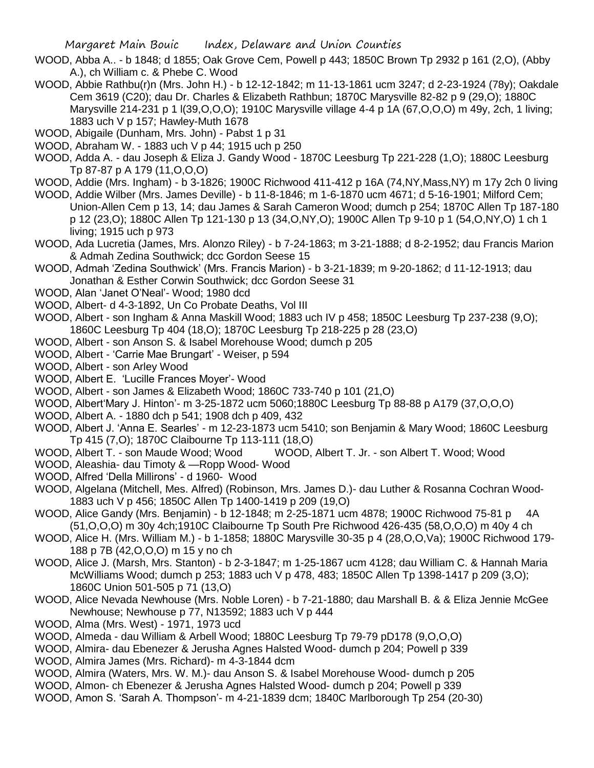- WOOD, Abba A.. b 1848; d 1855; Oak Grove Cem, Powell p 443; 1850C Brown Tp 2932 p 161 (2,O), (Abby A.), ch William c. & Phebe C. Wood
- WOOD, Abbie Rathbu(r)n (Mrs. John H.) b 12-12-1842; m 11-13-1861 ucm 3247; d 2-23-1924 (78y); Oakdale Cem 3619 (C20); dau Dr. Charles & Elizabeth Rathbun; 1870C Marysville 82-82 p 9 (29,O); 1880C Marysville 214-231 p 1 l(39,O,O,O); 1910C Marysville village 4-4 p 1A (67,O,O,O) m 49y, 2ch, 1 living; 1883 uch V p 157; Hawley-Muth 1678
- WOOD, Abigaile (Dunham, Mrs. John) Pabst 1 p 31
- WOOD, Abraham W. 1883 uch V p 44; 1915 uch p 250
- WOOD, Adda A. dau Joseph & Eliza J. Gandy Wood 1870C Leesburg Tp 221-228 (1,O); 1880C Leesburg Tp 87-87 p A 179 (11,O,O,O)
- WOOD, Addie (Mrs. Ingham) b 3-1826; 1900C Richwood 411-412 p 16A (74,NY,Mass,NY) m 17y 2ch 0 living
- WOOD, Addie Wilber (Mrs. James Deville) b 11-8-1846; m 1-6-1870 ucm 4671; d 5-16-1901; Milford Cem; Union-Allen Cem p 13, 14; dau James & Sarah Cameron Wood; dumch p 254; 1870C Allen Tp 187-180 p 12 (23,O); 1880C Allen Tp 121-130 p 13 (34,O,NY,O); 1900C Allen Tp 9-10 p 1 (54,O,NY,O) 1 ch 1 living; 1915 uch p 973
- WOOD, Ada Lucretia (James, Mrs. Alonzo Riley) b 7-24-1863; m 3-21-1888; d 8-2-1952; dau Francis Marion & Admah Zedina Southwick; dcc Gordon Seese 15
- WOOD, Admah 'Zedina Southwick' (Mrs. Francis Marion) b 3-21-1839; m 9-20-1862; d 11-12-1913; dau Jonathan & Esther Corwin Southwick; dcc Gordon Seese 31
- WOOD, Alan 'Janet O'Neal'- Wood; 1980 dcd
- WOOD, Albert- d 4-3-1892, Un Co Probate Deaths, Vol III
- WOOD, Albert son Ingham & Anna Maskill Wood; 1883 uch IV p 458; 1850C Leesburg Tp 237-238 (9,O); 1860C Leesburg Tp 404 (18,O); 1870C Leesburg Tp 218-225 p 28 (23,O)
- WOOD, Albert son Anson S. & Isabel Morehouse Wood; dumch p 205
- WOOD, Albert 'Carrie Mae Brungart' Weiser, p 594
- WOOD, Albert son Arley Wood
- WOOD, Albert E. 'Lucille Frances Moyer'- Wood
- WOOD, Albert son James & Elizabeth Wood; 1860C 733-740 p 101 (21,O)
- WOOD, Albert'Mary J. Hinton'- m 3-25-1872 ucm 5060;1880C Leesburg Tp 88-88 p A179 (37,O,O,O)
- WOOD, Albert A. 1880 dch p 541; 1908 dch p 409, 432
- WOOD, Albert J. 'Anna E. Searles' m 12-23-1873 ucm 5410; son Benjamin & Mary Wood; 1860C Leesburg Tp 415 (7,O); 1870C Claibourne Tp 113-111 (18,O)
- WOOD, Albert T. son Maude Wood; Wood WOOD, Albert T. Jr. son Albert T. Wood; Wood
- WOOD, Aleashia- dau Timoty & —Ropp Wood- Wood
- WOOD, Alfred 'Della Millirons' d 1960- Wood
- WOOD, Algelana (Mitchell, Mes. Alfred) (Robinson, Mrs. James D.)- dau Luther & Rosanna Cochran Wood-1883 uch V p 456; 1850C Allen Tp 1400-1419 p 209 (19,O)
- WOOD, Alice Gandy (Mrs. Benjamin) b 12-1848; m 2-25-1871 ucm 4878; 1900C Richwood 75-81 p 4A (51,O,O,O) m 30y 4ch;1910C Claibourne Tp South Pre Richwood 426-435 (58,O,O,O) m 40y 4 ch
- WOOD, Alice H. (Mrs. William M.) b 1-1858; 1880C Marysville 30-35 p 4 (28,O,O,Va); 1900C Richwood 179- 188 p 7B (42,O,O,O) m 15 y no ch
- WOOD, Alice J. (Marsh, Mrs. Stanton) b 2-3-1847; m 1-25-1867 ucm 4128; dau William C. & Hannah Maria McWilliams Wood; dumch p 253; 1883 uch V p 478, 483; 1850C Allen Tp 1398-1417 p 209 (3,O); 1860C Union 501-505 p 71 (13,O)
- WOOD, Alice Nevada Newhouse (Mrs. Noble Loren) b 7-21-1880; dau Marshall B. & & Eliza Jennie McGee Newhouse; Newhouse p 77, N13592; 1883 uch V p 444
- WOOD, Alma (Mrs. West) 1971, 1973 ucd
- WOOD, Almeda dau William & Arbell Wood; 1880C Leesburg Tp 79-79 pD178 (9,O,O,O)
- WOOD, Almira- dau Ebenezer & Jerusha Agnes Halsted Wood- dumch p 204; Powell p 339
- WOOD, Almira James (Mrs. Richard)- m 4-3-1844 dcm
- WOOD, Almira (Waters, Mrs. W. M.)- dau Anson S. & Isabel Morehouse Wood- dumch p 205
- WOOD, Almon- ch Ebenezer & Jerusha Agnes Halsted Wood- dumch p 204; Powell p 339
- WOOD, Amon S. 'Sarah A. Thompson'- m 4-21-1839 dcm; 1840C Marlborough Tp 254 (20-30)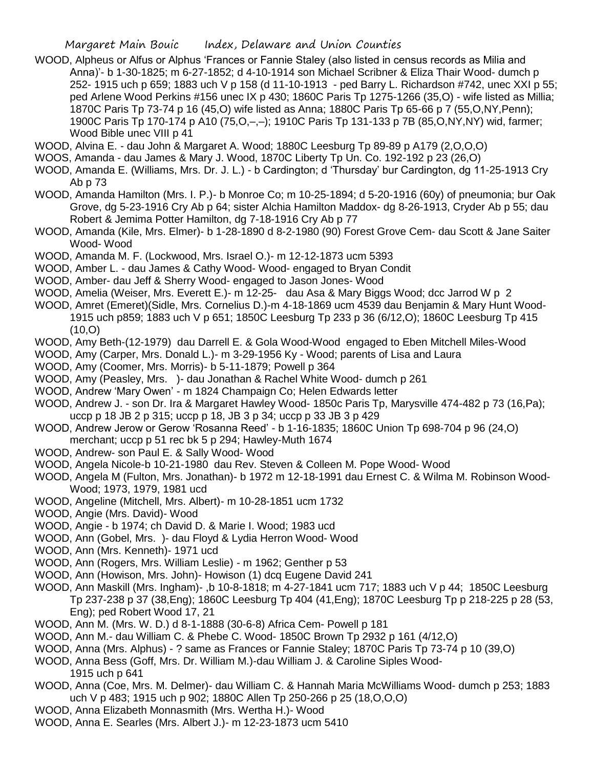WOOD, Alpheus or Alfus or Alphus 'Frances or Fannie Staley (also listed in census records as Milia and Anna)'- b 1-30-1825; m 6-27-1852; d 4-10-1914 son Michael Scribner & Eliza Thair Wood- dumch p 252- 1915 uch p 659; 1883 uch V p 158 (d 11-10-1913 - ped Barry L. Richardson #742, unec XXI p 55; ped Arlene Wood Perkins #156 unec IX p 430; 1860C Paris Tp 1275-1266 (35,O) - wife listed as Millia; 1870C Paris Tp 73-74 p 16 (45,O) wife listed as Anna; 1880C Paris Tp 65-66 p 7 (55,O,NY,Penn); 1900C Paris Tp 170-174 p A10 (75,O,–,–); 1910C Paris Tp 131-133 p 7B (85,O,NY,NY) wid, farmer; Wood Bible unec VIII p 41

WOOD, Alvina E. - dau John & Margaret A. Wood; 1880C Leesburg Tp 89-89 p A179 (2,O,O,O)

- WOOS, Amanda dau James & Mary J. Wood, 1870C Liberty Tp Un. Co. 192-192 p 23 (26,O)
- WOOD, Amanda E. (Williams, Mrs. Dr. J. L.) b Cardington; d 'Thursday' bur Cardington, dg 11-25-1913 Cry Ab p 73
- WOOD, Amanda Hamilton (Mrs. I. P.)- b Monroe Co; m 10-25-1894; d 5-20-1916 (60y) of pneumonia; bur Oak Grove, dg 5-23-1916 Cry Ab p 64; sister Alchia Hamilton Maddox- dg 8-26-1913, Cryder Ab p 55; dau Robert & Jemima Potter Hamilton, dg 7-18-1916 Cry Ab p 77
- WOOD, Amanda (Kile, Mrs. Elmer)- b 1-28-1890 d 8-2-1980 (90) Forest Grove Cem- dau Scott & Jane Saiter Wood- Wood
- WOOD, Amanda M. F. (Lockwood, Mrs. Israel O.)- m 12-12-1873 ucm 5393
- WOOD, Amber L. dau James & Cathy Wood- Wood- engaged to Bryan Condit
- WOOD, Amber- dau Jeff & Sherry Wood- engaged to Jason Jones- Wood
- WOOD, Amelia (Weiser, Mrs. Everett E.)- m 12-25- dau Asa & Mary Biggs Wood; dcc Jarrod W p 2
- WOOD, Amret (Emeret)(Sidle, Mrs. Cornelius D.)-m 4-18-1869 ucm 4539 dau Benjamin & Mary Hunt Wood-1915 uch p859; 1883 uch V p 651; 1850C Leesburg Tp 233 p 36 (6/12,O); 1860C Leesburg Tp 415 (10,O)
- WOOD, Amy Beth-(12-1979) dau Darrell E. & Gola Wood-Wood engaged to Eben Mitchell Miles-Wood
- WOOD, Amy (Carper, Mrs. Donald L.)- m 3-29-1956 Ky Wood; parents of Lisa and Laura
- WOOD, Amy (Coomer, Mrs. Morris)- b 5-11-1879; Powell p 364
- WOOD, Amy (Peasley, Mrs. )- dau Jonathan & Rachel White Wood- dumch p 261
- WOOD, Andrew 'Mary Owen' m 1824 Champaign Co; Helen Edwards letter
- WOOD, Andrew J. son Dr. Ira & Margaret Hawley Wood- 1850c Paris Tp, Marysville 474-482 p 73 (16,Pa); uccp p 18 JB 2 p 315; uccp p 18, JB 3 p 34; uccp p 33 JB 3 p 429
- WOOD, Andrew Jerow or Gerow 'Rosanna Reed' b 1-16-1835; 1860C Union Tp 698-704 p 96 (24,O) merchant; uccp p 51 rec bk 5 p 294; Hawley-Muth 1674
- WOOD, Andrew- son Paul E. & Sally Wood- Wood
- WOOD, Angela Nicole-b 10-21-1980 dau Rev. Steven & Colleen M. Pope Wood- Wood
- WOOD, Angela M (Fulton, Mrs. Jonathan)- b 1972 m 12-18-1991 dau Ernest C. & Wilma M. Robinson Wood-Wood; 1973, 1979, 1981 ucd
- WOOD, Angeline (Mitchell, Mrs. Albert)- m 10-28-1851 ucm 1732
- WOOD, Angie (Mrs. David)- Wood
- WOOD, Angie b 1974; ch David D. & Marie I. Wood; 1983 ucd
- WOOD, Ann (Gobel, Mrs. )- dau Floyd & Lydia Herron Wood- Wood
- WOOD, Ann (Mrs. Kenneth)- 1971 ucd
- WOOD, Ann (Rogers, Mrs. William Leslie) m 1962; Genther p 53
- WOOD, Ann (Howison, Mrs. John)- Howison (1) dcq Eugene David 241
- WOOD, Ann Maskill (Mrs. Ingham)- ,b 10-8-1818; m 4-27-1841 ucm 717; 1883 uch V p 44; 1850C Leesburg Tp 237-238 p 37 (38,Eng); 1860C Leesburg Tp 404 (41,Eng); 1870C Leesburg Tp p 218-225 p 28 (53, Eng); ped Robert Wood 17, 21
- WOOD, Ann M. (Mrs. W. D.) d 8-1-1888 (30-6-8) Africa Cem- Powell p 181
- WOOD, Ann M.- dau William C. & Phebe C. Wood- 1850C Brown Tp 2932 p 161 (4/12,O)
- WOOD, Anna (Mrs. Alphus) ? same as Frances or Fannie Staley; 1870C Paris Tp 73-74 p 10 (39,O)
- WOOD, Anna Bess (Goff, Mrs. Dr. William M.)-dau William J. & Caroline Siples Wood-1915 uch p 641
- WOOD, Anna (Coe, Mrs. M. Delmer)- dau William C. & Hannah Maria McWilliams Wood- dumch p 253; 1883 uch V p 483; 1915 uch p 902; 1880C Allen Tp 250-266 p 25 (18,O,O,O)
- WOOD, Anna Elizabeth Monnasmith (Mrs. Wertha H.)- Wood
- WOOD, Anna E. Searles (Mrs. Albert J.)- m 12-23-1873 ucm 5410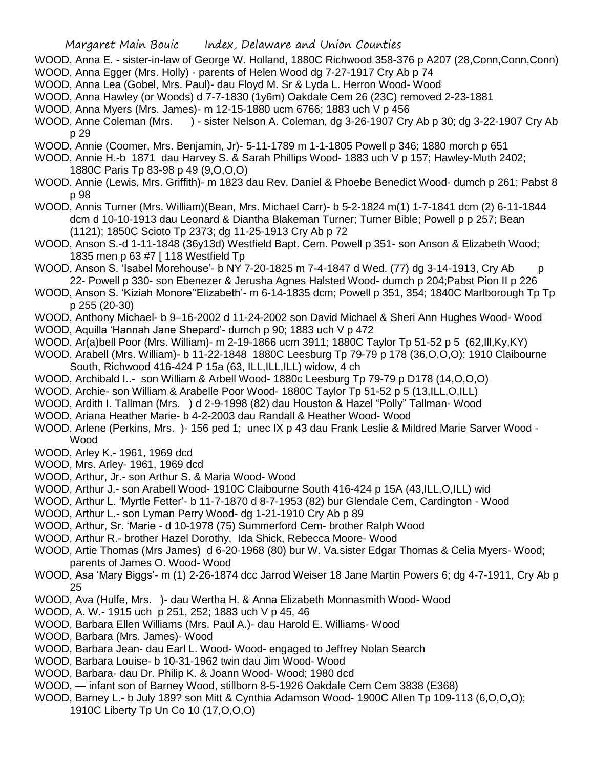- WOOD, Anna E. sister-in-law of George W. Holland, 1880C Richwood 358-376 p A207 (28,Conn,Conn,Conn) WOOD, Anna Egger (Mrs. Holly) - parents of Helen Wood dg 7-27-1917 Cry Ab p 74
- WOOD, Anna Lea (Gobel, Mrs. Paul)- dau Floyd M. Sr & Lyda L. Herron Wood- Wood
- WOOD, Anna Hawley (or Woods) d 7-7-1830 (1y6m) Oakdale Cem 26 (23C) removed 2-23-1881
- WOOD, Anna Myers (Mrs. James)- m 12-15-1880 ucm 6766; 1883 uch V p 456
- WOOD, Anne Coleman (Mrs. ) sister Nelson A. Coleman, dg 3-26-1907 Cry Ab p 30; dg 3-22-1907 Cry Ab p 29
- WOOD, Annie (Coomer, Mrs. Benjamin, Jr)- 5-11-1789 m 1-1-1805 Powell p 346; 1880 morch p 651
- WOOD, Annie H.-b 1871 dau Harvey S. & Sarah Phillips Wood- 1883 uch V p 157; Hawley-Muth 2402; 1880C Paris Tp 83-98 p 49 (9,O,O,O)
- WOOD, Annie (Lewis, Mrs. Griffith)- m 1823 dau Rev. Daniel & Phoebe Benedict Wood- dumch p 261; Pabst 8 p 98
- WOOD, Annis Turner (Mrs. William)(Bean, Mrs. Michael Carr)- b 5-2-1824 m(1) 1-7-1841 dcm (2) 6-11-1844 dcm d 10-10-1913 dau Leonard & Diantha Blakeman Turner; Turner Bible; Powell p p 257; Bean (1121); 1850C Scioto Tp 2373; dg 11-25-1913 Cry Ab p 72
- WOOD, Anson S.-d 1-11-1848 (36y13d) Westfield Bapt. Cem. Powell p 351- son Anson & Elizabeth Wood; 1835 men p 63 #7 [ 118 Westfield Tp
- WOOD, Anson S. 'Isabel Morehouse'- b NY 7-20-1825 m 7-4-1847 d Wed. (77) dg 3-14-1913, Cry Ab p 22- Powell p 330- son Ebenezer & Jerusha Agnes Halsted Wood- dumch p 204;Pabst Pion II p 226
- WOOD, Anson S. 'Kiziah Monore''Elizabeth'- m 6-14-1835 dcm; Powell p 351, 354; 1840C Marlborough Tp Tp p 255 (20-30)
- WOOD, Anthony Michael- b 9–16-2002 d 11-24-2002 son David Michael & Sheri Ann Hughes Wood- Wood
- WOOD, Aquilla 'Hannah Jane Shepard'- dumch p 90; 1883 uch V p 472
- WOOD, Ar(a)bell Poor (Mrs. William)- m 2-19-1866 ucm 3911; 1880C Taylor Tp 51-52 p 5 (62,Ill,Ky,KY)
- WOOD, Arabell (Mrs. William)- b 11-22-1848 1880C Leesburg Tp 79-79 p 178 (36,O,O,O); 1910 Claibourne South, Richwood 416-424 P 15a (63, ILL, ILL, ILL) widow, 4 ch
- WOOD, Archibald I..- son William & Arbell Wood- 1880c Leesburg Tp 79-79 p D178 (14,O,O,O)
- WOOD, Archie- son William & Arabelle Poor Wood- 1880C Taylor Tp 51-52 p 5 (13,ILL,O,ILL)
- WOOD, Ardith I. Tallman (Mrs. ) d 2-9-1998 (82) dau Houston & Hazel "Polly" Tallman- Wood
- WOOD, Ariana Heather Marie- b 4-2-2003 dau Randall & Heather Wood- Wood
- WOOD, Arlene (Perkins, Mrs. )- 156 ped 1; unec IX p 43 dau Frank Leslie & Mildred Marie Sarver Wood Wood
- WOOD, Arley K.- 1961, 1969 dcd
- WOOD, Mrs. Arley- 1961, 1969 dcd
- WOOD, Arthur, Jr.- son Arthur S. & Maria Wood- Wood
- WOOD, Arthur J.- son Arabell Wood- 1910C Claibourne South 416-424 p 15A (43,ILL,O,ILL) wid
- WOOD, Arthur L. 'Myrtle Fetter'- b 11-7-1870 d 8-7-1953 (82) bur Glendale Cem, Cardington Wood
- WOOD, Arthur L.- son Lyman Perry Wood- dg 1-21-1910 Cry Ab p 89
- WOOD, Arthur, Sr. 'Marie d 10-1978 (75) Summerford Cem- brother Ralph Wood
- WOOD, Arthur R.- brother Hazel Dorothy, Ida Shick, Rebecca Moore- Wood
- WOOD, Artie Thomas (Mrs James) d 6-20-1968 (80) bur W. Va.sister Edgar Thomas & Celia Myers- Wood; parents of James O. Wood- Wood
- WOOD, Asa 'Mary Biggs'- m (1) 2-26-1874 dcc Jarrod Weiser 18 Jane Martin Powers 6; dg 4-7-1911, Cry Ab p 25
- WOOD, Ava (Hulfe, Mrs. )- dau Wertha H. & Anna Elizabeth Monnasmith Wood- Wood
- WOOD, A. W.- 1915 uch p 251, 252; 1883 uch V p 45, 46
- WOOD, Barbara Ellen Williams (Mrs. Paul A.)- dau Harold E. Williams- Wood
- WOOD, Barbara (Mrs. James)- Wood
- WOOD, Barbara Jean- dau Earl L. Wood- Wood- engaged to Jeffrey Nolan Search
- WOOD, Barbara Louise- b 10-31-1962 twin dau Jim Wood- Wood
- WOOD, Barbara- dau Dr. Philip K. & Joann Wood- Wood; 1980 dcd
- WOOD, infant son of Barney Wood, stillborn 8-5-1926 Oakdale Cem Cem 3838 (E368)
- WOOD, Barney L.- b July 189? son Mitt & Cynthia Adamson Wood- 1900C Allen Tp 109-113 (6,O,O,O); 1910C Liberty Tp Un Co 10 (17,O,O,O)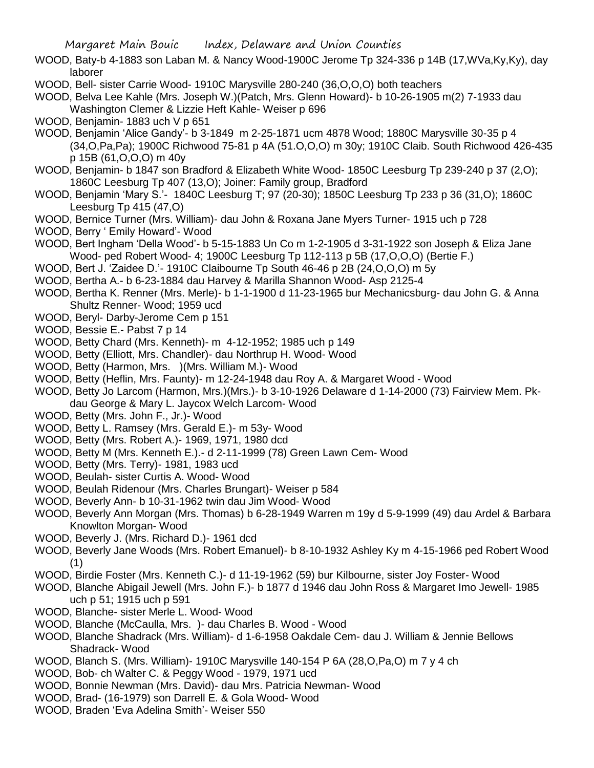- WOOD, Baty-b 4-1883 son Laban M. & Nancy Wood-1900C Jerome Tp 324-336 p 14B (17,WVa,Ky,Ky), day laborer
- WOOD, Bell- sister Carrie Wood- 1910C Marysville 280-240 (36,O,O,O) both teachers
- WOOD, Belva Lee Kahle (Mrs. Joseph W.)(Patch, Mrs. Glenn Howard)- b 10-26-1905 m(2) 7-1933 dau Washington Clemer & Lizzie Heft Kahle- Weiser p 696
- WOOD, Benjamin- 1883 uch V p 651
- WOOD, Benjamin 'Alice Gandy'- b 3-1849 m 2-25-1871 ucm 4878 Wood; 1880C Marysville 30-35 p 4 (34,O,Pa,Pa); 1900C Richwood 75-81 p 4A (51.O,O,O) m 30y; 1910C Claib. South Richwood 426-435 p 15B (61,O,O,O) m 40y
- WOOD, Benjamin- b 1847 son Bradford & Elizabeth White Wood- 1850C Leesburg Tp 239-240 p 37 (2,O); 1860C Leesburg Tp 407 (13,O); Joiner: Family group, Bradford
- WOOD, Benjamin 'Mary S.'- 1840C Leesburg T; 97 (20-30); 1850C Leesburg Tp 233 p 36 (31,O); 1860C Leesburg Tp 415 (47,O)
- WOOD, Bernice Turner (Mrs. William)- dau John & Roxana Jane Myers Turner- 1915 uch p 728
- WOOD, Berry ' Emily Howard'- Wood
- WOOD, Bert Ingham 'Della Wood'- b 5-15-1883 Un Co m 1-2-1905 d 3-31-1922 son Joseph & Eliza Jane Wood- ped Robert Wood- 4; 1900C Leesburg Tp 112-113 p 5B (17,O,O,O) (Bertie F.)
- WOOD, Bert J. 'Zaidee D.'- 1910C Claibourne Tp South 46-46 p 2B (24,O,O,O) m 5y
- WOOD, Bertha A.- b 6-23-1884 dau Harvey & Marilla Shannon Wood- Asp 2125-4
- WOOD, Bertha K. Renner (Mrs. Merle)- b 1-1-1900 d 11-23-1965 bur Mechanicsburg- dau John G. & Anna Shultz Renner- Wood; 1959 ucd
- WOOD, Beryl- Darby-Jerome Cem p 151
- WOOD, Bessie E.- Pabst 7 p 14
- WOOD, Betty Chard (Mrs. Kenneth)- m 4-12-1952; 1985 uch p 149
- WOOD, Betty (Elliott, Mrs. Chandler)- dau Northrup H. Wood- Wood
- WOOD, Betty (Harmon, Mrs. )(Mrs. William M.)- Wood
- WOOD, Betty (Heflin, Mrs. Faunty)- m 12-24-1948 dau Roy A. & Margaret Wood Wood
- WOOD, Betty Jo Larcom (Harmon, Mrs.)(Mrs.)- b 3-10-1926 Delaware d 1-14-2000 (73) Fairview Mem. Pkdau George & Mary L. Jaycox Welch Larcom- Wood
- WOOD, Betty (Mrs. John F., Jr.)- Wood
- WOOD, Betty L. Ramsey (Mrs. Gerald E.)- m 53y- Wood
- WOOD, Betty (Mrs. Robert A.)- 1969, 1971, 1980 dcd
- WOOD, Betty M (Mrs. Kenneth E.).- d 2-11-1999 (78) Green Lawn Cem- Wood
- WOOD, Betty (Mrs. Terry)- 1981, 1983 ucd
- WOOD, Beulah- sister Curtis A. Wood- Wood
- WOOD, Beulah Ridenour (Mrs. Charles Brungart)- Weiser p 584
- WOOD, Beverly Ann- b 10-31-1962 twin dau Jim Wood- Wood
- WOOD, Beverly Ann Morgan (Mrs. Thomas) b 6-28-1949 Warren m 19y d 5-9-1999 (49) dau Ardel & Barbara Knowlton Morgan- Wood
- WOOD, Beverly J. (Mrs. Richard D.)- 1961 dcd
- WOOD, Beverly Jane Woods (Mrs. Robert Emanuel)- b 8-10-1932 Ashley Ky m 4-15-1966 ped Robert Wood (1)
- WOOD, Birdie Foster (Mrs. Kenneth C.)- d 11-19-1962 (59) bur Kilbourne, sister Joy Foster- Wood
- WOOD, Blanche Abigail Jewell (Mrs. John F.)- b 1877 d 1946 dau John Ross & Margaret Imo Jewell- 1985 uch p 51; 1915 uch p 591
- WOOD, Blanche- sister Merle L. Wood- Wood
- WOOD, Blanche (McCaulla, Mrs. )- dau Charles B. Wood Wood
- WOOD, Blanche Shadrack (Mrs. William)- d 1-6-1958 Oakdale Cem- dau J. William & Jennie Bellows Shadrack- Wood
- WOOD, Blanch S. (Mrs. William)- 1910C Marysville 140-154 P 6A (28,O,Pa,O) m 7 y 4 ch
- WOOD, Bob- ch Walter C. & Peggy Wood 1979, 1971 ucd
- WOOD, Bonnie Newman (Mrs. David)- dau Mrs. Patricia Newman- Wood
- WOOD, Brad- (16-1979) son Darrell E. & Gola Wood- Wood
- WOOD, Braden 'Eva Adelina Smith'- Weiser 550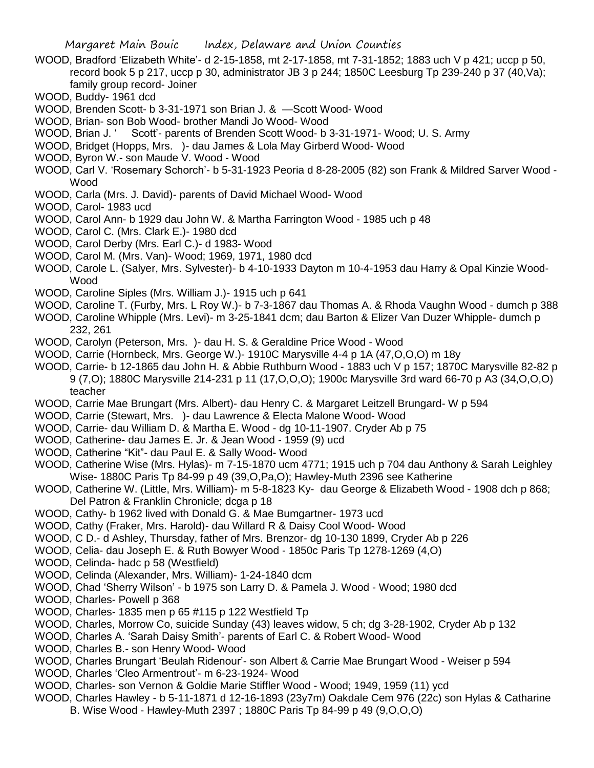- WOOD, Bradford 'Elizabeth White'- d 2-15-1858, mt 2-17-1858, mt 7-31-1852; 1883 uch V p 421; uccp p 50, record book 5 p 217, uccp p 30, administrator JB 3 p 244; 1850C Leesburg Tp 239-240 p 37 (40,Va); family group record- Joiner
- WOOD, Buddy- 1961 dcd
- WOOD, Brenden Scott- b 3-31-1971 son Brian J. & —Scott Wood- Wood
- WOOD, Brian- son Bob Wood- brother Mandi Jo Wood- Wood
- WOOD, Brian J. ' Scott'- parents of Brenden Scott Wood- b 3-31-1971- Wood; U. S. Army
- WOOD, Bridget (Hopps, Mrs. )- dau James & Lola May Girberd Wood- Wood
- WOOD, Byron W.- son Maude V. Wood Wood
- WOOD, Carl V. 'Rosemary Schorch'- b 5-31-1923 Peoria d 8-28-2005 (82) son Frank & Mildred Sarver Wood Wood
- WOOD, Carla (Mrs. J. David)- parents of David Michael Wood- Wood
- WOOD, Carol- 1983 ucd
- WOOD, Carol Ann- b 1929 dau John W. & Martha Farrington Wood 1985 uch p 48
- WOOD, Carol C. (Mrs. Clark E.)- 1980 dcd
- WOOD, Carol Derby (Mrs. Earl C.)- d 1983- Wood
- WOOD, Carol M. (Mrs. Van)- Wood; 1969, 1971, 1980 dcd
- WOOD, Carole L. (Salyer, Mrs. Sylvester)- b 4-10-1933 Dayton m 10-4-1953 dau Harry & Opal Kinzie Wood-Wood
- WOOD, Caroline Siples (Mrs. William J.)- 1915 uch p 641
- WOOD, Caroline T. (Furby, Mrs. L Roy W.)- b 7-3-1867 dau Thomas A. & Rhoda Vaughn Wood dumch p 388
- WOOD, Caroline Whipple (Mrs. Levi)- m 3-25-1841 dcm; dau Barton & Elizer Van Duzer Whipple- dumch p 232, 261
- WOOD, Carolyn (Peterson, Mrs. )- dau H. S. & Geraldine Price Wood Wood
- WOOD, Carrie (Hornbeck, Mrs. George W.)- 1910C Marysville 4-4 p 1A (47,O,O,O) m 18y
- WOOD, Carrie- b 12-1865 dau John H. & Abbie Ruthburn Wood 1883 uch V p 157; 1870C Marysville 82-82 p 9 (7,O); 1880C Marysville 214-231 p 11 (17,O,O,O); 1900c Marysville 3rd ward 66-70 p A3 (34,O,O,O) teacher
- WOOD, Carrie Mae Brungart (Mrs. Albert)- dau Henry C. & Margaret Leitzell Brungard- W p 594
- WOOD, Carrie (Stewart, Mrs. )- dau Lawrence & Electa Malone Wood- Wood
- WOOD, Carrie- dau William D. & Martha E. Wood dg 10-11-1907. Cryder Ab p 75
- WOOD, Catherine- dau James E. Jr. & Jean Wood 1959 (9) ucd
- WOOD, Catherine "Kit"- dau Paul E. & Sally Wood- Wood
- WOOD, Catherine Wise (Mrs. Hylas)- m 7-15-1870 ucm 4771; 1915 uch p 704 dau Anthony & Sarah Leighley Wise- 1880C Paris Tp 84-99 p 49 (39,O,Pa,O); Hawley-Muth 2396 see Katherine
- WOOD, Catherine W. (Little, Mrs. William)- m 5-8-1823 Ky- dau George & Elizabeth Wood 1908 dch p 868; Del Patron & Franklin Chronicle; dcga p 18
- WOOD, Cathy- b 1962 lived with Donald G. & Mae Bumgartner- 1973 ucd
- WOOD, Cathy (Fraker, Mrs. Harold)- dau Willard R & Daisy Cool Wood- Wood
- WOOD, C D.- d Ashley, Thursday, father of Mrs. Brenzor- dg 10-130 1899, Cryder Ab p 226
- WOOD, Celia- dau Joseph E. & Ruth Bowyer Wood 1850c Paris Tp 1278-1269 (4,O)
- WOOD, Celinda- hadc p 58 (Westfield)
- WOOD, Celinda (Alexander, Mrs. William)- 1-24-1840 dcm
- WOOD, Chad 'Sherry Wilson' b 1975 son Larry D. & Pamela J. Wood Wood; 1980 dcd
- WOOD, Charles- Powell p 368
- WOOD, Charles- 1835 men p 65 #115 p 122 Westfield Tp
- WOOD, Charles, Morrow Co, suicide Sunday (43) leaves widow, 5 ch; dg 3-28-1902, Cryder Ab p 132
- WOOD, Charles A. 'Sarah Daisy Smith'- parents of Earl C. & Robert Wood- Wood
- WOOD, Charles B.- son Henry Wood- Wood
- WOOD, Charles Brungart 'Beulah Ridenour'- son Albert & Carrie Mae Brungart Wood Weiser p 594
- WOOD, Charles 'Cleo Armentrout'- m 6-23-1924- Wood
- WOOD, Charles- son Vernon & Goldie Marie Stiffler Wood Wood; 1949, 1959 (11) ycd
- WOOD, Charles Hawley b 5-11-1871 d 12-16-1893 (23y7m) Oakdale Cem 976 (22c) son Hylas & Catharine B. Wise Wood - Hawley-Muth 2397 ; 1880C Paris Tp 84-99 p 49 (9,O,O,O)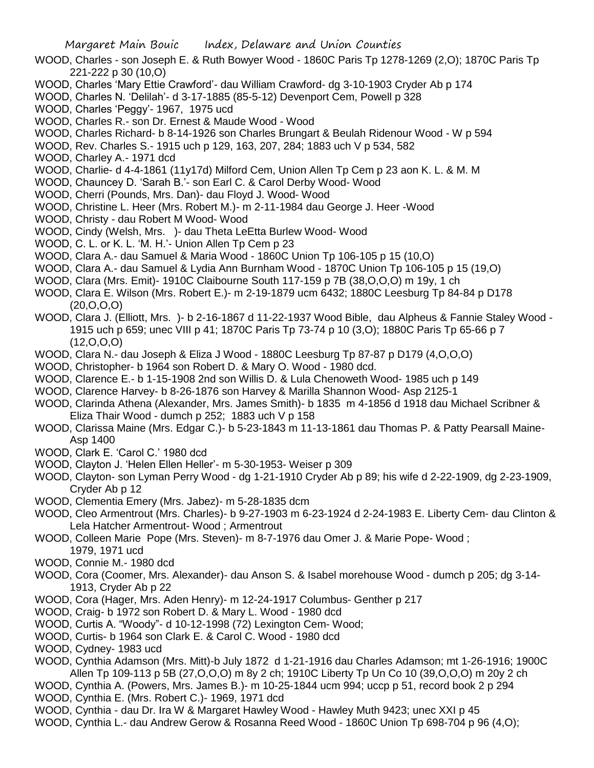- WOOD, Charles son Joseph E. & Ruth Bowyer Wood 1860C Paris Tp 1278-1269 (2,O); 1870C Paris Tp 221-222 p 30 (10,O)
- WOOD, Charles 'Mary Ettie Crawford'- dau William Crawford- dg 3-10-1903 Cryder Ab p 174
- WOOD, Charles N. 'Delilah'- d 3-17-1885 (85-5-12) Devenport Cem, Powell p 328
- WOOD, Charles 'Peggy'- 1967, 1975 ucd
- WOOD, Charles R.- son Dr. Ernest & Maude Wood Wood
- WOOD, Charles Richard- b 8-14-1926 son Charles Brungart & Beulah Ridenour Wood W p 594
- WOOD, Rev. Charles S.- 1915 uch p 129, 163, 207, 284; 1883 uch V p 534, 582
- WOOD, Charley A.- 1971 dcd
- WOOD, Charlie- d 4-4-1861 (11y17d) Milford Cem, Union Allen Tp Cem p 23 aon K. L. & M. M
- WOOD, Chauncey D. 'Sarah B.'- son Earl C. & Carol Derby Wood- Wood
- WOOD, Cherri (Pounds, Mrs. Dan)- dau Floyd J. Wood- Wood
- WOOD, Christine L. Heer (Mrs. Robert M.)- m 2-11-1984 dau George J. Heer -Wood
- WOOD, Christy dau Robert M Wood- Wood
- WOOD, Cindy (Welsh, Mrs. )- dau Theta LeEtta Burlew Wood- Wood
- WOOD, C. L. or K. L. 'M. H.'- Union Allen Tp Cem p 23
- WOOD, Clara A.- dau Samuel & Maria Wood 1860C Union Tp 106-105 p 15 (10,O)
- WOOD, Clara A.- dau Samuel & Lydia Ann Burnham Wood 1870C Union Tp 106-105 p 15 (19,O)
- WOOD, Clara (Mrs. Emit)- 1910C Claibourne South 117-159 p 7B (38,O,O,O) m 19y, 1 ch
- WOOD, Clara E. Wilson (Mrs. Robert E.)- m 2-19-1879 ucm 6432; 1880C Leesburg Tp 84-84 p D178 (20,O,O,O)
- WOOD, Clara J. (Elliott, Mrs. )- b 2-16-1867 d 11-22-1937 Wood Bible, dau Alpheus & Fannie Staley Wood 1915 uch p 659; unec VIII p 41; 1870C Paris Tp 73-74 p 10 (3,O); 1880C Paris Tp 65-66 p 7  $(12, 0, 0, 0)$
- WOOD, Clara N.- dau Joseph & Eliza J Wood 1880C Leesburg Tp 87-87 p D179 (4,O,O,O)
- WOOD, Christopher- b 1964 son Robert D. & Mary O. Wood 1980 dcd.
- WOOD, Clarence E.- b 1-15-1908 2nd son Willis D. & Lula Chenoweth Wood- 1985 uch p 149
- WOOD, Clarence Harvey- b 8-26-1876 son Harvey & Marilla Shannon Wood- Asp 2125-1
- WOOD, Clarinda Athena (Alexander, Mrs. James Smith)- b 1835 m 4-1856 d 1918 dau Michael Scribner & Eliza Thair Wood - dumch p 252; 1883 uch V p 158
- WOOD, Clarissa Maine (Mrs. Edgar C.)- b 5-23-1843 m 11-13-1861 dau Thomas P. & Patty Pearsall Maine-Asp 1400
- WOOD, Clark E. 'Carol C.' 1980 dcd
- WOOD, Clayton J. 'Helen Ellen Heller'- m 5-30-1953- Weiser p 309
- WOOD, Clayton- son Lyman Perry Wood dg 1-21-1910 Cryder Ab p 89; his wife d 2-22-1909, dg 2-23-1909, Cryder Ab p 12
- WOOD, Clementia Emery (Mrs. Jabez)- m 5-28-1835 dcm
- WOOD, Cleo Armentrout (Mrs. Charles)- b 9-27-1903 m 6-23-1924 d 2-24-1983 E. Liberty Cem- dau Clinton & Lela Hatcher Armentrout- Wood ; Armentrout
- WOOD, Colleen Marie Pope (Mrs. Steven)- m 8-7-1976 dau Omer J. & Marie Pope- Wood ; 1979, 1971 ucd
- WOOD, Connie M.- 1980 dcd
- WOOD, Cora (Coomer, Mrs. Alexander)- dau Anson S. & Isabel morehouse Wood dumch p 205; dg 3-14- 1913, Cryder Ab p 22
- WOOD, Cora (Hager, Mrs. Aden Henry)- m 12-24-1917 Columbus- Genther p 217
- WOOD, Craig- b 1972 son Robert D. & Mary L. Wood 1980 dcd
- WOOD, Curtis A. "Woody"- d 10-12-1998 (72) Lexington Cem- Wood;
- WOOD, Curtis- b 1964 son Clark E. & Carol C. Wood 1980 dcd
- WOOD, Cydney- 1983 ucd
- WOOD, Cynthia Adamson (Mrs. Mitt)-b July 1872 d 1-21-1916 dau Charles Adamson; mt 1-26-1916; 1900C Allen Tp 109-113 p 5B (27,O,O,O) m 8y 2 ch; 1910C Liberty Tp Un Co 10 (39,O,O,O) m 20y 2 ch
- WOOD, Cynthia A. (Powers, Mrs. James B.)- m 10-25-1844 ucm 994; uccp p 51, record book 2 p 294
- WOOD, Cynthia E. (Mrs. Robert C.)- 1969, 1971 dcd
- WOOD, Cynthia dau Dr. Ira W & Margaret Hawley Wood Hawley Muth 9423; unec XXI p 45
- WOOD, Cynthia L.- dau Andrew Gerow & Rosanna Reed Wood 1860C Union Tp 698-704 p 96 (4,O);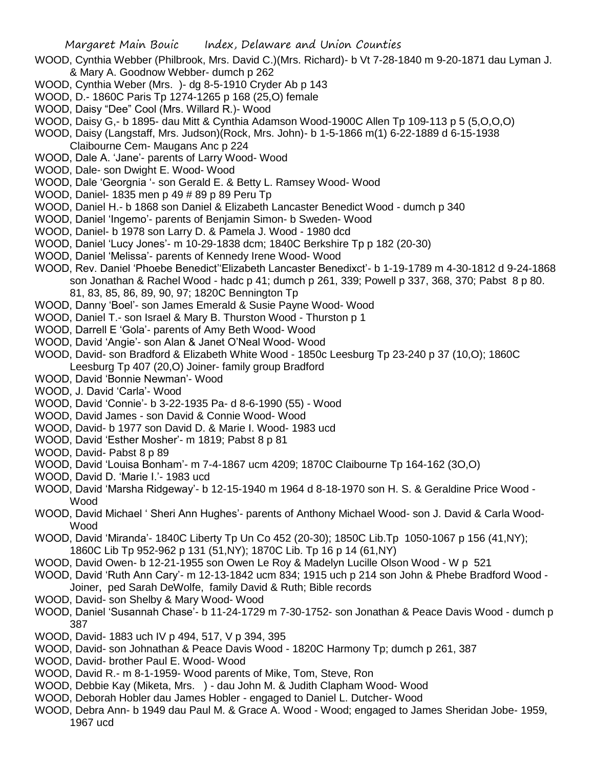- WOOD, Cynthia Webber (Philbrook, Mrs. David C.)(Mrs. Richard)- b Vt 7-28-1840 m 9-20-1871 dau Lyman J. & Mary A. Goodnow Webber- dumch p 262
- WOOD, Cynthia Weber (Mrs. )- dg 8-5-1910 Cryder Ab p 143
- WOOD, D.- 1860C Paris Tp 1274-1265 p 168 (25,O) female
- WOOD, Daisy "Dee" Cool (Mrs. Willard R.)- Wood
- WOOD, Daisy G,- b 1895- dau Mitt & Cynthia Adamson Wood-1900C Allen Tp 109-113 p 5 (5,O,O,O)
- WOOD, Daisy (Langstaff, Mrs. Judson)(Rock, Mrs. John)- b 1-5-1866 m(1) 6-22-1889 d 6-15-1938 Claibourne Cem- Maugans Anc p 224
- WOOD, Dale A. 'Jane'- parents of Larry Wood- Wood
- WOOD, Dale- son Dwight E. Wood- Wood
- WOOD, Dale 'Georgnia '- son Gerald E. & Betty L. Ramsey Wood- Wood
- WOOD, Daniel- 1835 men p 49 # 89 p 89 Peru Tp
- WOOD, Daniel H.- b 1868 son Daniel & Elizabeth Lancaster Benedict Wood dumch p 340
- WOOD, Daniel 'Ingemo'- parents of Benjamin Simon- b Sweden- Wood
- WOOD, Daniel- b 1978 son Larry D. & Pamela J. Wood 1980 dcd
- WOOD, Daniel 'Lucy Jones'- m 10-29-1838 dcm; 1840C Berkshire Tp p 182 (20-30)
- WOOD, Daniel 'Melissa'- parents of Kennedy Irene Wood- Wood
- WOOD, Rev. Daniel 'Phoebe Benedict''Elizabeth Lancaster Benedixct'- b 1-19-1789 m 4-30-1812 d 9-24-1868 son Jonathan & Rachel Wood - hadc p 41; dumch p 261, 339; Powell p 337, 368, 370; Pabst 8 p 80. 81, 83, 85, 86, 89, 90, 97; 1820C Bennington Tp
- WOOD, Danny 'Boel'- son James Emerald & Susie Payne Wood- Wood
- WOOD, Daniel T.- son Israel & Mary B. Thurston Wood Thurston p 1
- WOOD, Darrell E 'Gola'- parents of Amy Beth Wood- Wood
- WOOD, David 'Angie'- son Alan & Janet O'Neal Wood- Wood
- WOOD, David- son Bradford & Elizabeth White Wood 1850c Leesburg Tp 23-240 p 37 (10,O); 1860C Leesburg Tp 407 (20,O) Joiner- family group Bradford
- WOOD, David 'Bonnie Newman'- Wood
- WOOD, J. David 'Carla'- Wood
- WOOD, David 'Connie'- b 3-22-1935 Pa- d 8-6-1990 (55) Wood
- WOOD, David James son David & Connie Wood- Wood
- WOOD, David- b 1977 son David D. & Marie I. Wood- 1983 ucd
- WOOD, David 'Esther Mosher'- m 1819; Pabst 8 p 81
- WOOD, David- Pabst 8 p 89
- WOOD, David 'Louisa Bonham'- m 7-4-1867 ucm 4209; 1870C Claibourne Tp 164-162 (3O,O)
- WOOD, David D. 'Marie I.'- 1983 ucd
- WOOD, David 'Marsha Ridgeway'- b 12-15-1940 m 1964 d 8-18-1970 son H. S. & Geraldine Price Wood Wood
- WOOD, David Michael ' Sheri Ann Hughes'- parents of Anthony Michael Wood- son J. David & Carla Wood-Wood
- WOOD, David 'Miranda'- 1840C Liberty Tp Un Co 452 (20-30); 1850C Lib.Tp 1050-1067 p 156 (41,NY); 1860C Lib Tp 952-962 p 131 (51,NY); 1870C Lib. Tp 16 p 14 (61,NY)
- WOOD, David Owen- b 12-21-1955 son Owen Le Roy & Madelyn Lucille Olson Wood W p 521
- WOOD, David 'Ruth Ann Cary'- m 12-13-1842 ucm 834; 1915 uch p 214 son John & Phebe Bradford Wood Joiner, ped Sarah DeWolfe, family David & Ruth; Bible records
- WOOD, David- son Shelby & Mary Wood- Wood
- WOOD, Daniel 'Susannah Chase'- b 11-24-1729 m 7-30-1752- son Jonathan & Peace Davis Wood dumch p 387
- WOOD, David- 1883 uch IV p 494, 517, V p 394, 395
- WOOD, David- son Johnathan & Peace Davis Wood 1820C Harmony Tp; dumch p 261, 387
- WOOD, David- brother Paul E. Wood- Wood
- WOOD, David R.- m 8-1-1959- Wood parents of Mike, Tom, Steve, Ron
- WOOD, Debbie Kay (Miketa, Mrs. ) dau John M. & Judith Clapham Wood- Wood
- WOOD, Deborah Hobler dau James Hobler engaged to Daniel L. Dutcher- Wood
- WOOD, Debra Ann- b 1949 dau Paul M. & Grace A. Wood Wood; engaged to James Sheridan Jobe- 1959, 1967 ucd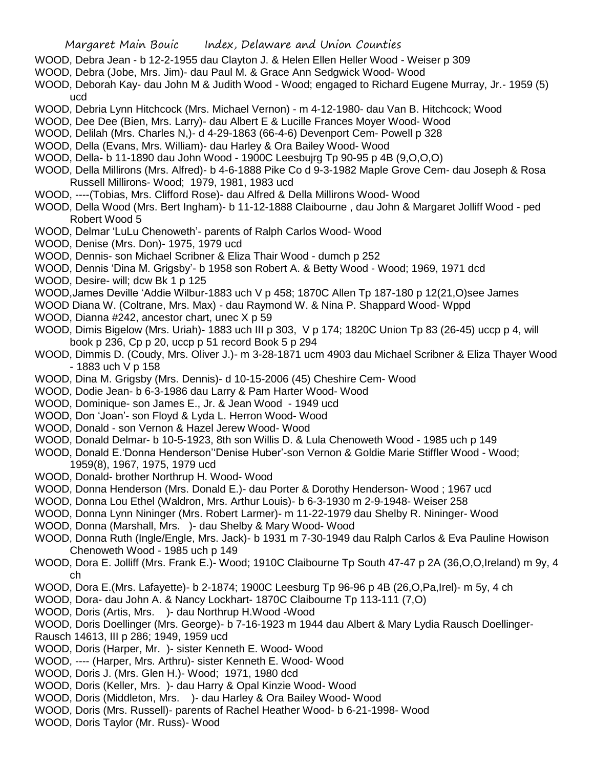- WOOD, Debra Jean b 12-2-1955 dau Clayton J. & Helen Ellen Heller Wood Weiser p 309
- WOOD, Debra (Jobe, Mrs. Jim)- dau Paul M. & Grace Ann Sedgwick Wood- Wood
- WOOD, Deborah Kay- dau John M & Judith Wood Wood; engaged to Richard Eugene Murray, Jr.- 1959 (5) ucd
- WOOD, Debria Lynn Hitchcock (Mrs. Michael Vernon) m 4-12-1980- dau Van B. Hitchcock; Wood
- WOOD, Dee Dee (Bien, Mrs. Larry)- dau Albert E & Lucille Frances Moyer Wood- Wood
- WOOD, Delilah (Mrs. Charles N,)- d 4-29-1863 (66-4-6) Devenport Cem- Powell p 328
- WOOD, Della (Evans, Mrs. William)- dau Harley & Ora Bailey Wood- Wood
- WOOD, Della- b 11-1890 dau John Wood 1900C Leesbujrg Tp 90-95 p 4B (9,O,O,O)
- WOOD, Della Millirons (Mrs. Alfred)- b 4-6-1888 Pike Co d 9-3-1982 Maple Grove Cem- dau Joseph & Rosa Russell Millirons- Wood; 1979, 1981, 1983 ucd
- WOOD, ----(Tobias, Mrs. Clifford Rose)- dau Alfred & Della Millirons Wood- Wood
- WOOD, Della Wood (Mrs. Bert Ingham)- b 11-12-1888 Claibourne , dau John & Margaret Jolliff Wood ped Robert Wood 5
- WOOD, Delmar 'LuLu Chenoweth'- parents of Ralph Carlos Wood- Wood
- WOOD, Denise (Mrs. Don)- 1975, 1979 ucd
- WOOD, Dennis- son Michael Scribner & Eliza Thair Wood dumch p 252
- WOOD, Dennis 'Dina M. Grigsby'- b 1958 son Robert A. & Betty Wood Wood; 1969, 1971 dcd
- WOOD, Desire- will; dcw Bk 1 p 125
- WOOD,James Deville 'Addie Wilbur-1883 uch V p 458; 1870C Allen Tp 187-180 p 12(21,O)see James
- WOOD Diana W. (Coltrane, Mrs. Max) dau Raymond W. & Nina P. Shappard Wood- Wppd
- WOOD, Dianna #242, ancestor chart, unec X p 59
- WOOD, Dimis Bigelow (Mrs. Uriah)- 1883 uch III p 303, V p 174; 1820C Union Tp 83 (26-45) uccp p 4, will book p 236, Cp p 20, uccp p 51 record Book 5 p 294
- WOOD, Dimmis D. (Coudy, Mrs. Oliver J.)- m 3-28-1871 ucm 4903 dau Michael Scribner & Eliza Thayer Wood - 1883 uch V p 158
- WOOD, Dina M. Grigsby (Mrs. Dennis)- d 10-15-2006 (45) Cheshire Cem- Wood
- WOOD, Dodie Jean- b 6-3-1986 dau Larry & Pam Harter Wood- Wood
- WOOD, Dominique- son James E., Jr. & Jean Wood 1949 ucd
- WOOD, Don 'Joan'- son Floyd & Lyda L. Herron Wood- Wood
- WOOD, Donald son Vernon & Hazel Jerew Wood- Wood
- WOOD, Donald Delmar- b 10-5-1923, 8th son Willis D. & Lula Chenoweth Wood 1985 uch p 149
- WOOD, Donald E.'Donna Henderson''Denise Huber'-son Vernon & Goldie Marie Stiffler Wood Wood; 1959(8), 1967, 1975, 1979 ucd
- WOOD, Donald- brother Northrup H. Wood- Wood
- WOOD, Donna Henderson (Mrs. Donald E.)- dau Porter & Dorothy Henderson- Wood ; 1967 ucd
- WOOD, Donna Lou Ethel (Waldron, Mrs. Arthur Louis)- b 6-3-1930 m 2-9-1948- Weiser 258
- WOOD, Donna Lynn Nininger (Mrs. Robert Larmer)- m 11-22-1979 dau Shelby R. Nininger- Wood
- WOOD, Donna (Marshall, Mrs. )- dau Shelby & Mary Wood- Wood
- WOOD, Donna Ruth (Ingle/Engle, Mrs. Jack)- b 1931 m 7-30-1949 dau Ralph Carlos & Eva Pauline Howison Chenoweth Wood - 1985 uch p 149
- WOOD, Dora E. Jolliff (Mrs. Frank E.)- Wood; 1910C Claibourne Tp South 47-47 p 2A (36,O,O,Ireland) m 9y, 4 ch
- WOOD, Dora E.(Mrs. Lafayette)- b 2-1874; 1900C Leesburg Tp 96-96 p 4B (26,O,Pa,Irel)- m 5y, 4 ch
- WOOD, Dora- dau John A. & Nancy Lockhart- 1870C Claibourne Tp 113-111 (7,O)
- WOOD, Doris (Artis, Mrs. )- dau Northrup H.Wood -Wood
- WOOD, Doris Doellinger (Mrs. George)- b 7-16-1923 m 1944 dau Albert & Mary Lydia Rausch Doellinger-
- Rausch 14613, III p 286; 1949, 1959 ucd
- WOOD, Doris (Harper, Mr. )- sister Kenneth E. Wood- Wood
- WOOD, ---- (Harper, Mrs. Arthru)- sister Kenneth E. Wood- Wood
- WOOD, Doris J. (Mrs. Glen H.)- Wood; 1971, 1980 dcd
- WOOD, Doris (Keller, Mrs. )- dau Harry & Opal Kinzie Wood- Wood
- WOOD, Doris (Middleton, Mrs. )- dau Harley & Ora Bailey Wood- Wood
- WOOD, Doris (Mrs. Russell)- parents of Rachel Heather Wood- b 6-21-1998- Wood
- WOOD, Doris Taylor (Mr. Russ)- Wood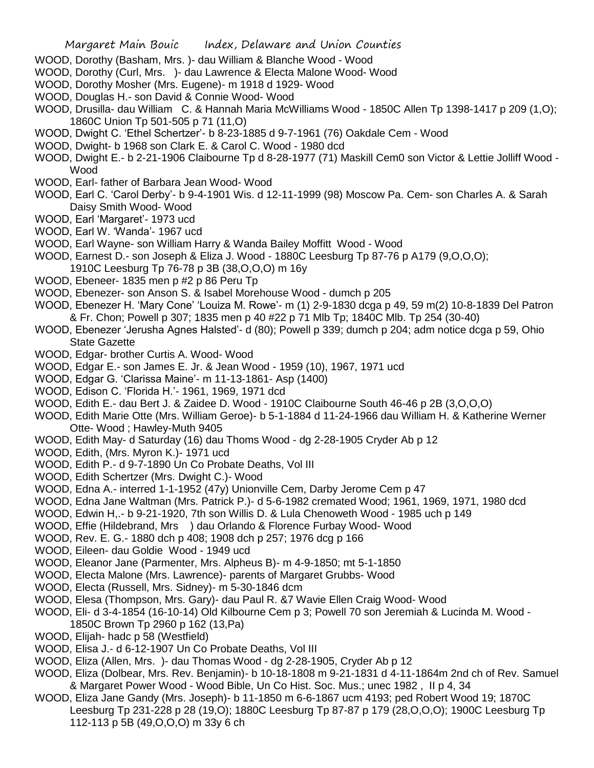- WOOD, Dorothy (Basham, Mrs. )- dau William & Blanche Wood Wood
- WOOD, Dorothy (Curl, Mrs. )- dau Lawrence & Electa Malone Wood- Wood
- WOOD, Dorothy Mosher (Mrs. Eugene)- m 1918 d 1929- Wood
- WOOD, Douglas H.- son David & Connie Wood- Wood
- WOOD, Drusilla- dau William C. & Hannah Maria McWilliams Wood 1850C Allen Tp 1398-1417 p 209 (1,O); 1860C Union Tp 501-505 p 71 (11,O)
- WOOD, Dwight C. 'Ethel Schertzer'- b 8-23-1885 d 9-7-1961 (76) Oakdale Cem Wood
- WOOD, Dwight- b 1968 son Clark E. & Carol C. Wood 1980 dcd
- WOOD, Dwight E.- b 2-21-1906 Claibourne Tp d 8-28-1977 (71) Maskill Cem0 son Victor & Lettie Jolliff Wood Wood
- WOOD, Earl- father of Barbara Jean Wood- Wood
- WOOD, Earl C. 'Carol Derby'- b 9-4-1901 Wis. d 12-11-1999 (98) Moscow Pa. Cem- son Charles A. & Sarah Daisy Smith Wood- Wood
- WOOD, Earl 'Margaret'- 1973 ucd
- WOOD, Earl W. 'Wanda'- 1967 ucd
- WOOD, Earl Wayne- son William Harry & Wanda Bailey Moffitt Wood Wood
- WOOD, Earnest D.- son Joseph & Eliza J. Wood 1880C Leesburg Tp 87-76 p A179 (9,O,O,O);
- 1910C Leesburg Tp 76-78 p 3B (38,O,O,O) m 16y
- WOOD, Ebeneer- 1835 men p #2 p 86 Peru Tp
- WOOD, Ebenezer- son Anson S. & Isabel Morehouse Wood dumch p 205
- WOOD, Ebenezer H. 'Mary Cone' 'Louiza M. Rowe'- m (1) 2-9-1830 dcga p 49, 59 m(2) 10-8-1839 Del Patron & Fr. Chon; Powell p 307; 1835 men p 40 #22 p 71 Mlb Tp; 1840C Mlb. Tp 254 (30-40)
- WOOD, Ebenezer 'Jerusha Agnes Halsted'- d (80); Powell p 339; dumch p 204; adm notice dcga p 59, Ohio State Gazette
- WOOD, Edgar- brother Curtis A. Wood- Wood
- WOOD, Edgar E.- son James E. Jr. & Jean Wood 1959 (10), 1967, 1971 ucd
- WOOD, Edgar G. 'Clarissa Maine'- m 11-13-1861- Asp (1400)
- WOOD, Edison C. 'Florida H.'- 1961, 1969, 1971 dcd
- WOOD, Edith E.- dau Bert J. & Zaidee D. Wood 1910C Claibourne South 46-46 p 2B (3,O,O,O)
- WOOD, Edith Marie Otte (Mrs. William Geroe)- b 5-1-1884 d 11-24-1966 dau William H. & Katherine Werner Otte- Wood ; Hawley-Muth 9405
- WOOD, Edith May- d Saturday (16) dau Thoms Wood dg 2-28-1905 Cryder Ab p 12
- WOOD, Edith, (Mrs. Myron K.)- 1971 ucd
- WOOD, Edith P.- d 9-7-1890 Un Co Probate Deaths, Vol III
- WOOD, Edith Schertzer (Mrs. Dwight C.)- Wood
- WOOD, Edna A.- interred 1-1-1952 (47y) Unionville Cem, Darby Jerome Cem p 47
- WOOD, Edna Jane Waltman (Mrs. Patrick P.)- d 5-6-1982 cremated Wood; 1961, 1969, 1971, 1980 dcd
- WOOD, Edwin H,.- b 9-21-1920, 7th son Willis D. & Lula Chenoweth Wood 1985 uch p 149
- WOOD, Effie (Hildebrand, Mrs ) dau Orlando & Florence Furbay Wood- Wood
- WOOD, Rev. E. G.- 1880 dch p 408; 1908 dch p 257; 1976 dcg p 166
- WOOD, Eileen- dau Goldie Wood 1949 ucd
- WOOD, Eleanor Jane (Parmenter, Mrs. Alpheus B)- m 4-9-1850; mt 5-1-1850
- WOOD, Electa Malone (Mrs. Lawrence)- parents of Margaret Grubbs- Wood
- WOOD, Electa (Russell, Mrs. Sidney)- m 5-30-1846 dcm
- WOOD, Elesa (Thompson, Mrs. Gary)- dau Paul R. &7 Wavie Ellen Craig Wood- Wood
- WOOD, Eli- d 3-4-1854 (16-10-14) Old Kilbourne Cem p 3; Powell 70 son Jeremiah & Lucinda M. Wood 1850C Brown Tp 2960 p 162 (13,Pa)
- WOOD, Elijah- hadc p 58 (Westfield)
- WOOD, Elisa J.- d 6-12-1907 Un Co Probate Deaths, Vol III
- WOOD, Eliza (Allen, Mrs. )- dau Thomas Wood dg 2-28-1905, Cryder Ab p 12
- WOOD, Eliza (Dolbear, Mrs. Rev. Benjamin)- b 10-18-1808 m 9-21-1831 d 4-11-1864m 2nd ch of Rev. Samuel & Margaret Power Wood - Wood Bible, Un Co Hist. Soc. Mus.; unec 1982 , II p 4, 34
- WOOD, Eliza Jane Gandy (Mrs. Joseph)- b 11-1850 m 6-6-1867 ucm 4193; ped Robert Wood 19; 1870C Leesburg Tp 231-228 p 28 (19,O); 1880C Leesburg Tp 87-87 p 179 (28,O,O,O); 1900C Leesburg Tp 112-113 p 5B (49,O,O,O) m 33y 6 ch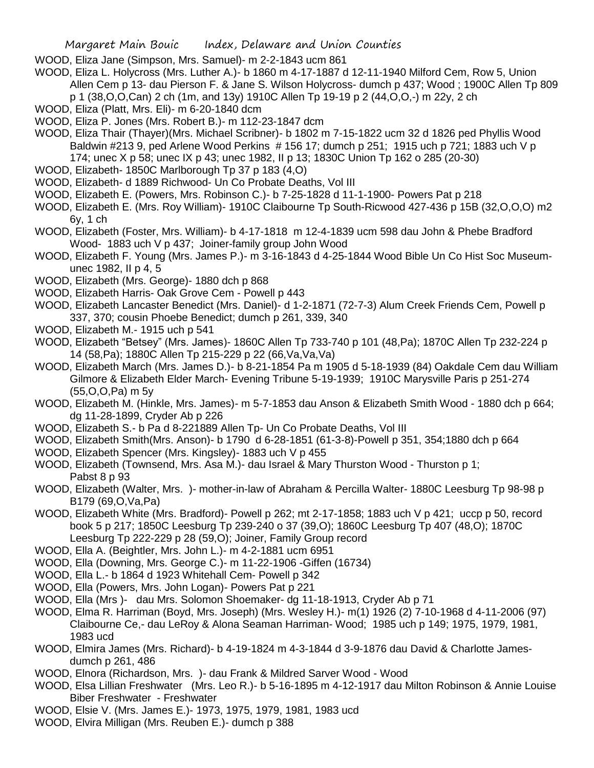WOOD, Eliza Jane (Simpson, Mrs. Samuel)- m 2-2-1843 ucm 861

- WOOD, Eliza L. Holycross (Mrs. Luther A.)- b 1860 m 4-17-1887 d 12-11-1940 Milford Cem, Row 5, Union Allen Cem p 13- dau Pierson F. & Jane S. Wilson Holycross- dumch p 437; Wood ; 1900C Allen Tp 809 p 1 (38,O,O,Can) 2 ch (1m, and 13y) 1910C Allen Tp 19-19 p 2 (44,O,O,-) m 22y, 2 ch
- WOOD, Eliza (Platt, Mrs. Eli)- m 6-20-1840 dcm
- WOOD, Eliza P. Jones (Mrs. Robert B.)- m 112-23-1847 dcm
- WOOD, Eliza Thair (Thayer)(Mrs. Michael Scribner)- b 1802 m 7-15-1822 ucm 32 d 1826 ped Phyllis Wood Baldwin #213 9, ped Arlene Wood Perkins # 156 17; dumch p 251; 1915 uch p 721; 1883 uch V p 174; unec X p 58; unec IX p 43; unec 1982, II p 13; 1830C Union Tp 162 o 285 (20-30)
- WOOD, Elizabeth- 1850C Marlborough Tp 37 p 183 (4,O)
- WOOD, Elizabeth- d 1889 Richwood- Un Co Probate Deaths, Vol III
- WOOD, Elizabeth E. (Powers, Mrs. Robinson C.)- b 7-25-1828 d 11-1-1900- Powers Pat p 218
- WOOD, Elizabeth E. (Mrs. Roy William)- 1910C Claibourne Tp South-Ricwood 427-436 p 15B (32,O,O,O) m2 6y, 1 ch
- WOOD, Elizabeth (Foster, Mrs. William)- b 4-17-1818 m 12-4-1839 ucm 598 dau John & Phebe Bradford Wood- 1883 uch V p 437; Joiner-family group John Wood
- WOOD, Elizabeth F. Young (Mrs. James P.)- m 3-16-1843 d 4-25-1844 Wood Bible Un Co Hist Soc Museumunec 1982, II p 4, 5
- WOOD, Elizabeth (Mrs. George)- 1880 dch p 868
- WOOD, Elizabeth Harris- Oak Grove Cem Powell p 443
- WOOD, Elizabeth Lancaster Benedict (Mrs. Daniel)- d 1-2-1871 (72-7-3) Alum Creek Friends Cem, Powell p 337, 370; cousin Phoebe Benedict; dumch p 261, 339, 340
- WOOD, Elizabeth M.- 1915 uch p 541
- WOOD, Elizabeth "Betsey" (Mrs. James)- 1860C Allen Tp 733-740 p 101 (48,Pa); 1870C Allen Tp 232-224 p 14 (58,Pa); 1880C Allen Tp 215-229 p 22 (66,Va,Va,Va)
- WOOD, Elizabeth March (Mrs. James D.)- b 8-21-1854 Pa m 1905 d 5-18-1939 (84) Oakdale Cem dau William Gilmore & Elizabeth Elder March- Evening Tribune 5-19-1939; 1910C Marysville Paris p 251-274 (55,O,O,Pa) m 5y
- WOOD, Elizabeth M. (Hinkle, Mrs. James)- m 5-7-1853 dau Anson & Elizabeth Smith Wood 1880 dch p 664; dg 11-28-1899, Cryder Ab p 226
- WOOD, Elizabeth S.- b Pa d 8-221889 Allen Tp- Un Co Probate Deaths, Vol III
- WOOD, Elizabeth Smith(Mrs. Anson)- b 1790 d 6-28-1851 (61-3-8)-Powell p 351, 354;1880 dch p 664
- WOOD, Elizabeth Spencer (Mrs. Kingsley)- 1883 uch V p 455
- WOOD, Elizabeth (Townsend, Mrs. Asa M.)- dau Israel & Mary Thurston Wood Thurston p 1; Pabst 8 p 93
- WOOD, Elizabeth (Walter, Mrs. )- mother-in-law of Abraham & Percilla Walter- 1880C Leesburg Tp 98-98 p B179 (69,O,Va,Pa)
- WOOD, Elizabeth White (Mrs. Bradford)- Powell p 262; mt 2-17-1858; 1883 uch V p 421; uccp p 50, record book 5 p 217; 1850C Leesburg Tp 239-240 o 37 (39,O); 1860C Leesburg Tp 407 (48,O); 1870C Leesburg Tp 222-229 p 28 (59,O); Joiner, Family Group record
- WOOD, Ella A. (Beightler, Mrs. John L.)- m 4-2-1881 ucm 6951
- WOOD, Ella (Downing, Mrs. George C.)- m 11-22-1906 -Giffen (16734)
- WOOD, Ella L.- b 1864 d 1923 Whitehall Cem- Powell p 342
- WOOD, Ella (Powers, Mrs. John Logan)- Powers Pat p 221
- WOOD, Ella (Mrs )- dau Mrs. Solomon Shoemaker- dg 11-18-1913, Cryder Ab p 71
- WOOD, Elma R. Harriman (Boyd, Mrs. Joseph) (Mrs. Wesley H.)- m(1) 1926 (2) 7-10-1968 d 4-11-2006 (97) Claibourne Ce,- dau LeRoy & Alona Seaman Harriman- Wood; 1985 uch p 149; 1975, 1979, 1981, 1983 ucd
- WOOD, Elmira James (Mrs. Richard)- b 4-19-1824 m 4-3-1844 d 3-9-1876 dau David & Charlotte Jamesdumch p 261, 486
- WOOD, Elnora (Richardson, Mrs. )- dau Frank & Mildred Sarver Wood Wood
- WOOD, Elsa Lillian Freshwater (Mrs. Leo R.)- b 5-16-1895 m 4-12-1917 dau Milton Robinson & Annie Louise Biber Freshwater - Freshwater
- WOOD, Elsie V. (Mrs. James E.)- 1973, 1975, 1979, 1981, 1983 ucd
- WOOD, Elvira Milligan (Mrs. Reuben E.)- dumch p 388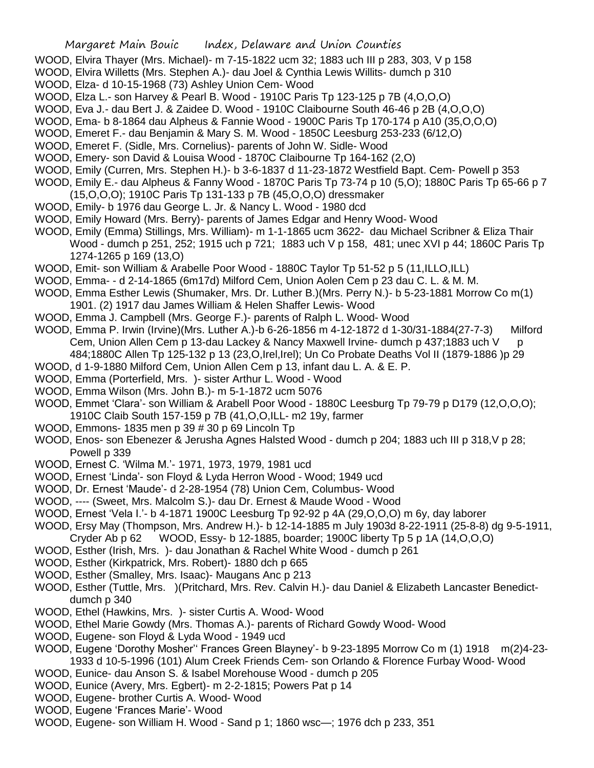- WOOD, Elvira Thayer (Mrs. Michael)- m 7-15-1822 ucm 32; 1883 uch III p 283, 303, V p 158
- WOOD, Elvira Willetts (Mrs. Stephen A.)- dau Joel & Cynthia Lewis Willits- dumch p 310
- WOOD, Elza- d 10-15-1968 (73) Ashley Union Cem- Wood
- WOOD, Elza L.- son Harvey & Pearl B. Wood 1910C Paris Tp 123-125 p 7B (4,O,O,O)
- WOOD, Eva J.- dau Bert J. & Zaidee D. Wood 1910C Claibourne South 46-46 p 2B (4,O,O,O)
- WOOD, Ema- b 8-1864 dau Alpheus & Fannie Wood 1900C Paris Tp 170-174 p A10 (35,O,O,O)
- WOOD, Emeret F.- dau Benjamin & Mary S. M. Wood 1850C Leesburg 253-233 (6/12,O)
- WOOD, Emeret F. (Sidle, Mrs. Cornelius)- parents of John W. Sidle- Wood
- WOOD, Emery- son David & Louisa Wood 1870C Claibourne Tp 164-162 (2,O)
- WOOD, Emily (Curren, Mrs. Stephen H.)- b 3-6-1837 d 11-23-1872 Westfield Bapt. Cem- Powell p 353
- WOOD, Emily E.- dau Alpheus & Fanny Wood 1870C Paris Tp 73-74 p 10 (5,O); 1880C Paris Tp 65-66 p 7 (15,O,O,O); 1910C Paris Tp 131-133 p 7B (45,O,O,O) dressmaker
- WOOD, Emily- b 1976 dau George L. Jr. & Nancy L. Wood 1980 dcd
- WOOD, Emily Howard (Mrs. Berry)- parents of James Edgar and Henry Wood- Wood
- WOOD, Emily (Emma) Stillings, Mrs. William)- m 1-1-1865 ucm 3622- dau Michael Scribner & Eliza Thair Wood - dumch p 251, 252; 1915 uch p 721; 1883 uch V p 158, 481; unec XVI p 44; 1860C Paris Tp 1274-1265 p 169 (13,O)
- WOOD, Emit- son William & Arabelle Poor Wood 1880C Taylor To 51-52 p 5 (11. ILLO, ILL)
- WOOD, Emma- d 2-14-1865 (6m17d) Milford Cem, Union Aolen Cem p 23 dau C. L. & M. M.
- WOOD, Emma Esther Lewis (Shumaker, Mrs. Dr. Luther B.)(Mrs. Perry N.)- b 5-23-1881 Morrow Co m(1) 1901. (2) 1917 dau James William & Helen Shaffer Lewis- Wood
- WOOD, Emma J. Campbell (Mrs. George F.)- parents of Ralph L. Wood- Wood
- WOOD, Emma P. Irwin (Irvine)(Mrs. Luther A.)-b 6-26-1856 m 4-12-1872 d 1-30/31-1884(27-7-3) Milford Cem, Union Allen Cem p 13-dau Lackey & Nancy Maxwell Irvine- dumch p 437;1883 uch V p 484;1880C Allen Tp 125-132 p 13 (23,O,Irel,Irel); Un Co Probate Deaths Vol II (1879-1886 )p 29
- WOOD, d 1-9-1880 Milford Cem, Union Allen Cem p 13, infant dau L. A. & E. P.
- WOOD, Emma (Porterfield, Mrs. )- sister Arthur L. Wood Wood
- WOOD, Emma Wilson (Mrs. John B.)- m 5-1-1872 ucm 5076
- WOOD, Emmet 'Clara'- son William & Arabell Poor Wood 1880C Leesburg Tp 79-79 p D179 (12,O,O,O); 1910C Claib South 157-159 p 7B (41,O,O,ILL- m2 19y, farmer
- WOOD, Emmons- 1835 men p 39 # 30 p 69 Lincoln Tp
- WOOD, Enos- son Ebenezer & Jerusha Agnes Halsted Wood dumch p 204; 1883 uch III p 318,V p 28; Powell p 339
- WOOD, Ernest C. 'Wilma M.'- 1971, 1973, 1979, 1981 ucd
- WOOD, Ernest 'Linda'- son Floyd & Lyda Herron Wood Wood; 1949 ucd
- WOOD, Dr. Ernest 'Maude'- d 2-28-1954 (78) Union Cem, Columbus- Wood
- WOOD, ---- (Sweet, Mrs. Malcolm S.)- dau Dr. Ernest & Maude Wood Wood
- WOOD, Ernest 'Vela I.'- b 4-1871 1900C Leesburg Tp 92-92 p 4A (29,O,O,O) m 6y, day laborer
- WOOD, Ersy May (Thompson, Mrs. Andrew H.)- b 12-14-1885 m July 1903d 8-22-1911 (25-8-8) dg 9-5-1911,
- Cryder Ab p 62 WOOD, Essy- b 12-1885, boarder; 1900C liberty Tp 5 p 1A (14,O,O,O)
- WOOD, Esther (Irish, Mrs. )- dau Jonathan & Rachel White Wood dumch p 261
- WOOD, Esther (Kirkpatrick, Mrs. Robert)- 1880 dch p 665
- WOOD, Esther (Smalley, Mrs. Isaac)- Maugans Anc p 213
- WOOD, Esther (Tuttle, Mrs. )(Pritchard, Mrs. Rev. Calvin H.)- dau Daniel & Elizabeth Lancaster Benedictdumch p 340
- WOOD, Ethel (Hawkins, Mrs. )- sister Curtis A. Wood- Wood
- WOOD, Ethel Marie Gowdy (Mrs. Thomas A.)- parents of Richard Gowdy Wood- Wood
- WOOD, Eugene- son Floyd & Lyda Wood 1949 ucd
- WOOD, Eugene 'Dorothy Mosher'' Frances Green Blayney'- b 9-23-1895 Morrow Co m (1) 1918 m(2)4-23- 1933 d 10-5-1996 (101) Alum Creek Friends Cem- son Orlando & Florence Furbay Wood- Wood
- WOOD, Eunice- dau Anson S. & Isabel Morehouse Wood dumch p 205
- WOOD, Eunice (Avery, Mrs. Egbert)- m 2-2-1815; Powers Pat p 14
- WOOD, Eugene- brother Curtis A. Wood- Wood
- WOOD, Eugene 'Frances Marie'- Wood
- WOOD, Eugene- son William H. Wood Sand p 1; 1860 wsc—; 1976 dch p 233, 351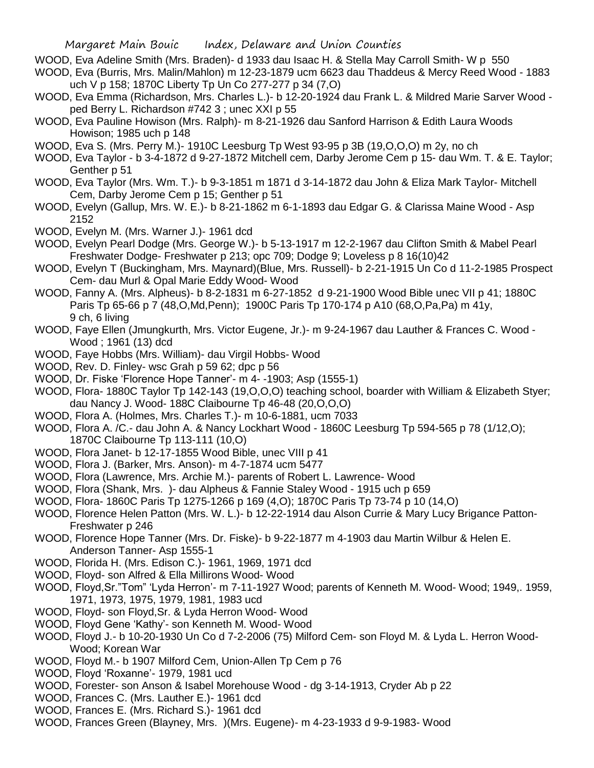- WOOD, Eva Adeline Smith (Mrs. Braden)- d 1933 dau Isaac H. & Stella May Carroll Smith- W p 550
- WOOD, Eva (Burris, Mrs. Malin/Mahlon) m 12-23-1879 ucm 6623 dau Thaddeus & Mercy Reed Wood 1883 uch V p 158; 1870C Liberty Tp Un Co 277-277 p 34 (7,O)
- WOOD, Eva Emma (Richardson, Mrs. Charles L.)- b 12-20-1924 dau Frank L. & Mildred Marie Sarver Wood ped Berry L. Richardson #742 3 ; unec XXI p 55
- WOOD, Eva Pauline Howison (Mrs. Ralph)- m 8-21-1926 dau Sanford Harrison & Edith Laura Woods Howison; 1985 uch p 148
- WOOD, Eva S. (Mrs. Perry M.)- 1910C Leesburg Tp West 93-95 p 3B (19,O,O,O) m 2y, no ch
- WOOD, Eva Taylor b 3-4-1872 d 9-27-1872 Mitchell cem, Darby Jerome Cem p 15- dau Wm. T. & E. Taylor; Genther p 51
- WOOD, Eva Taylor (Mrs. Wm. T.)- b 9-3-1851 m 1871 d 3-14-1872 dau John & Eliza Mark Taylor- Mitchell Cem, Darby Jerome Cem p 15; Genther p 51
- WOOD, Evelyn (Gallup, Mrs. W. E.)- b 8-21-1862 m 6-1-1893 dau Edgar G. & Clarissa Maine Wood Asp 2152
- WOOD, Evelyn M. (Mrs. Warner J.)- 1961 dcd
- WOOD, Evelyn Pearl Dodge (Mrs. George W.)- b 5-13-1917 m 12-2-1967 dau Clifton Smith & Mabel Pearl Freshwater Dodge- Freshwater p 213; opc 709; Dodge 9; Loveless p 8 16(10)42
- WOOD, Evelyn T (Buckingham, Mrs. Maynard)(Blue, Mrs. Russell)- b 2-21-1915 Un Co d 11-2-1985 Prospect Cem- dau Murl & Opal Marie Eddy Wood- Wood
- WOOD, Fanny A. (Mrs. Alpheus)- b 8-2-1831 m 6-27-1852 d 9-21-1900 Wood Bible unec VII p 41; 1880C Paris Tp 65-66 p 7 (48,O,Md,Penn); 1900C Paris Tp 170-174 p A10 (68,O,Pa,Pa) m 41y, 9 ch, 6 living
- WOOD, Faye Ellen (Jmungkurth, Mrs. Victor Eugene, Jr.)- m 9-24-1967 dau Lauther & Frances C. Wood Wood ; 1961 (13) dcd
- WOOD, Faye Hobbs (Mrs. William)- dau Virgil Hobbs- Wood
- WOOD, Rev. D. Finley- wsc Grah p 59 62; dpc p 56
- WOOD, Dr. Fiske 'Florence Hope Tanner'- m 4- -1903; Asp (1555-1)
- WOOD, Flora- 1880C Taylor Tp 142-143 (19, O, O, O) teaching school, boarder with William & Elizabeth Styer; dau Nancy J. Wood- 188C Claibourne Tp 46-48 (20,O,O,O)
- WOOD, Flora A. (Holmes, Mrs. Charles T.)- m 10-6-1881, ucm 7033
- WOOD, Flora A. /C.- dau John A. & Nancy Lockhart Wood 1860C Leesburg Tp 594-565 p 78 (1/12,O); 1870C Claibourne Tp 113-111 (10,O)
- WOOD, Flora Janet- b 12-17-1855 Wood Bible, unec VIII p 41
- WOOD, Flora J. (Barker, Mrs. Anson)- m 4-7-1874 ucm 5477
- WOOD, Flora (Lawrence, Mrs. Archie M.)- parents of Robert L. Lawrence- Wood
- WOOD, Flora (Shank, Mrs. )- dau Alpheus & Fannie Staley Wood 1915 uch p 659
- WOOD, Flora- 1860C Paris Tp 1275-1266 p 169 (4,O); 1870C Paris Tp 73-74 p 10 (14,O)
- WOOD, Florence Helen Patton (Mrs. W. L.)- b 12-22-1914 dau Alson Currie & Mary Lucy Brigance Patton-Freshwater p 246
- WOOD, Florence Hope Tanner (Mrs. Dr. Fiske)- b 9-22-1877 m 4-1903 dau Martin Wilbur & Helen E. Anderson Tanner- Asp 1555-1
- WOOD, Florida H. (Mrs. Edison C.)- 1961, 1969, 1971 dcd
- WOOD, Floyd- son Alfred & Ella Millirons Wood- Wood
- WOOD, Floyd,Sr."Tom" 'Lyda Herron'- m 7-11-1927 Wood; parents of Kenneth M. Wood- Wood; 1949,. 1959, 1971, 1973, 1975, 1979, 1981, 1983 ucd
- WOOD, Floyd- son Floyd,Sr. & Lyda Herron Wood- Wood
- WOOD, Floyd Gene 'Kathy'- son Kenneth M. Wood- Wood
- WOOD, Floyd J.- b 10-20-1930 Un Co d 7-2-2006 (75) Milford Cem- son Floyd M. & Lyda L. Herron Wood-Wood; Korean War
- WOOD, Floyd M.- b 1907 Milford Cem, Union-Allen Tp Cem p 76
- WOOD, Floyd 'Roxanne'- 1979, 1981 ucd
- WOOD, Forester- son Anson & Isabel Morehouse Wood dg 3-14-1913, Cryder Ab p 22
- WOOD, Frances C. (Mrs. Lauther E.)- 1961 dcd
- WOOD, Frances E. (Mrs. Richard S.)- 1961 dcd
- WOOD, Frances Green (Blayney, Mrs. )(Mrs. Eugene)- m 4-23-1933 d 9-9-1983- Wood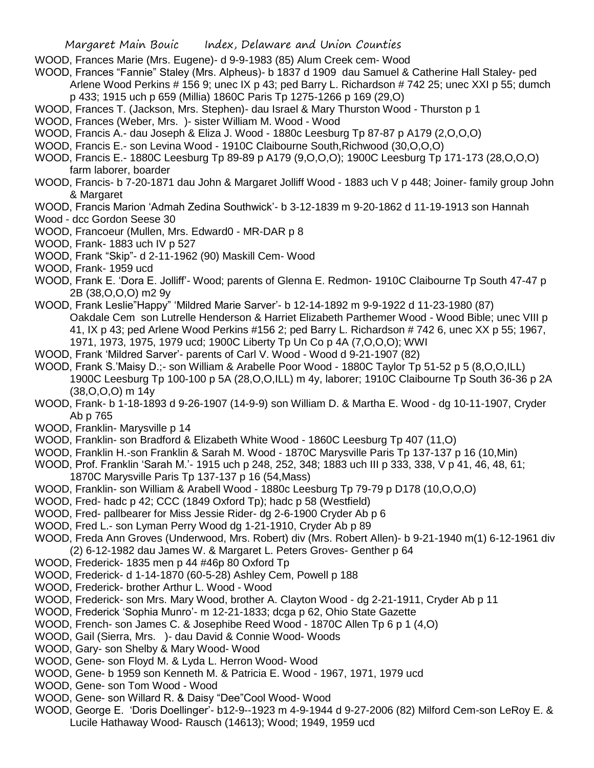WOOD, Frances Marie (Mrs. Eugene)- d 9-9-1983 (85) Alum Creek cem- Wood

- WOOD, Frances "Fannie" Staley (Mrs. Alpheus)- b 1837 d 1909 dau Samuel & Catherine Hall Staley- ped Arlene Wood Perkins # 156 9; unec IX p 43; ped Barry L. Richardson # 742 25; unec XXI p 55; dumch p 433; 1915 uch p 659 (Millia) 1860C Paris Tp 1275-1266 p 169 (29,O)
- WOOD, Frances T. (Jackson, Mrs. Stephen)- dau Israel & Mary Thurston Wood Thurston p 1
- WOOD, Frances (Weber, Mrs. )- sister William M. Wood Wood
- WOOD, Francis A.- dau Joseph & Eliza J. Wood 1880c Leesburg Tp 87-87 p A179 (2,O,O,O)
- WOOD, Francis E.- son Levina Wood 1910C Claibourne South,Richwood (30,O,O,O)
- WOOD, Francis E.- 1880C Leesburg Tp 89-89 p A179 (9,O,O,O); 1900C Leesburg Tp 171-173 (28,O,O,O) farm laborer, boarder
- WOOD, Francis- b 7-20-1871 dau John & Margaret Jolliff Wood 1883 uch V p 448; Joiner- family group John & Margaret
- WOOD, Francis Marion 'Admah Zedina Southwick'- b 3-12-1839 m 9-20-1862 d 11-19-1913 son Hannah
- Wood dcc Gordon Seese 30
- WOOD, Francoeur (Mullen, Mrs. Edward0 MR-DAR p 8
- WOOD, Frank- 1883 uch IV p 527
- WOOD, Frank "Skip"- d 2-11-1962 (90) Maskill Cem- Wood
- WOOD, Frank- 1959 ucd
- WOOD, Frank E. 'Dora E. Jolliff'- Wood; parents of Glenna E. Redmon- 1910C Claibourne Tp South 47-47 p 2B (38,O,O,O) m2 9y
- WOOD, Frank Leslie"Happy" 'Mildred Marie Sarver'- b 12-14-1892 m 9-9-1922 d 11-23-1980 (87) Oakdale Cem son Lutrelle Henderson & Harriet Elizabeth Parthemer Wood - Wood Bible; unec VIII p 41, IX p 43; ped Arlene Wood Perkins #156 2; ped Barry L. Richardson # 742 6, unec XX p 55; 1967, 1971, 1973, 1975, 1979 ucd; 1900C Liberty Tp Un Co p 4A (7,O,O,O); WWI
- WOOD, Frank 'Mildred Sarver'- parents of Carl V. Wood Wood d 9-21-1907 (82)
- WOOD, Frank S.'Maisy D.;- son William & Arabelle Poor Wood 1880C Taylor Tp 51-52 p 5 (8,O,O,ILL) 1900C Leesburg Tp 100-100 p 5A (28,O,O,ILL) m 4y, laborer; 1910C Claibourne Tp South 36-36 p 2A (38,O,O,O) m 14y
- WOOD, Frank- b 1-18-1893 d 9-26-1907 (14-9-9) son William D. & Martha E. Wood dg 10-11-1907, Cryder Ab p 765
- WOOD, Franklin- Marysville p 14
- WOOD, Franklin- son Bradford & Elizabeth White Wood 1860C Leesburg Tp 407 (11,O)
- WOOD, Franklin H.-son Franklin & Sarah M. Wood 1870C Marysville Paris Tp 137-137 p 16 (10,Min)
- WOOD, Prof. Franklin 'Sarah M.'- 1915 uch p 248, 252, 348; 1883 uch III p 333, 338, V p 41, 46, 48, 61;
	- 1870C Marysville Paris Tp 137-137 p 16 (54,Mass)
- WOOD, Franklin- son William & Arabell Wood 1880c Leesburg Tp 79-79 p D178 (10,O,O,O)
- WOOD, Fred- hadc p 42; CCC (1849 Oxford Tp); hadc p 58 (Westfield)
- WOOD, Fred- pallbearer for Miss Jessie Rider- dg 2-6-1900 Cryder Ab p 6
- WOOD, Fred L.- son Lyman Perry Wood dg 1-21-1910, Cryder Ab p 89
- WOOD, Freda Ann Groves (Underwood, Mrs. Robert) div (Mrs. Robert Allen)- b 9-21-1940 m(1) 6-12-1961 div
- (2) 6-12-1982 dau James W. & Margaret L. Peters Groves- Genther p 64
- WOOD, Frederick- 1835 men p 44 #46p 80 Oxford Tp
- WOOD, Frederick- d 1-14-1870 (60-5-28) Ashley Cem, Powell p 188
- WOOD, Frederick- brother Arthur L. Wood Wood
- WOOD, Frederick- son Mrs. Mary Wood, brother A. Clayton Wood dg 2-21-1911, Cryder Ab p 11
- WOOD, Frederick 'Sophia Munro'- m 12-21-1833; dcga p 62, Ohio State Gazette
- WOOD, French- son James C. & Josephibe Reed Wood 1870C Allen Tp 6 p 1 (4,O)
- WOOD, Gail (Sierra, Mrs. )- dau David & Connie Wood- Woods
- WOOD, Gary- son Shelby & Mary Wood- Wood
- WOOD, Gene- son Floyd M. & Lyda L. Herron Wood- Wood
- WOOD, Gene- b 1959 son Kenneth M. & Patricia E. Wood 1967, 1971, 1979 ucd
- WOOD, Gene- son Tom Wood Wood
- WOOD, Gene- son Willard R. & Daisy "Dee"Cool Wood- Wood
- WOOD, George E. 'Doris Doellinger'- b12-9--1923 m 4-9-1944 d 9-27-2006 (82) Milford Cem-son LeRoy E. & Lucile Hathaway Wood- Rausch (14613); Wood; 1949, 1959 ucd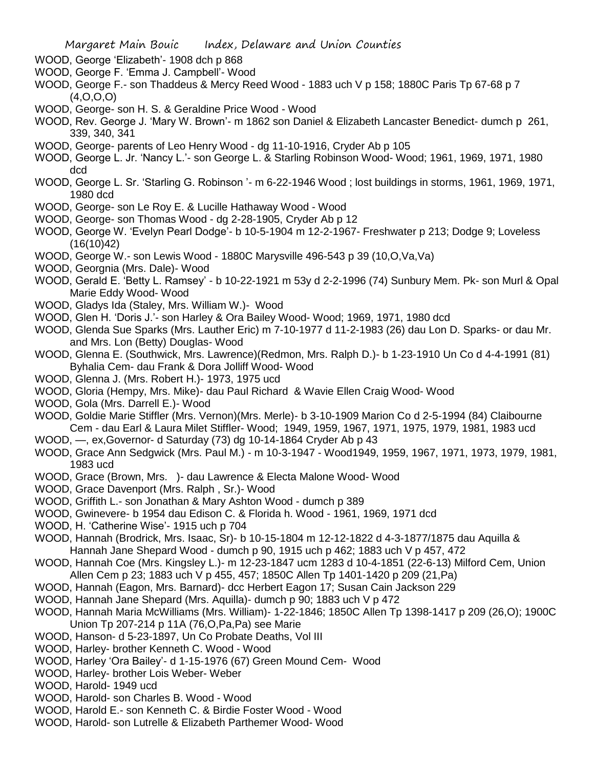- WOOD, George 'Elizabeth'- 1908 dch p 868
- WOOD, George F. 'Emma J. Campbell'- Wood
- WOOD, George F.- son Thaddeus & Mercy Reed Wood 1883 uch V p 158; 1880C Paris Tp 67-68 p 7 (4,O,O,O)
- WOOD, George- son H. S. & Geraldine Price Wood Wood
- WOOD, Rev. George J. 'Mary W. Brown'- m 1862 son Daniel & Elizabeth Lancaster Benedict- dumch p 261, 339, 340, 341
- WOOD, George- parents of Leo Henry Wood dg 11-10-1916, Cryder Ab p 105
- WOOD, George L. Jr. 'Nancy L.'- son George L. & Starling Robinson Wood- Wood; 1961, 1969, 1971, 1980 dcd
- WOOD, George L. Sr. 'Starling G. Robinson '- m 6-22-1946 Wood ; lost buildings in storms, 1961, 1969, 1971, 1980 dcd
- WOOD, George- son Le Roy E. & Lucille Hathaway Wood Wood
- WOOD, George- son Thomas Wood dg 2-28-1905, Cryder Ab p 12
- WOOD, George W. 'Evelyn Pearl Dodge'- b 10-5-1904 m 12-2-1967- Freshwater p 213; Dodge 9; Loveless  $(16(10)42)$
- WOOD, George W.- son Lewis Wood 1880C Marysville 496-543 p 39 (10,O,Va,Va)
- WOOD, Georgnia (Mrs. Dale)- Wood
- WOOD, Gerald E. 'Betty L. Ramsey' b 10-22-1921 m 53y d 2-2-1996 (74) Sunbury Mem. Pk- son Murl & Opal Marie Eddy Wood- Wood
- WOOD, Gladys Ida (Staley, Mrs. William W.)- Wood
- WOOD, Glen H. 'Doris J.'- son Harley & Ora Bailey Wood- Wood; 1969, 1971, 1980 dcd
- WOOD, Glenda Sue Sparks (Mrs. Lauther Eric) m 7-10-1977 d 11-2-1983 (26) dau Lon D. Sparks- or dau Mr. and Mrs. Lon (Betty) Douglas- Wood
- WOOD, Glenna E. (Southwick, Mrs. Lawrence)(Redmon, Mrs. Ralph D.)- b 1-23-1910 Un Co d 4-4-1991 (81) Byhalia Cem- dau Frank & Dora Jolliff Wood- Wood
- WOOD, Glenna J. (Mrs. Robert H.)- 1973, 1975 ucd
- WOOD, Gloria (Hempy, Mrs. Mike)- dau Paul Richard & Wavie Ellen Craig Wood- Wood
- WOOD, Gola (Mrs. Darrell E.)- Wood
- WOOD, Goldie Marie Stiffler (Mrs. Vernon)(Mrs. Merle)- b 3-10-1909 Marion Co d 2-5-1994 (84) Claibourne Cem - dau Earl & Laura Milet Stiffler- Wood; 1949, 1959, 1967, 1971, 1975, 1979, 1981, 1983 ucd
- WOOD, —, ex,Governor- d Saturday (73) dg 10-14-1864 Cryder Ab p 43
- WOOD, Grace Ann Sedgwick (Mrs. Paul M.) m 10-3-1947 Wood1949, 1959, 1967, 1971, 1973, 1979, 1981, 1983 ucd
- WOOD, Grace (Brown, Mrs. )- dau Lawrence & Electa Malone Wood- Wood
- WOOD, Grace Davenport (Mrs. Ralph , Sr.)- Wood
- WOOD, Griffith L.- son Jonathan & Mary Ashton Wood dumch p 389
- WOOD, Gwinevere- b 1954 dau Edison C. & Florida h. Wood 1961, 1969, 1971 dcd
- WOOD, H. 'Catherine Wise'- 1915 uch p 704
- WOOD, Hannah (Brodrick, Mrs. Isaac, Sr)- b 10-15-1804 m 12-12-1822 d 4-3-1877/1875 dau Aquilla & Hannah Jane Shepard Wood - dumch p 90, 1915 uch p 462; 1883 uch V p 457, 472
- WOOD, Hannah Coe (Mrs. Kingsley L.)- m 12-23-1847 ucm 1283 d 10-4-1851 (22-6-13) Milford Cem, Union Allen Cem p 23; 1883 uch V p 455, 457; 1850C Allen Tp 1401-1420 p 209 (21,Pa)
- WOOD, Hannah (Eagon, Mrs. Barnard)- dcc Herbert Eagon 17; Susan Cain Jackson 229
- WOOD, Hannah Jane Shepard (Mrs. Aquilla)- dumch p 90; 1883 uch V p 472
- WOOD, Hannah Maria McWilliams (Mrs. William)- 1-22-1846; 1850C Allen Tp 1398-1417 p 209 (26,O); 1900C Union Tp 207-214 p 11A (76,O,Pa,Pa) see Marie
- WOOD, Hanson- d 5-23-1897, Un Co Probate Deaths, Vol III
- WOOD, Harley- brother Kenneth C. Wood Wood
- WOOD, Harley 'Ora Bailey'- d 1-15-1976 (67) Green Mound Cem- Wood
- WOOD, Harley- brother Lois Weber- Weber
- WOOD, Harold- 1949 ucd
- WOOD, Harold- son Charles B. Wood Wood
- WOOD, Harold E.- son Kenneth C. & Birdie Foster Wood Wood
- WOOD, Harold- son Lutrelle & Elizabeth Parthemer Wood- Wood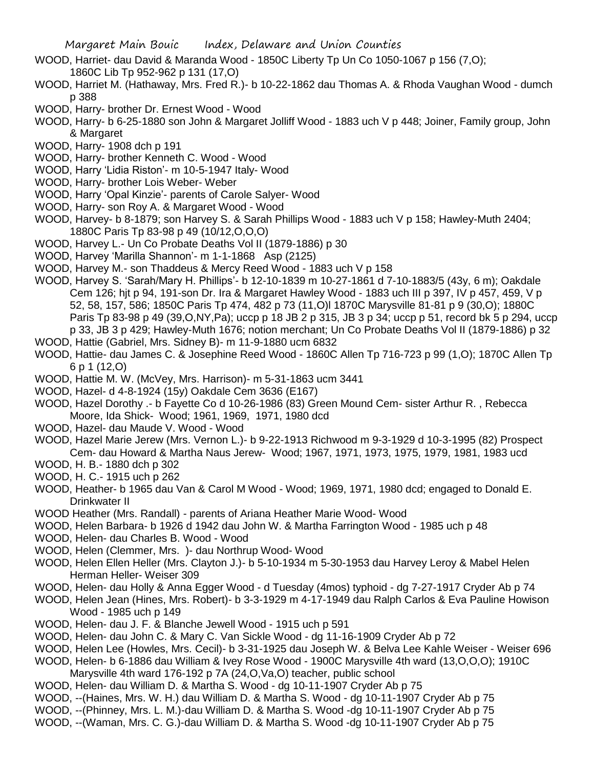- WOOD, Harriet- dau David & Maranda Wood 1850C Liberty Tp Un Co 1050-1067 p 156 (7,O); 1860C Lib Tp 952-962 p 131 (17,O)
- WOOD, Harriet M. (Hathaway, Mrs. Fred R.)- b 10-22-1862 dau Thomas A. & Rhoda Vaughan Wood dumch p 388
- WOOD, Harry- brother Dr. Ernest Wood Wood
- WOOD, Harry- b 6-25-1880 son John & Margaret Jolliff Wood 1883 uch V p 448; Joiner, Family group, John & Margaret
- WOOD, Harry- 1908 dch p 191
- WOOD, Harry- brother Kenneth C. Wood Wood
- WOOD, Harry 'Lidia Riston'- m 10-5-1947 Italy- Wood
- WOOD, Harry- brother Lois Weber- Weber
- WOOD, Harry 'Opal Kinzie'- parents of Carole Salyer- Wood
- WOOD, Harry- son Roy A. & Margaret Wood Wood
- WOOD, Harvey- b 8-1879; son Harvey S. & Sarah Phillips Wood 1883 uch V p 158; Hawley-Muth 2404; 1880C Paris Tp 83-98 p 49 (10/12,O,O,O)
- WOOD, Harvey L.- Un Co Probate Deaths Vol II (1879-1886) p 30
- WOOD, Harvey 'Marilla Shannon'- m 1-1-1868 Asp (2125)
- WOOD, Harvey M.- son Thaddeus & Mercy Reed Wood 1883 uch V p 158
- WOOD, Harvey S. 'Sarah/Mary H. Phillips'- b 12-10-1839 m 10-27-1861 d 7-10-1883/5 (43y, 6 m); Oakdale Cem 126; hjt p 94, 191-son Dr. Ira & Margaret Hawley Wood - 1883 uch III p 397, IV p 457, 459, V p 52, 58, 157, 586; 1850C Paris Tp 474, 482 p 73 (11,O)l 1870C Marysville 81-81 p 9 (30,O); 1880C Paris Tp 83-98 p 49 (39,O,NY,Pa); uccp p 18 JB 2 p 315, JB 3 p 34; uccp p 51, record bk 5 p 294, uccp p 33, JB 3 p 429; Hawley-Muth 1676; notion merchant; Un Co Probate Deaths Vol II (1879-1886) p 32
- WOOD, Hattie (Gabriel, Mrs. Sidney B)- m 11-9-1880 ucm 6832
- WOOD, Hattie- dau James C. & Josephine Reed Wood 1860C Allen Tp 716-723 p 99 (1,O); 1870C Allen Tp 6 p 1 (12,O)
- WOOD, Hattie M. W. (McVey, Mrs. Harrison)- m 5-31-1863 ucm 3441
- WOOD, Hazel- d 4-8-1924 (15y) Oakdale Cem 3636 (E167)
- WOOD, Hazel Dorothy .- b Fayette Co d 10-26-1986 (83) Green Mound Cem- sister Arthur R. , Rebecca Moore, Ida Shick- Wood; 1961, 1969, 1971, 1980 dcd
- WOOD, Hazel- dau Maude V. Wood Wood
- WOOD, Hazel Marie Jerew (Mrs. Vernon L.)- b 9-22-1913 Richwood m 9-3-1929 d 10-3-1995 (82) Prospect Cem- dau Howard & Martha Naus Jerew- Wood; 1967, 1971, 1973, 1975, 1979, 1981, 1983 ucd
- WOOD, H. B.- 1880 dch p 302
- WOOD, H. C.- 1915 uch p 262
- WOOD, Heather- b 1965 dau Van & Carol M Wood Wood; 1969, 1971, 1980 dcd; engaged to Donald E. Drinkwater II
- WOOD Heather (Mrs. Randall) parents of Ariana Heather Marie Wood- Wood
- WOOD, Helen Barbara- b 1926 d 1942 dau John W. & Martha Farrington Wood 1985 uch p 48
- WOOD, Helen- dau Charles B. Wood Wood
- WOOD, Helen (Clemmer, Mrs. )- dau Northrup Wood- Wood
- WOOD, Helen Ellen Heller (Mrs. Clayton J.)- b 5-10-1934 m 5-30-1953 dau Harvey Leroy & Mabel Helen Herman Heller- Weiser 309
- WOOD, Helen- dau Holly & Anna Egger Wood d Tuesday (4mos) typhoid dg 7-27-1917 Cryder Ab p 74
- WOOD, Helen Jean (Hines, Mrs. Robert)- b 3-3-1929 m 4-17-1949 dau Ralph Carlos & Eva Pauline Howison Wood - 1985 uch p 149
- WOOD, Helen- dau J. F. & Blanche Jewell Wood 1915 uch p 591
- WOOD, Helen- dau John C. & Mary C. Van Sickle Wood dg 11-16-1909 Cryder Ab p 72
- WOOD, Helen Lee (Howles, Mrs. Cecil)- b 3-31-1925 dau Joseph W. & Belva Lee Kahle Weiser Weiser 696
- WOOD, Helen- b 6-1886 dau William & Ivey Rose Wood 1900C Marysville 4th ward (13,O,O,O); 1910C Marysville 4th ward 176-192 p 7A (24,O,Va,O) teacher, public school
- WOOD, Helen- dau William D. & Martha S. Wood dg 10-11-1907 Cryder Ab p 75
- WOOD, --(Haines, Mrs. W. H.) dau William D. & Martha S. Wood dg 10-11-1907 Cryder Ab p 75
- WOOD, --(Phinney, Mrs. L. M.)-dau William D. & Martha S. Wood -dg 10-11-1907 Cryder Ab p 75
- WOOD, --(Waman, Mrs. C. G.)-dau William D. & Martha S. Wood -dg 10-11-1907 Cryder Ab p 75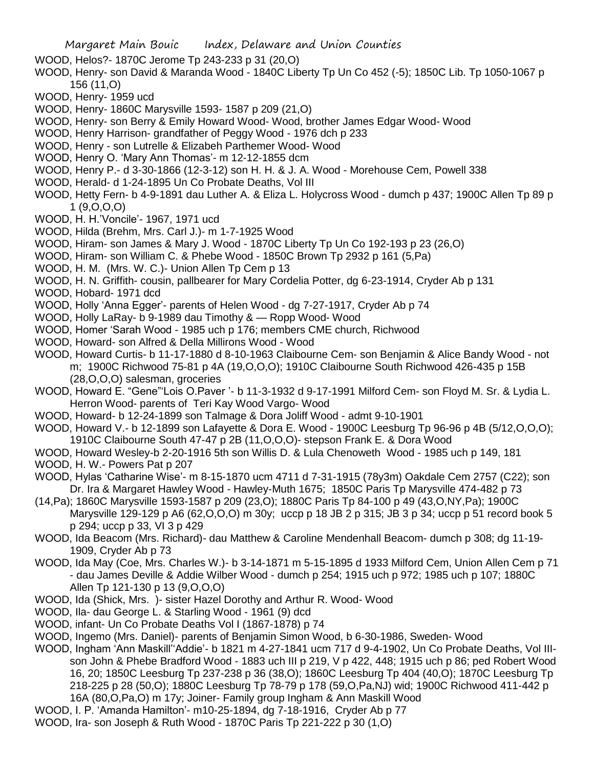WOOD, Helos?- 1870C Jerome Tp 243-233 p 31 (20,O)

- WOOD, Henry- son David & Maranda Wood 1840C Liberty Tp Un Co 452 (-5); 1850C Lib. Tp 1050-1067 p 156 (11,O)
- WOOD, Henry- 1959 ucd
- WOOD, Henry- 1860C Marysville 1593- 1587 p 209 (21,O)
- WOOD, Henry- son Berry & Emily Howard Wood- Wood, brother James Edgar Wood- Wood
- WOOD, Henry Harrison- grandfather of Peggy Wood 1976 dch p 233
- WOOD, Henry son Lutrelle & Elizabeh Parthemer Wood- Wood
- WOOD, Henry O. 'Mary Ann Thomas'- m 12-12-1855 dcm
- WOOD, Henry P.- d 3-30-1866 (12-3-12) son H. H. & J. A. Wood Morehouse Cem, Powell 338
- WOOD, Herald- d 1-24-1895 Un Co Probate Deaths, Vol III
- WOOD, Hetty Fern- b 4-9-1891 dau Luther A. & Eliza L. Holycross Wood dumch p 437; 1900C Allen Tp 89 p 1 (9,O,O,O)
- WOOD, H. H.'Voncile'- 1967, 1971 ucd
- WOOD, Hilda (Brehm, Mrs. Carl J.)- m 1-7-1925 Wood
- WOOD, Hiram- son James & Mary J. Wood 1870C Liberty Tp Un Co 192-193 p 23 (26,O)
- WOOD, Hiram- son William C. & Phebe Wood 1850C Brown Tp 2932 p 161 (5,Pa)
- WOOD, H. M. (Mrs. W. C.)- Union Allen To Cem p 13

WOOD, H. N. Griffith- cousin, pallbearer for Mary Cordelia Potter, dg 6-23-1914, Cryder Ab p 131

- WOOD, Hobard- 1971 dcd
- WOOD, Holly 'Anna Egger'- parents of Helen Wood dg 7-27-1917, Cryder Ab p 74
- WOOD, Holly LaRay- b 9-1989 dau Timothy & Ropp Wood- Wood
- WOOD, Homer 'Sarah Wood 1985 uch p 176; members CME church, Richwood
- WOOD, Howard- son Alfred & Della Millirons Wood Wood
- WOOD, Howard Curtis- b 11-17-1880 d 8-10-1963 Claibourne Cem- son Benjamin & Alice Bandy Wood not m; 1900C Richwood 75-81 p 4A (19,O,O,O); 1910C Claibourne South Richwood 426-435 p 15B (28,O,O,O) salesman, groceries
- WOOD, Howard E. "Gene"'Lois O.Paver '- b 11-3-1932 d 9-17-1991 Milford Cem- son Floyd M. Sr. & Lydia L. Herron Wood- parents of Teri Kay Wood Vargo- Wood
- WOOD, Howard- b 12-24-1899 son Talmage & Dora Joliff Wood admt 9-10-1901
- WOOD, Howard V.- b 12-1899 son Lafayette & Dora E. Wood 1900C Leesburg Tp 96-96 p 4B (5/12,O,O,O); 1910C Claibourne South 47-47 p 2B (11,O,O,O)- stepson Frank E. & Dora Wood
- WOOD, Howard Wesley-b 2-20-1916 5th son Willis D. & Lula Chenoweth Wood 1985 uch p 149, 181
- WOOD, H. W.- Powers Pat p 207
- WOOD, Hylas 'Catharine Wise'- m 8-15-1870 ucm 4711 d 7-31-1915 (78y3m) Oakdale Cem 2757 (C22); son Dr. Ira & Margaret Hawley Wood - Hawley-Muth 1675; 1850C Paris Tp Marysville 474-482 p 73
- (14,Pa); 1860C Marysville 1593-1587 p 209 (23,O); 1880C Paris Tp 84-100 p 49 (43,O,NY,Pa); 1900C Marysville 129-129 p A6 (62,O,O,O) m 30y; uccp p 18 JB 2 p 315; JB 3 p 34; uccp p 51 record book 5 p 294; uccp p 33, VI 3 p 429
- WOOD, Ida Beacom (Mrs. Richard)- dau Matthew & Caroline Mendenhall Beacom- dumch p 308; dg 11-19- 1909, Cryder Ab p 73
- WOOD, Ida May (Coe, Mrs. Charles W.)- b 3-14-1871 m 5-15-1895 d 1933 Milford Cem, Union Allen Cem p 71 - dau James Deville & Addie Wilber Wood - dumch p 254; 1915 uch p 972; 1985 uch p 107; 1880C Allen Tp 121-130 p 13 (9,O,O,O)
- WOOD, Ida (Shick, Mrs. )- sister Hazel Dorothy and Arthur R. Wood- Wood
- WOOD, Ila- dau George L. & Starling Wood 1961 (9) dcd
- WOOD, infant- Un Co Probate Deaths Vol I (1867-1878) p 74
- WOOD, Ingemo (Mrs. Daniel)- parents of Benjamin Simon Wood, b 6-30-1986, Sweden- Wood
- WOOD, Ingham 'Ann Maskill''Addie'- b 1821 m 4-27-1841 ucm 717 d 9-4-1902, Un Co Probate Deaths, Vol IIIson John & Phebe Bradford Wood - 1883 uch III p 219, V p 422, 448; 1915 uch p 86; ped Robert Wood 16, 20; 1850C Leesburg Tp 237-238 p 36 (38,O); 1860C Leesburg Tp 404 (40,O); 1870C Leesburg Tp 218-225 p 28 (50,O); 1880C Leesburg Tp 78-79 p 178 (59,O,Pa,NJ) wid; 1900C Richwood 411-442 p 16A (80,O,Pa,O) m 17y; Joiner- Family group Ingham & Ann Maskill Wood
- WOOD, I. P. 'Amanda Hamilton'- m10-25-1894, dg 7-18-1916, Cryder Ab p 77
- WOOD, Ira- son Joseph & Ruth Wood 1870C Paris Tp 221-222 p 30 (1,O)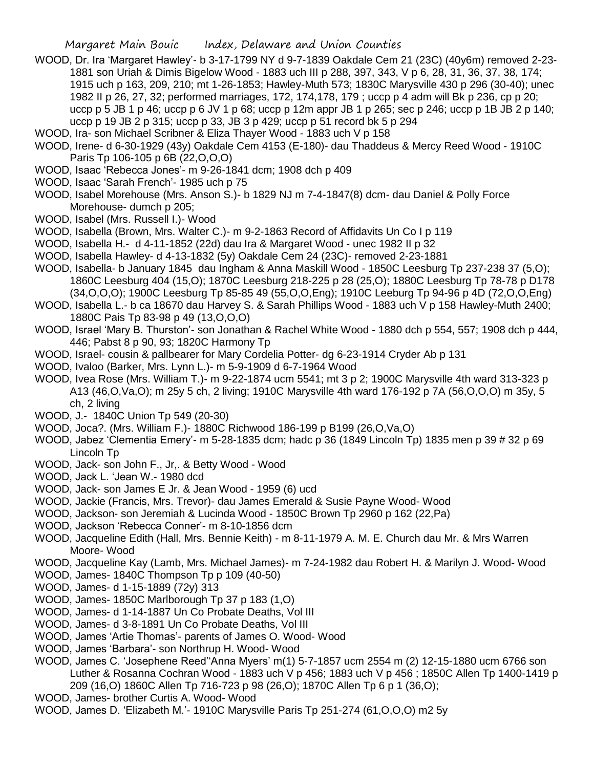- WOOD, Dr. Ira 'Margaret Hawley'- b 3-17-1799 NY d 9-7-1839 Oakdale Cem 21 (23C) (40y6m) removed 2-23- 1881 son Uriah & Dimis Bigelow Wood - 1883 uch III p 288, 397, 343, V p 6, 28, 31, 36, 37, 38, 174; 1915 uch p 163, 209, 210; mt 1-26-1853; Hawley-Muth 573; 1830C Marysville 430 p 296 (30-40); unec 1982 II p 26, 27, 32; performed marriages, 172, 174,178, 179 ; uccp p 4 adm will Bk p 236, cp p 20; uccp p 5 JB 1 p 46; uccp p 6 JV 1 p 68; uccp p 12m appr JB 1 p 265; sec p 246; uccp p 1B JB 2 p 140; uccp p 19 JB 2 p 315; uccp p 33, JB 3 p 429; uccp p 51 record bk 5 p 294
- WOOD, Ira- son Michael Scribner & Eliza Thayer Wood 1883 uch V p 158
- WOOD, Irene- d 6-30-1929 (43y) Oakdale Cem 4153 (E-180)- dau Thaddeus & Mercy Reed Wood 1910C Paris Tp 106-105 p 6B (22,O,O,O)
- WOOD, Isaac 'Rebecca Jones'- m 9-26-1841 dcm; 1908 dch p 409
- WOOD, Isaac 'Sarah French'- 1985 uch p 75
- WOOD, Isabel Morehouse (Mrs. Anson S.)- b 1829 NJ m 7-4-1847(8) dcm- dau Daniel & Polly Force Morehouse- dumch p 205;
- WOOD, Isabel (Mrs. Russell I.)- Wood
- WOOD, Isabella (Brown, Mrs. Walter C.)- m 9-2-1863 Record of Affidavits Un Co I p 119
- WOOD, Isabella H.- d 4-11-1852 (22d) dau Ira & Margaret Wood unec 1982 II p 32
- WOOD, Isabella Hawley- d 4-13-1832 (5y) Oakdale Cem 24 (23C)- removed 2-23-1881
- WOOD, Isabella- b January 1845 dau Ingham & Anna Maskill Wood 1850C Leesburg Tp 237-238 37 (5,O); 1860C Leesburg 404 (15,O); 1870C Leesburg 218-225 p 28 (25,O); 1880C Leesburg Tp 78-78 p D178 (34,O,O,O); 1900C Leesburg Tp 85-85 49 (55,O,O,Eng); 1910C Leeburg Tp 94-96 p 4D (72,O,O,Eng)
- WOOD, Isabella L.- b ca 18670 dau Harvey S. & Sarah Phillips Wood 1883 uch V p 158 Hawley-Muth 2400; 1880C Pais Tp 83-98 p 49 (13,O,O,O)
- WOOD, Israel 'Mary B. Thurston'- son Jonathan & Rachel White Wood 1880 dch p 554, 557; 1908 dch p 444, 446; Pabst 8 p 90, 93; 1820C Harmony Tp
- WOOD, Israel- cousin & pallbearer for Mary Cordelia Potter- dg 6-23-1914 Cryder Ab p 131
- WOOD, Ivaloo (Barker, Mrs. Lynn L.)- m 5-9-1909 d 6-7-1964 Wood
- WOOD, Ivea Rose (Mrs. William T.)- m 9-22-1874 ucm 5541; mt 3 p 2; 1900C Marysville 4th ward 313-323 p A13 (46,O,Va,O); m 25y 5 ch, 2 living; 1910C Marysville 4th ward 176-192 p 7A (56,O,O,O) m 35y, 5 ch, 2 living
- WOOD, J.- 1840C Union Tp 549 (20-30)
- WOOD, Joca?. (Mrs. William F.)- 1880C Richwood 186-199 p B199 (26,O,Va,O)
- WOOD, Jabez 'Clementia Emery'- m 5-28-1835 dcm; hadc p 36 (1849 Lincoln Tp) 1835 men p 39 # 32 p 69 Lincoln Tp
- WOOD, Jack- son John F., Jr,. & Betty Wood Wood
- WOOD, Jack L. 'Jean W.- 1980 dcd
- WOOD, Jack- son James E Jr. & Jean Wood 1959 (6) ucd
- WOOD, Jackie (Francis, Mrs. Trevor)- dau James Emerald & Susie Payne Wood- Wood
- WOOD, Jackson- son Jeremiah & Lucinda Wood 1850C Brown Tp 2960 p 162 (22,Pa)
- WOOD, Jackson 'Rebecca Conner'- m 8-10-1856 dcm
- WOOD, Jacqueline Edith (Hall, Mrs. Bennie Keith) m 8-11-1979 A. M. E. Church dau Mr. & Mrs Warren Moore- Wood
- WOOD, Jacqueline Kay (Lamb, Mrs. Michael James)- m 7-24-1982 dau Robert H. & Marilyn J. Wood- Wood
- WOOD, James- 1840C Thompson Tp p 109 (40-50)
- WOOD, James- d 1-15-1889 (72y) 313
- WOOD, James- 1850C Marlborough Tp 37 p 183 (1,O)
- WOOD, James- d 1-14-1887 Un Co Probate Deaths, Vol III
- WOOD, James- d 3-8-1891 Un Co Probate Deaths, Vol III
- WOOD, James 'Artie Thomas'- parents of James O. Wood- Wood
- WOOD, James 'Barbara'- son Northrup H. Wood- Wood
- WOOD, James C. 'Josephene Reed''Anna Myers' m(1) 5-7-1857 ucm 2554 m (2) 12-15-1880 ucm 6766 son Luther & Rosanna Cochran Wood - 1883 uch V p 456; 1883 uch V p 456 ; 1850C Allen Tp 1400-1419 p 209 (16,O) 1860C Allen Tp 716-723 p 98 (26,O); 1870C Allen Tp 6 p 1 (36,O);
- WOOD, James- brother Curtis A. Wood- Wood
- WOOD, James D. 'Elizabeth M.'- 1910C Marysville Paris Tp 251-274 (61,O,O,O) m2 5y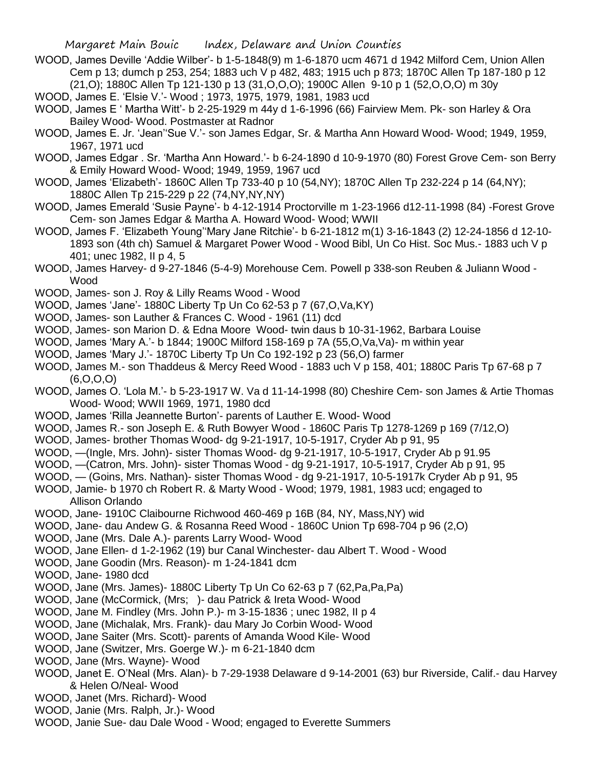- WOOD, James Deville 'Addie Wilber'- b 1-5-1848(9) m 1-6-1870 ucm 4671 d 1942 Milford Cem, Union Allen Cem p 13; dumch p 253, 254; 1883 uch V p 482, 483; 1915 uch p 873; 1870C Allen Tp 187-180 p 12 (21,O); 1880C Allen Tp 121-130 p 13 (31,O,O,O); 1900C Allen 9-10 p 1 (52,O,O,O) m 30y
- WOOD, James E. 'Elsie V.'- Wood ; 1973, 1975, 1979, 1981, 1983 ucd
- WOOD, James E ' Martha Witt'- b 2-25-1929 m 44y d 1-6-1996 (66) Fairview Mem. Pk- son Harley & Ora Bailey Wood- Wood. Postmaster at Radnor
- WOOD, James E. Jr. 'Jean''Sue V.'- son James Edgar, Sr. & Martha Ann Howard Wood- Wood; 1949, 1959, 1967, 1971 ucd
- WOOD, James Edgar . Sr. 'Martha Ann Howard.'- b 6-24-1890 d 10-9-1970 (80) Forest Grove Cem- son Berry & Emily Howard Wood- Wood; 1949, 1959, 1967 ucd
- WOOD, James 'Elizabeth'- 1860C Allen Tp 733-40 p 10 (54,NY); 1870C Allen Tp 232-224 p 14 (64,NY); 1880C Allen Tp 215-229 p 22 (74,NY,NY,NY)
- WOOD, James Emerald 'Susie Payne'- b 4-12-1914 Proctorville m 1-23-1966 d12-11-1998 (84) -Forest Grove Cem- son James Edgar & Martha A. Howard Wood- Wood; WWII
- WOOD, James F. 'Elizabeth Young''Mary Jane Ritchie'- b 6-21-1812 m(1) 3-16-1843 (2) 12-24-1856 d 12-10- 1893 son (4th ch) Samuel & Margaret Power Wood - Wood Bibl, Un Co Hist. Soc Mus.- 1883 uch V p 401; unec 1982, II p 4, 5
- WOOD, James Harvey- d 9-27-1846 (5-4-9) Morehouse Cem. Powell p 338-son Reuben & Juliann Wood Wood
- WOOD, James- son J. Roy & Lilly Reams Wood Wood
- WOOD, James 'Jane'- 1880C Liberty Tp Un Co 62-53 p 7 (67,O,Va,KY)
- WOOD, James- son Lauther & Frances C. Wood 1961 (11) dcd
- WOOD, James- son Marion D. & Edna Moore Wood- twin daus b 10-31-1962, Barbara Louise
- WOOD, James 'Mary A.'- b 1844; 1900C Milford 158-169 p 7A (55,O,Va,Va)- m within year
- WOOD, James 'Mary J.'- 1870C Liberty Tp Un Co 192-192 p 23 (56,O) farmer
- WOOD, James M.- son Thaddeus & Mercy Reed Wood 1883 uch V p 158, 401; 1880C Paris Tp 67-68 p 7 (6,O,O,O)
- WOOD, James O. 'Lola M.'- b 5-23-1917 W. Va d 11-14-1998 (80) Cheshire Cem- son James & Artie Thomas Wood- Wood; WWII 1969, 1971, 1980 dcd
- WOOD, James 'Rilla Jeannette Burton'- parents of Lauther E. Wood- Wood
- WOOD, James R.- son Joseph E. & Ruth Bowyer Wood 1860C Paris Tp 1278-1269 p 169 (7/12,O)
- WOOD, James- brother Thomas Wood- dg 9-21-1917, 10-5-1917, Cryder Ab p 91, 95
- WOOD, —(Ingle, Mrs. John)- sister Thomas Wood- dg 9-21-1917, 10-5-1917, Cryder Ab p 91.95
- WOOD, —(Catron, Mrs. John)- sister Thomas Wood dg 9-21-1917, 10-5-1917, Cryder Ab p 91, 95
- WOOD, (Goins, Mrs. Nathan)- sister Thomas Wood dg 9-21-1917, 10-5-1917k Cryder Ab p 91, 95
- WOOD, Jamie- b 1970 ch Robert R. & Marty Wood Wood; 1979, 1981, 1983 ucd; engaged to Allison Orlando
- WOOD, Jane- 1910C Claibourne Richwood 460-469 p 16B (84, NY, Mass,NY) wid
- WOOD, Jane- dau Andew G. & Rosanna Reed Wood 1860C Union Tp 698-704 p 96 (2,O)
- WOOD, Jane (Mrs. Dale A.)- parents Larry Wood- Wood
- WOOD, Jane Ellen- d 1-2-1962 (19) bur Canal Winchester- dau Albert T. Wood Wood
- WOOD, Jane Goodin (Mrs. Reason)- m 1-24-1841 dcm
- WOOD, Jane- 1980 dcd
- WOOD, Jane (Mrs. James)- 1880C Liberty Tp Un Co 62-63 p 7 (62,Pa,Pa,Pa)
- WOOD, Jane (McCormick, (Mrs; )- dau Patrick & Ireta Wood- Wood
- WOOD, Jane M. Findley (Mrs. John P.)- m 3-15-1836 ; unec 1982, II p 4
- WOOD, Jane (Michalak, Mrs. Frank)- dau Mary Jo Corbin Wood- Wood
- WOOD, Jane Saiter (Mrs. Scott)- parents of Amanda Wood Kile- Wood
- WOOD, Jane (Switzer, Mrs. Goerge W.)- m 6-21-1840 dcm
- WOOD, Jane (Mrs. Wayne)- Wood
- WOOD, Janet E. O'Neal (Mrs. Alan)- b 7-29-1938 Delaware d 9-14-2001 (63) bur Riverside, Calif.- dau Harvey & Helen O/Neal- Wood
- WOOD, Janet (Mrs. Richard)- Wood
- WOOD, Janie (Mrs. Ralph, Jr.)- Wood
- WOOD, Janie Sue- dau Dale Wood Wood; engaged to Everette Summers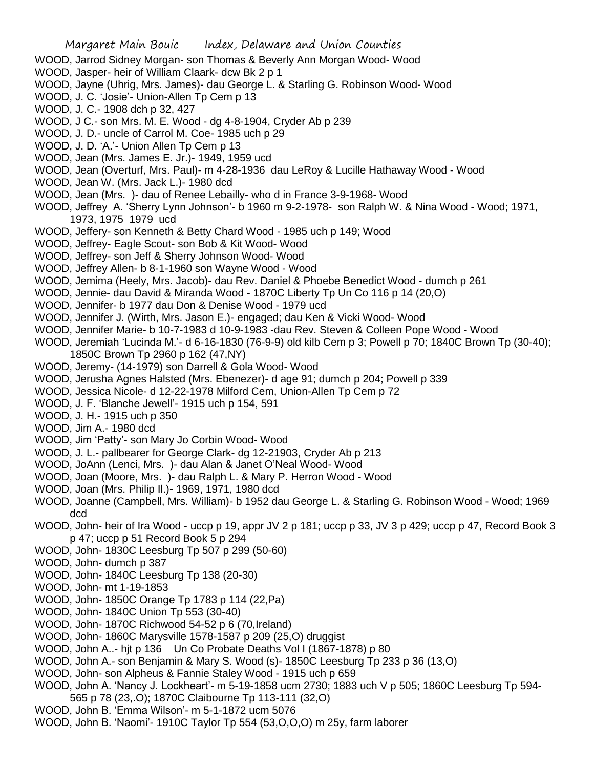- WOOD, Jarrod Sidney Morgan- son Thomas & Beverly Ann Morgan Wood- Wood
- WOOD, Jasper- heir of William Claark- dcw Bk 2 p 1
- WOOD, Jayne (Uhrig, Mrs. James)- dau George L. & Starling G. Robinson Wood- Wood
- WOOD, J. C. 'Josie'- Union-Allen Tp Cem p 13
- WOOD, J. C.- 1908 dch p 32, 427
- WOOD, J C.- son Mrs. M. E. Wood dg 4-8-1904, Cryder Ab p 239
- WOOD, J. D.- uncle of Carrol M. Coe- 1985 uch p 29
- WOOD, J. D. 'A.'- Union Allen Tp Cem p 13
- WOOD, Jean (Mrs. James E. Jr.)- 1949, 1959 ucd
- WOOD, Jean (Overturf, Mrs. Paul)- m 4-28-1936 dau LeRoy & Lucille Hathaway Wood Wood
- WOOD, Jean W. (Mrs. Jack L.)- 1980 dcd
- WOOD, Jean (Mrs. )- dau of Renee Lebailly- who d in France 3-9-1968- Wood
- WOOD, Jeffrey A. 'Sherry Lynn Johnson'- b 1960 m 9-2-1978- son Ralph W. & Nina Wood Wood; 1971, 1973, 1975 1979 ucd
- WOOD, Jeffery- son Kenneth & Betty Chard Wood 1985 uch p 149; Wood
- WOOD, Jeffrey- Eagle Scout- son Bob & Kit Wood- Wood
- WOOD, Jeffrey- son Jeff & Sherry Johnson Wood- Wood
- WOOD, Jeffrey Allen- b 8-1-1960 son Wayne Wood Wood
- WOOD, Jemima (Heely, Mrs. Jacob)- dau Rev. Daniel & Phoebe Benedict Wood dumch p 261
- WOOD, Jennie- dau David & Miranda Wood 1870C Liberty Tp Un Co 116 p 14 (20,O)
- WOOD, Jennifer- b 1977 dau Don & Denise Wood 1979 ucd
- WOOD, Jennifer J. (Wirth, Mrs. Jason E.)- engaged; dau Ken & Vicki Wood- Wood
- WOOD, Jennifer Marie- b 10-7-1983 d 10-9-1983 -dau Rev. Steven & Colleen Pope Wood Wood
- WOOD, Jeremiah 'Lucinda M.'- d 6-16-1830 (76-9-9) old kilb Cem p 3; Powell p 70; 1840C Brown Tp (30-40); 1850C Brown Tp 2960 p 162 (47,NY)
- WOOD, Jeremy- (14-1979) son Darrell & Gola Wood- Wood
- WOOD, Jerusha Agnes Halsted (Mrs. Ebenezer)- d age 91; dumch p 204; Powell p 339
- WOOD, Jessica Nicole- d 12-22-1978 Milford Cem, Union-Allen Tp Cem p 72
- WOOD, J. F. 'Blanche Jewell'- 1915 uch p 154, 591
- WOOD, J. H.- 1915 uch p 350
- WOOD, Jim A.- 1980 dcd
- WOOD, Jim 'Patty'- son Mary Jo Corbin Wood- Wood
- WOOD, J. L.- pallbearer for George Clark- dg 12-21903, Cryder Ab p 213
- WOOD, JoAnn (Lenci, Mrs. )- dau Alan & Janet O'Neal Wood- Wood
- WOOD, Joan (Moore, Mrs. )- dau Ralph L. & Mary P. Herron Wood Wood
- WOOD, Joan (Mrs. Philip Il.)- 1969, 1971, 1980 dcd
- WOOD, Joanne (Campbell, Mrs. William)- b 1952 dau George L. & Starling G. Robinson Wood Wood; 1969 dcd
- WOOD, John- heir of Ira Wood uccp p 19, appr JV 2 p 181; uccp p 33, JV 3 p 429; uccp p 47, Record Book 3 p 47; uccp p 51 Record Book 5 p 294
- WOOD, John- 1830C Leesburg Tp 507 p 299 (50-60)
- WOOD, John- dumch p 387
- WOOD, John- 1840C Leesburg Tp 138 (20-30)
- WOOD, John- mt 1-19-1853
- WOOD, John- 1850C Orange Tp 1783 p 114 (22,Pa)
- WOOD, John- 1840C Union Tp 553 (30-40)
- WOOD, John- 1870C Richwood 54-52 p 6 (70,Ireland)
- WOOD, John- 1860C Marysville 1578-1587 p 209 (25,O) druggist
- WOOD, John A..- hjt p 136 Un Co Probate Deaths Vol I (1867-1878) p 80
- WOOD, John A.- son Benjamin & Mary S. Wood (s)- 1850C Leesburg Tp 233 p 36 (13,O)
- WOOD, John- son Alpheus & Fannie Staley Wood 1915 uch p 659
- WOOD, John A. 'Nancy J. Lockheart'- m 5-19-1858 ucm 2730; 1883 uch V p 505; 1860C Leesburg Tp 594-
- 565 p 78 (23,.O); 1870C Claibourne Tp 113-111 (32,O)
- WOOD, John B. 'Emma Wilson'- m 5-1-1872 ucm 5076
- WOOD, John B. 'Naomi'- 1910C Taylor Tp 554 (53,O,O,O) m 25y, farm laborer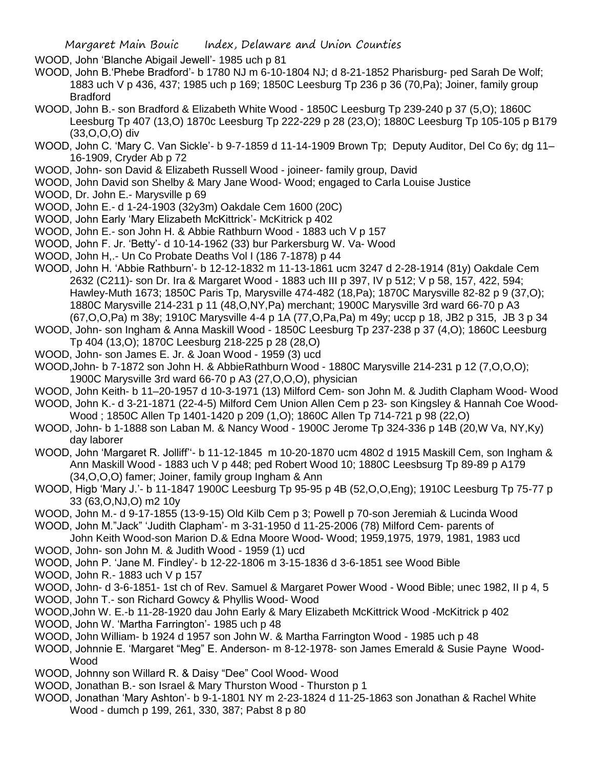WOOD, John 'Blanche Abigail Jewell'- 1985 uch p 81

- WOOD, John B.'Phebe Bradford'- b 1780 NJ m 6-10-1804 NJ; d 8-21-1852 Pharisburg- ped Sarah De Wolf; 1883 uch V p 436, 437; 1985 uch p 169; 1850C Leesburg Tp 236 p 36 (70,Pa); Joiner, family group Bradford
- WOOD, John B.- son Bradford & Elizabeth White Wood 1850C Leesburg Tp 239-240 p 37 (5,O); 1860C Leesburg Tp 407 (13,O) 1870c Leesburg Tp 222-229 p 28 (23,O); 1880C Leesburg Tp 105-105 p B179 (33,O,O,O) div
- WOOD, John C. 'Mary C. Van Sickle'- b 9-7-1859 d 11-14-1909 Brown Tp; Deputy Auditor, Del Co 6y; dg 11– 16-1909, Cryder Ab p 72
- WOOD, John- son David & Elizabeth Russell Wood joineer- family group, David
- WOOD, John David son Shelby & Mary Jane Wood- Wood; engaged to Carla Louise Justice
- WOOD, Dr. John E.- Marysville p 69
- WOOD, John E.- d 1-24-1903 (32y3m) Oakdale Cem 1600 (20C)
- WOOD, John Early 'Mary Elizabeth McKittrick'- McKitrick p 402
- WOOD, John E.- son John H. & Abbie Rathburn Wood 1883 uch V p 157
- WOOD, John F. Jr. 'Betty'- d 10-14-1962 (33) bur Parkersburg W. Va- Wood
- WOOD, John H,.- Un Co Probate Deaths Vol I (186 7-1878) p 44
- WOOD, John H. 'Abbie Rathburn'- b 12-12-1832 m 11-13-1861 ucm 3247 d 2-28-1914 (81y) Oakdale Cem 2632 (C211)- son Dr. Ira & Margaret Wood - 1883 uch III p 397, IV p 512; V p 58, 157, 422, 594; Hawley-Muth 1673; 1850C Paris Tp, Marysville 474-482 (18,Pa); 1870C Marysville 82-82 p 9 (37,O); 1880C Marysville 214-231 p 11 (48,O,NY,Pa) merchant; 1900C Marysville 3rd ward 66-70 p A3 (67,O,O,Pa) m 38y; 1910C Marysville 4-4 p 1A (77,O,Pa,Pa) m 49y; uccp p 18, JB2 p 315, JB 3 p 34
- WOOD, John- son Ingham & Anna Maskill Wood 1850C Leesburg Tp 237-238 p 37 (4,O); 1860C Leesburg Tp 404 (13,O); 1870C Leesburg 218-225 p 28 (28,O)
- WOOD, John- son James E. Jr. & Joan Wood 1959 (3) ucd
- WOOD,John- b 7-1872 son John H. & AbbieRathburn Wood 1880C Marysville 214-231 p 12 (7,O,O,O); 1900C Marysville 3rd ward 66-70 p A3 (27,O,O,O), physician
- WOOD, John Keith- b 11–20-1957 d 10-3-1971 (13) Milford Cem- son John M. & Judith Clapham Wood- Wood
- WOOD, John K.- d 3-21-1871 (22-4-5) Milford Cem Union Allen Cem p 23- son Kingsley & Hannah Coe Wood-Wood ; 1850C Allen Tp 1401-1420 p 209 (1,O); 1860C Allen Tp 714-721 p 98 (22,O)
- WOOD, John- b 1-1888 son Laban M. & Nancy Wood 1900C Jerome Tp 324-336 p 14B (20,W Va, NY,Ky) day laborer
- WOOD, John 'Margaret R. Jolliff''- b 11-12-1845 m 10-20-1870 ucm 4802 d 1915 Maskill Cem, son Ingham & Ann Maskill Wood - 1883 uch V p 448; ped Robert Wood 10; 1880C Leesbsurg Tp 89-89 p A179 (34,O,O,O) famer; Joiner, family group Ingham & Ann
- WOOD, Higb 'Mary J.'- b 11-1847 1900C Leesburg Tp 95-95 p 4B (52,O,O,Eng); 1910C Leesburg Tp 75-77 p 33 (63,O,NJ,O) m2 10y
- WOOD, John M.- d 9-17-1855 (13-9-15) Old Kilb Cem p 3; Powell p 70-son Jeremiah & Lucinda Wood
- WOOD, John M."Jack" 'Judith Clapham'- m 3-31-1950 d 11-25-2006 (78) Milford Cem- parents of
- John Keith Wood-son Marion D.& Edna Moore Wood- Wood; 1959,1975, 1979, 1981, 1983 ucd WOOD, John- son John M. & Judith Wood - 1959 (1) ucd
- WOOD, John P. 'Jane M. Findley'- b 12-22-1806 m 3-15-1836 d 3-6-1851 see Wood Bible
- WOOD, John R.- 1883 uch V p 157
- WOOD, John- d 3-6-1851- 1st ch of Rev. Samuel & Margaret Power Wood Wood Bible; unec 1982, II p 4, 5
- WOOD, John T.- son Richard Gowcy & Phyllis Wood- Wood
- WOOD,John W. E.-b 11-28-1920 dau John Early & Mary Elizabeth McKittrick Wood -McKitrick p 402
- WOOD, John W. 'Martha Farrington'- 1985 uch p 48
- WOOD, John William- b 1924 d 1957 son John W. & Martha Farrington Wood 1985 uch p 48
- WOOD, Johnnie E. 'Margaret "Meg" E. Anderson- m 8-12-1978- son James Emerald & Susie Payne Wood-Wood
- WOOD, Johnny son Willard R. & Daisy "Dee" Cool Wood- Wood
- WOOD, Jonathan B.- son Israel & Mary Thurston Wood Thurston p 1
- WOOD, Jonathan 'Mary Ashton'- b 9-1-1801 NY m 2-23-1824 d 11-25-1863 son Jonathan & Rachel White Wood - dumch p 199, 261, 330, 387; Pabst 8 p 80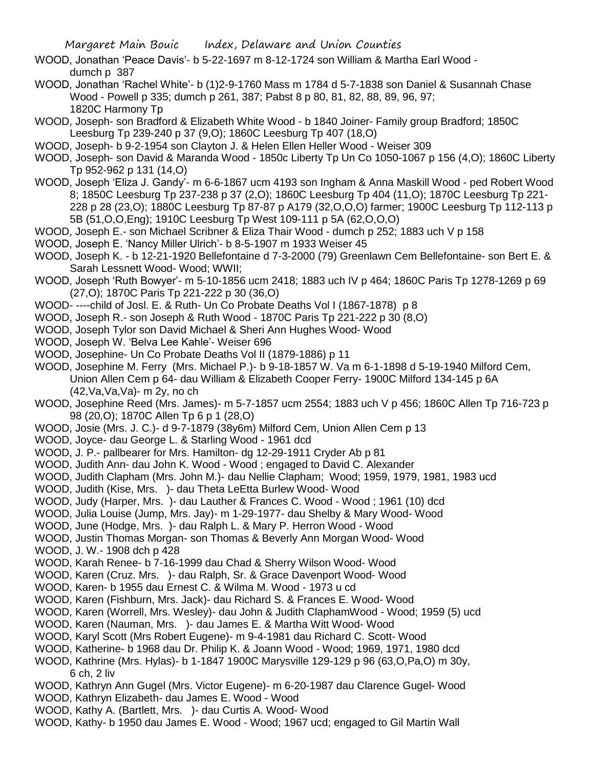- WOOD, Jonathan 'Peace Davis'- b 5-22-1697 m 8-12-1724 son William & Martha Earl Wood dumch p 387
- WOOD, Jonathan 'Rachel White'- b (1)2-9-1760 Mass m 1784 d 5-7-1838 son Daniel & Susannah Chase Wood - Powell p 335; dumch p 261, 387; Pabst 8 p 80, 81, 82, 88, 89, 96, 97; 1820C Harmony Tp
- WOOD, Joseph- son Bradford & Elizabeth White Wood b 1840 Joiner- Family group Bradford; 1850C Leesburg Tp 239-240 p 37 (9,O); 1860C Leesburg Tp 407 (18,O)
- WOOD, Joseph- b 9-2-1954 son Clayton J. & Helen Ellen Heller Wood Weiser 309
- WOOD, Joseph- son David & Maranda Wood 1850c Liberty Tp Un Co 1050-1067 p 156 (4,O); 1860C Liberty Tp 952-962 p 131 (14,O)
- WOOD, Joseph 'Eliza J. Gandy'- m 6-6-1867 ucm 4193 son Ingham & Anna Maskill Wood ped Robert Wood 8; 1850C Leesburg Tp 237-238 p 37 (2,O); 1860C Leesburg Tp 404 (11,O); 1870C Leesburg Tp 221- 228 p 28 (23,O); 1880C Leesburg Tp 87-87 p A179 (32,O,O,O) farmer; 1900C Leesburg Tp 112-113 p 5B (51,O,O,Eng); 1910C Leesburg Tp West 109-111 p 5A (62,O,O,O)
- WOOD, Joseph E.- son Michael Scribner & Eliza Thair Wood dumch p 252; 1883 uch V p 158
- WOOD, Joseph E. 'Nancy Miller Ulrich'- b 8-5-1907 m 1933 Weiser 45
- WOOD, Joseph K. b 12-21-1920 Bellefontaine d 7-3-2000 (79) Greenlawn Cem Bellefontaine- son Bert E. & Sarah Lessnett Wood- Wood; WWII;
- WOOD, Joseph 'Ruth Bowyer'- m 5-10-1856 ucm 2418; 1883 uch IV p 464; 1860C Paris Tp 1278-1269 p 69 (27,O); 1870C Paris Tp 221-222 p 30 (36,O)
- WOOD- ----child of Josl. E. & Ruth- Un Co Probate Deaths Vol I (1867-1878) p 8
- WOOD, Joseph R.- son Joseph & Ruth Wood 1870C Paris Tp 221-222 p 30 (8,O)
- WOOD, Joseph Tylor son David Michael & Sheri Ann Hughes Wood- Wood
- WOOD, Joseph W. 'Belva Lee Kahle'- Weiser 696
- WOOD, Josephine- Un Co Probate Deaths Vol II (1879-1886) p 11
- WOOD, Josephine M. Ferry (Mrs. Michael P.)- b 9-18-1857 W. Va m 6-1-1898 d 5-19-1940 Milford Cem, Union Allen Cem p 64- dau William & Elizabeth Cooper Ferry- 1900C Milford 134-145 p 6A (42,Va,Va,Va)- m 2y, no ch
- WOOD, Josephine Reed (Mrs. James)- m 5-7-1857 ucm 2554; 1883 uch V p 456; 1860C Allen Tp 716-723 p 98 (20,O); 1870C Allen Tp 6 p 1 (28,O)
- WOOD, Josie (Mrs. J. C.)- d 9-7-1879 (38y6m) Milford Cem, Union Allen Cem p 13
- WOOD, Joyce- dau George L. & Starling Wood 1961 dcd
- WOOD, J. P.- pallbearer for Mrs. Hamilton- dg 12-29-1911 Cryder Ab p 81
- WOOD, Judith Ann- dau John K. Wood Wood ; engaged to David C. Alexander
- WOOD, Judith Clapham (Mrs. John M.)- dau Nellie Clapham; Wood; 1959, 1979, 1981, 1983 ucd
- WOOD, Judith (Kise, Mrs. )- dau Theta LeEtta Burlew Wood- Wood
- WOOD, Judy (Harper, Mrs. )- dau Lauther & Frances C. Wood Wood ; 1961 (10) dcd
- WOOD, Julia Louise (Jump, Mrs. Jay)- m 1-29-1977- dau Shelby & Mary Wood- Wood
- WOOD, June (Hodge, Mrs. )- dau Ralph L. & Mary P. Herron Wood Wood
- WOOD, Justin Thomas Morgan- son Thomas & Beverly Ann Morgan Wood- Wood
- WOOD, J. W.- 1908 dch p 428
- WOOD, Karah Renee- b 7-16-1999 dau Chad & Sherry Wilson Wood- Wood
- WOOD, Karen (Cruz. Mrs. )- dau Ralph, Sr. & Grace Davenport Wood- Wood
- WOOD, Karen- b 1955 dau Ernest C. & Wilma M. Wood 1973 u cd
- WOOD, Karen (Fishburn, Mrs. Jack)- dau Richard S. & Frances E. Wood- Wood
- WOOD, Karen (Worrell, Mrs. Wesley)- dau John & Judith ClaphamWood Wood; 1959 (5) ucd
- WOOD, Karen (Nauman, Mrs. )- dau James E. & Martha Witt Wood- Wood
- WOOD, Karyl Scott (Mrs Robert Eugene)- m 9-4-1981 dau Richard C. Scott- Wood
- WOOD, Katherine- b 1968 dau Dr. Philip K. & Joann Wood Wood; 1969, 1971, 1980 dcd
- WOOD, Kathrine (Mrs. Hylas)- b 1-1847 1900C Marysville 129-129 p 96 (63,O,Pa,O) m 30y, 6 ch, 2 liv
- WOOD, Kathryn Ann Gugel (Mrs. Victor Eugene)- m 6-20-1987 dau Clarence Gugel- Wood
- WOOD, Kathryn Elizabeth- dau James E. Wood Wood
- WOOD, Kathy A. (Bartlett, Mrs. )- dau Curtis A. Wood- Wood
- WOOD, Kathy- b 1950 dau James E. Wood Wood; 1967 ucd; engaged to Gil Martin Wall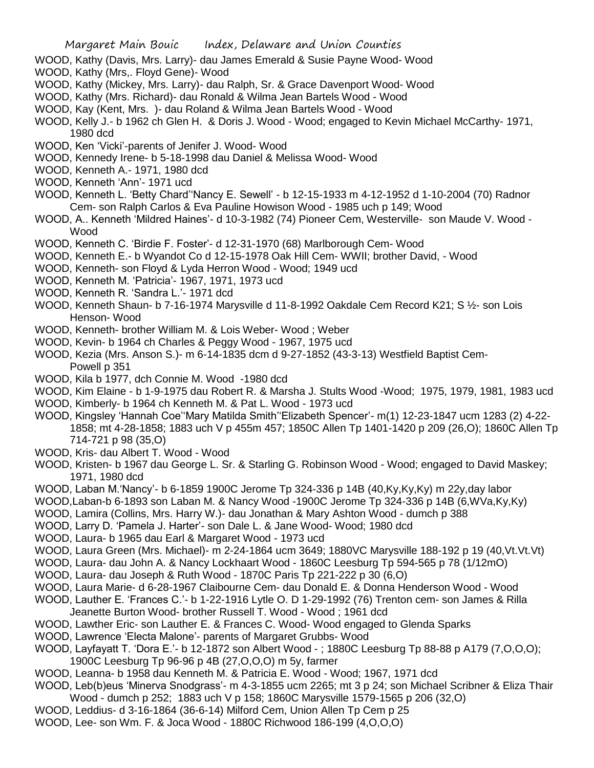- WOOD, Kathy (Davis, Mrs. Larry)- dau James Emerald & Susie Payne Wood- Wood
- WOOD, Kathy (Mrs,. Floyd Gene)- Wood
- WOOD, Kathy (Mickey, Mrs. Larry)- dau Ralph, Sr. & Grace Davenport Wood- Wood
- WOOD, Kathy (Mrs. Richard)- dau Ronald & Wilma Jean Bartels Wood Wood
- WOOD, Kay (Kent, Mrs. )- dau Roland & Wilma Jean Bartels Wood Wood
- WOOD, Kelly J.- b 1962 ch Glen H. & Doris J. Wood Wood; engaged to Kevin Michael McCarthy- 1971, 1980 dcd
- WOOD, Ken 'Vicki'-parents of Jenifer J. Wood- Wood
- WOOD, Kennedy Irene- b 5-18-1998 dau Daniel & Melissa Wood- Wood
- WOOD, Kenneth A.- 1971, 1980 dcd
- WOOD, Kenneth 'Ann'- 1971 ucd
- WOOD, Kenneth L. 'Betty Chard''Nancy E. Sewell' b 12-15-1933 m 4-12-1952 d 1-10-2004 (70) Radnor Cem- son Ralph Carlos & Eva Pauline Howison Wood - 1985 uch p 149; Wood
- WOOD, A.. Kenneth 'Mildred Haines'- d 10-3-1982 (74) Pioneer Cem, Westerville- son Maude V. Wood Wood
- WOOD, Kenneth C. 'Birdie F. Foster'- d 12-31-1970 (68) Marlborough Cem- Wood
- WOOD, Kenneth E.- b Wyandot Co d 12-15-1978 Oak Hill Cem- WWII; brother David, Wood
- WOOD, Kenneth- son Floyd & Lyda Herron Wood Wood; 1949 ucd
- WOOD, Kenneth M. 'Patricia'- 1967, 1971, 1973 ucd
- WOOD, Kenneth R. 'Sandra L.'- 1971 dcd
- WOOD, Kenneth Shaun- b 7-16-1974 Marysville d 11-8-1992 Oakdale Cem Record K21; S 1/2- son Lois Henson- Wood
- WOOD, Kenneth- brother William M. & Lois Weber- Wood ; Weber
- WOOD, Kevin- b 1964 ch Charles & Peggy Wood 1967, 1975 ucd
- WOOD, Kezia (Mrs. Anson S.)- m 6-14-1835 dcm d 9-27-1852 (43-3-13) Westfield Baptist Cem-Powell p 351
- WOOD, Kila b 1977, dch Connie M. Wood -1980 dcd
- WOOD, Kim Elaine b 1-9-1975 dau Robert R. & Marsha J. Stults Wood -Wood; 1975, 1979, 1981, 1983 ucd
- WOOD, Kimberly- b 1964 ch Kenneth M. & Pat L. Wood 1973 ucd
- WOOD, Kingsley 'Hannah Coe''Mary Matilda Smith''Elizabeth Spencer'- m(1) 12-23-1847 ucm 1283 (2) 4-22- 1858; mt 4-28-1858; 1883 uch V p 455m 457; 1850C Allen Tp 1401-1420 p 209 (26,O); 1860C Allen Tp 714-721 p 98 (35,O)
- WOOD, Kris- dau Albert T. Wood Wood
- WOOD, Kristen- b 1967 dau George L. Sr. & Starling G. Robinson Wood Wood; engaged to David Maskey; 1971, 1980 dcd
- WOOD, Laban M.'Nancy'- b 6-1859 1900C Jerome Tp 324-336 p 14B (40,Ky,Ky,Ky) m 22y,day labor
- WOOD,Laban-b 6-1893 son Laban M. & Nancy Wood -1900C Jerome Tp 324-336 p 14B (6,WVa,Ky,Ky)
- WOOD, Lamira (Collins, Mrs. Harry W.)- dau Jonathan & Mary Ashton Wood dumch p 388
- WOOD, Larry D. 'Pamela J. Harter'- son Dale L. & Jane Wood- Wood; 1980 dcd
- WOOD, Laura- b 1965 dau Earl & Margaret Wood 1973 ucd
- WOOD, Laura Green (Mrs. Michael)- m 2-24-1864 ucm 3649; 1880VC Marysville 188-192 p 19 (40,Vt.Vt.Vt)
- WOOD, Laura- dau John A. & Nancy Lockhaart Wood 1860C Leesburg Tp 594-565 p 78 (1/12mO)
- WOOD, Laura- dau Joseph & Ruth Wood 1870C Paris Tp 221-222 p 30 (6,O)
- WOOD, Laura Marie- d 6-28-1967 Claibourne Cem- dau Donald E. & Donna Henderson Wood Wood
- WOOD, Lauther E. 'Frances C.'- b 1-22-1916 Lytle O. D 1-29-1992 (76) Trenton cem- son James & Rilla Jeanette Burton Wood- brother Russell T. Wood - Wood ; 1961 dcd
- WOOD, Lawther Eric- son Lauther E. & Frances C. Wood- Wood engaged to Glenda Sparks
- WOOD, Lawrence 'Electa Malone'- parents of Margaret Grubbs- Wood
- WOOD, Layfayatt T. 'Dora E.'- b 12-1872 son Albert Wood ; 1880C Leesburg Tp 88-88 p A179 (7,O,O,O); 1900C Leesburg Tp 96-96 p 4B (27,O,O,O) m 5y, farmer
- WOOD, Leanna- b 1958 dau Kenneth M. & Patricia E. Wood Wood; 1967, 1971 dcd
- WOOD, Leb(b)eus 'Minerva Snodgrass'- m 4-3-1855 ucm 2265; mt 3 p 24; son Michael Scribner & Eliza Thair Wood - dumch p 252; 1883 uch V p 158; 1860C Marysville 1579-1565 p 206 (32,O)
- WOOD, Leddius- d 3-16-1864 (36-6-14) Milford Cem, Union Allen Tp Cem p 25
- WOOD, Lee- son Wm. F. & Joca Wood 1880C Richwood 186-199 (4,O,O,O)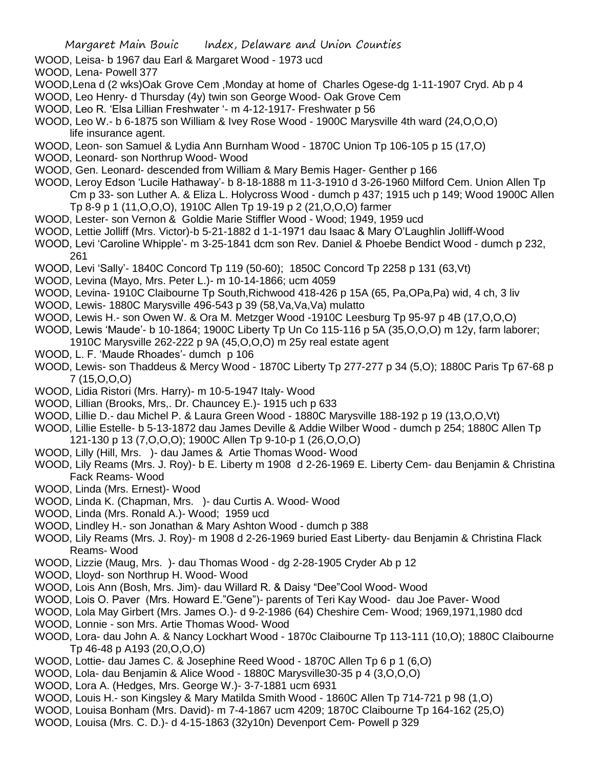WOOD, Leisa- b 1967 dau Earl & Margaret Wood - 1973 ucd

WOOD, Lena- Powell 377

- WOOD,Lena d (2 wks)Oak Grove Cem ,Monday at home of Charles Ogese-dg 1-11-1907 Cryd. Ab p 4
- WOOD, Leo Henry- d Thursday (4y) twin son George Wood- Oak Grove Cem
- WOOD, Leo R. 'Elsa Lillian Freshwater '- m 4-12-1917- Freshwater p 56
- WOOD, Leo W.- b 6-1875 son William & Ivey Rose Wood 1900C Marysville 4th ward (24,O,O,O) life insurance agent.
- WOOD, Leon- son Samuel & Lydia Ann Burnham Wood 1870C Union Tp 106-105 p 15 (17,O)
- WOOD, Leonard- son Northrup Wood- Wood
- WOOD, Gen. Leonard- descended from William & Mary Bemis Hager- Genther p 166
- WOOD, Leroy Edson 'Lucile Hathaway'- b 8-18-1888 m 11-3-1910 d 3-26-1960 Milford Cem. Union Allen Tp Cm p 33- son Luther A. & Eliza L. Holycross Wood - dumch p 437; 1915 uch p 149; Wood 1900C Allen Tp 8-9 p 1 (11,O,O,O), 1910C Allen Tp 19-19 p 2 (21,O,O,O) farmer
- WOOD, Lester- son Vernon & Goldie Marie Stiffler Wood Wood; 1949, 1959 ucd
- WOOD, Lettie Jolliff (Mrs. Victor)-b 5-21-1882 d 1-1-1971 dau Isaac & Mary O'Laughlin Jolliff-Wood
- WOOD, Levi 'Caroline Whipple'- m 3-25-1841 dcm son Rev. Daniel & Phoebe Bendict Wood dumch p 232, 261
- WOOD, Levi 'Sally'- 1840C Concord Tp 119 (50-60); 1850C Concord Tp 2258 p 131 (63,Vt)
- WOOD, Levina (Mayo, Mrs. Peter L.)- m 10-14-1866; ucm 4059
- WOOD, Levina- 1910C Claibourne Tp South,Richwood 418-426 p 15A (65, Pa,OPa,Pa) wid, 4 ch, 3 liv
- WOOD, Lewis- 1880C Marysville 496-543 p 39 (58,Va,Va,Va) mulatto
- WOOD, Lewis H.- son Owen W. & Ora M. Metzger Wood -1910C Leesburg Tp 95-97 p 4B (17,O,O,O)
- WOOD, Lewis 'Maude'- b 10-1864; 1900C Liberty Tp Un Co 115-116 p 5A (35,O,O,O) m 12y, farm laborer; 1910C Marysville 262-222 p 9A (45,O,O,O) m 25y real estate agent
- WOOD, L. F. 'Maude Rhoades'- dumch p 106
- WOOD, Lewis- son Thaddeus & Mercy Wood 1870C Liberty Tp 277-277 p 34 (5,O); 1880C Paris Tp 67-68 p 7 (15,O,O,O)
- WOOD, Lidia Ristori (Mrs. Harry)- m 10-5-1947 Italy- Wood
- WOOD, Lillian (Brooks, Mrs,. Dr. Chauncey E.)- 1915 uch p 633
- WOOD, Lillie D.- dau Michel P. & Laura Green Wood 1880C Marysville 188-192 p 19 (13,O,O,Vt)
- WOOD, Lillie Estelle- b 5-13-1872 dau James Deville & Addie Wilber Wood dumch p 254; 1880C Allen Tp
- 121-130 p 13 (7,O,O,O); 1900C Allen Tp 9-10-p 1 (26,O,O,O)
- WOOD, Lilly (Hill, Mrs. )- dau James & Artie Thomas Wood- Wood
- WOOD, Lily Reams (Mrs. J. Roy)- b E. Liberty m 1908 d 2-26-1969 E. Liberty Cem- dau Benjamin & Christina Fack Reams- Wood
- WOOD, Linda (Mrs. Ernest)- Wood
- WOOD, Linda K. (Chapman, Mrs. )- dau Curtis A. Wood- Wood
- WOOD, Linda (Mrs. Ronald A.)- Wood; 1959 ucd
- WOOD, Lindley H.- son Jonathan & Mary Ashton Wood dumch p 388
- WOOD, Lily Reams (Mrs. J. Roy)- m 1908 d 2-26-1969 buried East Liberty- dau Benjamin & Christina Flack Reams- Wood
- WOOD, Lizzie (Maug, Mrs. )- dau Thomas Wood dg 2-28-1905 Cryder Ab p 12
- WOOD, Lloyd- son Northrup H. Wood- Wood
- WOOD, Lois Ann (Bosh, Mrs. Jim)- dau Willard R. & Daisy "Dee"Cool Wood- Wood
- WOOD, Lois O. Paver (Mrs. Howard E."Gene")- parents of Teri Kay Wood- dau Joe Paver- Wood
- WOOD, Lola May Girbert (Mrs. James O.)- d 9-2-1986 (64) Cheshire Cem- Wood; 1969,1971,1980 dcd
- WOOD, Lonnie son Mrs. Artie Thomas Wood- Wood
- WOOD, Lora- dau John A. & Nancy Lockhart Wood 1870c Claibourne Tp 113-111 (10,O); 1880C Claibourne Tp 46-48 p A193 (20,O,O,O)
- WOOD, Lottie- dau James C. & Josephine Reed Wood 1870C Allen Tp 6 p 1 (6,O)
- WOOD, Lola- dau Benjamin & Alice Wood 1880C Marysville30-35 p 4 (3,O,O,O)
- WOOD, Lora A. (Hedges, Mrs. George W.)- 3-7-1881 ucm 6931
- WOOD, Louis H.- son Kingsley & Mary Matilda Smith Wood 1860C Allen Tp 714-721 p 98 (1,O)
- WOOD, Louisa Bonham (Mrs. David)- m 7-4-1867 ucm 4209; 1870C Claibourne Tp 164-162 (25,O)
- WOOD, Louisa (Mrs. C. D.)- d 4-15-1863 (32y10n) Devenport Cem- Powell p 329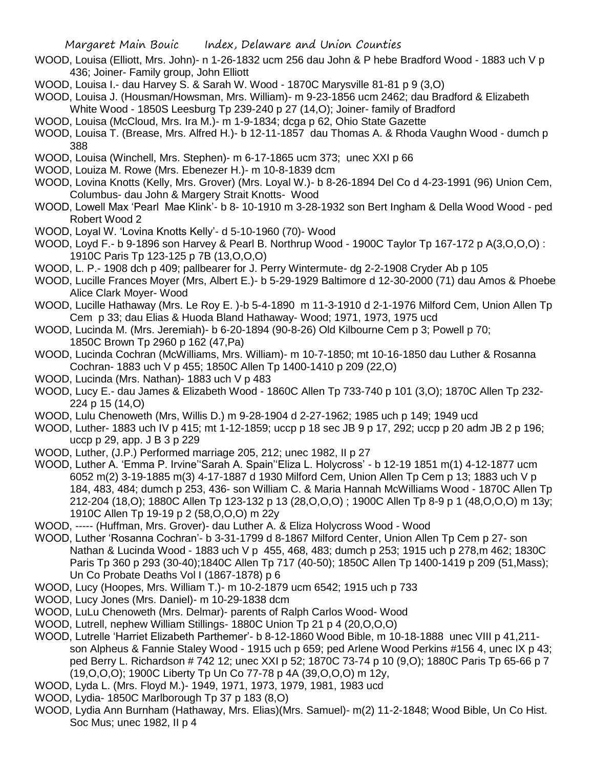- WOOD, Louisa (Elliott, Mrs. John)- n 1-26-1832 ucm 256 dau John & P hebe Bradford Wood 1883 uch V p 436; Joiner- Family group, John Elliott
- WOOD, Louisa I.- dau Harvey S. & Sarah W. Wood 1870C Marysville 81-81 p 9 (3,O)
- WOOD, Louisa J. (Housman/Howsman, Mrs. William)- m 9-23-1856 ucm 2462; dau Bradford & Elizabeth White Wood - 1850S Leesburg Tp 239-240 p 27 (14,O); Joiner- family of Bradford
- WOOD, Louisa (McCloud, Mrs. Ira M.)- m 1-9-1834; dcga p 62, Ohio State Gazette
- WOOD, Louisa T. (Brease, Mrs. Alfred H.)- b 12-11-1857 dau Thomas A. & Rhoda Vaughn Wood dumch p 388
- WOOD, Louisa (Winchell, Mrs. Stephen)- m 6-17-1865 ucm 373; unec XXI p 66
- WOOD, Louiza M. Rowe (Mrs. Ebenezer H.)- m 10-8-1839 dcm
- WOOD, Lovina Knotts (Kelly, Mrs. Grover) (Mrs. Loyal W.)- b 8-26-1894 Del Co d 4-23-1991 (96) Union Cem, Columbus- dau John & Margery Strait Knotts- Wood
- WOOD, Lowell Max 'Pearl Mae Klink'- b 8- 10-1910 m 3-28-1932 son Bert Ingham & Della Wood Wood ped Robert Wood 2
- WOOD, Loyal W. 'Lovina Knotts Kelly'- d 5-10-1960 (70)- Wood
- WOOD, Loyd F.- b 9-1896 son Harvey & Pearl B. Northrup Wood 1900C Taylor Tp 167-172 p A(3,O,O,O) : 1910C Paris Tp 123-125 p 7B (13,O,O,O)
- WOOD, L. P.- 1908 dch p 409; pallbearer for J. Perry Wintermute- dg 2-2-1908 Cryder Ab p 105
- WOOD, Lucille Frances Moyer (Mrs, Albert E.)- b 5-29-1929 Baltimore d 12-30-2000 (71) dau Amos & Phoebe Alice Clark Moyer- Wood
- WOOD, Lucille Hathaway (Mrs. Le Roy E. )-b 5-4-1890 m 11-3-1910 d 2-1-1976 Milford Cem, Union Allen Tp Cem p 33; dau Elias & Huoda Bland Hathaway- Wood; 1971, 1973, 1975 ucd
- WOOD, Lucinda M. (Mrs. Jeremiah)- b 6-20-1894 (90-8-26) Old Kilbourne Cem p 3; Powell p 70; 1850C Brown Tp 2960 p 162 (47,Pa)
- WOOD, Lucinda Cochran (McWilliams, Mrs. William)- m 10-7-1850; mt 10-16-1850 dau Luther & Rosanna Cochran- 1883 uch V p 455; 1850C Allen Tp 1400-1410 p 209 (22,O)
- WOOD, Lucinda (Mrs. Nathan)- 1883 uch V p 483
- WOOD, Lucy E.- dau James & Elizabeth Wood 1860C Allen Tp 733-740 p 101 (3,O); 1870C Allen Tp 232- 224 p 15 (14,O)
- WOOD, Lulu Chenoweth (Mrs, Willis D.) m 9-28-1904 d 2-27-1962; 1985 uch p 149; 1949 ucd
- WOOD, Luther- 1883 uch IV p 415; mt 1-12-1859; uccp p 18 sec JB 9 p 17, 292; uccp p 20 adm JB 2 p 196; uccp p 29, app. J B 3 p 229
- WOOD, Luther, (J.P.) Performed marriage 205, 212; unec 1982, II p 27
- WOOD, Luther A. 'Emma P. Irvine''Sarah A. Spain''Eliza L. Holycross' b 12-19 1851 m(1) 4-12-1877 ucm 6052 m(2) 3-19-1885 m(3) 4-17-1887 d 1930 Milford Cem, Union Allen Tp Cem p 13; 1883 uch V p 184, 483, 484; dumch p 253, 436- son William C. & Maria Hannah McWilliams Wood - 1870C Allen Tp 212-204 (18,O); 1880C Allen Tp 123-132 p 13 (28,O,O,O) ; 1900C Allen Tp 8-9 p 1 (48,O,O,O) m 13y; 1910C Allen Tp 19-19 p 2 (58,O,O,O) m 22y
- WOOD, ----- (Huffman, Mrs. Grover)- dau Luther A. & Eliza Holycross Wood Wood
- WOOD, Luther 'Rosanna Cochran'- b 3-31-1799 d 8-1867 Milford Center, Union Allen Tp Cem p 27- son Nathan & Lucinda Wood - 1883 uch V p 455, 468, 483; dumch p 253; 1915 uch p 278,m 462; 1830C Paris Tp 360 p 293 (30-40);1840C Allen Tp 717 (40-50); 1850C Allen Tp 1400-1419 p 209 (51,Mass); Un Co Probate Deaths Vol I (1867-1878) p 6
- WOOD, Lucy (Hoopes, Mrs. William T.)- m 10-2-1879 ucm 6542; 1915 uch p 733
- WOOD, Lucy Jones (Mrs. Daniel)- m 10-29-1838 dcm
- WOOD, LuLu Chenoweth (Mrs. Delmar)- parents of Ralph Carlos Wood- Wood
- WOOD, Lutrell, nephew William Stillings- 1880C Union Tp 21 p 4 (20,O,O,O)
- WOOD, Lutrelle 'Harriet Elizabeth Parthemer'- b 8-12-1860 Wood Bible, m 10-18-1888 unec VIII p 41,211 son Alpheus & Fannie Staley Wood - 1915 uch p 659; ped Arlene Wood Perkins #156 4, unec IX p 43; ped Berry L. Richardson # 742 12; unec XXI p 52; 1870C 73-74 p 10 (9,O); 1880C Paris Tp 65-66 p 7 (19,O,O,O); 1900C Liberty Tp Un Co 77-78 p 4A (39,O,O,O) m 12y,
- WOOD, Lyda L. (Mrs. Floyd M.)- 1949, 1971, 1973, 1979, 1981, 1983 ucd
- WOOD, Lydia- 1850C Marlborough Tp 37 p 183 (8,O)
- WOOD, Lydia Ann Burnham (Hathaway, Mrs. Elias)(Mrs. Samuel)- m(2) 11-2-1848; Wood Bible, Un Co Hist. Soc Mus; unec 1982, II p 4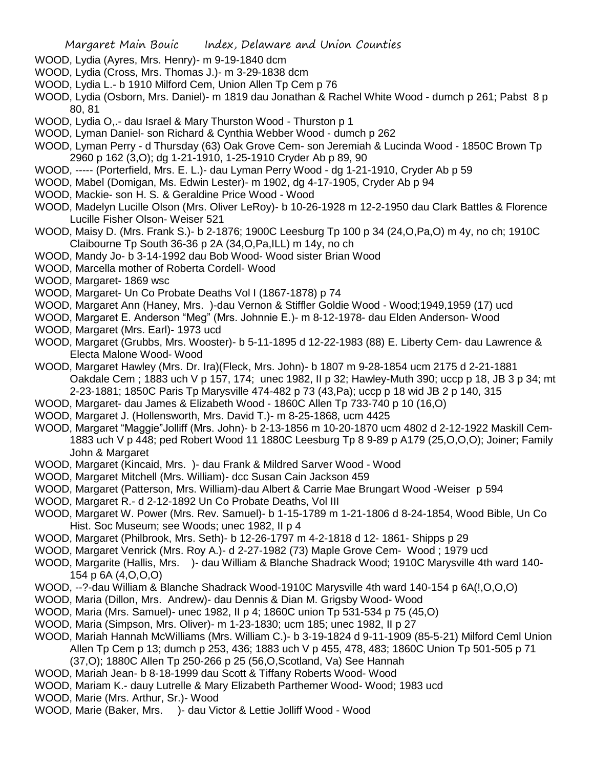- WOOD, Lydia (Ayres, Mrs. Henry)- m 9-19-1840 dcm
- WOOD, Lydia (Cross, Mrs. Thomas J.)- m 3-29-1838 dcm
- WOOD, Lydia L.- b 1910 Milford Cem, Union Allen Tp Cem p 76
- WOOD, Lydia (Osborn, Mrs. Daniel)- m 1819 dau Jonathan & Rachel White Wood dumch p 261; Pabst 8 p 80, 81
- WOOD, Lydia O,.- dau Israel & Mary Thurston Wood Thurston p 1
- WOOD, Lyman Daniel- son Richard & Cynthia Webber Wood dumch p 262
- WOOD, Lyman Perry d Thursday (63) Oak Grove Cem- son Jeremiah & Lucinda Wood 1850C Brown Tp 2960 p 162 (3,O); dg 1-21-1910, 1-25-1910 Cryder Ab p 89, 90
- WOOD, ----- (Porterfield, Mrs. E. L.)- dau Lyman Perry Wood dg 1-21-1910, Cryder Ab p 59
- WOOD, Mabel (Domigan, Ms. Edwin Lester)- m 1902, dg 4-17-1905, Cryder Ab p 94
- WOOD, Mackie- son H. S. & Geraldine Price Wood Wood
- WOOD, Madelyn Lucille Olson (Mrs. Oliver LeRoy)- b 10-26-1928 m 12-2-1950 dau Clark Battles & Florence Lucille Fisher Olson- Weiser 521
- WOOD, Maisy D. (Mrs. Frank S.)- b 2-1876; 1900C Leesburg Tp 100 p 34 (24,O,Pa,O) m 4y, no ch; 1910C Claibourne Tp South 36-36 p 2A (34,O,Pa,ILL) m 14y, no ch
- WOOD, Mandy Jo- b 3-14-1992 dau Bob Wood- Wood sister Brian Wood
- WOOD, Marcella mother of Roberta Cordell- Wood
- WOOD, Margaret- 1869 wsc
- WOOD, Margaret- Un Co Probate Deaths Vol I (1867-1878) p 74
- WOOD, Margaret Ann (Haney, Mrs. )-dau Vernon & Stiffler Goldie Wood Wood;1949,1959 (17) ucd
- WOOD, Margaret E. Anderson "Meg" (Mrs. Johnnie E.)- m 8-12-1978- dau Elden Anderson- Wood
- WOOD, Margaret (Mrs. Earl)- 1973 ucd
- WOOD, Margaret (Grubbs, Mrs. Wooster)- b 5-11-1895 d 12-22-1983 (88) E. Liberty Cem- dau Lawrence & Electa Malone Wood- Wood
- WOOD, Margaret Hawley (Mrs. Dr. Ira)(Fleck, Mrs. John)- b 1807 m 9-28-1854 ucm 2175 d 2-21-1881 Oakdale Cem ; 1883 uch V p 157, 174; unec 1982, II p 32; Hawley-Muth 390; uccp p 18, JB 3 p 34; mt 2-23-1881; 1850C Paris Tp Marysville 474-482 p 73 (43,Pa); uccp p 18 wid JB 2 p 140, 315
- WOOD, Margaret- dau James & Elizabeth Wood 1860C Allen Tp 733-740 p 10 (16,O)
- WOOD, Margaret J. (Hollensworth, Mrs. David T.)- m 8-25-1868, ucm 4425
- WOOD, Margaret "Maggie"Jolliff (Mrs. John)- b 2-13-1856 m 10-20-1870 ucm 4802 d 2-12-1922 Maskill Cem-1883 uch V p 448; ped Robert Wood 11 1880C Leesburg Tp 8 9-89 p A179 (25,O,O,O); Joiner; Family John & Margaret
- WOOD, Margaret (Kincaid, Mrs. )- dau Frank & Mildred Sarver Wood Wood
- WOOD, Margaret Mitchell (Mrs. William)- dcc Susan Cain Jackson 459
- WOOD, Margaret (Patterson, Mrs. William)-dau Albert & Carrie Mae Brungart Wood -Weiser p 594
- WOOD, Margaret R.- d 2-12-1892 Un Co Probate Deaths, Vol III
- WOOD, Margaret W. Power (Mrs. Rev. Samuel)- b 1-15-1789 m 1-21-1806 d 8-24-1854, Wood Bible, Un Co Hist. Soc Museum; see Woods; unec 1982, II p 4
- WOOD, Margaret (Philbrook, Mrs. Seth)- b 12-26-1797 m 4-2-1818 d 12- 1861- Shipps p 29
- WOOD, Margaret Venrick (Mrs. Roy A.)- d 2-27-1982 (73) Maple Grove Cem- Wood ; 1979 ucd
- WOOD, Margarite (Hallis, Mrs. )- dau William & Blanche Shadrack Wood; 1910C Marysville 4th ward 140- 154 p 6A (4,O,O,O)
- WOOD, --?-dau William & Blanche Shadrack Wood-1910C Marysville 4th ward 140-154 p 6A(!,O,O,O)
- WOOD, Maria (Dillon, Mrs. Andrew)- dau Dennis & Dian M. Grigsby Wood- Wood
- WOOD, Maria (Mrs. Samuel)- unec 1982, II p 4; 1860C union Tp 531-534 p 75 (45,O)
- WOOD, Maria (Simpson, Mrs. Oliver)- m 1-23-1830; ucm 185; unec 1982, II p 27
- WOOD, Mariah Hannah McWilliams (Mrs. William C.)- b 3-19-1824 d 9-11-1909 (85-5-21) Milford Ceml Union Allen Tp Cem p 13; dumch p 253, 436; 1883 uch V p 455, 478, 483; 1860C Union Tp 501-505 p 71 (37,O); 1880C Allen Tp 250-266 p 25 (56,O,Scotland, Va) See Hannah
- WOOD, Mariah Jean- b 8-18-1999 dau Scott & Tiffany Roberts Wood- Wood
- WOOD, Mariam K.- dauy Lutrelle & Mary Elizabeth Parthemer Wood- Wood; 1983 ucd
- WOOD, Marie (Mrs. Arthur, Sr.)- Wood
- WOOD, Marie (Baker, Mrs. )- dau Victor & Lettie Jolliff Wood Wood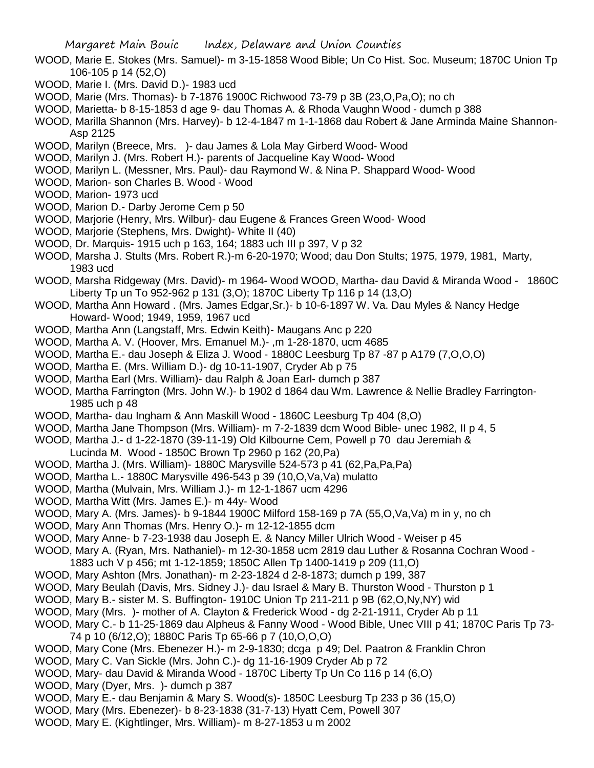- WOOD, Marie E. Stokes (Mrs. Samuel)- m 3-15-1858 Wood Bible; Un Co Hist. Soc. Museum; 1870C Union Tp 106-105 p 14 (52,O)
- WOOD, Marie I. (Mrs. David D.)- 1983 ucd
- WOOD, Marie (Mrs. Thomas)- b 7-1876 1900C Richwood 73-79 p 3B (23,O,Pa,O); no ch
- WOOD, Marietta- b 8-15-1853 d age 9- dau Thomas A. & Rhoda Vaughn Wood dumch p 388
- WOOD, Marilla Shannon (Mrs. Harvey)- b 12-4-1847 m 1-1-1868 dau Robert & Jane Arminda Maine Shannon-Asp 2125
- WOOD, Marilyn (Breece, Mrs. )- dau James & Lola May Girberd Wood- Wood
- WOOD, Marilyn J. (Mrs. Robert H.)- parents of Jacqueline Kay Wood- Wood
- WOOD, Marilyn L. (Messner, Mrs. Paul)- dau Raymond W. & Nina P. Shappard Wood- Wood
- WOOD, Marion- son Charles B. Wood Wood
- WOOD, Marion- 1973 ucd
- WOOD, Marion D.- Darby Jerome Cem p 50
- WOOD, Marjorie (Henry, Mrs. Wilbur)- dau Eugene & Frances Green Wood- Wood
- WOOD, Marjorie (Stephens, Mrs. Dwight)- White II (40)
- WOOD, Dr. Marquis- 1915 uch p 163, 164; 1883 uch III p 397, V p 32
- WOOD, Marsha J. Stults (Mrs. Robert R.)-m 6-20-1970; Wood; dau Don Stults; 1975, 1979, 1981, Marty, 1983 ucd
- WOOD, Marsha Ridgeway (Mrs. David)- m 1964- Wood WOOD, Martha- dau David & Miranda Wood 1860C Liberty Tp un To 952-962 p 131 (3,O); 1870C Liberty Tp 116 p 14 (13,O)
- WOOD, Martha Ann Howard . (Mrs. James Edgar,Sr.)- b 10-6-1897 W. Va. Dau Myles & Nancy Hedge Howard- Wood; 1949, 1959, 1967 ucd
- WOOD, Martha Ann (Langstaff, Mrs. Edwin Keith)- Maugans Anc p 220
- WOOD, Martha A. V. (Hoover, Mrs. Emanuel M.)- ,m 1-28-1870, ucm 4685
- WOOD, Martha E.- dau Joseph & Eliza J. Wood 1880C Leesburg Tp 87 -87 p A179 (7,O,O,O)
- WOOD, Martha E. (Mrs. William D.)- dg 10-11-1907, Cryder Ab p 75
- WOOD, Martha Earl (Mrs. William)- dau Ralph & Joan Earl- dumch p 387
- WOOD, Martha Farrington (Mrs. John W.)- b 1902 d 1864 dau Wm. Lawrence & Nellie Bradley Farrington-1985 uch p 48
- WOOD, Martha- dau Ingham & Ann Maskill Wood 1860C Leesburg Tp 404 (8,O)
- WOOD, Martha Jane Thompson (Mrs. William)- m 7-2-1839 dcm Wood Bible- unec 1982, II p 4, 5
- WOOD, Martha J.- d 1-22-1870 (39-11-19) Old Kilbourne Cem, Powell p 70 dau Jeremiah &
- Lucinda M. Wood 1850C Brown Tp 2960 p 162 (20,Pa)
- WOOD, Martha J. (Mrs. William)- 1880C Marysville 524-573 p 41 (62,Pa,Pa,Pa)
- WOOD, Martha L.- 1880C Marysville 496-543 p 39 (10,O,Va,Va) mulatto
- WOOD, Martha (Mulvain, Mrs. William J.)- m 12-1-1867 ucm 4296
- WOOD, Martha Witt (Mrs. James E.)- m 44y- Wood
- WOOD, Mary A. (Mrs. James)- b 9-1844 1900C Milford 158-169 p 7A (55,O,Va,Va) m in y, no ch
- WOOD, Mary Ann Thomas (Mrs. Henry O.)- m 12-12-1855 dcm
- WOOD, Mary Anne- b 7-23-1938 dau Joseph E. & Nancy Miller Ulrich Wood Weiser p 45
- WOOD, Mary A. (Ryan, Mrs. Nathaniel)- m 12-30-1858 ucm 2819 dau Luther & Rosanna Cochran Wood 1883 uch V p 456; mt 1-12-1859; 1850C Allen Tp 1400-1419 p 209 (11,O)
- WOOD, Mary Ashton (Mrs. Jonathan)- m 2-23-1824 d 2-8-1873; dumch p 199, 387
- WOOD, Mary Beulah (Davis, Mrs. Sidney J.)- dau Israel & Mary B. Thurston Wood Thurston p 1
- WOOD, Mary B.- sister M. S. Buffington- 1910C Union Tp 211-211 p 9B (62,O,Ny,NY) wid
- WOOD, Mary (Mrs. )- mother of A. Clayton & Frederick Wood dg 2-21-1911, Cryder Ab p 11
- WOOD, Mary C.- b 11-25-1869 dau Alpheus & Fanny Wood Wood Bible, Unec VIII p 41; 1870C Paris Tp 73- 74 p 10 (6/12,O); 1880C Paris Tp 65-66 p 7 (10,O,O,O)
- WOOD, Mary Cone (Mrs. Ebenezer H.)- m 2-9-1830; dcga p 49; Del. Paatron & Franklin Chron
- WOOD, Mary C. Van Sickle (Mrs. John C.)- dg 11-16-1909 Cryder Ab p 72
- WOOD, Mary- dau David & Miranda Wood 1870C Liberty Tp Un Co 116 p 14 (6,O)
- WOOD, Mary (Dyer, Mrs. )- dumch p 387
- WOOD, Mary E.- dau Benjamin & Mary S. Wood(s)- 1850C Leesburg Tp 233 p 36 (15,O)
- WOOD, Mary (Mrs. Ebenezer)- b 8-23-1838 (31-7-13) Hyatt Cem, Powell 307
- WOOD, Mary E. (Kightlinger, Mrs. William)- m 8-27-1853 u m 2002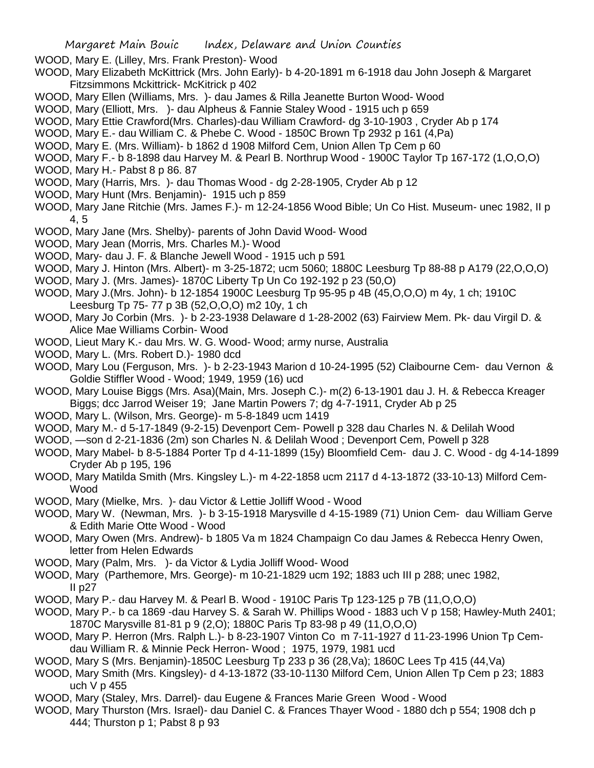- WOOD, Mary E. (Lilley, Mrs. Frank Preston)- Wood
- WOOD, Mary Elizabeth McKittrick (Mrs. John Early)- b 4-20-1891 m 6-1918 dau John Joseph & Margaret Fitzsimmons Mckittrick- McKitrick p 402
- WOOD, Mary Ellen (Williams, Mrs. )- dau James & Rilla Jeanette Burton Wood- Wood
- WOOD, Mary (Elliott, Mrs. )- dau Alpheus & Fannie Staley Wood 1915 uch p 659
- WOOD, Mary Ettie Crawford(Mrs. Charles)-dau William Crawford- dg 3-10-1903 , Cryder Ab p 174
- WOOD, Mary E.- dau William C. & Phebe C. Wood 1850C Brown Tp 2932 p 161 (4,Pa)
- WOOD, Mary E. (Mrs. William)- b 1862 d 1908 Milford Cem, Union Allen Tp Cem p 60
- WOOD, Mary F.- b 8-1898 dau Harvey M. & Pearl B. Northrup Wood 1900C Taylor Tp 167-172 (1,O,O,O)
- WOOD, Mary H.- Pabst 8 p 86. 87
- WOOD, Mary (Harris, Mrs. )- dau Thomas Wood dg 2-28-1905, Cryder Ab p 12
- WOOD, Mary Hunt (Mrs. Benjamin)- 1915 uch p 859
- WOOD, Mary Jane Ritchie (Mrs. James F.)- m 12-24-1856 Wood Bible; Un Co Hist. Museum- unec 1982, II p 4, 5
- WOOD, Mary Jane (Mrs. Shelby)- parents of John David Wood- Wood
- WOOD, Mary Jean (Morris, Mrs. Charles M.)- Wood
- WOOD, Mary- dau J. F. & Blanche Jewell Wood 1915 uch p 591
- WOOD, Mary J. Hinton (Mrs. Albert)- m 3-25-1872; ucm 5060; 1880C Leesburg Tp 88-88 p A179 (22,O,O,O)
- WOOD, Mary J. (Mrs. James)- 1870C Liberty Tp Un Co 192-192 p 23 (50,O)
- WOOD, Mary J.(Mrs. John)- b 12-1854 1900C Leesburg Tp 95-95 p 4B (45,O,O,O) m 4y, 1 ch; 1910C Leesburg Tp 75- 77 p 3B (52,O,O,O) m2 10y, 1 ch
- WOOD, Mary Jo Corbin (Mrs. )- b 2-23-1938 Delaware d 1-28-2002 (63) Fairview Mem. Pk- dau Virgil D. & Alice Mae Williams Corbin- Wood
- WOOD, Lieut Mary K.- dau Mrs. W. G. Wood- Wood; army nurse, Australia
- WOOD, Mary L. (Mrs. Robert D.)- 1980 dcd
- WOOD, Mary Lou (Ferguson, Mrs. )- b 2-23-1943 Marion d 10-24-1995 (52) Claibourne Cem- dau Vernon & Goldie Stiffler Wood - Wood; 1949, 1959 (16) ucd
- WOOD, Mary Louise Biggs (Mrs. Asa)(Main, Mrs. Joseph C.)- m(2) 6-13-1901 dau J. H. & Rebecca Kreager Biggs; dcc Jarrod Weiser 19; Jane Martin Powers 7; dg 4-7-1911, Cryder Ab p 25
- WOOD, Mary L. (Wilson, Mrs. George)- m 5-8-1849 ucm 1419
- WOOD, Mary M.- d 5-17-1849 (9-2-15) Devenport Cem- Powell p 328 dau Charles N. & Delilah Wood
- WOOD, —son d 2-21-1836 (2m) son Charles N. & Delilah Wood ; Devenport Cem, Powell p 328
- WOOD, Mary Mabel- b 8-5-1884 Porter Tp d 4-11-1899 (15y) Bloomfield Cem- dau J. C. Wood dg 4-14-1899 Cryder Ab p 195, 196
- WOOD, Mary Matilda Smith (Mrs. Kingsley L.)- m 4-22-1858 ucm 2117 d 4-13-1872 (33-10-13) Milford Cem-Wood
- WOOD, Mary (Mielke, Mrs. )- dau Victor & Lettie Jolliff Wood Wood
- WOOD, Mary W. (Newman, Mrs. )- b 3-15-1918 Marysville d 4-15-1989 (71) Union Cem- dau William Gerve & Edith Marie Otte Wood - Wood
- WOOD, Mary Owen (Mrs. Andrew)- b 1805 Va m 1824 Champaign Co dau James & Rebecca Henry Owen, letter from Helen Edwards
- WOOD, Mary (Palm, Mrs. )- da Victor & Lydia Jolliff Wood- Wood
- WOOD, Mary (Parthemore, Mrs. George)- m 10-21-1829 ucm 192; 1883 uch III p 288; unec 1982, II  $p27$
- WOOD, Mary P.- dau Harvey M. & Pearl B. Wood 1910C Paris Tp 123-125 p 7B (11,O,O,O)
- WOOD, Mary P.- b ca 1869 -dau Harvey S. & Sarah W. Phillips Wood 1883 uch V p 158; Hawley-Muth 2401; 1870C Marysville 81-81 p 9 (2,O); 1880C Paris Tp 83-98 p 49 (11,O,O,O)
- WOOD, Mary P. Herron (Mrs. Ralph L.)- b 8-23-1907 Vinton Co m 7-11-1927 d 11-23-1996 Union Tp Cemdau William R. & Minnie Peck Herron- Wood ; 1975, 1979, 1981 ucd
- WOOD, Mary S (Mrs. Benjamin)-1850C Leesburg Tp 233 p 36 (28,Va); 1860C Lees Tp 415 (44,Va)
- WOOD, Mary Smith (Mrs. Kingsley)- d 4-13-1872 (33-10-1130 Milford Cem, Union Allen Tp Cem p 23; 1883 uch V p 455
- WOOD, Mary (Staley, Mrs. Darrel)- dau Eugene & Frances Marie Green Wood Wood
- WOOD, Mary Thurston (Mrs. Israel)- dau Daniel C. & Frances Thayer Wood 1880 dch p 554; 1908 dch p 444; Thurston p 1; Pabst 8 p 93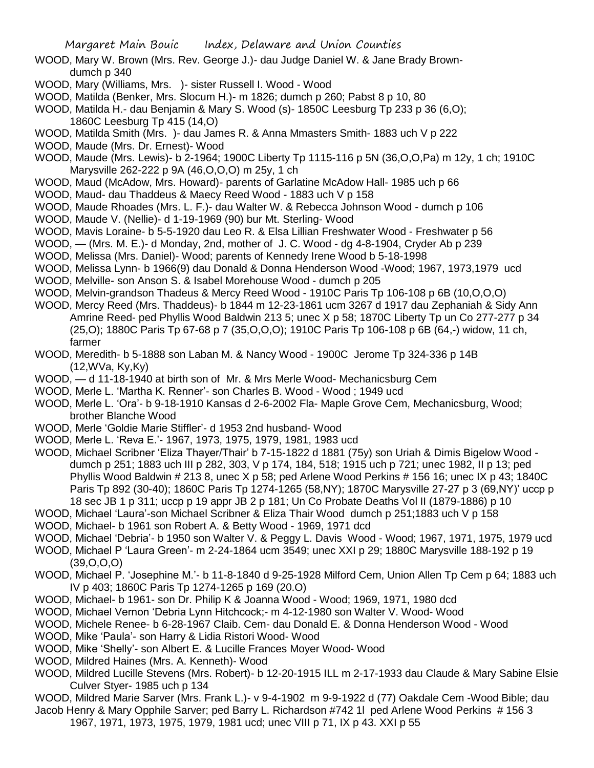- WOOD, Mary W. Brown (Mrs. Rev. George J.)- dau Judge Daniel W. & Jane Brady Browndumch p 340
- WOOD, Mary (Williams, Mrs. )- sister Russell I. Wood Wood
- WOOD, Matilda (Benker, Mrs. Slocum H.)- m 1826; dumch p 260; Pabst 8 p 10, 80
- WOOD, Matilda H.- dau Benjamin & Mary S. Wood (s)- 1850C Leesburg Tp 233 p 36 (6,O); 1860C Leesburg Tp 415 (14,O)
- WOOD, Matilda Smith (Mrs. )- dau James R. & Anna Mmasters Smith- 1883 uch V p 222
- WOOD, Maude (Mrs. Dr. Ernest)- Wood
- WOOD, Maude (Mrs. Lewis)- b 2-1964; 1900C Liberty Tp 1115-116 p 5N (36,O,O,Pa) m 12y, 1 ch; 1910C Marysville 262-222 p 9A (46,O,O,O) m 25y, 1 ch
- WOOD, Maud (McAdow, Mrs. Howard)- parents of Garlatine McAdow Hall- 1985 uch p 66
- WOOD, Maud- dau Thaddeus & Maecy Reed Wood 1883 uch V p 158
- WOOD, Maude Rhoades (Mrs. L. F.)- dau Walter W. & Rebecca Johnson Wood dumch p 106
- WOOD, Maude V. (Nellie)- d 1-19-1969 (90) bur Mt. Sterling- Wood
- WOOD, Mavis Loraine- b 5-5-1920 dau Leo R. & Elsa Lillian Freshwater Wood Freshwater p 56
- WOOD, (Mrs. M. E.)- d Monday, 2nd, mother of J. C. Wood dg 4-8-1904, Cryder Ab p 239
- WOOD, Melissa (Mrs. Daniel)- Wood; parents of Kennedy Irene Wood b 5-18-1998
- WOOD, Melissa Lynn- b 1966(9) dau Donald & Donna Henderson Wood -Wood; 1967, 1973,1979 ucd
- WOOD, Melville- son Anson S. & Isabel Morehouse Wood dumch p 205
- WOOD, Melvin-grandson Thadeus & Mercy Reed Wood 1910C Paris Tp 106-108 p 6B (10,O,O,O)
- WOOD, Mercy Reed (Mrs. Thaddeus)- b 1844 m 12-23-1861 ucm 3267 d 1917 dau Zephaniah & Sidy Ann Amrine Reed- ped Phyllis Wood Baldwin 213 5; unec X p 58; 1870C Liberty Tp un Co 277-277 p 34 (25,O); 1880C Paris Tp 67-68 p 7 (35,O,O,O); 1910C Paris Tp 106-108 p 6B (64,-) widow, 11 ch, farmer
- WOOD, Meredith- b 5-1888 son Laban M. & Nancy Wood 1900C Jerome Tp 324-336 p 14B (12,WVa, Ky,Ky)
- WOOD, d 11-18-1940 at birth son of Mr. & Mrs Merle Wood- Mechanicsburg Cem
- WOOD, Merle L. 'Martha K. Renner'- son Charles B. Wood Wood ; 1949 ucd
- WOOD, Merle L. 'Ora'- b 9-18-1910 Kansas d 2-6-2002 Fla- Maple Grove Cem, Mechanicsburg, Wood; brother Blanche Wood
- WOOD, Merle 'Goldie Marie Stiffler'- d 1953 2nd husband- Wood
- WOOD, Merle L. 'Reva E.'- 1967, 1973, 1975, 1979, 1981, 1983 ucd
- WOOD, Michael Scribner 'Eliza Thayer/Thair' b 7-15-1822 d 1881 (75y) son Uriah & Dimis Bigelow Wood dumch p 251; 1883 uch III p 282, 303, V p 174, 184, 518; 1915 uch p 721; unec 1982, II p 13; ped Phyllis Wood Baldwin # 213 8, unec X p 58; ped Arlene Wood Perkins # 156 16; unec IX p 43; 1840C Paris Tp 892 (30-40); 1860C Paris Tp 1274-1265 (58,NY); 1870C Marysville 27-27 p 3 (69,NY)' uccp p 18 sec JB 1 p 311; uccp p 19 appr JB 2 p 181; Un Co Probate Deaths Vol II (1879-1886) p 10
- WOOD, Michael 'Laura'-son Michael Scribner & Eliza Thair Wood dumch p 251;1883 uch V p 158
- WOOD, Michael- b 1961 son Robert A. & Betty Wood 1969, 1971 dcd
- WOOD, Michael 'Debria'- b 1950 son Walter V. & Peggy L. Davis Wood Wood; 1967, 1971, 1975, 1979 ucd
- WOOD, Michael P 'Laura Green'- m 2-24-1864 ucm 3549; unec XXI p 29; 1880C Marysville 188-192 p 19 (39,O,O,O)
- WOOD, Michael P. 'Josephine M.'- b 11-8-1840 d 9-25-1928 Milford Cem, Union Allen Tp Cem p 64; 1883 uch IV p 403; 1860C Paris Tp 1274-1265 p 169 (20.O)
- WOOD, Michael- b 1961- son Dr. Philip K & Joanna Wood Wood; 1969, 1971, 1980 dcd
- WOOD, Michael Vernon 'Debria Lynn Hitchcock;- m 4-12-1980 son Walter V. Wood- Wood
- WOOD, Michele Renee- b 6-28-1967 Claib. Cem- dau Donald E. & Donna Henderson Wood Wood
- WOOD, Mike 'Paula'- son Harry & Lidia Ristori Wood- Wood
- WOOD, Mike 'Shelly'- son Albert E. & Lucille Frances Moyer Wood- Wood
- WOOD, Mildred Haines (Mrs. A. Kenneth)- Wood
- WOOD, Mildred Lucille Stevens (Mrs. Robert)- b 12-20-1915 ILL m 2-17-1933 dau Claude & Mary Sabine Elsie Culver Styer- 1985 uch p 134
- WOOD, Mildred Marie Sarver (Mrs. Frank L.)- v 9-4-1902 m 9-9-1922 d (77) Oakdale Cem -Wood Bible; dau
- Jacob Henry & Mary Opphile Sarver; ped Barry L. Richardson #742 1l ped Arlene Wood Perkins # 156 3 1967, 1971, 1973, 1975, 1979, 1981 ucd; unec VIII p 71, IX p 43. XXI p 55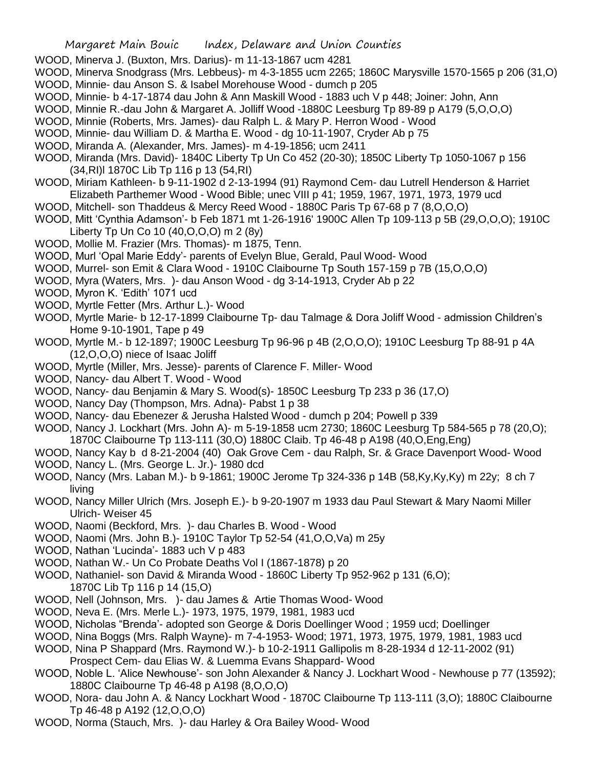WOOD, Minerva J. (Buxton, Mrs. Darius)- m 11-13-1867 ucm 4281

WOOD, Minerva Snodgrass (Mrs. Lebbeus)- m 4-3-1855 ucm 2265; 1860C Marysville 1570-1565 p 206 (31,O) WOOD, Minnie- dau Anson S. & Isabel Morehouse Wood - dumch p 205

- WOOD, Minnie- b 4-17-1874 dau John & Ann Maskill Wood 1883 uch V p 448; Joiner: John, Ann
- WOOD, Minnie R.-dau John & Margaret A. Jolliff Wood -1880C Leesburg Tp 89-89 p A179 (5,O,O,O)
- WOOD, Minnie (Roberts, Mrs. James)- dau Ralph L. & Mary P. Herron Wood Wood
- WOOD, Minnie- dau William D. & Martha E. Wood dg 10-11-1907, Cryder Ab p 75
- WOOD, Miranda A. (Alexander, Mrs. James)- m 4-19-1856; ucm 2411
- WOOD, Miranda (Mrs. David)- 1840C Liberty Tp Un Co 452 (20-30); 1850C Liberty Tp 1050-1067 p 156 (34,RI)l 1870C Lib Tp 116 p 13 (54,RI)
- WOOD, Miriam Kathleen- b 9-11-1902 d 2-13-1994 (91) Raymond Cem- dau Lutrell Henderson & Harriet Elizabeth Parthemer Wood - Wood Bible; unec VIII p 41; 1959, 1967, 1971, 1973, 1979 ucd
- WOOD, Mitchell- son Thaddeus & Mercy Reed Wood 1880C Paris Tp 67-68 p 7 (8,O,O,O)
- WOOD, Mitt 'Cynthia Adamson'- b Feb 1871 mt 1-26-1916' 1900C Allen Tp 109-113 p 5B (29,O,O,O); 1910C Liberty Tp Un Co 10 (40,O,O,O) m 2 (8y)
- WOOD, Mollie M. Frazier (Mrs. Thomas)- m 1875, Tenn.
- WOOD, Murl 'Opal Marie Eddy'- parents of Evelyn Blue, Gerald, Paul Wood- Wood
- WOOD, Murrel- son Emit & Clara Wood 1910C Claibourne Tp South 157-159 p 7B (15,O,O,O)
- WOOD, Myra (Waters, Mrs. )- dau Anson Wood dg 3-14-1913, Cryder Ab p 22
- WOOD, Myron K. 'Edith' 1071 ucd
- WOOD, Myrtle Fetter (Mrs. Arthur L.)- Wood
- WOOD, Myrtle Marie- b 12-17-1899 Claibourne Tp- dau Talmage & Dora Joliff Wood admission Children's Home 9-10-1901, Tape p 49
- WOOD, Myrtle M.- b 12-1897; 1900C Leesburg Tp 96-96 p 4B (2,O,O,O); 1910C Leesburg Tp 88-91 p 4A (12,O,O,O) niece of Isaac Joliff
- WOOD, Myrtle (Miller, Mrs. Jesse)- parents of Clarence F. Miller- Wood
- WOOD, Nancy- dau Albert T. Wood Wood
- WOOD, Nancy- dau Benjamin & Mary S. Wood(s)- 1850C Leesburg Tp 233 p 36 (17,O)
- WOOD, Nancy Day (Thompson, Mrs. Adna)- Pabst 1 p 38
- WOOD, Nancy- dau Ebenezer & Jerusha Halsted Wood dumch p 204; Powell p 339
- WOOD, Nancy J. Lockhart (Mrs. John A)- m 5-19-1858 ucm 2730; 1860C Leesburg Tp 584-565 p 78 (20,O); 1870C Claibourne Tp 113-111 (30,O) 1880C Claib. Tp 46-48 p A198 (40,O,Eng,Eng)
- WOOD, Nancy Kay b d 8-21-2004 (40) Oak Grove Cem dau Ralph, Sr. & Grace Davenport Wood- Wood
- WOOD, Nancy L. (Mrs. George L. Jr.)- 1980 dcd
- WOOD, Nancy (Mrs. Laban M.)- b 9-1861; 1900C Jerome Tp 324-336 p 14B (58,Ky,Ky,Ky) m 22y; 8 ch 7 living
- WOOD, Nancy Miller Ulrich (Mrs. Joseph E.)- b 9-20-1907 m 1933 dau Paul Stewart & Mary Naomi Miller Ulrich- Weiser 45
- WOOD, Naomi (Beckford, Mrs. )- dau Charles B. Wood Wood
- WOOD, Naomi (Mrs. John B.)- 1910C Taylor Tp 52-54 (41,O,O,Va) m 25y
- WOOD, Nathan 'Lucinda'- 1883 uch V p 483
- WOOD, Nathan W.- Un Co Probate Deaths Vol I (1867-1878) p 20
- WOOD, Nathaniel- son David & Miranda Wood 1860C Liberty Tp 952-962 p 131 (6,O);
	- 1870C Lib Tp 116 p 14 (15,O)
- WOOD, Nell (Johnson, Mrs. )- dau James & Artie Thomas Wood- Wood
- WOOD, Neva E. (Mrs. Merle L.)- 1973, 1975, 1979, 1981, 1983 ucd
- WOOD, Nicholas "Brenda'- adopted son George & Doris Doellinger Wood ; 1959 ucd; Doellinger
- WOOD, Nina Boggs (Mrs. Ralph Wayne)- m 7-4-1953- Wood; 1971, 1973, 1975, 1979, 1981, 1983 ucd
- WOOD, Nina P Shappard (Mrs. Raymond W.)- b 10-2-1911 Gallipolis m 8-28-1934 d 12-11-2002 (91)
- Prospect Cem- dau Elias W. & Luemma Evans Shappard- Wood
- WOOD, Noble L. 'Alice Newhouse'- son John Alexander & Nancy J. Lockhart Wood Newhouse p 77 (13592); 1880C Claibourne Tp 46-48 p A198 (8,O,O,O)
- WOOD, Nora- dau John A. & Nancy Lockhart Wood 1870C Claibourne Tp 113-111 (3,O); 1880C Claibourne Tp 46-48 p A192 (12,O,O,O)
- WOOD, Norma (Stauch, Mrs. )- dau Harley & Ora Bailey Wood- Wood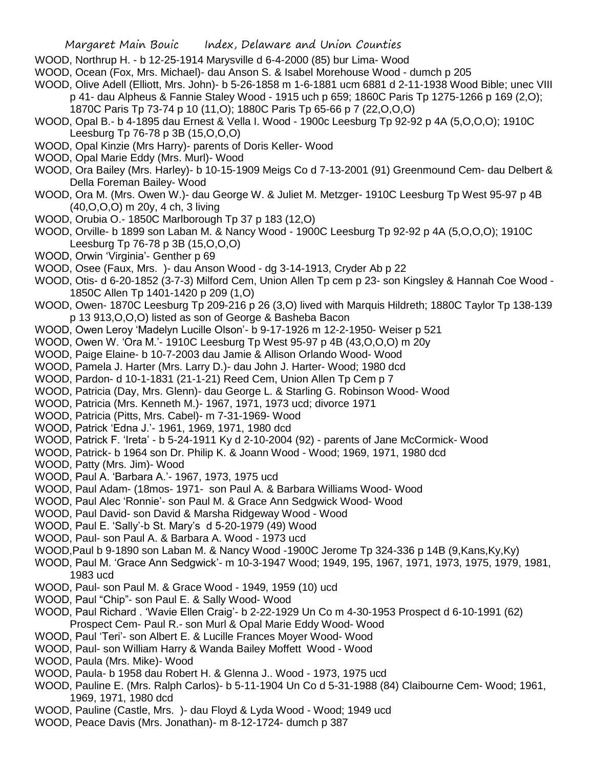- WOOD, Northrup H. b 12-25-1914 Marysville d 6-4-2000 (85) bur Lima- Wood
- WOOD, Ocean (Fox, Mrs. Michael)- dau Anson S. & Isabel Morehouse Wood dumch p 205

WOOD, Olive Adell (Elliott, Mrs. John)- b 5-26-1858 m 1-6-1881 ucm 6881 d 2-11-1938 Wood Bible; unec VIII p 41- dau Alpheus & Fannie Staley Wood - 1915 uch p 659; 1860C Paris Tp 1275-1266 p 169 (2,O); 1870C Paris Tp 73-74 p 10 (11,O); 1880C Paris Tp 65-66 p 7 (22,O,O,O)

- WOOD, Opal B.- b 4-1895 dau Ernest & Vella I. Wood 1900c Leesburg Tp 92-92 p 4A (5,O,O,O); 1910C Leesburg Tp 76-78 p 3B (15,O,O,O)
- WOOD, Opal Kinzie (Mrs Harry)- parents of Doris Keller- Wood
- WOOD, Opal Marie Eddy (Mrs. Murl)- Wood
- WOOD, Ora Bailey (Mrs. Harley)- b 10-15-1909 Meigs Co d 7-13-2001 (91) Greenmound Cem- dau Delbert & Della Foreman Bailey- Wood
- WOOD, Ora M. (Mrs. Owen W.)- dau George W. & Juliet M. Metzger- 1910C Leesburg Tp West 95-97 p 4B (40,O,O,O) m 20y, 4 ch, 3 living
- WOOD, Orubia O.- 1850C Marlborough Tp 37 p 183 (12,O)
- WOOD, Orville- b 1899 son Laban M. & Nancy Wood 1900C Leesburg Tp 92-92 p 4A (5,O,O,O); 1910C Leesburg Tp 76-78 p 3B (15,O,O,O)
- WOOD, Orwin 'Virginia'- Genther p 69
- WOOD, Osee (Faux, Mrs. )- dau Anson Wood dg 3-14-1913, Cryder Ab p 22
- WOOD, Otis- d 6-20-1852 (3-7-3) Milford Cem, Union Allen Tp cem p 23- son Kingsley & Hannah Coe Wood 1850C Allen Tp 1401-1420 p 209 (1,O)
- WOOD, Owen- 1870C Leesburg Tp 209-216 p 26 (3,O) lived with Marquis Hildreth; 1880C Taylor Tp 138-139 p 13 913,O,O,O) listed as son of George & Basheba Bacon
- WOOD, Owen Leroy 'Madelyn Lucille Olson'- b 9-17-1926 m 12-2-1950- Weiser p 521
- WOOD, Owen W. 'Ora M.'- 1910C Leesburg Tp West 95-97 p 4B (43,O,O,O) m 20y
- WOOD, Paige Elaine- b 10-7-2003 dau Jamie & Allison Orlando Wood- Wood
- WOOD, Pamela J. Harter (Mrs. Larry D.)- dau John J. Harter- Wood; 1980 dcd
- WOOD, Pardon- d 10-1-1831 (21-1-21) Reed Cem, Union Allen Tp Cem p 7
- WOOD, Patricia (Day, Mrs. Glenn)- dau George L. & Starling G. Robinson Wood- Wood
- WOOD, Patricia (Mrs. Kenneth M.)- 1967, 1971, 1973 ucd; divorce 1971
- WOOD, Patricia (Pitts, Mrs. Cabel)- m 7-31-1969- Wood
- WOOD, Patrick 'Edna J.'- 1961, 1969, 1971, 1980 dcd
- WOOD, Patrick F. 'Ireta' b 5-24-1911 Ky d 2-10-2004 (92) parents of Jane McCormick- Wood
- WOOD, Patrick- b 1964 son Dr. Philip K. & Joann Wood Wood; 1969, 1971, 1980 dcd
- WOOD, Patty (Mrs. Jim)- Wood
- WOOD, Paul A. 'Barbara A.'- 1967, 1973, 1975 ucd
- WOOD, Paul Adam- (18mos- 1971- son Paul A. & Barbara Williams Wood- Wood
- WOOD, Paul Alec 'Ronnie'- son Paul M. & Grace Ann Sedgwick Wood- Wood
- WOOD, Paul David- son David & Marsha Ridgeway Wood Wood
- WOOD, Paul E. 'Sally'-b St. Mary's d 5-20-1979 (49) Wood
- WOOD, Paul- son Paul A. & Barbara A. Wood 1973 ucd
- WOOD,Paul b 9-1890 son Laban M. & Nancy Wood -1900C Jerome Tp 324-336 p 14B (9,Kans,Ky,Ky)
- WOOD, Paul M. 'Grace Ann Sedgwick'- m 10-3-1947 Wood; 1949, 195, 1967, 1971, 1973, 1975, 1979, 1981, 1983 ucd
- WOOD, Paul- son Paul M. & Grace Wood 1949, 1959 (10) ucd
- WOOD, Paul "Chip"- son Paul E. & Sally Wood- Wood
- WOOD, Paul Richard . 'Wavie Ellen Craig'- b 2-22-1929 Un Co m 4-30-1953 Prospect d 6-10-1991 (62) Prospect Cem- Paul R.- son Murl & Opal Marie Eddy Wood- Wood
- WOOD, Paul 'Teri'- son Albert E. & Lucille Frances Moyer Wood- Wood
- WOOD, Paul- son William Harry & Wanda Bailey Moffett Wood Wood
- WOOD, Paula (Mrs. Mike)- Wood
- WOOD, Paula- b 1958 dau Robert H. & Glenna J.. Wood 1973, 1975 ucd
- WOOD, Pauline E. (Mrs. Ralph Carlos)- b 5-11-1904 Un Co d 5-31-1988 (84) Claibourne Cem- Wood; 1961, 1969, 1971, 1980 dcd
- WOOD, Pauline (Castle, Mrs. )- dau Floyd & Lyda Wood Wood; 1949 ucd
- WOOD, Peace Davis (Mrs. Jonathan)- m 8-12-1724- dumch p 387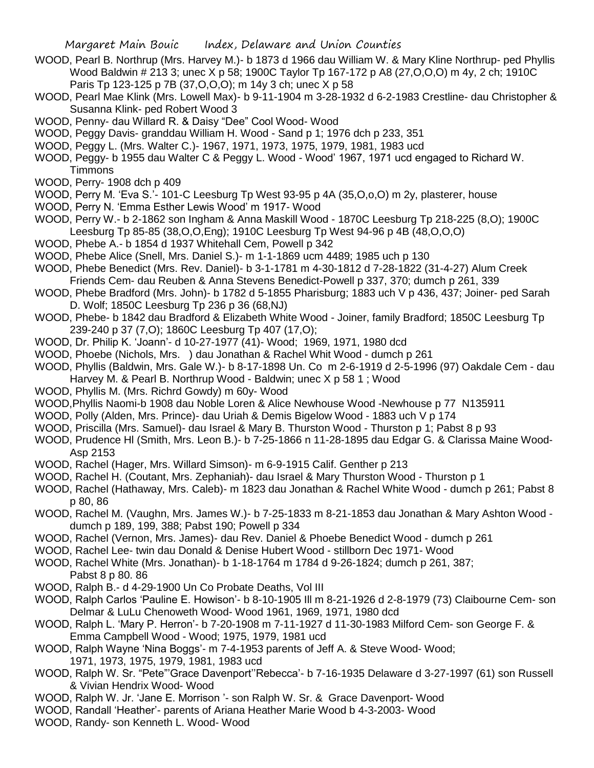- WOOD, Pearl B. Northrup (Mrs. Harvey M.)- b 1873 d 1966 dau William W. & Mary Kline Northrup- ped Phyllis Wood Baldwin # 213 3; unec X p 58; 1900C Taylor Tp 167-172 p A8 (27,O,O,O) m 4y, 2 ch; 1910C Paris Tp 123-125 p 7B (37,O,O,O); m 14y 3 ch; unec X p 58
- WOOD, Pearl Mae Klink (Mrs. Lowell Max)- b 9-11-1904 m 3-28-1932 d 6-2-1983 Crestline- dau Christopher & Susanna Klink- ped Robert Wood 3
- WOOD, Penny- dau Willard R. & Daisy "Dee" Cool Wood- Wood
- WOOD, Peggy Davis- granddau William H. Wood Sand p 1; 1976 dch p 233, 351
- WOOD, Peggy L. (Mrs. Walter C.)- 1967, 1971, 1973, 1975, 1979, 1981, 1983 ucd
- WOOD, Peggy- b 1955 dau Walter C & Peggy L. Wood Wood' 1967, 1971 ucd engaged to Richard W. **Timmons**
- WOOD, Perry- 1908 dch p 409
- WOOD, Perry M. 'Eva S.'- 101-C Leesburg Tp West 93-95 p 4A (35,O,o,O) m 2y, plasterer, house
- WOOD, Perry N. 'Emma Esther Lewis Wood' m 1917- Wood
- WOOD, Perry W.- b 2-1862 son Ingham & Anna Maskill Wood 1870C Leesburg Tp 218-225 (8,O); 1900C Leesburg Tp 85-85 (38,O,O,Eng); 1910C Leesburg Tp West 94-96 p 4B (48,O,O,O)
- WOOD, Phebe A.- b 1854 d 1937 Whitehall Cem, Powell p 342
- WOOD, Phebe Alice (Snell, Mrs. Daniel S.)- m 1-1-1869 ucm 4489; 1985 uch p 130
- WOOD, Phebe Benedict (Mrs. Rev. Daniel)- b 3-1-1781 m 4-30-1812 d 7-28-1822 (31-4-27) Alum Creek Friends Cem- dau Reuben & Anna Stevens Benedict-Powell p 337, 370; dumch p 261, 339
- WOOD, Phebe Bradford (Mrs. John)- b 1782 d 5-1855 Pharisburg; 1883 uch V p 436, 437; Joiner- ped Sarah D. Wolf; 1850C Leesburg Tp 236 p 36 (68,NJ)
- WOOD, Phebe- b 1842 dau Bradford & Elizabeth White Wood Joiner, family Bradford; 1850C Leesburg Tp 239-240 p 37 (7,O); 1860C Leesburg Tp 407 (17,O);
- WOOD, Dr. Philip K. 'Joann'- d 10-27-1977 (41)- Wood; 1969, 1971, 1980 dcd
- WOOD, Phoebe (Nichols, Mrs. ) dau Jonathan & Rachel Whit Wood dumch p 261
- WOOD, Phyllis (Baldwin, Mrs. Gale W.)- b 8-17-1898 Un. Co m 2-6-1919 d 2-5-1996 (97) Oakdale Cem dau Harvey M. & Pearl B. Northrup Wood - Baldwin; unec X p 58 1 ; Wood
- WOOD, Phyllis M. (Mrs. Richrd Gowdy) m 60y- Wood
- WOOD,Phyllis Naomi-b 1908 dau Noble Loren & Alice Newhouse Wood -Newhouse p 77 N135911
- WOOD, Polly (Alden, Mrs. Prince)- dau Uriah & Demis Bigelow Wood 1883 uch V p 174
- WOOD, Priscilla (Mrs. Samuel)- dau Israel & Mary B. Thurston Wood Thurston p 1; Pabst 8 p 93
- WOOD, Prudence Hl (Smith, Mrs. Leon B.)- b 7-25-1866 n 11-28-1895 dau Edgar G. & Clarissa Maine Wood-Asp 2153
- WOOD, Rachel (Hager, Mrs. Willard Simson)- m 6-9-1915 Calif. Genther p 213
- WOOD, Rachel H. (Coutant, Mrs. Zephaniah)- dau Israel & Mary Thurston Wood Thurston p 1
- WOOD, Rachel (Hathaway, Mrs. Caleb)- m 1823 dau Jonathan & Rachel White Wood dumch p 261; Pabst 8 p 80, 86
- WOOD, Rachel M. (Vaughn, Mrs. James W.)- b 7-25-1833 m 8-21-1853 dau Jonathan & Mary Ashton Wood dumch p 189, 199, 388; Pabst 190; Powell p 334
- WOOD, Rachel (Vernon, Mrs. James)- dau Rev. Daniel & Phoebe Benedict Wood dumch p 261
- WOOD, Rachel Lee- twin dau Donald & Denise Hubert Wood stillborn Dec 1971- Wood
- WOOD, Rachel White (Mrs. Jonathan)- b 1-18-1764 m 1784 d 9-26-1824; dumch p 261, 387; Pabst 8 p 80. 86
- WOOD, Ralph B.- d 4-29-1900 Un Co Probate Deaths, Vol III
- WOOD, Ralph Carlos 'Pauline E. Howison'- b 8-10-1905 Ill m 8-21-1926 d 2-8-1979 (73) Claibourne Cem- son Delmar & LuLu Chenoweth Wood- Wood 1961, 1969, 1971, 1980 dcd
- WOOD, Ralph L. 'Mary P. Herron'- b 7-20-1908 m 7-11-1927 d 11-30-1983 Milford Cem- son George F. & Emma Campbell Wood - Wood; 1975, 1979, 1981 ucd
- WOOD, Ralph Wayne 'Nina Boggs'- m 7-4-1953 parents of Jeff A. & Steve Wood- Wood; 1971, 1973, 1975, 1979, 1981, 1983 ucd
- WOOD, Ralph W. Sr. "Pete"'Grace Davenport''Rebecca'- b 7-16-1935 Delaware d 3-27-1997 (61) son Russell & Vivian Hendrix Wood- Wood
- WOOD, Ralph W. Jr. 'Jane E. Morrison '- son Ralph W. Sr. & Grace Davenport- Wood
- WOOD, Randall 'Heather'- parents of Ariana Heather Marie Wood b 4-3-2003- Wood
- WOOD, Randy- son Kenneth L. Wood- Wood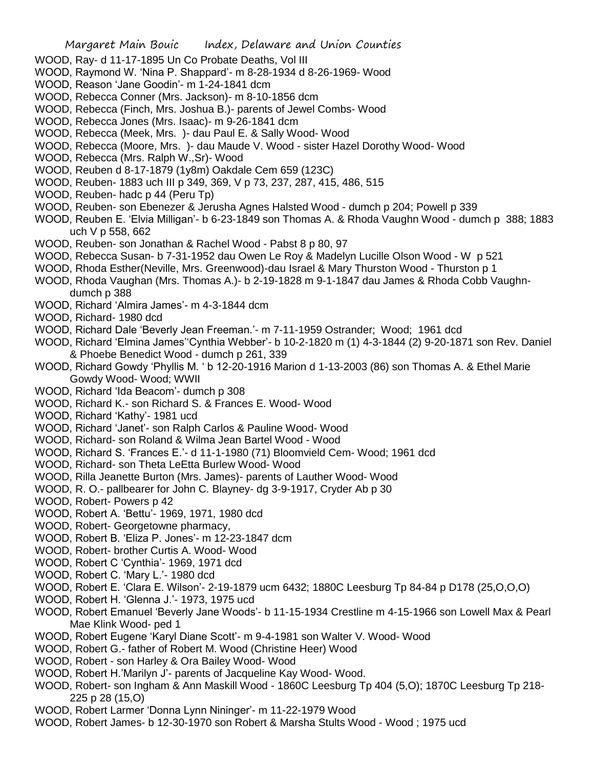- WOOD, Ray- d 11-17-1895 Un Co Probate Deaths, Vol III
- WOOD, Raymond W. 'Nina P. Shappard'- m 8-28-1934 d 8-26-1969- Wood
- WOOD, Reason 'Jane Goodin'- m 1-24-1841 dcm
- WOOD, Rebecca Conner (Mrs. Jackson)- m 8-10-1856 dcm
- WOOD, Rebecca (Finch, Mrs. Joshua B.)- parents of Jewel Combs- Wood
- WOOD, Rebecca Jones (Mrs. Isaac)- m 9-26-1841 dcm
- WOOD, Rebecca (Meek, Mrs. )- dau Paul E. & Sally Wood- Wood
- WOOD, Rebecca (Moore, Mrs. )- dau Maude V. Wood sister Hazel Dorothy Wood- Wood
- WOOD, Rebecca (Mrs. Ralph W.,Sr)- Wood
- WOOD, Reuben d 8-17-1879 (1y8m) Oakdale Cem 659 (123C)
- WOOD, Reuben- 1883 uch III p 349, 369, V p 73, 237, 287, 415, 486, 515
- WOOD, Reuben- hadc p 44 (Peru Tp)
- WOOD, Reuben- son Ebenezer & Jerusha Agnes Halsted Wood dumch p 204; Powell p 339
- WOOD, Reuben E. 'Elvia Milligan'- b 6-23-1849 son Thomas A. & Rhoda Vaughn Wood dumch p 388; 1883 uch V p 558, 662
- WOOD, Reuben- son Jonathan & Rachel Wood Pabst 8 p 80, 97
- WOOD, Rebecca Susan- b 7-31-1952 dau Owen Le Roy & Madelyn Lucille Olson Wood W p 521
- WOOD, Rhoda Esther(Neville, Mrs. Greenwood)-dau Israel & Mary Thurston Wood Thurston p 1
- WOOD, Rhoda Vaughan (Mrs. Thomas A.)- b 2-19-1828 m 9-1-1847 dau James & Rhoda Cobb Vaughndumch p 388
- WOOD, Richard 'Almira James'- m 4-3-1844 dcm
- WOOD, Richard- 1980 dcd
- WOOD, Richard Dale 'Beverly Jean Freeman.'- m 7-11-1959 Ostrander; Wood; 1961 dcd
- WOOD, Richard 'Elmina James''Cynthia Webber'- b 10-2-1820 m (1) 4-3-1844 (2) 9-20-1871 son Rev. Daniel & Phoebe Benedict Wood - dumch p 261, 339
- WOOD, Richard Gowdy 'Phyllis M. ' b 12-20-1916 Marion d 1-13-2003 (86) son Thomas A. & Ethel Marie Gowdy Wood- Wood; WWII
- WOOD, Richard 'Ida Beacom'- dumch p 308
- WOOD, Richard K.- son Richard S. & Frances E. Wood- Wood
- WOOD, Richard 'Kathy'- 1981 ucd
- WOOD, Richard 'Janet'- son Ralph Carlos & Pauline Wood- Wood
- WOOD, Richard- son Roland & Wilma Jean Bartel Wood Wood
- WOOD, Richard S. 'Frances E.'- d 11-1-1980 (71) Bloomvield Cem- Wood; 1961 dcd
- WOOD, Richard- son Theta LeEtta Burlew Wood- Wood
- WOOD, Rilla Jeanette Burton (Mrs. James)- parents of Lauther Wood- Wood
- WOOD, R. O.- pallbearer for John C. Blayney- dg 3-9-1917, Cryder Ab p 30
- WOOD, Robert- Powers p 42
- WOOD, Robert A. 'Bettu'- 1969, 1971, 1980 dcd
- WOOD, Robert- Georgetowne pharmacy,
- WOOD, Robert B. 'Eliza P. Jones'- m 12-23-1847 dcm
- WOOD, Robert- brother Curtis A. Wood- Wood
- WOOD, Robert C 'Cynthia'- 1969, 1971 dcd
- WOOD, Robert C. 'Mary L.'- 1980 dcd
- WOOD, Robert E. 'Clara E. Wilson'- 2-19-1879 ucm 6432; 1880C Leesburg Tp 84-84 p D178 (25,O,O,O)
- WOOD, Robert H. 'Glenna J.'- 1973, 1975 ucd
- WOOD, Robert Emanuel 'Beverly Jane Woods'- b 11-15-1934 Crestline m 4-15-1966 son Lowell Max & Pearl Mae Klink Wood- ped 1
- WOOD, Robert Eugene 'Karyl Diane Scott'- m 9-4-1981 son Walter V. Wood- Wood
- WOOD, Robert G.- father of Robert M. Wood (Christine Heer) Wood
- WOOD, Robert son Harley & Ora Bailey Wood- Wood
- WOOD, Robert H.'Marilyn J'- parents of Jacqueline Kay Wood- Wood.
- WOOD, Robert- son Ingham & Ann Maskill Wood 1860C Leesburg Tp 404 (5,O); 1870C Leesburg Tp 218- 225 p 28 (15,O)
- WOOD, Robert Larmer 'Donna Lynn Nininger'- m 11-22-1979 Wood
- WOOD, Robert James- b 12-30-1970 son Robert & Marsha Stults Wood Wood ; 1975 ucd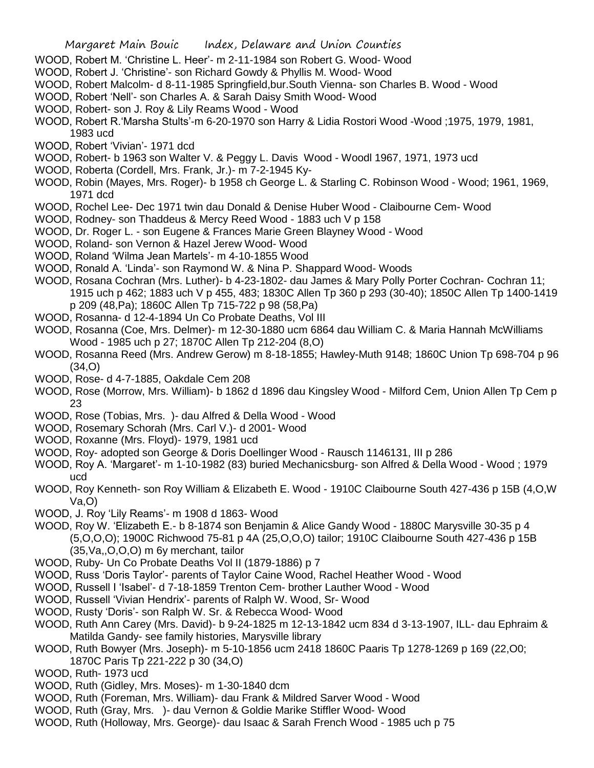- WOOD, Robert M. 'Christine L. Heer'- m 2-11-1984 son Robert G. Wood- Wood
- WOOD, Robert J. 'Christine'- son Richard Gowdy & Phyllis M. Wood- Wood
- WOOD, Robert Malcolm- d 8-11-1985 Springfield,bur.South Vienna- son Charles B. Wood Wood
- WOOD, Robert 'Nell'- son Charles A. & Sarah Daisy Smith Wood- Wood
- WOOD, Robert- son J. Roy & Lily Reams Wood Wood
- WOOD, Robert R.'Marsha Stults'-m 6-20-1970 son Harry & Lidia Rostori Wood -Wood ;1975, 1979, 1981, 1983 ucd
- WOOD, Robert 'Vivian'- 1971 dcd
- WOOD, Robert- b 1963 son Walter V. & Peggy L. Davis Wood Woodl 1967, 1971, 1973 ucd
- WOOD, Roberta (Cordell, Mrs. Frank, Jr.)- m 7-2-1945 Ky-
- WOOD, Robin (Mayes, Mrs. Roger)- b 1958 ch George L. & Starling C. Robinson Wood Wood; 1961, 1969, 1971 dcd
- WOOD, Rochel Lee- Dec 1971 twin dau Donald & Denise Huber Wood Claibourne Cem- Wood
- WOOD, Rodney- son Thaddeus & Mercy Reed Wood 1883 uch V p 158
- WOOD, Dr. Roger L. son Eugene & Frances Marie Green Blayney Wood Wood
- WOOD, Roland- son Vernon & Hazel Jerew Wood- Wood
- WOOD, Roland 'Wilma Jean Martels'- m 4-10-1855 Wood
- WOOD, Ronald A. 'Linda'- son Raymond W. & Nina P. Shappard Wood- Woods
- WOOD, Rosana Cochran (Mrs. Luther)- b 4-23-1802- dau James & Mary Polly Porter Cochran- Cochran 11; 1915 uch p 462; 1883 uch V p 455, 483; 1830C Allen Tp 360 p 293 (30-40); 1850C Allen Tp 1400-1419 p 209 (48,Pa); 1860C Allen Tp 715-722 p 98 (58,Pa)
- WOOD, Rosanna- d 12-4-1894 Un Co Probate Deaths, Vol III
- WOOD, Rosanna (Coe, Mrs. Delmer)- m 12-30-1880 ucm 6864 dau William C. & Maria Hannah McWilliams Wood - 1985 uch p 27; 1870C Allen Tp 212-204 (8,O)
- WOOD, Rosanna Reed (Mrs. Andrew Gerow) m 8-18-1855; Hawley-Muth 9148; 1860C Union Tp 698-704 p 96 (34,O)
- WOOD, Rose- d 4-7-1885, Oakdale Cem 208
- WOOD, Rose (Morrow, Mrs. William)- b 1862 d 1896 dau Kingsley Wood Milford Cem, Union Allen Tp Cem p 23
- WOOD, Rose (Tobias, Mrs. )- dau Alfred & Della Wood Wood
- WOOD, Rosemary Schorah (Mrs. Carl V.)- d 2001- Wood
- WOOD, Roxanne (Mrs. Floyd)- 1979, 1981 ucd
- WOOD, Roy- adopted son George & Doris Doellinger Wood Rausch 1146131, III p 286
- WOOD, Roy A. 'Margaret'- m 1-10-1982 (83) buried Mechanicsburg- son Alfred & Della Wood Wood ; 1979 ucd
- WOOD, Roy Kenneth- son Roy William & Elizabeth E. Wood 1910C Claibourne South 427-436 p 15B (4,O,W Va,O)
- WOOD, J. Roy 'Lily Reams'- m 1908 d 1863- Wood
- WOOD, Roy W. 'Elizabeth E.- b 8-1874 son Benjamin & Alice Gandy Wood 1880C Marysville 30-35 p 4 (5,O,O,O); 1900C Richwood 75-81 p 4A (25,O,O,O) tailor; 1910C Claibourne South 427-436 p 15B (35,Va,,O,O,O) m 6y merchant, tailor
- WOOD, Ruby- Un Co Probate Deaths Vol II (1879-1886) p 7
- WOOD, Russ 'Doris Taylor'- parents of Taylor Caine Wood, Rachel Heather Wood Wood
- WOOD, Russell I 'Isabel'- d 7-18-1859 Trenton Cem- brother Lauther Wood Wood
- WOOD, Russell 'Vivian Hendrix'- parents of Ralph W. Wood, Sr- Wood
- WOOD, Rusty 'Doris'- son Ralph W. Sr. & Rebecca Wood- Wood
- WOOD, Ruth Ann Carey (Mrs. David)- b 9-24-1825 m 12-13-1842 ucm 834 d 3-13-1907, ILL- dau Ephraim & Matilda Gandy- see family histories, Marysville library
- WOOD, Ruth Bowyer (Mrs. Joseph)- m 5-10-1856 ucm 2418 1860C Paaris Tp 1278-1269 p 169 (22,O0; 1870C Paris Tp 221-222 p 30 (34,O)
- WOOD, Ruth- 1973 ucd
- WOOD, Ruth (Gidley, Mrs. Moses)- m 1-30-1840 dcm
- WOOD, Ruth (Foreman, Mrs. William)- dau Frank & Mildred Sarver Wood Wood
- WOOD, Ruth (Gray, Mrs. )- dau Vernon & Goldie Marike Stiffler Wood- Wood
- WOOD, Ruth (Holloway, Mrs. George)- dau Isaac & Sarah French Wood 1985 uch p 75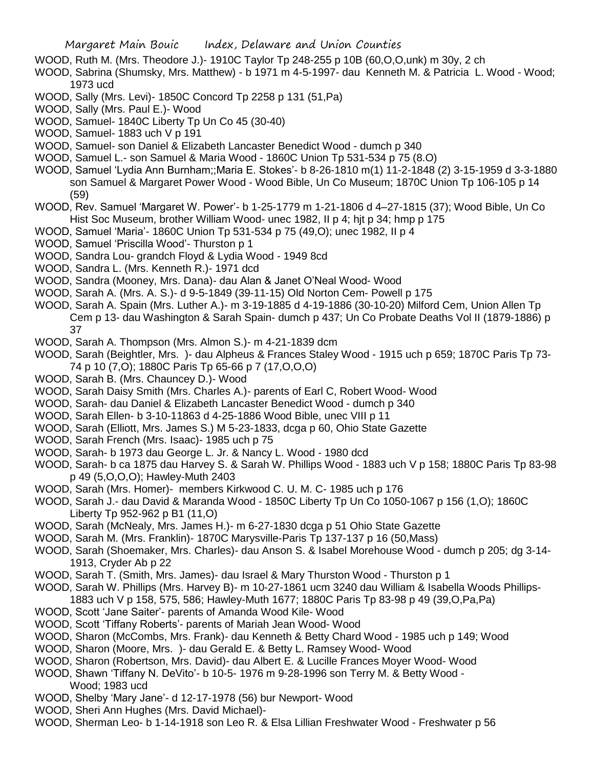- WOOD, Ruth M. (Mrs. Theodore J.)- 1910C Taylor Tp 248-255 p 10B (60,O,O,unk) m 30y, 2 ch
- WOOD, Sabrina (Shumsky, Mrs. Matthew) b 1971 m 4-5-1997- dau Kenneth M. & Patricia L. Wood Wood; 1973 ucd
- WOOD, Sally (Mrs. Levi)- 1850C Concord Tp 2258 p 131 (51,Pa)
- WOOD, Sally (Mrs. Paul E.)- Wood
- WOOD, Samuel- 1840C Liberty Tp Un Co 45 (30-40)
- WOOD, Samuel- 1883 uch V p 191
- WOOD, Samuel- son Daniel & Elizabeth Lancaster Benedict Wood dumch p 340
- WOOD, Samuel L.- son Samuel & Maria Wood 1860C Union Tp 531-534 p 75 (8.O)
- WOOD, Samuel 'Lydia Ann Burnham;;Maria E. Stokes'- b 8-26-1810 m(1) 11-2-1848 (2) 3-15-1959 d 3-3-1880 son Samuel & Margaret Power Wood - Wood Bible, Un Co Museum; 1870C Union Tp 106-105 p 14 (59)
- WOOD, Rev. Samuel 'Margaret W. Power'- b 1-25-1779 m 1-21-1806 d 4–27-1815 (37); Wood Bible, Un Co Hist Soc Museum, brother William Wood- unec 1982, II p 4; hjt p 34; hmp p 175
- WOOD, Samuel 'Maria'- 1860C Union Tp 531-534 p 75 (49,O); unec 1982, II p 4
- WOOD, Samuel 'Priscilla Wood'- Thurston p 1
- WOOD, Sandra Lou- grandch Floyd & Lydia Wood 1949 8cd
- WOOD, Sandra L. (Mrs. Kenneth R.)- 1971 dcd
- WOOD, Sandra (Mooney, Mrs. Dana)- dau Alan & Janet O'Neal Wood- Wood
- WOOD, Sarah A. (Mrs. A. S.)- d 9-5-1849 (39-11-15) Old Norton Cem- Powell p 175
- WOOD, Sarah A. Spain (Mrs. Luther A.)- m 3-19-1885 d 4-19-1886 (30-10-20) Milford Cem, Union Allen Tp Cem p 13- dau Washington & Sarah Spain- dumch p 437; Un Co Probate Deaths Vol II (1879-1886) p 37
- WOOD, Sarah A. Thompson (Mrs. Almon S.)- m 4-21-1839 dcm
- WOOD, Sarah (Beightler, Mrs. )- dau Alpheus & Frances Staley Wood 1915 uch p 659; 1870C Paris Tp 73- 74 p 10 (7,O); 1880C Paris Tp 65-66 p 7 (17,O,O,O)
- WOOD, Sarah B. (Mrs. Chauncey D.)- Wood
- WOOD, Sarah Daisy Smith (Mrs. Charles A.)- parents of Earl C, Robert Wood- Wood
- WOOD, Sarah- dau Daniel & Elizabeth Lancaster Benedict Wood dumch p 340
- WOOD, Sarah Ellen- b 3-10-11863 d 4-25-1886 Wood Bible, unec VIII p 11
- WOOD, Sarah (Elliott, Mrs. James S.) M 5-23-1833, dcga p 60, Ohio State Gazette
- WOOD, Sarah French (Mrs. Isaac)- 1985 uch p 75
- WOOD, Sarah- b 1973 dau George L. Jr. & Nancy L. Wood 1980 dcd
- WOOD, Sarah- b ca 1875 dau Harvey S. & Sarah W. Phillips Wood 1883 uch V p 158; 1880C Paris Tp 83-98 p 49 (5,O,O,O); Hawley-Muth 2403
- WOOD, Sarah (Mrs. Homer)- members Kirkwood C. U. M. C- 1985 uch p 176
- WOOD, Sarah J.- dau David & Maranda Wood 1850C Liberty Tp Un Co 1050-1067 p 156 (1,O); 1860C Liberty Tp 952-962 p B1 (11,O)
- WOOD, Sarah (McNealy, Mrs. James H.)- m 6-27-1830 dcga p 51 Ohio State Gazette
- WOOD, Sarah M. (Mrs. Franklin)- 1870C Marysville-Paris Tp 137-137 p 16 (50,Mass)
- WOOD, Sarah (Shoemaker, Mrs. Charles)- dau Anson S. & Isabel Morehouse Wood dumch p 205; dg 3-14- 1913, Cryder Ab p 22
- WOOD, Sarah T. (Smith, Mrs. James)- dau Israel & Mary Thurston Wood Thurston p 1
- WOOD, Sarah W. Phillips (Mrs. Harvey B)- m 10-27-1861 ucm 3240 dau William & Isabella Woods Phillips-1883 uch V p 158, 575, 586; Hawley-Muth 1677; 1880C Paris Tp 83-98 p 49 (39,O,Pa,Pa)
- WOOD, Scott 'Jane Saiter'- parents of Amanda Wood Kile- Wood
- WOOD, Scott 'Tiffany Roberts'- parents of Mariah Jean Wood- Wood
- WOOD, Sharon (McCombs, Mrs. Frank)- dau Kenneth & Betty Chard Wood 1985 uch p 149; Wood
- WOOD, Sharon (Moore, Mrs. )- dau Gerald E. & Betty L. Ramsey Wood- Wood
- WOOD, Sharon (Robertson, Mrs. David)- dau Albert E. & Lucille Frances Moyer Wood- Wood
- WOOD, Shawn 'Tiffany N. DeVito'- b 10-5- 1976 m 9-28-1996 son Terry M. & Betty Wood Wood; 1983 ucd
- WOOD, Shelby 'Mary Jane'- d 12-17-1978 (56) bur Newport- Wood
- WOOD, Sheri Ann Hughes (Mrs. David Michael)-
- WOOD, Sherman Leo- b 1-14-1918 son Leo R. & Elsa Lillian Freshwater Wood Freshwater p 56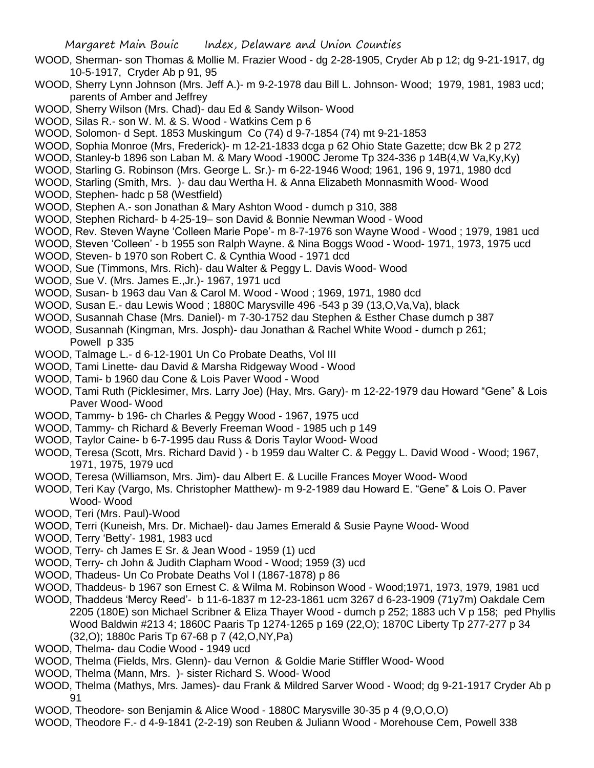- WOOD, Sherman- son Thomas & Mollie M. Frazier Wood dg 2-28-1905, Cryder Ab p 12; dg 9-21-1917, dg 10-5-1917, Cryder Ab p 91, 95
- WOOD, Sherry Lynn Johnson (Mrs. Jeff A.)- m 9-2-1978 dau Bill L. Johnson- Wood; 1979, 1981, 1983 ucd; parents of Amber and Jeffrey
- WOOD, Sherry Wilson (Mrs. Chad)- dau Ed & Sandy Wilson- Wood
- WOOD, Silas R.- son W. M. & S. Wood Watkins Cem p 6
- WOOD, Solomon- d Sept. 1853 Muskingum Co (74) d 9-7-1854 (74) mt 9-21-1853
- WOOD, Sophia Monroe (Mrs, Frederick)- m 12-21-1833 dcga p 62 Ohio State Gazette; dcw Bk 2 p 272
- WOOD, Stanley-b 1896 son Laban M. & Mary Wood -1900C Jerome Tp 324-336 p 14B(4,W Va,Ky,Ky)
- WOOD, Starling G. Robinson (Mrs. George L. Sr.)- m 6-22-1946 Wood; 1961, 196 9, 1971, 1980 dcd
- WOOD, Starling (Smith, Mrs. )- dau dau Wertha H. & Anna Elizabeth Monnasmith Wood- Wood
- WOOD, Stephen- hadc p 58 (Westfield)
- WOOD, Stephen A.- son Jonathan & Mary Ashton Wood dumch p 310, 388
- WOOD, Stephen Richard- b 4-25-19– son David & Bonnie Newman Wood Wood
- WOOD, Rev. Steven Wayne 'Colleen Marie Pope'- m 8-7-1976 son Wayne Wood Wood ; 1979, 1981 ucd
- WOOD, Steven 'Colleen' b 1955 son Ralph Wayne. & Nina Boggs Wood Wood- 1971, 1973, 1975 ucd
- WOOD, Steven- b 1970 son Robert C. & Cynthia Wood 1971 dcd
- WOOD, Sue (Timmons, Mrs. Rich)- dau Walter & Peggy L. Davis Wood- Wood
- WOOD, Sue V. (Mrs. James E.,Jr.)- 1967, 1971 ucd
- WOOD, Susan- b 1963 dau Van & Carol M. Wood Wood ; 1969, 1971, 1980 dcd
- WOOD, Susan E.- dau Lewis Wood ; 1880C Marysville 496 -543 p 39 (13, O, Va, Va), black
- WOOD, Susannah Chase (Mrs. Daniel)- m 7-30-1752 dau Stephen & Esther Chase dumch p 387
- WOOD, Susannah (Kingman, Mrs. Josph)- dau Jonathan & Rachel White Wood dumch p 261; Powell p 335
- WOOD, Talmage L.- d 6-12-1901 Un Co Probate Deaths, Vol III
- WOOD, Tami Linette- dau David & Marsha Ridgeway Wood Wood
- WOOD, Tami- b 1960 dau Cone & Lois Paver Wood Wood
- WOOD, Tami Ruth (Picklesimer, Mrs. Larry Joe) (Hay, Mrs. Gary)- m 12-22-1979 dau Howard "Gene" & Lois Paver Wood- Wood
- WOOD, Tammy- b 196- ch Charles & Peggy Wood 1967, 1975 ucd
- WOOD, Tammy- ch Richard & Beverly Freeman Wood 1985 uch p 149
- WOOD, Taylor Caine- b 6-7-1995 dau Russ & Doris Taylor Wood- Wood
- WOOD, Teresa (Scott, Mrs. Richard David ) b 1959 dau Walter C. & Peggy L. David Wood Wood; 1967, 1971, 1975, 1979 ucd
- WOOD, Teresa (Williamson, Mrs. Jim)- dau Albert E. & Lucille Frances Moyer Wood- Wood
- WOOD, Teri Kay (Vargo, Ms. Christopher Matthew)- m 9-2-1989 dau Howard E. "Gene" & Lois O. Paver Wood- Wood
- WOOD, Teri (Mrs. Paul)-Wood
- WOOD, Terri (Kuneish, Mrs. Dr. Michael)- dau James Emerald & Susie Payne Wood- Wood
- WOOD, Terry 'Betty'- 1981, 1983 ucd
- WOOD, Terry- ch James E Sr. & Jean Wood 1959 (1) ucd
- WOOD, Terry- ch John & Judith Clapham Wood Wood; 1959 (3) ucd
- WOOD, Thadeus- Un Co Probate Deaths Vol I (1867-1878) p 86
- WOOD, Thaddeus- b 1967 son Ernest C. & Wilma M. Robinson Wood Wood;1971, 1973, 1979, 1981 ucd
- WOOD, Thaddeus 'Mercy Reed'- b 11-6-1837 m 12-23-1861 ucm 3267 d 6-23-1909 (71y7m) Oakdale Cem 2205 (180E) son Michael Scribner & Eliza Thayer Wood - dumch p 252; 1883 uch V p 158; ped Phyllis Wood Baldwin #213 4; 1860C Paaris Tp 1274-1265 p 169 (22,O); 1870C Liberty Tp 277-277 p 34 (32,O); 1880c Paris Tp 67-68 p 7 (42,O,NY,Pa)
- WOOD, Thelma- dau Codie Wood 1949 ucd
- WOOD, Thelma (Fields, Mrs. Glenn)- dau Vernon & Goldie Marie Stiffler Wood- Wood
- WOOD, Thelma (Mann, Mrs. )- sister Richard S. Wood- Wood
- WOOD, Thelma (Mathys, Mrs. James)- dau Frank & Mildred Sarver Wood Wood; dg 9-21-1917 Cryder Ab p 91
- WOOD, Theodore- son Benjamin & Alice Wood 1880C Marysville 30-35 p 4 (9,O,O,O)
- WOOD, Theodore F.- d 4-9-1841 (2-2-19) son Reuben & Juliann Wood Morehouse Cem, Powell 338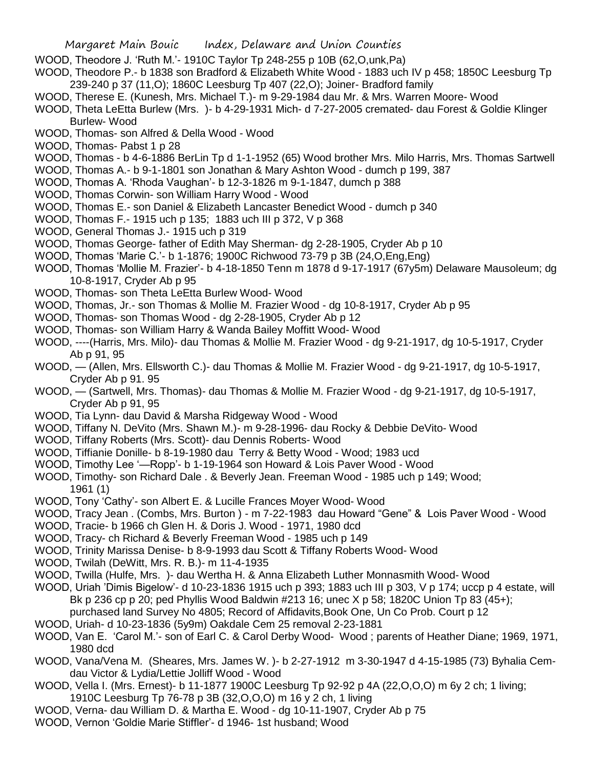- WOOD, Theodore J. 'Ruth M.'- 1910C Taylor Tp 248-255 p 10B (62,O,unk,Pa)
- WOOD, Theodore P.- b 1838 son Bradford & Elizabeth White Wood 1883 uch IV p 458; 1850C Leesburg Tp 239-240 p 37 (11,O); 1860C Leesburg Tp 407 (22,O); Joiner- Bradford family
- WOOD, Therese E. (Kunesh, Mrs. Michael T.)- m 9-29-1984 dau Mr. & Mrs. Warren Moore- Wood
- WOOD, Theta LeEtta Burlew (Mrs. )- b 4-29-1931 Mich- d 7-27-2005 cremated- dau Forest & Goldie Klinger Burlew- Wood
- WOOD, Thomas- son Alfred & Della Wood Wood
- WOOD, Thomas- Pabst 1 p 28
- WOOD, Thomas b 4-6-1886 BerLin Tp d 1-1-1952 (65) Wood brother Mrs. Milo Harris, Mrs. Thomas Sartwell
- WOOD, Thomas A.- b 9-1-1801 son Jonathan & Mary Ashton Wood dumch p 199, 387
- WOOD, Thomas A. 'Rhoda Vaughan'- b 12-3-1826 m 9-1-1847, dumch p 388
- WOOD, Thomas Corwin- son William Harry Wood Wood
- WOOD, Thomas E.- son Daniel & Elizabeth Lancaster Benedict Wood dumch p 340
- WOOD, Thomas F.- 1915 uch p 135; 1883 uch III p 372, V p 368
- WOOD, General Thomas J.- 1915 uch p 319
- WOOD, Thomas George- father of Edith May Sherman- dg 2-28-1905, Cryder Ab p 10
- WOOD, Thomas 'Marie C.'- b 1-1876; 1900C Richwood 73-79 p 3B (24,O,Eng,Eng)
- WOOD, Thomas 'Mollie M. Frazier'- b 4-18-1850 Tenn m 1878 d 9-17-1917 (67y5m) Delaware Mausoleum; dg 10-8-1917, Cryder Ab p 95
- WOOD, Thomas- son Theta LeEtta Burlew Wood- Wood
- WOOD, Thomas, Jr.- son Thomas & Mollie M. Frazier Wood dg 10-8-1917, Cryder Ab p 95
- WOOD, Thomas- son Thomas Wood dg 2-28-1905, Cryder Ab p 12
- WOOD, Thomas- son William Harry & Wanda Bailey Moffitt Wood- Wood
- WOOD, ----(Harris, Mrs. Milo)- dau Thomas & Mollie M. Frazier Wood dg 9-21-1917, dg 10-5-1917, Cryder Ab p 91, 95
- WOOD, (Allen, Mrs. Ellsworth C.)- dau Thomas & Mollie M. Frazier Wood dg 9-21-1917, dg 10-5-1917, Cryder Ab p 91. 95
- WOOD, (Sartwell, Mrs. Thomas)- dau Thomas & Mollie M. Frazier Wood dg 9-21-1917, dg 10-5-1917, Cryder Ab p 91, 95
- WOOD, Tia Lynn- dau David & Marsha Ridgeway Wood Wood
- WOOD, Tiffany N. DeVito (Mrs. Shawn M.)- m 9-28-1996- dau Rocky & Debbie DeVito- Wood
- WOOD, Tiffany Roberts (Mrs. Scott)- dau Dennis Roberts- Wood
- WOOD, Tiffianie Donille- b 8-19-1980 dau Terry & Betty Wood Wood; 1983 ucd
- WOOD, Timothy Lee '—Ropp'- b 1-19-1964 son Howard & Lois Paver Wood Wood
- WOOD, Timothy- son Richard Dale . & Beverly Jean. Freeman Wood 1985 uch p 149; Wood; 1961 (1)
- WOOD, Tony 'Cathy'- son Albert E. & Lucille Frances Moyer Wood- Wood
- WOOD, Tracy Jean . (Combs, Mrs. Burton ) m 7-22-1983 dau Howard "Gene" & Lois Paver Wood Wood
- WOOD, Tracie- b 1966 ch Glen H. & Doris J. Wood 1971, 1980 dcd
- WOOD, Tracy- ch Richard & Beverly Freeman Wood 1985 uch p 149
- WOOD, Trinity Marissa Denise- b 8-9-1993 dau Scott & Tiffany Roberts Wood- Wood
- WOOD, Twilah (DeWitt, Mrs. R. B.)- m 11-4-1935
- WOOD, Twilla (Hulfe, Mrs. )- dau Wertha H. & Anna Elizabeth Luther Monnasmith Wood- Wood
- WOOD, Uriah 'Dimis Bigelow'- d 10-23-1836 1915 uch p 393; 1883 uch III p 303, V p 174; uccp p 4 estate, will Bk p 236 cp p 20; ped Phyllis Wood Baldwin #213 16; unec X p 58; 1820C Union Tp 83 (45+);
- purchased land Survey No 4805; Record of Affidavits,Book One, Un Co Prob. Court p 12
- WOOD, Uriah- d 10-23-1836 (5y9m) Oakdale Cem 25 removal 2-23-1881
- WOOD, Van E. 'Carol M.'- son of Earl C. & Carol Derby Wood- Wood ; parents of Heather Diane; 1969, 1971, 1980 dcd
- WOOD, Vana/Vena M. (Sheares, Mrs. James W. )- b 2-27-1912 m 3-30-1947 d 4-15-1985 (73) Byhalia Cemdau Victor & Lydia/Lettie Jolliff Wood - Wood
- WOOD, Vella I. (Mrs. Ernest)- b 11-1877 1900C Leesburg Tp 92-92 p 4A (22,O,O,O) m 6y 2 ch; 1 living; 1910C Leesburg Tp 76-78 p 3B (32,O,O,O) m 16 y 2 ch, 1 living
- WOOD, Verna- dau William D. & Martha E. Wood dg 10-11-1907, Cryder Ab p 75
- WOOD, Vernon 'Goldie Marie Stiffler'- d 1946- 1st husband; Wood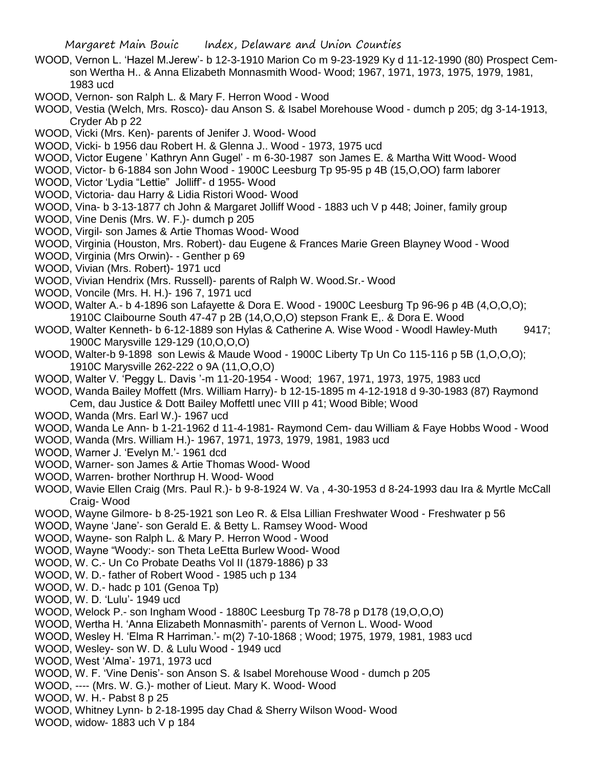- WOOD, Vernon L. 'Hazel M.Jerew'- b 12-3-1910 Marion Co m 9-23-1929 Ky d 11-12-1990 (80) Prospect Cemson Wertha H.. & Anna Elizabeth Monnasmith Wood- Wood; 1967, 1971, 1973, 1975, 1979, 1981, 1983 ucd
- WOOD, Vernon- son Ralph L. & Mary F. Herron Wood Wood
- WOOD, Vestia (Welch, Mrs. Rosco)- dau Anson S. & Isabel Morehouse Wood dumch p 205; dg 3-14-1913, Cryder Ab p 22
- WOOD, Vicki (Mrs. Ken)- parents of Jenifer J. Wood- Wood
- WOOD, Vicki- b 1956 dau Robert H. & Glenna J.. Wood 1973, 1975 ucd
- WOOD, Victor Eugene ' Kathryn Ann Gugel' m 6-30-1987 son James E. & Martha Witt Wood- Wood
- WOOD, Victor- b 6-1884 son John Wood 1900C Leesburg Tp 95-95 p 4B (15,O,OO) farm laborer
- WOOD, Victor 'Lydia "Lettie" Jolliff'- d 1955- Wood
- WOOD, Victoria- dau Harry & Lidia Ristori Wood- Wood
- WOOD, Vina- b 3-13-1877 ch John & Margaret Jolliff Wood 1883 uch V p 448; Joiner, family group
- WOOD, Vine Denis (Mrs. W. F.)- dumch p 205
- WOOD, Virgil- son James & Artie Thomas Wood- Wood
- WOOD, Virginia (Houston, Mrs. Robert)- dau Eugene & Frances Marie Green Blayney Wood Wood
- WOOD, Virginia (Mrs Orwin)- Genther p 69
- WOOD, Vivian (Mrs. Robert)- 1971 ucd
- WOOD, Vivian Hendrix (Mrs. Russell)- parents of Ralph W. Wood.Sr.- Wood
- WOOD, Voncile (Mrs. H. H.)- 196 7, 1971 ucd
- WOOD, Walter A.- b 4-1896 son Lafayette & Dora E. Wood 1900C Leesburg Tp 96-96 p 4B (4,O,O,O); 1910C Claibourne South 47-47 p 2B (14,O,O,O) stepson Frank E,. & Dora E. Wood
- WOOD, Walter Kenneth- b 6-12-1889 son Hylas & Catherine A. Wise Wood Woodl Hawley-Muth 9417; 1900C Marysville 129-129 (10,O,O,O)
- WOOD, Walter-b 9-1898 son Lewis & Maude Wood 1900C Liberty Tp Un Co 115-116 p 5B (1, O, O, O); 1910C Marysville 262-222 o 9A (11,O,O,O)
- WOOD, Walter V. 'Peggy L. Davis '-m 11-20-1954 Wood; 1967, 1971, 1973, 1975, 1983 ucd
- WOOD, Wanda Bailey Moffett (Mrs. William Harry)- b 12-15-1895 m 4-12-1918 d 9-30-1983 (87) Raymond Cem, dau Justice & Dott Bailey Moffettl unec VIII p 41; Wood Bible; Wood
- WOOD, Wanda (Mrs. Earl W.)- 1967 ucd
- WOOD, Wanda Le Ann- b 1-21-1962 d 11-4-1981- Raymond Cem- dau William & Faye Hobbs Wood Wood
- WOOD, Wanda (Mrs. William H.)- 1967, 1971, 1973, 1979, 1981, 1983 ucd
- WOOD, Warner J. 'Evelyn M.'- 1961 dcd
- WOOD, Warner- son James & Artie Thomas Wood- Wood
- WOOD, Warren- brother Northrup H. Wood- Wood
- WOOD, Wavie Ellen Craig (Mrs. Paul R.)- b 9-8-1924 W. Va , 4-30-1953 d 8-24-1993 dau Ira & Myrtle McCall Craig- Wood
- WOOD, Wayne Gilmore- b 8-25-1921 son Leo R. & Elsa Lillian Freshwater Wood Freshwater p 56
- WOOD, Wayne 'Jane'- son Gerald E. & Betty L. Ramsey Wood- Wood
- WOOD, Wayne- son Ralph L. & Mary P. Herron Wood Wood
- WOOD, Wayne "Woody:- son Theta LeEtta Burlew Wood- Wood
- WOOD, W. C.- Un Co Probate Deaths Vol II (1879-1886) p 33
- WOOD, W. D.- father of Robert Wood 1985 uch p 134
- WOOD, W. D.- hadc p 101 (Genoa Tp)
- WOOD, W. D. 'Lulu'- 1949 ucd
- WOOD, Welock P.- son Ingham Wood 1880C Leesburg Tp 78-78 p D178 (19,O,O,O)
- WOOD, Wertha H. 'Anna Elizabeth Monnasmith'- parents of Vernon L. Wood- Wood
- WOOD, Wesley H. 'Elma R Harriman.'- m(2) 7-10-1868 ; Wood; 1975, 1979, 1981, 1983 ucd
- WOOD, Wesley- son W. D. & Lulu Wood 1949 ucd
- WOOD, West 'Alma'- 1971, 1973 ucd
- WOOD, W. F. 'Vine Denis'- son Anson S. & Isabel Morehouse Wood dumch p 205
- WOOD, ---- (Mrs. W. G.)- mother of Lieut. Mary K. Wood- Wood
- WOOD, W. H.- Pabst 8 p 25
- WOOD, Whitney Lynn- b 2-18-1995 day Chad & Sherry Wilson Wood- Wood
- WOOD, widow- 1883 uch V p 184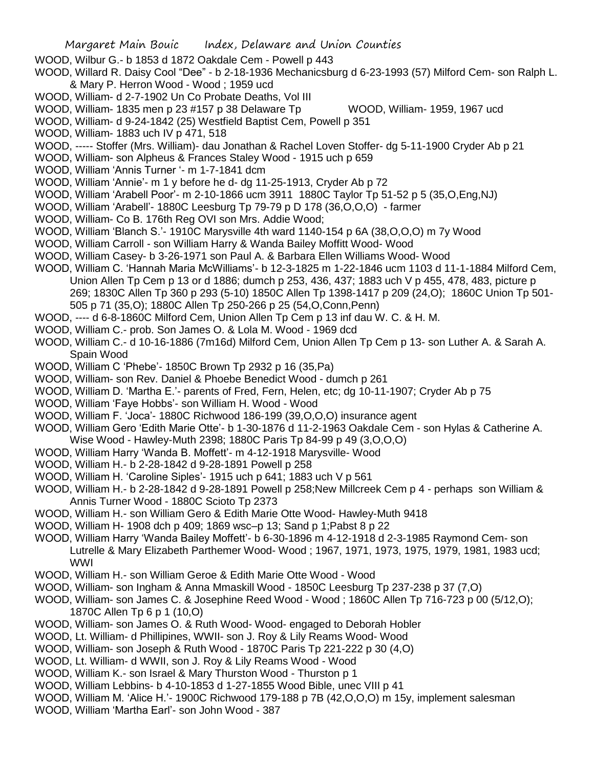- WOOD, Wilbur G.- b 1853 d 1872 Oakdale Cem Powell p 443
- WOOD, Willard R. Daisy Cool "Dee" b 2-18-1936 Mechanicsburg d 6-23-1993 (57) Milford Cem- son Ralph L. & Mary P. Herron Wood - Wood ; 1959 ucd
- WOOD, William- d 2-7-1902 Un Co Probate Deaths, Vol III
- WOOD, William- 1835 men p 23 #157 p 38 Delaware Tp WOOD, William- 1959, 1967 ucd
- WOOD, William- d 9-24-1842 (25) Westfield Baptist Cem, Powell p 351
- WOOD, William- 1883 uch IV p 471, 518
- WOOD, ----- Stoffer (Mrs. William)- dau Jonathan & Rachel Loven Stoffer- dg 5-11-1900 Cryder Ab p 21
- WOOD, William- son Alpheus & Frances Staley Wood 1915 uch p 659
- WOOD, William 'Annis Turner '- m 1-7-1841 dcm
- WOOD, William 'Annie'- m 1 y before he d- dg 11-25-1913, Cryder Ab p 72
- WOOD, William 'Arabell Poor'- m 2-10-1866 ucm 3911 1880C Taylor Tp 51-52 p 5 (35,O,Eng,NJ)
- WOOD, William 'Arabell'- 1880C Leesburg Tp 79-79 p D 178 (36,O,O,O) farmer
- WOOD, William- Co B. 176th Reg OVI son Mrs. Addie Wood;
- WOOD, William 'Blanch S.'- 1910C Marysville 4th ward 1140-154 p 6A (38,O,O,O) m 7y Wood
- WOOD, William Carroll son William Harry & Wanda Bailey Moffitt Wood- Wood
- WOOD, William Casey- b 3-26-1971 son Paul A. & Barbara Ellen Williams Wood- Wood
- WOOD, William C. 'Hannah Maria McWilliams'- b 12-3-1825 m 1-22-1846 ucm 1103 d 11-1-1884 Milford Cem, Union Allen Tp Cem p 13 or d 1886; dumch p 253, 436, 437; 1883 uch V p 455, 478, 483, picture p 269; 1830C Allen Tp 360 p 293 (5-10) 1850C Allen Tp 1398-1417 p 209 (24,O); 1860C Union Tp 501- 505 p 71 (35,O); 1880C Allen Tp 250-266 p 25 (54,O,Conn,Penn)
- WOOD, ---- d 6-8-1860C Milford Cem, Union Allen Tp Cem p 13 inf dau W. C. & H. M.
- WOOD, William C.- prob. Son James O. & Lola M. Wood 1969 dcd
- WOOD, William C.- d 10-16-1886 (7m16d) Milford Cem, Union Allen Tp Cem p 13- son Luther A. & Sarah A. Spain Wood
- WOOD, William C 'Phebe'- 1850C Brown Tp 2932 p 16 (35,Pa)
- WOOD, William- son Rev. Daniel & Phoebe Benedict Wood dumch p 261
- WOOD, William D. 'Martha E.'- parents of Fred, Fern, Helen, etc; dg 10-11-1907; Cryder Ab p 75
- WOOD, William 'Faye Hobbs'- son William H. Wood Wood
- WOOD, William F. 'Joca'- 1880C Richwood 186-199 (39,O,O,O) insurance agent
- WOOD, William Gero 'Edith Marie Otte'- b 1-30-1876 d 11-2-1963 Oakdale Cem son Hylas & Catherine A.
- Wise Wood Hawley-Muth 2398; 1880C Paris Tp 84-99 p 49 (3,O,O,O)
- WOOD, William Harry 'Wanda B. Moffett'- m 4-12-1918 Marysville- Wood
- WOOD, William H.- b 2-28-1842 d 9-28-1891 Powell p 258
- WOOD, William H. 'Caroline Siples'- 1915 uch p 641; 1883 uch V p 561
- WOOD, William H.- b 2-28-1842 d 9-28-1891 Powell p 258;New Millcreek Cem p 4 perhaps son William & Annis Turner Wood - 1880C Scioto Tp 2373
- WOOD, William H.- son William Gero & Edith Marie Otte Wood- Hawley-Muth 9418
- WOOD, William H- 1908 dch p 409; 1869 wsc–p 13; Sand p 1;Pabst 8 p 22
- WOOD, William Harry 'Wanda Bailey Moffett'- b 6-30-1896 m 4-12-1918 d 2-3-1985 Raymond Cem- son Lutrelle & Mary Elizabeth Parthemer Wood- Wood ; 1967, 1971, 1973, 1975, 1979, 1981, 1983 ucd; WWI
- WOOD, William H.- son William Geroe & Edith Marie Otte Wood Wood
- WOOD, William- son Ingham & Anna Mmaskill Wood 1850C Leesburg Tp 237-238 p 37 (7,O)
- WOOD, William- son James C. & Josephine Reed Wood Wood ; 1860C Allen Tp 716-723 p 00 (5/12,O); 1870C Allen Tp 6 p 1 (10,O)
- WOOD, William- son James O. & Ruth Wood- Wood- engaged to Deborah Hobler
- WOOD, Lt. William- d Phillipines, WWII- son J. Roy & Lily Reams Wood- Wood
- WOOD, William- son Joseph & Ruth Wood 1870C Paris Tp 221-222 p 30 (4,O)
- WOOD, Lt. William- d WWII, son J. Roy & Lily Reams Wood Wood
- WOOD, William K.- son Israel & Mary Thurston Wood Thurston p 1
- WOOD, William Lebbins- b 4-10-1853 d 1-27-1855 Wood Bible, unec VIII p 41
- WOOD, William M. 'Alice H.'- 1900C Richwood 179-188 p 7B (42, O, O, O) m 15y, implement salesman
- WOOD, William 'Martha Earl'- son John Wood 387